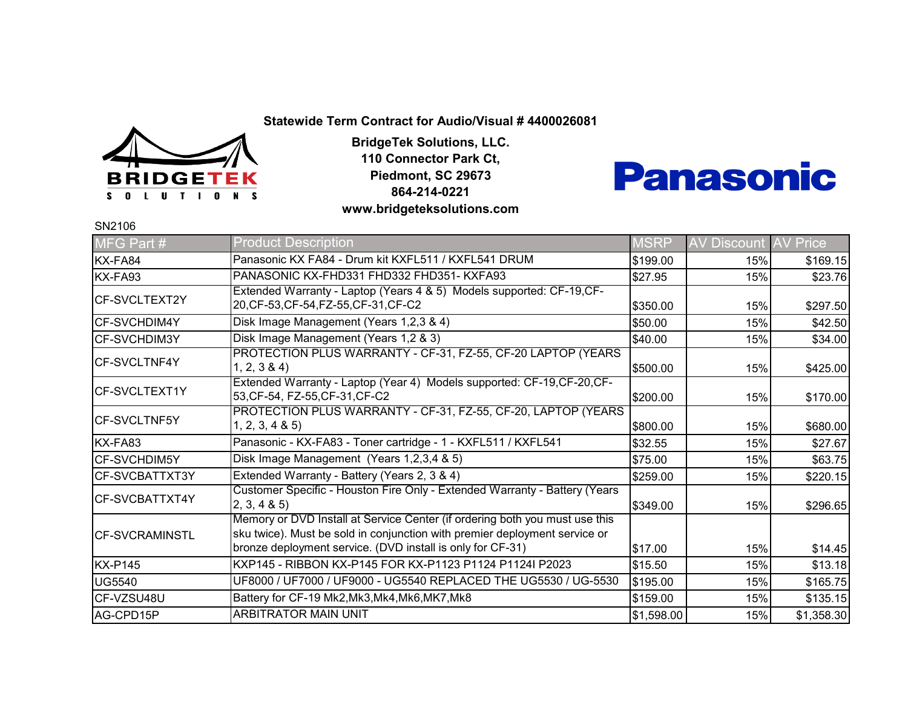

**BridgeTek Solutions, LLC. 110 Connector Park Ct, Piedmont, SC 29673 864-214-0221 www.bridgeteksolutions.com**



SN2106

| MFG Part #            | <b>Product Description</b>                                                                                                                                                                                              | <b>MSRP</b> | <b>AV Discount</b> | <b>AV Price</b> |
|-----------------------|-------------------------------------------------------------------------------------------------------------------------------------------------------------------------------------------------------------------------|-------------|--------------------|-----------------|
| KX-FA84               | Panasonic KX FA84 - Drum kit KXFL511 / KXFL541 DRUM                                                                                                                                                                     | \$199.00    | 15%                | \$169.15        |
| KX-FA93               | PANASONIC KX-FHD331 FHD332 FHD351- KXFA93                                                                                                                                                                               | \$27.95     | 15%                | \$23.76         |
| CF-SVCLTEXT2Y         | Extended Warranty - Laptop (Years 4 & 5) Models supported: CF-19, CF-<br>20, CF-53, CF-54, FZ-55, CF-31, CF-C2                                                                                                          | \$350.00    | 15%                | \$297.50        |
| <b>CF-SVCHDIM4Y</b>   | Disk Image Management (Years 1,2,3 & 4)                                                                                                                                                                                 | \$50.00     | 15%                | \$42.50         |
| CF-SVCHDIM3Y          | Disk Image Management (Years 1,2 & 3)                                                                                                                                                                                   | \$40.00     | 15%                | \$34.00         |
| CF-SVCLTNF4Y          | PROTECTION PLUS WARRANTY - CF-31, FZ-55, CF-20 LAPTOP (YEARS<br>1, 2, 3 & 4                                                                                                                                             | \$500.00    | 15%                | \$425.00        |
| ICF-SVCLTEXT1Y        | Extended Warranty - Laptop (Year 4) Models supported: CF-19, CF-20, CF-<br>53, CF-54, FZ-55, CF-31, CF-C2                                                                                                               | \$200.00    | 15%                | \$170.00        |
| <b>CF-SVCLTNF5Y</b>   | PROTECTION PLUS WARRANTY - CF-31, FZ-55, CF-20, LAPTOP (YEARS<br>1, 2, 3, 4 & 5                                                                                                                                         | \$800.00    | 15%                | \$680.00        |
| KX-FA83               | Panasonic - KX-FA83 - Toner cartridge - 1 - KXFL511 / KXFL541                                                                                                                                                           | \$32.55     | 15%                | \$27.67         |
| <b>CF-SVCHDIM5Y</b>   | Disk Image Management (Years 1,2,3,4 & 5)                                                                                                                                                                               | \$75.00     | 15%                | \$63.75         |
| CF-SVCBATTXT3Y        | Extended Warranty - Battery (Years 2, 3 & 4)                                                                                                                                                                            | \$259.00    | 15%                | \$220.15        |
| CF-SVCBATTXT4Y        | Customer Specific - Houston Fire Only - Extended Warranty - Battery (Years<br>(2, 3, 4, 8, 5)                                                                                                                           | \$349.00    | 15%                | \$296.65        |
| <b>CF-SVCRAMINSTL</b> | Memory or DVD Install at Service Center (if ordering both you must use this<br>sku twice). Must be sold in conjunction with premier deployment service or<br>bronze deployment service. (DVD install is only for CF-31) | \$17.00     | 15%                | \$14.45         |
| <b>KX-P145</b>        | KXP145 - RIBBON KX-P145 FOR KX-P1123 P1124 P1124I P2023                                                                                                                                                                 | \$15.50     | 15%                | \$13.18         |
| <b>UG5540</b>         | UF8000 / UF7000 / UF9000 - UG5540 REPLACED THE UG5530 / UG-5530                                                                                                                                                         | \$195.00    | 15%                | \$165.75        |
| CF-VZSU48U            | Battery for CF-19 Mk2, Mk3, Mk4, Mk6, MK7, Mk8                                                                                                                                                                          | \$159.00    | 15%                | \$135.15        |
| AG-CPD15P             | <b>ARBITRATOR MAIN UNIT</b>                                                                                                                                                                                             | \$1,598.00  | 15%                | \$1,358.30      |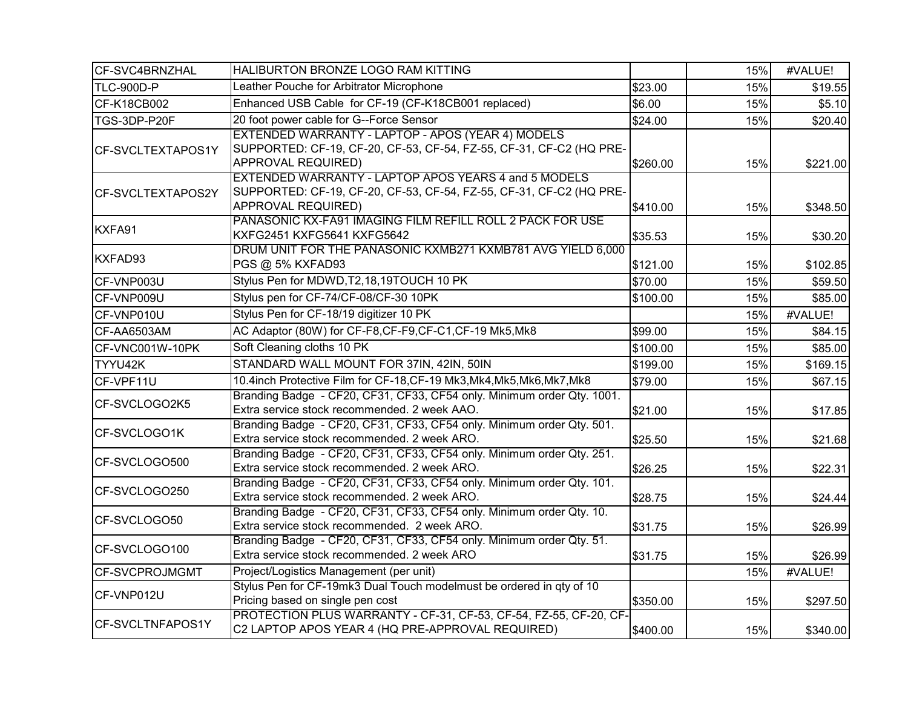| CF-SVC4BRNZHAL        | HALIBURTON BRONZE LOGO RAM KITTING                                                                                                                |          | 15% | #VALUE!  |
|-----------------------|---------------------------------------------------------------------------------------------------------------------------------------------------|----------|-----|----------|
| TLC-900D-P            | Leather Pouche for Arbitrator Microphone                                                                                                          | \$23.00  | 15% | \$19.55  |
| CF-K18CB002           | Enhanced USB Cable for CF-19 (CF-K18CB001 replaced)                                                                                               | \$6.00   | 15% | \$5.10   |
| TGS-3DP-P20F          | 20 foot power cable for G--Force Sensor                                                                                                           | \$24.00  | 15% | \$20.40  |
| CF-SVCLTEXTAPOS1Y     | EXTENDED WARRANTY - LAPTOP - APOS (YEAR 4) MODELS<br>SUPPORTED: CF-19, CF-20, CF-53, CF-54, FZ-55, CF-31, CF-C2 (HQ PRE-<br>APPROVAL REQUIRED)    | \$260.00 | 15% | \$221.00 |
| CF-SVCLTEXTAPOS2Y     | EXTENDED WARRANTY - LAPTOP APOS YEARS 4 and 5 MODELS<br>SUPPORTED: CF-19, CF-20, CF-53, CF-54, FZ-55, CF-31, CF-C2 (HQ PRE-<br>APPROVAL REQUIRED) | \$410.00 | 15% | \$348.50 |
| KXFA91                | PANASONIC KX-FA91 IMAGING FILM REFILL ROLL 2 PACK FOR USE<br>KXFG2451 KXFG5641 KXFG5642                                                           | \$35.53  | 15% | \$30.20  |
| KXFAD93               | DRUM UNIT FOR THE PANASONIC KXMB271 KXMB781 AVG YIELD 6,000<br>PGS @ 5% KXFAD93                                                                   | \$121.00 | 15% | \$102.85 |
| CF-VNP003U            | Stylus Pen for MDWD, T2, 18, 19TOUCH 10 PK                                                                                                        | \$70.00  | 15% | \$59.50  |
| CF-VNP009U            | Stylus pen for CF-74/CF-08/CF-30 10PK                                                                                                             | \$100.00 | 15% | \$85.00  |
| CF-VNP010U            | Stylus Pen for CF-18/19 digitizer 10 PK                                                                                                           |          | 15% | #VALUE!  |
| CF-AA6503AM           | AC Adaptor (80W) for CF-F8, CF-F9, CF-C1, CF-19 Mk5, Mk8                                                                                          | \$99.00  | 15% | \$84.15  |
| CF-VNC001W-10PK       | Soft Cleaning cloths 10 PK                                                                                                                        | \$100.00 | 15% | \$85.00  |
| TYYU42K               | STANDARD WALL MOUNT FOR 37IN, 42IN, 50IN                                                                                                          | \$199.00 | 15% | \$169.15 |
| CF-VPF11U             | 10.4inch Protective Film for CF-18, CF-19 Mk3, Mk4, Mk5, Mk6, Mk7, Mk8                                                                            | \$79.00  | 15% | \$67.15  |
| CF-SVCLOGO2K5         | Branding Badge - CF20, CF31, CF33, CF54 only. Minimum order Qty. 1001.<br>Extra service stock recommended. 2 week AAO.                            | \$21.00  | 15% | \$17.85  |
| CF-SVCLOGO1K          | Branding Badge - CF20, CF31, CF33, CF54 only. Minimum order Qty. 501.<br>Extra service stock recommended. 2 week ARO.                             | \$25.50  | 15% | \$21.68  |
| CF-SVCLOGO500         | Branding Badge - CF20, CF31, CF33, CF54 only. Minimum order Qty. 251.<br>Extra service stock recommended. 2 week ARO.                             | \$26.25  | 15% | \$22.31  |
| CF-SVCLOGO250         | Branding Badge - CF20, CF31, CF33, CF54 only. Minimum order Qty. 101.<br>Extra service stock recommended. 2 week ARO.                             | \$28.75  | 15% | \$24.44  |
| CF-SVCLOGO50          | Branding Badge - CF20, CF31, CF33, CF54 only. Minimum order Qty. 10.<br>Extra service stock recommended. 2 week ARO.                              | \$31.75  | 15% | \$26.99  |
| CF-SVCLOGO100         | Branding Badge - CF20, CF31, CF33, CF54 only. Minimum order Qty. 51.<br>Extra service stock recommended. 2 week ARO                               | \$31.75  | 15% | \$26.99  |
| <b>CF-SVCPROJMGMT</b> | Project/Logistics Management (per unit)                                                                                                           |          | 15% | #VALUE!  |
| CF-VNP012U            | Stylus Pen for CF-19mk3 Dual Touch modelmust be ordered in qty of 10<br>Pricing based on single pen cost                                          | \$350.00 | 15% | \$297.50 |
| CF-SVCLTNFAPOS1Y      | PROTECTION PLUS WARRANTY - CF-31, CF-53, CF-54, FZ-55, CF-20, CF-<br>C2 LAPTOP APOS YEAR 4 (HQ PRE-APPROVAL REQUIRED)                             | \$400.00 | 15% | \$340.00 |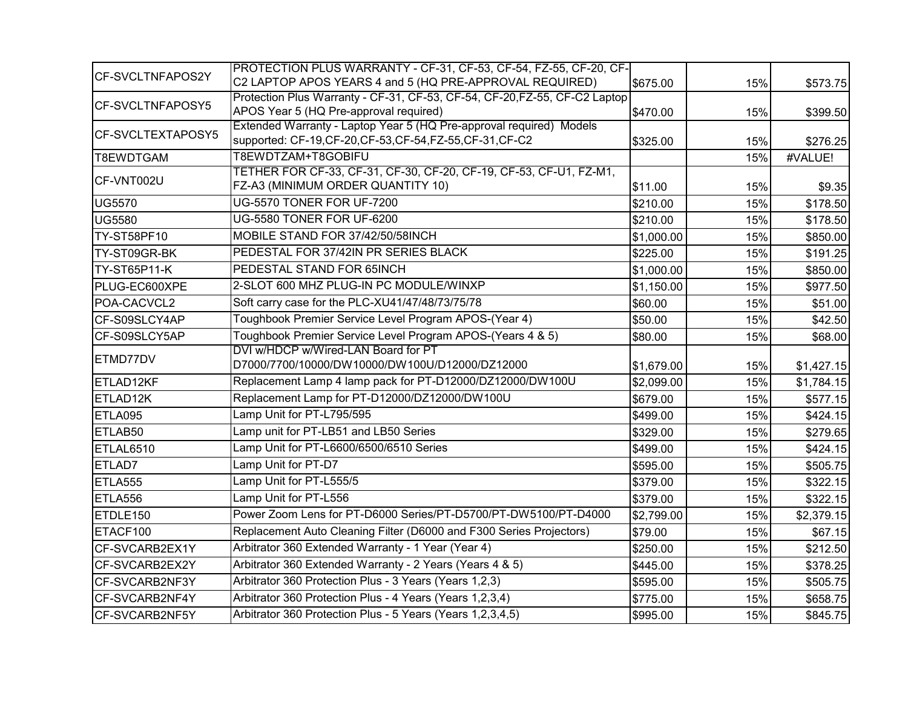| CF-SVCLTNFAPOS2Y  | PROTECTION PLUS WARRANTY - CF-31, CF-53, CF-54, FZ-55, CF-20, CF-<br>C2 LAPTOP APOS YEARS 4 and 5 (HQ PRE-APPROVAL REQUIRED) |            |     |            |
|-------------------|------------------------------------------------------------------------------------------------------------------------------|------------|-----|------------|
|                   | Protection Plus Warranty - CF-31, CF-53, CF-54, CF-20, FZ-55, CF-C2 Laptop                                                   | \$675.00   | 15% | \$573.75   |
| CF-SVCLTNFAPOSY5  | APOS Year 5 (HQ Pre-approval required)                                                                                       | \$470.00   | 15% | \$399.50   |
| CF-SVCLTEXTAPOSY5 | Extended Warranty - Laptop Year 5 (HQ Pre-approval required) Models                                                          |            |     |            |
|                   | supported: CF-19,CF-20,CF-53,CF-54,FZ-55,CF-31,CF-C2                                                                         | \$325.00   | 15% | \$276.25   |
| T8EWDTGAM         | T8EWDTZAM+T8GOBIFU                                                                                                           |            | 15% | #VALUE!    |
| CF-VNT002U        | TETHER FOR CF-33, CF-31, CF-30, CF-20, CF-19, CF-53, CF-U1, FZ-M1,<br>FZ-A3 (MINIMUM ORDER QUANTITY 10)                      | \$11.00    | 15% | \$9.35     |
| <b>UG5570</b>     | UG-5570 TONER FOR UF-7200                                                                                                    | \$210.00   | 15% | \$178.50   |
| <b>UG5580</b>     | UG-5580 TONER FOR UF-6200                                                                                                    | \$210.00   | 15% | \$178.50   |
| TY-ST58PF10       | MOBILE STAND FOR 37/42/50/58INCH                                                                                             | \$1,000.00 | 15% | \$850.00   |
| TY-ST09GR-BK      | PEDESTAL FOR 37/42IN PR SERIES BLACK                                                                                         | \$225.00   | 15% | \$191.25   |
| TY-ST65P11-K      | PEDESTAL STAND FOR 65INCH                                                                                                    | \$1,000.00 | 15% | \$850.00   |
| PLUG-EC600XPE     | 2-SLOT 600 MHZ PLUG-IN PC MODULE/WINXP                                                                                       | \$1,150.00 | 15% | \$977.50   |
| POA-CACVCL2       | Soft carry case for the PLC-XU41/47/48/73/75/78                                                                              | \$60.00    | 15% | \$51.00    |
| CF-S09SLCY4AP     | Toughbook Premier Service Level Program APOS-(Year 4)                                                                        | \$50.00    | 15% | \$42.50    |
| CF-S09SLCY5AP     | Toughbook Premier Service Level Program APOS-(Years 4 & 5)                                                                   | \$80.00    | 15% | \$68.00    |
| ETMD77DV          | DVI w/HDCP w/Wired-LAN Board for PT<br>D7000/7700/10000/DW10000/DW100U/D12000/DZ12000                                        | \$1,679.00 | 15% | \$1,427.15 |
| ETLAD12KF         | Replacement Lamp 4 lamp pack for PT-D12000/DZ12000/DW100U                                                                    | \$2,099.00 | 15% | \$1,784.15 |
| ETLAD12K          | Replacement Lamp for PT-D12000/DZ12000/DW100U                                                                                | \$679.00   | 15% | \$577.15   |
| ETLA095           | Lamp Unit for PT-L795/595                                                                                                    | \$499.00   | 15% | \$424.15   |
| ETLAB50           | Lamp unit for PT-LB51 and LB50 Series                                                                                        | \$329.00   | 15% | \$279.65   |
| ETLAL6510         | Lamp Unit for PT-L6600/6500/6510 Series                                                                                      | \$499.00   | 15% | \$424.15   |
| ETLAD7            | Lamp Unit for PT-D7                                                                                                          | \$595.00   | 15% | \$505.75   |
| ETLA555           | Lamp Unit for PT-L555/5                                                                                                      | \$379.00   | 15% | \$322.15   |
| ETLA556           | Lamp Unit for PT-L556                                                                                                        | \$379.00   | 15% | \$322.15   |
| ETDLE150          | Power Zoom Lens for PT-D6000 Series/PT-D5700/PT-DW5100/PT-D4000                                                              | \$2,799.00 | 15% | \$2,379.15 |
| ETACF100          | Replacement Auto Cleaning Filter (D6000 and F300 Series Projectors)                                                          | \$79.00    | 15% | \$67.15    |
| CF-SVCARB2EX1Y    | Arbitrator 360 Extended Warranty - 1 Year (Year 4)                                                                           | \$250.00   | 15% | \$212.50   |
| CF-SVCARB2EX2Y    | Arbitrator 360 Extended Warranty - 2 Years (Years 4 & 5)                                                                     | \$445.00   | 15% | \$378.25   |
| CF-SVCARB2NF3Y    | Arbitrator 360 Protection Plus - 3 Years (Years 1,2,3)                                                                       | \$595.00   | 15% | \$505.75   |
| CF-SVCARB2NF4Y    | Arbitrator 360 Protection Plus - 4 Years (Years 1,2,3,4)                                                                     | \$775.00   | 15% | \$658.75   |
| CF-SVCARB2NF5Y    | Arbitrator 360 Protection Plus - 5 Years (Years 1,2,3,4,5)                                                                   | \$995.00   | 15% | \$845.75   |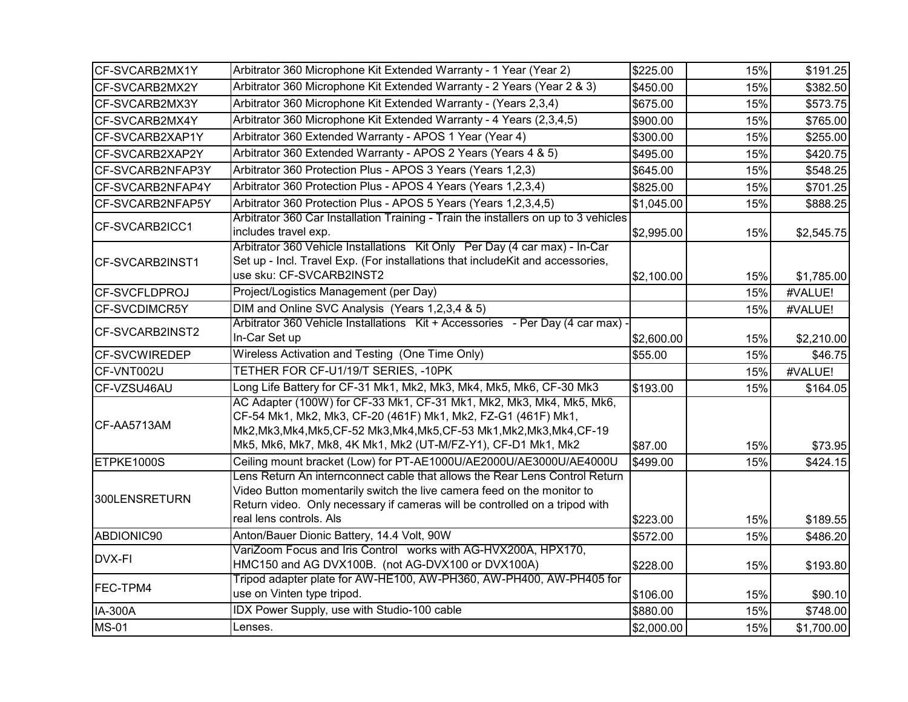| CF-SVCARB2MX1Y       | Arbitrator 360 Microphone Kit Extended Warranty - 1 Year (Year 2)                                                                                                                                                                                                                 | \$225.00   | 15% | \$191.25   |
|----------------------|-----------------------------------------------------------------------------------------------------------------------------------------------------------------------------------------------------------------------------------------------------------------------------------|------------|-----|------------|
| CF-SVCARB2MX2Y       | Arbitrator 360 Microphone Kit Extended Warranty - 2 Years (Year 2 & 3)                                                                                                                                                                                                            | \$450.00   | 15% | \$382.50   |
| CF-SVCARB2MX3Y       | Arbitrator 360 Microphone Kit Extended Warranty - (Years 2,3,4)                                                                                                                                                                                                                   | \$675.00   | 15% | \$573.75   |
| CF-SVCARB2MX4Y       | Arbitrator 360 Microphone Kit Extended Warranty - 4 Years (2,3,4,5)                                                                                                                                                                                                               | \$900.00   | 15% | \$765.00   |
| CF-SVCARB2XAP1Y      | Arbitrator 360 Extended Warranty - APOS 1 Year (Year 4)                                                                                                                                                                                                                           | \$300.00   | 15% | \$255.00   |
| CF-SVCARB2XAP2Y      | Arbitrator 360 Extended Warranty - APOS 2 Years (Years 4 & 5)                                                                                                                                                                                                                     | \$495.00   | 15% | \$420.75   |
| CF-SVCARB2NFAP3Y     | Arbitrator 360 Protection Plus - APOS 3 Years (Years 1,2,3)                                                                                                                                                                                                                       | \$645.00   | 15% | \$548.25   |
| CF-SVCARB2NFAP4Y     | Arbitrator 360 Protection Plus - APOS 4 Years (Years 1,2,3,4)                                                                                                                                                                                                                     | \$825.00   | 15% | \$701.25   |
| CF-SVCARB2NFAP5Y     | Arbitrator 360 Protection Plus - APOS 5 Years (Years 1,2,3,4,5)                                                                                                                                                                                                                   | \$1,045.00 | 15% | \$888.25   |
| CF-SVCARB2ICC1       | Arbitrator 360 Car Installation Training - Train the installers on up to 3 vehicles<br>includes travel exp.                                                                                                                                                                       | \$2,995.00 | 15% | \$2,545.75 |
| CF-SVCARB2INST1      | Arbitrator 360 Vehicle Installations Kit Only Per Day (4 car max) - In-Car<br>Set up - Incl. Travel Exp. (For installations that includeKit and accessories,<br>use sku: CF-SVCARB2INST2                                                                                          | \$2,100.00 | 15% | \$1,785.00 |
| CF-SVCFLDPROJ        | Project/Logistics Management (per Day)                                                                                                                                                                                                                                            |            | 15% | #VALUE!    |
| <b>CF-SVCDIMCR5Y</b> | DIM and Online SVC Analysis (Years 1,2,3,4 & 5)                                                                                                                                                                                                                                   |            | 15% | #VALUE!    |
| CF-SVCARB2INST2      | Arbitrator 360 Vehicle Installations Kit + Accessories - Per Day (4 car max) -<br>In-Car Set up                                                                                                                                                                                   | \$2,600.00 | 15% | \$2,210.00 |
| <b>CF-SVCWIREDEP</b> | Wireless Activation and Testing (One Time Only)                                                                                                                                                                                                                                   | \$55.00    | 15% | \$46.75    |
| CF-VNT002U           | TETHER FOR CF-U1/19/T SERIES, -10PK                                                                                                                                                                                                                                               |            | 15% | #VALUE!    |
| CF-VZSU46AU          | Long Life Battery for CF-31 Mk1, Mk2, Mk3, Mk4, Mk5, Mk6, CF-30 Mk3                                                                                                                                                                                                               | \$193.00   | 15% | \$164.05   |
| CF-AA5713AM          | AC Adapter (100W) for CF-33 Mk1, CF-31 Mk1, Mk2, Mk3, Mk4, Mk5, Mk6,<br>CF-54 Mk1, Mk2, Mk3, CF-20 (461F) Mk1, Mk2, FZ-G1 (461F) Mk1,<br>Mk2, Mk3, Mk4, Mk5, CF-52 Mk3, Mk4, Mk5, CF-53 Mk1, Mk2, Mk3, Mk4, CF-19<br>Mk5, Mk6, Mk7, Mk8, 4K Mk1, Mk2 (UT-M/FZ-Y1), CF-D1 Mk1, Mk2 | \$87.00    | 15% | \$73.95    |
| ETPKE1000S           | Ceiling mount bracket (Low) for PT-AE1000U/AE2000U/AE3000U/AE4000U                                                                                                                                                                                                                | \$499.00   | 15% | \$424.15   |
| 300LENSRETURN        | Lens Return An internconnect cable that allows the Rear Lens Control Return<br>Video Button momentarily switch the live camera feed on the monitor to<br>Return video. Only necessary if cameras will be controlled on a tripod with<br>real lens controls. Als                   | \$223.00   | 15% | \$189.55   |
| ABDIONIC90           | Anton/Bauer Dionic Battery, 14.4 Volt, 90W                                                                                                                                                                                                                                        | \$572.00   | 15% | \$486.20   |
| DVX-FI               | VariZoom Focus and Iris Control works with AG-HVX200A, HPX170,<br>HMC150 and AG DVX100B. (not AG-DVX100 or DVX100A)                                                                                                                                                               | \$228.00   | 15% | \$193.80   |
| FEC-TPM4             | Tripod adapter plate for AW-HE100, AW-PH360, AW-PH400, AW-PH405 for<br>use on Vinten type tripod.                                                                                                                                                                                 | \$106.00   | 15% | \$90.10    |
| IA-300A              | IDX Power Supply, use with Studio-100 cable                                                                                                                                                                                                                                       | \$880.00   | 15% | \$748.00   |
| <b>MS-01</b>         | Lenses.                                                                                                                                                                                                                                                                           | \$2,000.00 | 15% | \$1,700.00 |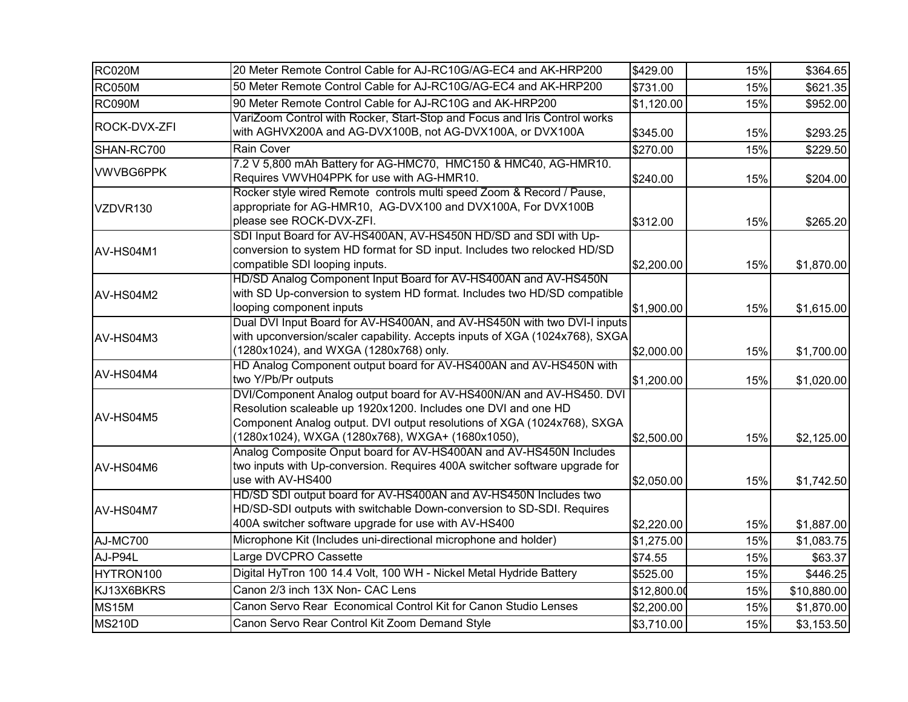| <b>RC020M</b>    | 20 Meter Remote Control Cable for AJ-RC10G/AG-EC4 and AK-HRP200                                                                                                                                                                                                       | \$429.00    | 15% | \$364.65    |
|------------------|-----------------------------------------------------------------------------------------------------------------------------------------------------------------------------------------------------------------------------------------------------------------------|-------------|-----|-------------|
| <b>RC050M</b>    | 50 Meter Remote Control Cable for AJ-RC10G/AG-EC4 and AK-HRP200                                                                                                                                                                                                       | \$731.00    | 15% | \$621.35    |
| <b>RC090M</b>    | 90 Meter Remote Control Cable for AJ-RC10G and AK-HRP200                                                                                                                                                                                                              | \$1,120.00  | 15% | \$952.00    |
| ROCK-DVX-ZFI     | VariZoom Control with Rocker, Start-Stop and Focus and Iris Control works<br>with AGHVX200A and AG-DVX100B, not AG-DVX100A, or DVX100A                                                                                                                                | \$345.00    | 15% | \$293.25    |
| SHAN-RC700       | Rain Cover                                                                                                                                                                                                                                                            | \$270.00    | 15% | \$229.50    |
| <b>VWVBG6PPK</b> | 7.2 V 5,800 mAh Battery for AG-HMC70, HMC150 & HMC40, AG-HMR10.<br>Requires VWVH04PPK for use with AG-HMR10.                                                                                                                                                          | \$240.00    | 15% | \$204.00    |
| VZDVR130         | Rocker style wired Remote controls multi speed Zoom & Record / Pause,<br>appropriate for AG-HMR10, AG-DVX100 and DVX100A, For DVX100B<br>please see ROCK-DVX-ZFI.                                                                                                     | \$312.00    | 15% | \$265.20    |
| AV-HS04M1        | SDI Input Board for AV-HS400AN, AV-HS450N HD/SD and SDI with Up-<br>conversion to system HD format for SD input. Includes two relocked HD/SD<br>compatible SDI looping inputs.                                                                                        | \$2,200.00  | 15% | \$1,870.00  |
| AV-HS04M2        | HD/SD Analog Component Input Board for AV-HS400AN and AV-HS450N<br>with SD Up-conversion to system HD format. Includes two HD/SD compatible<br>looping component inputs                                                                                               | \$1,900.00  | 15% | \$1,615.00  |
| AV-HS04M3        | Dual DVI Input Board for AV-HS400AN, and AV-HS450N with two DVI-I inputs<br>with upconversion/scaler capability. Accepts inputs of XGA (1024x768), SXGA<br>(1280x1024), and WXGA (1280x768) only.                                                                     | \$2,000.00  | 15% | \$1,700.00  |
| AV-HS04M4        | HD Analog Component output board for AV-HS400AN and AV-HS450N with<br>two Y/Pb/Pr outputs                                                                                                                                                                             | \$1,200.00  | 15% | \$1,020.00  |
| AV-HS04M5        | DVI/Component Analog output board for AV-HS400N/AN and AV-HS450. DVI<br>Resolution scaleable up 1920x1200. Includes one DVI and one HD<br>Component Analog output. DVI output resolutions of XGA (1024x768), SXGA<br>(1280x1024), WXGA (1280x768), WXGA+ (1680x1050), | \$2,500.00  | 15% | \$2,125.00  |
| AV-HS04M6        | Analog Composite Onput board for AV-HS400AN and AV-HS450N Includes<br>two inputs with Up-conversion. Requires 400A switcher software upgrade for<br>use with AV-HS400                                                                                                 | \$2,050.00  | 15% | \$1,742.50  |
| AV-HS04M7        | HD/SD SDI output board for AV-HS400AN and AV-HS450N Includes two<br>HD/SD-SDI outputs with switchable Down-conversion to SD-SDI. Requires<br>400A switcher software upgrade for use with AV-HS400                                                                     | \$2,220.00  | 15% | \$1,887.00  |
| <b>AJ-MC700</b>  | Microphone Kit (Includes uni-directional microphone and holder)                                                                                                                                                                                                       | \$1,275.00  | 15% | \$1,083.75  |
| AJ-P94L          | Large DVCPRO Cassette                                                                                                                                                                                                                                                 | \$74.55     | 15% | \$63.37     |
| HYTRON100        | Digital HyTron 100 14.4 Volt, 100 WH - Nickel Metal Hydride Battery                                                                                                                                                                                                   | \$525.00    | 15% | \$446.25    |
| KJ13X6BKRS       | Canon 2/3 inch 13X Non- CAC Lens                                                                                                                                                                                                                                      | \$12,800.00 | 15% | \$10,880.00 |
| <b>MS15M</b>     | Canon Servo Rear Economical Control Kit for Canon Studio Lenses                                                                                                                                                                                                       | \$2,200.00  | 15% | \$1,870.00  |
| <b>MS210D</b>    | Canon Servo Rear Control Kit Zoom Demand Style                                                                                                                                                                                                                        | \$3,710.00  | 15% | \$3,153.50  |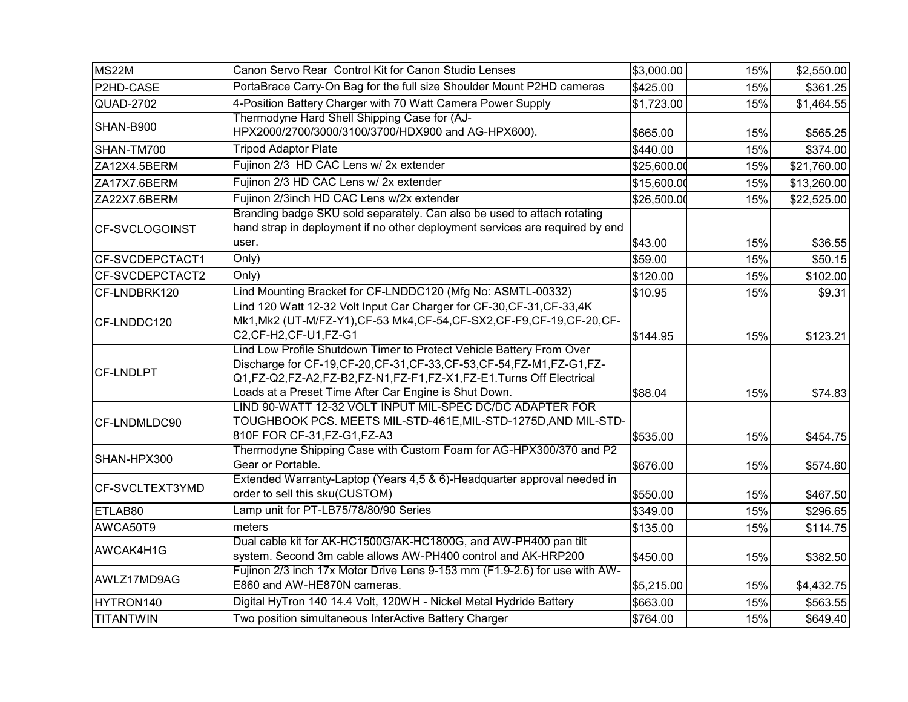| <b>MS22M</b>           | Canon Servo Rear Control Kit for Canon Studio Lenses                                                                                                                                                                                                                            | \$3,000.00  | 15% | \$2,550.00  |
|------------------------|---------------------------------------------------------------------------------------------------------------------------------------------------------------------------------------------------------------------------------------------------------------------------------|-------------|-----|-------------|
| P2HD-CASE              | PortaBrace Carry-On Bag for the full size Shoulder Mount P2HD cameras                                                                                                                                                                                                           | \$425.00    | 15% | \$361.25    |
| QUAD-2702              | 4-Position Battery Charger with 70 Watt Camera Power Supply                                                                                                                                                                                                                     | \$1,723.00  | 15% | \$1,464.55  |
| SHAN-B900              | Thermodyne Hard Shell Shipping Case for (AJ-<br>HPX2000/2700/3000/3100/3700/HDX900 and AG-HPX600).                                                                                                                                                                              | \$665.00    | 15% | \$565.25    |
| SHAN-TM700             | <b>Tripod Adaptor Plate</b>                                                                                                                                                                                                                                                     | \$440.00    | 15% | \$374.00    |
| ZA12X4.5BERM           | Fujinon 2/3 HD CAC Lens w/ 2x extender                                                                                                                                                                                                                                          | \$25,600.00 | 15% | \$21,760.00 |
| ZA17X7.6BERM           | Fujinon 2/3 HD CAC Lens w/ 2x extender                                                                                                                                                                                                                                          | \$15,600.00 | 15% | \$13,260.00 |
| ZA22X7.6BERM           | Fujinon 2/3inch HD CAC Lens w/2x extender                                                                                                                                                                                                                                       | \$26,500.00 | 15% | \$22,525.00 |
| CF-SVCLOGOINST         | Branding badge SKU sold separately. Can also be used to attach rotating<br>hand strap in deployment if no other deployment services are required by end<br>user.                                                                                                                | \$43.00     | 15% | \$36.55     |
| CF-SVCDEPCTACT1        | Only)                                                                                                                                                                                                                                                                           | \$59.00     | 15% | \$50.15     |
| CF-SVCDEPCTACT2        | Only)                                                                                                                                                                                                                                                                           | \$120.00    | 15% | \$102.00    |
| CF-LNDBRK120           | Lind Mounting Bracket for CF-LNDDC120 (Mfg No: ASMTL-00332)                                                                                                                                                                                                                     | \$10.95     | 15% | \$9.31      |
| CF-LNDDC120            | Lind 120 Watt 12-32 Volt Input Car Charger for CF-30, CF-31, CF-33, 4K<br>Mk1, Mk2 (UT-M/FZ-Y1), CF-53 Mk4, CF-54, CF-SX2, CF-F9, CF-19, CF-20, CF-<br>C2, CF-H2, CF-U1, FZ-G1                                                                                                  | \$144.95    | 15% | \$123.21    |
| <b>CF-LNDLPT</b>       | Lind Low Profile Shutdown Timer to Protect Vehicle Battery From Over<br>Discharge for CF-19, CF-20, CF-31, CF-33, CF-53, CF-54, FZ-M1, FZ-G1, FZ-<br>Q1,FZ-Q2,FZ-A2,FZ-B2,FZ-N1,FZ-F1,FZ-X1,FZ-E1.Turns Off Electrical<br>Loads at a Preset Time After Car Engine is Shut Down. | \$88.04     | 15% | \$74.83     |
| CF-LNDMLDC90           | LIND 90-WATT 12-32 VOLT INPUT MIL-SPEC DC/DC ADAPTER FOR<br>TOUGHBOOK PCS. MEETS MIL-STD-461E, MIL-STD-1275D, AND MIL-STD-<br>810F FOR CF-31, FZ-G1, FZ-A3                                                                                                                      | \$535.00    | 15% | \$454.75    |
| SHAN-HPX300            | Thermodyne Shipping Case with Custom Foam for AG-HPX300/370 and P2<br>Gear or Portable.                                                                                                                                                                                         | \$676.00    | 15% | \$574.60    |
| <b>CF-SVCLTEXT3YMD</b> | Extended Warranty-Laptop (Years 4,5 & 6)-Headquarter approval needed in<br>order to sell this sku(CUSTOM)                                                                                                                                                                       | \$550.00    | 15% | \$467.50    |
| ETLAB80                | Lamp unit for PT-LB75/78/80/90 Series                                                                                                                                                                                                                                           | \$349.00    | 15% | \$296.65    |
| AWCA50T9               | meters                                                                                                                                                                                                                                                                          | \$135.00    | 15% | \$114.75    |
| AWCAK4H1G              | Dual cable kit for AK-HC1500G/AK-HC1800G, and AW-PH400 pan tilt<br>system. Second 3m cable allows AW-PH400 control and AK-HRP200                                                                                                                                                | \$450.00    | 15% | \$382.50    |
| AWLZ17MD9AG            | Fujinon 2/3 inch 17x Motor Drive Lens 9-153 mm (F1.9-2.6) for use with AW-<br>E860 and AW-HE870N cameras.                                                                                                                                                                       | \$5,215.00  | 15% | \$4,432.75  |
| HYTRON140              | Digital HyTron 140 14.4 Volt, 120WH - Nickel Metal Hydride Battery                                                                                                                                                                                                              | \$663.00    | 15% | \$563.55    |
| <b>TITANTWIN</b>       | Two position simultaneous InterActive Battery Charger                                                                                                                                                                                                                           | \$764.00    | 15% | \$649.40    |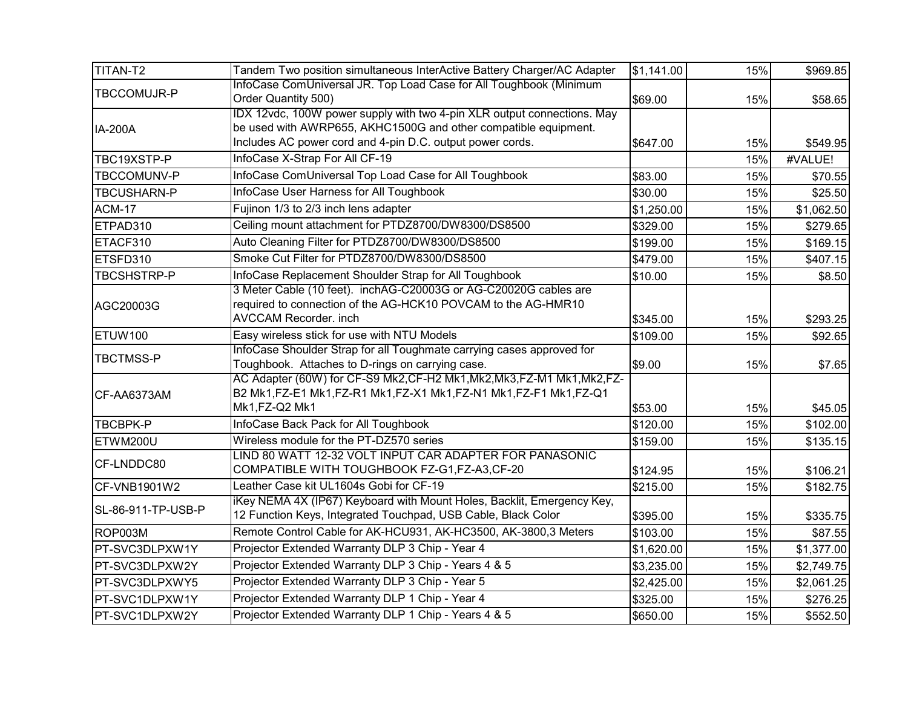| TITAN-T2           | Tandem Two position simultaneous InterActive Battery Charger/AC Adapter                                                                                                                                 | \$1,141.00 | 15% | \$969.85   |
|--------------------|---------------------------------------------------------------------------------------------------------------------------------------------------------------------------------------------------------|------------|-----|------------|
| <b>TBCCOMUJR-P</b> | InfoCase ComUniversal JR. Top Load Case for All Toughbook (Minimum<br>Order Quantity 500)                                                                                                               | \$69.00    | 15% | \$58.65    |
| <b>IA-200A</b>     | IDX 12vdc, 100W power supply with two 4-pin XLR output connections. May<br>be used with AWRP655, AKHC1500G and other compatible equipment.<br>Includes AC power cord and 4-pin D.C. output power cords. | \$647.00   | 15% | \$549.95   |
| TBC19XSTP-P        | InfoCase X-Strap For All CF-19                                                                                                                                                                          |            | 15% | #VALUE!    |
| <b>TBCCOMUNV-P</b> | InfoCase ComUniversal Top Load Case for All Toughbook                                                                                                                                                   | \$83.00    | 15% | \$70.55    |
| <b>TBCUSHARN-P</b> | InfoCase User Harness for All Toughbook                                                                                                                                                                 | \$30.00    | 15% | \$25.50    |
| <b>ACM-17</b>      | Fujinon 1/3 to 2/3 inch lens adapter                                                                                                                                                                    | \$1,250.00 | 15% | \$1,062.50 |
| ETPAD310           | Ceiling mount attachment for PTDZ8700/DW8300/DS8500                                                                                                                                                     | \$329.00   | 15% | \$279.65   |
| ETACF310           | Auto Cleaning Filter for PTDZ8700/DW8300/DS8500                                                                                                                                                         | \$199.00   | 15% | \$169.15   |
| ETSFD310           | Smoke Cut Filter for PTDZ8700/DW8300/DS8500                                                                                                                                                             | \$479.00   | 15% | \$407.15   |
| TBCSHSTRP-P        | InfoCase Replacement Shoulder Strap for All Toughbook                                                                                                                                                   | \$10.00    | 15% | \$8.50     |
| AGC20003G          | 3 Meter Cable (10 feet). inchAG-C20003G or AG-C20020G cables are<br>required to connection of the AG-HCK10 POVCAM to the AG-HMR10<br><b>AVCCAM Recorder. inch</b>                                       | \$345.00   | 15% | \$293.25   |
| ETUW100            | Easy wireless stick for use with NTU Models                                                                                                                                                             | \$109.00   | 15% | \$92.65    |
| <b>TBCTMSS-P</b>   | InfoCase Shoulder Strap for all Toughmate carrying cases approved for<br>Toughbook. Attaches to D-rings on carrying case.                                                                               | \$9.00     | 15% | \$7.65     |
| CF-AA6373AM        | AC Adapter (60W) for CF-S9 Mk2, CF-H2 Mk1, Mk2, Mk3, FZ-M1 Mk1, Mk2, FZ-<br>B2 Mk1,FZ-E1 Mk1,FZ-R1 Mk1,FZ-X1 Mk1,FZ-N1 Mk1,FZ-F1 Mk1,FZ-Q1<br>Mk1,FZ-Q2 Mk1                                             | \$53.00    | 15% | \$45.05    |
| <b>TBCBPK-P</b>    | InfoCase Back Pack for All Toughbook                                                                                                                                                                    | \$120.00   | 15% | \$102.00   |
| ETWM200U           | Wireless module for the PT-DZ570 series                                                                                                                                                                 | \$159.00   | 15% | \$135.15   |
| CF-LNDDC80         | LIND 80 WATT 12-32 VOLT INPUT CAR ADAPTER FOR PANASONIC<br>COMPATIBLE WITH TOUGHBOOK FZ-G1,FZ-A3,CF-20                                                                                                  | \$124.95   | 15% | \$106.21   |
| CF-VNB1901W2       | Leather Case kit UL1604s Gobi for CF-19                                                                                                                                                                 | \$215.00   | 15% | \$182.75   |
| SL-86-911-TP-USB-P | iKey NEMA 4X (IP67) Keyboard with Mount Holes, Backlit, Emergency Key,<br>12 Function Keys, Integrated Touchpad, USB Cable, Black Color                                                                 | \$395.00   | 15% | \$335.75   |
| ROP003M            | Remote Control Cable for AK-HCU931, AK-HC3500, AK-3800,3 Meters                                                                                                                                         | \$103.00   | 15% | \$87.55    |
| PT-SVC3DLPXW1Y     | Projector Extended Warranty DLP 3 Chip - Year 4                                                                                                                                                         | \$1,620.00 | 15% | \$1,377.00 |
| PT-SVC3DLPXW2Y     | Projector Extended Warranty DLP 3 Chip - Years 4 & 5                                                                                                                                                    | \$3,235.00 | 15% | \$2,749.75 |
| PT-SVC3DLPXWY5     | Projector Extended Warranty DLP 3 Chip - Year 5                                                                                                                                                         | \$2,425.00 | 15% | \$2,061.25 |
| PT-SVC1DLPXW1Y     | Projector Extended Warranty DLP 1 Chip - Year 4                                                                                                                                                         | \$325.00   | 15% | \$276.25   |
| PT-SVC1DLPXW2Y     | Projector Extended Warranty DLP 1 Chip - Years 4 & 5                                                                                                                                                    | \$650.00   | 15% | \$552.50   |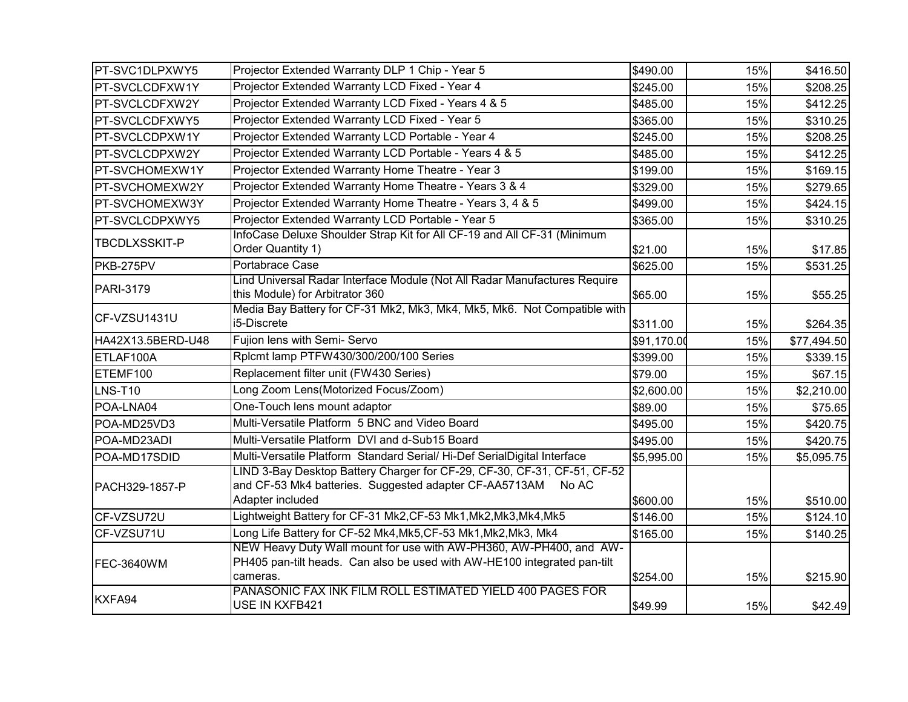| PT-SVC1DLPXWY5       | Projector Extended Warranty DLP 1 Chip - Year 5                                                                                                                 | \$490.00    | 15% | \$416.50    |
|----------------------|-----------------------------------------------------------------------------------------------------------------------------------------------------------------|-------------|-----|-------------|
| PT-SVCLCDFXW1Y       | Projector Extended Warranty LCD Fixed - Year 4                                                                                                                  | \$245.00    | 15% | \$208.25    |
| PT-SVCLCDFXW2Y       | Projector Extended Warranty LCD Fixed - Years 4 & 5                                                                                                             | \$485.00    | 15% | \$412.25    |
| PT-SVCLCDFXWY5       | Projector Extended Warranty LCD Fixed - Year 5                                                                                                                  | \$365.00    | 15% | \$310.25    |
| PT-SVCLCDPXW1Y       | Projector Extended Warranty LCD Portable - Year 4                                                                                                               | \$245.00    | 15% | \$208.25    |
| PT-SVCLCDPXW2Y       | Projector Extended Warranty LCD Portable - Years 4 & 5                                                                                                          | \$485.00    | 15% | \$412.25    |
| PT-SVCHOMEXW1Y       | Projector Extended Warranty Home Theatre - Year 3                                                                                                               | \$199.00    | 15% | \$169.15    |
| PT-SVCHOMEXW2Y       | Projector Extended Warranty Home Theatre - Years 3 & 4                                                                                                          | \$329.00    | 15% | \$279.65    |
| PT-SVCHOMEXW3Y       | Projector Extended Warranty Home Theatre - Years 3, 4 & 5                                                                                                       | \$499.00    | 15% | \$424.15    |
| PT-SVCLCDPXWY5       | Projector Extended Warranty LCD Portable - Year 5                                                                                                               | \$365.00    | 15% | \$310.25    |
| <b>TBCDLXSSKIT-P</b> | InfoCase Deluxe Shoulder Strap Kit for All CF-19 and All CF-31 (Minimum<br>Order Quantity 1)                                                                    | \$21.00     | 15% | \$17.85     |
| PKB-275PV            | Portabrace Case                                                                                                                                                 | \$625.00    | 15% | \$531.25    |
| PARI-3179            | Lind Universal Radar Interface Module (Not All Radar Manufactures Require<br>this Module) for Arbitrator 360                                                    | \$65.00     | 15% | \$55.25     |
| CF-VZSU1431U         | Media Bay Battery for CF-31 Mk2, Mk3, Mk4, Mk5, Mk6. Not Compatible with<br>i5-Discrete                                                                         | \$311.00    | 15% | \$264.35    |
| HA42X13.5BERD-U48    | Fujion lens with Semi-Servo                                                                                                                                     | \$91,170.00 | 15% | \$77,494.50 |
| ETLAF100A            | Rplcmt lamp PTFW430/300/200/100 Series                                                                                                                          | \$399.00    | 15% | \$339.15    |
| ETEMF100             | Replacement filter unit (FW430 Series)                                                                                                                          | \$79.00     | 15% | \$67.15     |
| LNS-T10              | Long Zoom Lens(Motorized Focus/Zoom)                                                                                                                            | \$2,600.00  | 15% | \$2,210.00  |
| POA-LNA04            | One-Touch lens mount adaptor                                                                                                                                    | \$89.00     | 15% | \$75.65     |
| POA-MD25VD3          | Multi-Versatile Platform 5 BNC and Video Board                                                                                                                  | \$495.00    | 15% | \$420.75    |
| POA-MD23ADI          | Multi-Versatile Platform DVI and d-Sub15 Board                                                                                                                  | \$495.00    | 15% | \$420.75    |
| POA-MD17SDID         | Multi-Versatile Platform Standard Serial/ Hi-Def SerialDigital Interface                                                                                        | \$5,995.00  | 15% | \$5,095.75  |
| PACH329-1857-P       | LIND 3-Bay Desktop Battery Charger for CF-29, CF-30, CF-31, CF-51, CF-52<br>and CF-53 Mk4 batteries. Suggested adapter CF-AA5713AM<br>No AC<br>Adapter included | \$600.00    | 15% | \$510.00    |
| CF-VZSU72U           | Lightweight Battery for CF-31 Mk2, CF-53 Mk1, Mk2, Mk3, Mk4, Mk5                                                                                                | \$146.00    | 15% | \$124.10    |
| CF-VZSU71U           | Long Life Battery for CF-52 Mk4, Mk5, CF-53 Mk1, Mk2, Mk3, Mk4                                                                                                  | \$165.00    | 15% | \$140.25    |
| FEC-3640WM           | NEW Heavy Duty Wall mount for use with AW-PH360, AW-PH400, and AW-<br>PH405 pan-tilt heads. Can also be used with AW-HE100 integrated pan-tilt<br>cameras.      | \$254.00    | 15% | \$215.90    |
| KXFA94               | PANASONIC FAX INK FILM ROLL ESTIMATED YIELD 400 PAGES FOR<br>USE IN KXFB421                                                                                     | \$49.99     | 15% | \$42.49     |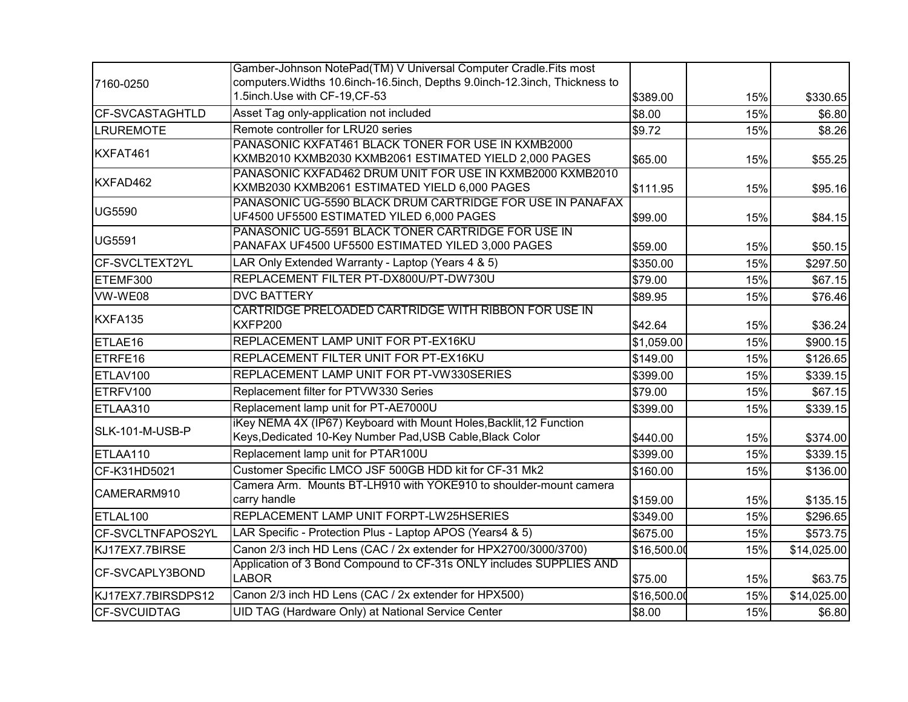|                        | Gamber-Johnson NotePad(TM) V Universal Computer Cradle.Fits most                                           |             |     |             |
|------------------------|------------------------------------------------------------------------------------------------------------|-------------|-----|-------------|
| 7160-0250              | computers. Widths 10.6inch-16.5inch, Depths 9.0inch-12.3inch, Thickness to                                 |             |     |             |
|                        | 1.5inch.Use with CF-19,CF-53                                                                               | \$389.00    | 15% | \$330.65    |
| <b>CF-SVCASTAGHTLD</b> | Asset Tag only-application not included                                                                    | \$8.00      | 15% | \$6.80      |
| <b>LRUREMOTE</b>       | Remote controller for LRU20 series                                                                         | \$9.72      | 15% | \$8.26      |
| KXFAT461               | PANASONIC KXFAT461 BLACK TONER FOR USE IN KXMB2000                                                         |             |     |             |
|                        | KXMB2010 KXMB2030 KXMB2061 ESTIMATED YIELD 2,000 PAGES                                                     | \$65.00     | 15% | \$55.25     |
| KXFAD462               | PANASONIC KXFAD462 DRUM UNIT FOR USE IN KXMB2000 KXMB2010<br>KXMB2030 KXMB2061 ESTIMATED YIELD 6,000 PAGES |             |     |             |
|                        | PANASONIC UG-5590 BLACK DRUM CARTRIDGE FOR USE IN PANAFAX                                                  | \$111.95    | 15% | \$95.16     |
| <b>UG5590</b>          | UF4500 UF5500 ESTIMATED YILED 6,000 PAGES                                                                  | \$99.00     | 15% | \$84.15     |
|                        | PANASONIC UG-5591 BLACK TONER CARTRIDGE FOR USE IN                                                         |             |     |             |
| <b>UG5591</b>          | PANAFAX UF4500 UF5500 ESTIMATED YILED 3,000 PAGES                                                          | \$59.00     | 15% | \$50.15     |
| CF-SVCLTEXT2YL         | LAR Only Extended Warranty - Laptop (Years 4 & 5)                                                          | \$350.00    | 15% | \$297.50    |
| ETEMF300               | REPLACEMENT FILTER PT-DX800U/PT-DW730U                                                                     | \$79.00     | 15% | \$67.15     |
| VW-WE08                | <b>DVC BATTERY</b>                                                                                         | \$89.95     | 15% | \$76.46     |
| KXFA135                | CARTRIDGE PRELOADED CARTRIDGE WITH RIBBON FOR USE IN                                                       |             |     |             |
|                        | KXFP200                                                                                                    | \$42.64     | 15% | \$36.24     |
| ETLAE16                | REPLACEMENT LAMP UNIT FOR PT-EX16KU                                                                        | \$1,059.00  | 15% | \$900.15    |
| ETRFE <sub>16</sub>    | REPLACEMENT FILTER UNIT FOR PT-EX16KU                                                                      | \$149.00    | 15% | \$126.65    |
| ETLAV100               | REPLACEMENT LAMP UNIT FOR PT-VW330SERIES                                                                   | \$399.00    | 15% | \$339.15    |
| ETRFV100               | Replacement filter for PTVW330 Series                                                                      | \$79.00     | 15% | \$67.15     |
| ETLAA310               | Replacement lamp unit for PT-AE7000U                                                                       | \$399.00    | 15% | \$339.15    |
| SLK-101-M-USB-P        | iKey NEMA 4X (IP67) Keyboard with Mount Holes, Backlit, 12 Function                                        |             |     |             |
|                        | Keys, Dedicated 10-Key Number Pad, USB Cable, Black Color                                                  | \$440.00    | 15% | \$374.00    |
| ETLAA110               | Replacement lamp unit for PTAR100U                                                                         | \$399.00    | 15% | \$339.15    |
| CF-K31HD5021           | Customer Specific LMCO JSF 500GB HDD kit for CF-31 Mk2                                                     | \$160.00    | 15% | \$136.00    |
| CAMERARM910            | Camera Arm. Mounts BT-LH910 with YOKE910 to shoulder-mount camera                                          |             |     |             |
|                        | carry handle                                                                                               | \$159.00    | 15% | \$135.15    |
| ETLAL100               | REPLACEMENT LAMP UNIT FORPT-LW25HSERIES                                                                    | \$349.00    | 15% | \$296.65    |
| CF-SVCLTNFAPOS2YL      | LAR Specific - Protection Plus - Laptop APOS (Years4 & 5)                                                  | \$675.00    | 15% | \$573.75    |
| KJ17EX7.7BIRSE         | Canon 2/3 inch HD Lens (CAC / 2x extender for HPX2700/3000/3700)                                           | \$16,500.00 | 15% | \$14,025.00 |
| CF-SVCAPLY3BOND        | Application of 3 Bond Compound to CF-31s ONLY includes SUPPLIES AND<br><b>LABOR</b>                        | \$75.00     | 15% | \$63.75     |
| KJ17EX7.7BIRSDPS12     | Canon 2/3 inch HD Lens (CAC / 2x extender for HPX500)                                                      | \$16,500.00 | 15% | \$14,025.00 |
| <b>CF-SVCUIDTAG</b>    | UID TAG (Hardware Only) at National Service Center                                                         | \$8.00      | 15% | \$6.80      |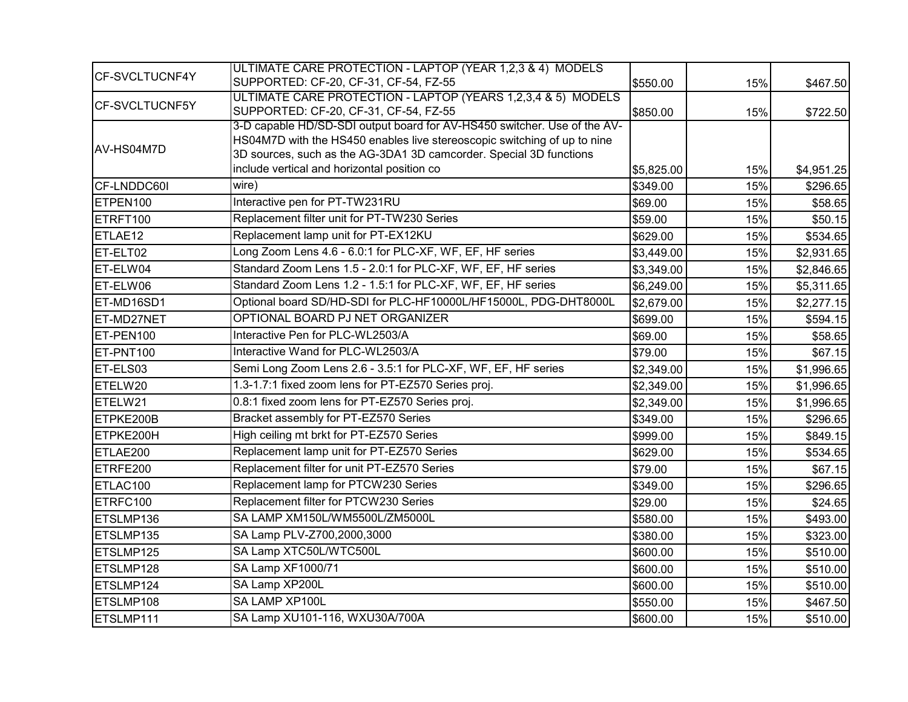|                       | ULTIMATE CARE PROTECTION - LAPTOP (YEAR 1,2,3 & 4) MODELS                |            |     |            |
|-----------------------|--------------------------------------------------------------------------|------------|-----|------------|
| CF-SVCLTUCNF4Y        | SUPPORTED: CF-20, CF-31, CF-54, FZ-55                                    | \$550.00   | 15% | \$467.50   |
|                       | ULTIMATE CARE PROTECTION - LAPTOP (YEARS 1,2,3,4 & 5) MODELS             |            |     |            |
| <b>CF-SVCLTUCNF5Y</b> | SUPPORTED: CF-20, CF-31, CF-54, FZ-55                                    | \$850.00   | 15% | \$722.50   |
|                       | 3-D capable HD/SD-SDI output board for AV-HS450 switcher. Use of the AV- |            |     |            |
| IAV-HS04M7D           | HS04M7D with the HS450 enables live stereoscopic switching of up to nine |            |     |            |
|                       | 3D sources, such as the AG-3DA1 3D camcorder. Special 3D functions       |            |     |            |
|                       | include vertical and horizontal position co                              | \$5,825.00 | 15% | \$4,951.25 |
| CF-LNDDC60I           | wire)                                                                    | \$349.00   | 15% | \$296.65   |
| ETPEN100              | Interactive pen for PT-TW231RU                                           | \$69.00    | 15% | \$58.65    |
| ETRFT100              | Replacement filter unit for PT-TW230 Series                              | \$59.00    | 15% | \$50.15    |
| ETLAE12               | Replacement lamp unit for PT-EX12KU                                      | \$629.00   | 15% | \$534.65   |
| ET-ELT02              | Long Zoom Lens 4.6 - 6.0:1 for PLC-XF, WF, EF, HF series                 | \$3,449.00 | 15% | \$2,931.65 |
| ET-ELW04              | Standard Zoom Lens 1.5 - 2.0:1 for PLC-XF, WF, EF, HF series             | \$3,349.00 | 15% | \$2,846.65 |
| ET-ELW06              | Standard Zoom Lens 1.2 - 1.5:1 for PLC-XF, WF, EF, HF series             | \$6,249.00 | 15% | \$5,311.65 |
| ET-MD16SD1            | Optional board SD/HD-SDI for PLC-HF10000L/HF15000L, PDG-DHT8000L         | \$2,679.00 | 15% | \$2,277.15 |
| ET-MD27NET            | OPTIONAL BOARD PJ NET ORGANIZER                                          | \$699.00   | 15% | \$594.15   |
| ET-PEN100             | Interactive Pen for PLC-WL2503/A                                         | \$69.00    | 15% | \$58.65    |
| ET-PNT100             | Interactive Wand for PLC-WL2503/A                                        | \$79.00    | 15% | \$67.15    |
| ET-ELS03              | Semi Long Zoom Lens 2.6 - 3.5:1 for PLC-XF, WF, EF, HF series            | \$2,349.00 | 15% | \$1,996.65 |
| ETELW20               | 1.3-1.7:1 fixed zoom lens for PT-EZ570 Series proj.                      | \$2,349.00 | 15% | \$1,996.65 |
| ETELW21               | 0.8:1 fixed zoom lens for PT-EZ570 Series proj.                          | \$2,349.00 | 15% | \$1,996.65 |
| ETPKE200B             | Bracket assembly for PT-EZ570 Series                                     | \$349.00   | 15% | \$296.65   |
| ETPKE200H             | High ceiling mt brkt for PT-EZ570 Series                                 | \$999.00   | 15% | \$849.15   |
| ETLAE200              | Replacement lamp unit for PT-EZ570 Series                                | \$629.00   | 15% | \$534.65   |
| ETRFE200              | Replacement filter for unit PT-EZ570 Series                              | \$79.00    | 15% | \$67.15    |
| ETLAC100              | Replacement lamp for PTCW230 Series                                      | \$349.00   | 15% | \$296.65   |
| ETRFC100              | Replacement filter for PTCW230 Series                                    | \$29.00    | 15% | \$24.65    |
| ETSLMP136             | SA LAMP XM150L/WM5500L/ZM5000L                                           | \$580.00   | 15% | \$493.00   |
| ETSLMP135             | SA Lamp PLV-Z700,2000,3000                                               | \$380.00   | 15% | \$323.00   |
| ETSLMP125             | SA Lamp XTC50L/WTC500L                                                   | \$600.00   | 15% | \$510.00   |
| ETSLMP128             | SA Lamp XF1000/71                                                        | \$600.00   | 15% | \$510.00   |
| ETSLMP124             | SA Lamp XP200L                                                           | \$600.00   | 15% | \$510.00   |
| ETSLMP108             | SA LAMP XP100L                                                           | \$550.00   | 15% | \$467.50   |
| ETSLMP111             | SA Lamp XU101-116, WXU30A/700A                                           | \$600.00   | 15% | \$510.00   |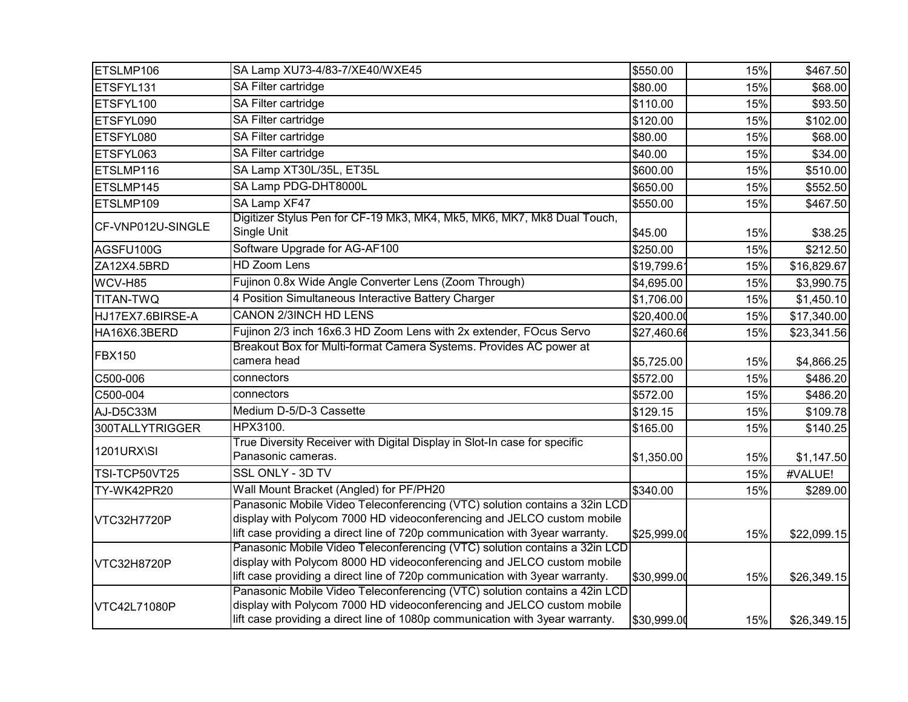| ETSLMP106         | SA Lamp XU73-4/83-7/XE40/WXE45                                                                                                                                                                                                        | \$550.00    | 15% | \$467.50    |
|-------------------|---------------------------------------------------------------------------------------------------------------------------------------------------------------------------------------------------------------------------------------|-------------|-----|-------------|
| ETSFYL131         | SA Filter cartridge                                                                                                                                                                                                                   | \$80.00     | 15% | \$68.00     |
| ETSFYL100         | SA Filter cartridge                                                                                                                                                                                                                   | \$110.00    | 15% | \$93.50     |
| ETSFYL090         | SA Filter cartridge                                                                                                                                                                                                                   | \$120.00    | 15% | \$102.00    |
| ETSFYL080         | SA Filter cartridge                                                                                                                                                                                                                   | \$80.00     | 15% | \$68.00     |
| ETSFYL063         | SA Filter cartridge                                                                                                                                                                                                                   | \$40.00     | 15% | \$34.00     |
| ETSLMP116         | SA Lamp XT30L/35L, ET35L                                                                                                                                                                                                              | \$600.00    | 15% | \$510.00    |
| ETSLMP145         | SA Lamp PDG-DHT8000L                                                                                                                                                                                                                  | \$650.00    | 15% | \$552.50    |
| ETSLMP109         | SA Lamp XF47                                                                                                                                                                                                                          | \$550.00    | 15% | \$467.50    |
| CF-VNP012U-SINGLE | Digitizer Stylus Pen for CF-19 Mk3, MK4, Mk5, MK6, MK7, Mk8 Dual Touch,<br>Single Unit                                                                                                                                                | \$45.00     | 15% | \$38.25     |
| AGSFU100G         | Software Upgrade for AG-AF100                                                                                                                                                                                                         | \$250.00    | 15% | \$212.50    |
| ZA12X4.5BRD       | <b>HD Zoom Lens</b>                                                                                                                                                                                                                   | \$19,799.6  | 15% | \$16,829.67 |
| WCV-H85           | Fujinon 0.8x Wide Angle Converter Lens (Zoom Through)                                                                                                                                                                                 | \$4,695.00  | 15% | \$3,990.75  |
| <b>TITAN-TWQ</b>  | 4 Position Simultaneous Interactive Battery Charger                                                                                                                                                                                   | \$1,706.00  | 15% | \$1,450.10  |
| HJ17EX7.6BIRSE-A  | <b>CANON 2/3INCH HD LENS</b>                                                                                                                                                                                                          | \$20,400.00 | 15% | \$17,340.00 |
| HA16X6.3BERD      | Fujinon 2/3 inch 16x6.3 HD Zoom Lens with 2x extender, FOcus Servo                                                                                                                                                                    | \$27,460.66 | 15% | \$23,341.56 |
| <b>FBX150</b>     | Breakout Box for Multi-format Camera Systems. Provides AC power at<br>camera head                                                                                                                                                     | \$5,725.00  | 15% | \$4,866.25  |
| C500-006          | connectors                                                                                                                                                                                                                            | \$572.00    | 15% | \$486.20    |
| C500-004          | connectors                                                                                                                                                                                                                            | \$572.00    | 15% | \$486.20    |
| AJ-D5C33M         | Medium D-5/D-3 Cassette                                                                                                                                                                                                               | \$129.15    | 15% | \$109.78    |
| 300TALLYTRIGGER   | HPX3100.                                                                                                                                                                                                                              | \$165.00    | 15% | \$140.25    |
| 1201URX\SI        | True Diversity Receiver with Digital Display in Slot-In case for specific<br>Panasonic cameras.                                                                                                                                       | \$1,350.00  | 15% | \$1,147.50  |
| TSI-TCP50VT25     | SSL ONLY - 3D TV                                                                                                                                                                                                                      |             | 15% | #VALUE!     |
| TY-WK42PR20       | Wall Mount Bracket (Angled) for PF/PH20                                                                                                                                                                                               | \$340.00    | 15% | \$289.00    |
| VTC32H7720P       | Panasonic Mobile Video Teleconferencing (VTC) solution contains a 32in LCD<br>display with Polycom 7000 HD videoconferencing and JELCO custom mobile<br>lift case providing a direct line of 720p communication with 3year warranty.  | \$25,999.00 | 15% | \$22,099.15 |
| VTC32H8720P       | Panasonic Mobile Video Teleconferencing (VTC) solution contains a 32in LCD<br>display with Polycom 8000 HD videoconferencing and JELCO custom mobile<br>lift case providing a direct line of 720p communication with 3year warranty.  | \$30,999.00 | 15% | \$26,349.15 |
| VTC42L71080P      | Panasonic Mobile Video Teleconferencing (VTC) solution contains a 42in LCD<br>display with Polycom 7000 HD videoconferencing and JELCO custom mobile<br>lift case providing a direct line of 1080p communication with 3year warranty. | \$30,999.00 | 15% | \$26,349.15 |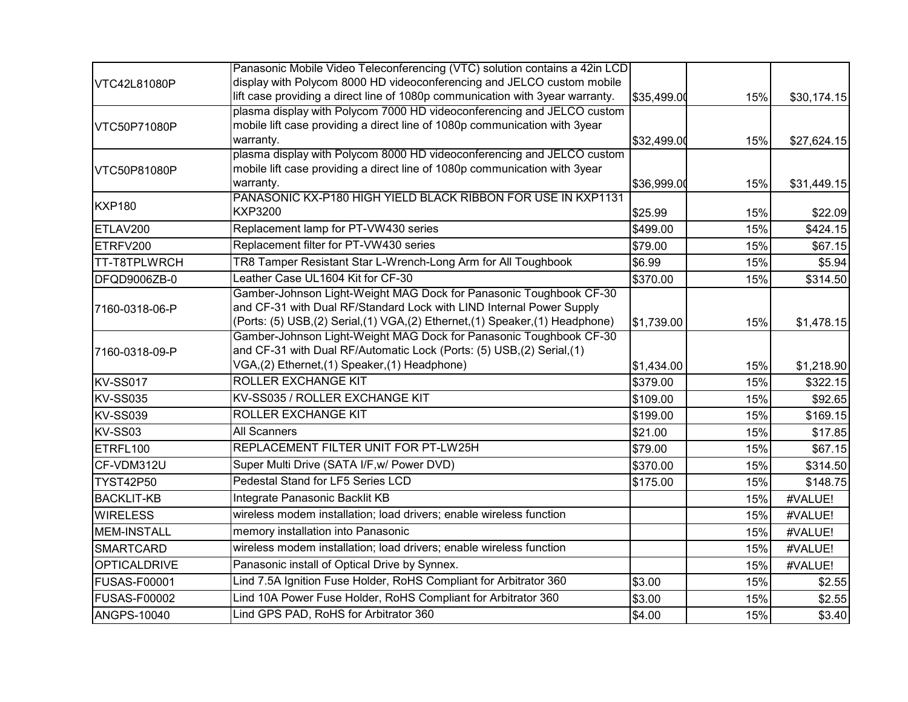|                     | Panasonic Mobile Video Teleconferencing (VTC) solution contains a 42in LCD                                                                                                                  |             |     |             |
|---------------------|---------------------------------------------------------------------------------------------------------------------------------------------------------------------------------------------|-------------|-----|-------------|
| VTC42L81080P        | display with Polycom 8000 HD videoconferencing and JELCO custom mobile                                                                                                                      |             |     |             |
|                     | lift case providing a direct line of 1080p communication with 3year warranty.                                                                                                               | \$35,499.00 | 15% | \$30,174.15 |
| VTC50P71080P        | plasma display with Polycom 7000 HD videoconferencing and JELCO custom<br>mobile lift case providing a direct line of 1080p communication with 3year<br>warranty.                           | \$32,499.00 | 15% | \$27,624.15 |
|                     | plasma display with Polycom 8000 HD videoconferencing and JELCO custom                                                                                                                      |             |     |             |
| VTC50P81080P        | mobile lift case providing a direct line of 1080p communication with 3year                                                                                                                  |             |     |             |
|                     | warranty.                                                                                                                                                                                   | \$36,999.00 | 15% | \$31,449.15 |
| <b>KXP180</b>       | PANASONIC KX-P180 HIGH YIELD BLACK RIBBON FOR USE IN KXP1131<br><b>KXP3200</b>                                                                                                              | \$25.99     | 15% | \$22.09     |
| ETLAV200            | Replacement lamp for PT-VW430 series                                                                                                                                                        | \$499.00    | 15% | \$424.15    |
| ETRFV200            | Replacement filter for PT-VW430 series                                                                                                                                                      | \$79.00     | 15% | \$67.15     |
| TT-T8TPLWRCH        | TR8 Tamper Resistant Star L-Wrench-Long Arm for All Toughbook                                                                                                                               | \$6.99      | 15% | \$5.94      |
| DFQD9006ZB-0        | Leather Case UL1604 Kit for CF-30                                                                                                                                                           | \$370.00    | 15% | \$314.50    |
|                     | Gamber-Johnson Light-Weight MAG Dock for Panasonic Toughbook CF-30                                                                                                                          |             |     |             |
| 7160-0318-06-P      | and CF-31 with Dual RF/Standard Lock with LIND Internal Power Supply<br>(Ports: (5) USB,(2) Serial,(1) VGA,(2) Ethernet,(1) Speaker,(1) Headphone)                                          | \$1,739.00  | 15% | \$1,478.15  |
| 7160-0318-09-P      | Gamber-Johnson Light-Weight MAG Dock for Panasonic Toughbook CF-30<br>and CF-31 with Dual RF/Automatic Lock (Ports: (5) USB, (2) Serial, (1)<br>VGA,(2) Ethernet,(1) Speaker,(1) Headphone) | \$1,434.00  | 15% | \$1,218.90  |
| <b>KV-SS017</b>     | <b>ROLLER EXCHANGE KIT</b>                                                                                                                                                                  | \$379.00    | 15% | \$322.15    |
| <b>KV-SS035</b>     | KV-SS035 / ROLLER EXCHANGE KIT                                                                                                                                                              | \$109.00    | 15% | \$92.65     |
| <b>KV-SS039</b>     | ROLLER EXCHANGE KIT                                                                                                                                                                         | \$199.00    | 15% | \$169.15    |
| KV-SS03             | <b>All Scanners</b>                                                                                                                                                                         | \$21.00     | 15% | \$17.85     |
| ETRFL100            | REPLACEMENT FILTER UNIT FOR PT-LW25H                                                                                                                                                        | \$79.00     | 15% | \$67.15     |
| CF-VDM312U          | Super Multi Drive (SATA I/F, w/ Power DVD)                                                                                                                                                  | \$370.00    | 15% | \$314.50    |
| <b>TYST42P50</b>    | Pedestal Stand for LF5 Series LCD                                                                                                                                                           | \$175.00    | 15% | \$148.75    |
| <b>BACKLIT-KB</b>   | Integrate Panasonic Backlit KB                                                                                                                                                              |             | 15% | #VALUE!     |
| <b>WIRELESS</b>     | wireless modem installation; load drivers; enable wireless function                                                                                                                         |             | 15% | #VALUE!     |
| <b>MEM-INSTALL</b>  | memory installation into Panasonic                                                                                                                                                          |             | 15% | #VALUE!     |
| <b>SMARTCARD</b>    | wireless modem installation; load drivers; enable wireless function                                                                                                                         |             | 15% | #VALUE!     |
| <b>OPTICALDRIVE</b> | Panasonic install of Optical Drive by Synnex.                                                                                                                                               |             | 15% | #VALUE!     |
| <b>FUSAS-F00001</b> | Lind 7.5A Ignition Fuse Holder, RoHS Compliant for Arbitrator 360                                                                                                                           | \$3.00      | 15% | \$2.55      |
| <b>FUSAS-F00002</b> | Lind 10A Power Fuse Holder, RoHS Compliant for Arbitrator 360                                                                                                                               | \$3.00      | 15% | \$2.55      |
| <b>ANGPS-10040</b>  | Lind GPS PAD, RoHS for Arbitrator 360                                                                                                                                                       | \$4.00      | 15% | \$3.40      |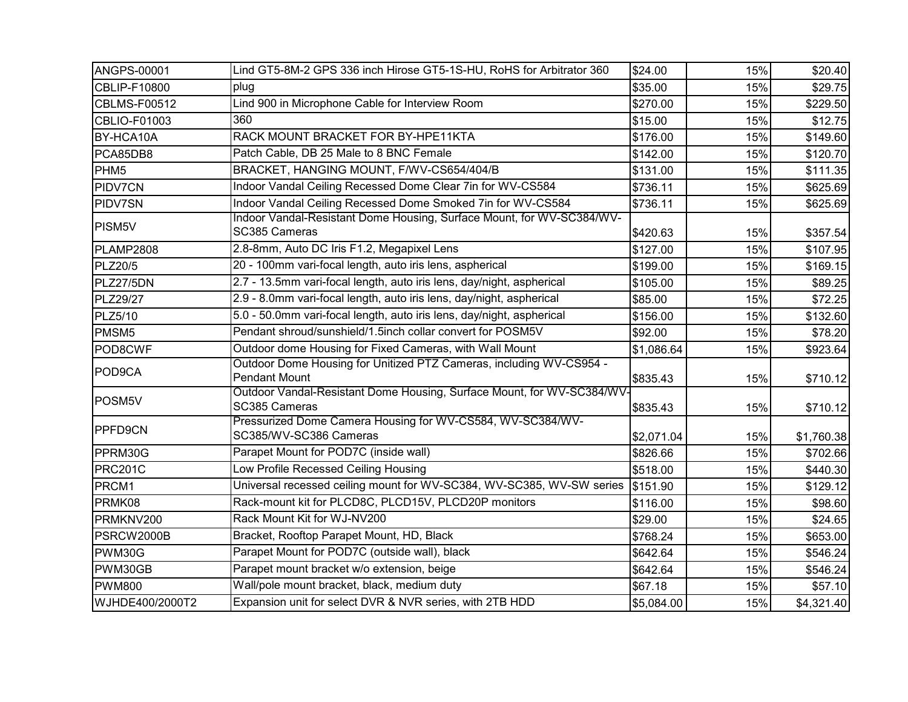| ANGPS-00001         | Lind GT5-8M-2 GPS 336 inch Hirose GT5-1S-HU, RoHS for Arbitrator 360                        | \$24.00    | 15% | \$20.40    |
|---------------------|---------------------------------------------------------------------------------------------|------------|-----|------------|
| CBLIP-F10800        | plug                                                                                        | \$35.00    | 15% | \$29.75    |
| <b>CBLMS-F00512</b> | Lind 900 in Microphone Cable for Interview Room                                             | \$270.00   | 15% | \$229.50   |
| CBLIO-F01003        | 360                                                                                         | \$15.00    | 15% | \$12.75    |
| BY-HCA10A           | RACK MOUNT BRACKET FOR BY-HPE11KTA                                                          | \$176.00   | 15% | \$149.60   |
| PCA85DB8            | Patch Cable, DB 25 Male to 8 BNC Female                                                     | \$142.00   | 15% | \$120.70   |
| PHM <sub>5</sub>    | BRACKET, HANGING MOUNT, F/WV-CS654/404/B                                                    | \$131.00   | 15% | \$111.35   |
| PIDV7CN             | Indoor Vandal Ceiling Recessed Dome Clear 7in for WV-CS584                                  | \$736.11   | 15% | \$625.69   |
| PIDV7SN             | Indoor Vandal Ceiling Recessed Dome Smoked 7in for WV-CS584                                 | \$736.11   | 15% | \$625.69   |
| PISM5V              | Indoor Vandal-Resistant Dome Housing, Surface Mount, for WV-SC384/WV-<br>SC385 Cameras      | \$420.63   | 15% | \$357.54   |
| PLAMP2808           | 2.8-8mm, Auto DC Iris F1.2, Megapixel Lens                                                  | \$127.00   | 15% | \$107.95   |
| <b>PLZ20/5</b>      | 20 - 100mm vari-focal length, auto iris lens, aspherical                                    | \$199.00   | 15% | \$169.15   |
| PLZ27/5DN           | 2.7 - 13.5mm vari-focal length, auto iris lens, day/night, aspherical                       | \$105.00   | 15% | \$89.25    |
| PLZ29/27            | 2.9 - 8.0mm vari-focal length, auto iris lens, day/night, aspherical                        | \$85.00    | 15% | \$72.25    |
| PLZ5/10             | 5.0 - 50.0mm vari-focal length, auto iris lens, day/night, aspherical                       | \$156.00   | 15% | \$132.60   |
| PMSM <sub>5</sub>   | Pendant shroud/sunshield/1.5inch collar convert for POSM5V                                  | \$92.00    | 15% | \$78.20    |
| POD8CWF             | Outdoor dome Housing for Fixed Cameras, with Wall Mount                                     | \$1,086.64 | 15% | \$923.64   |
| POD9CA              | Outdoor Dome Housing for Unitized PTZ Cameras, including WV-CS954 -<br><b>Pendant Mount</b> | \$835.43   | 15% | \$710.12]  |
| POSM5V              | Outdoor Vandal-Resistant Dome Housing, Surface Mount, for WV-SC384/WV-<br>SC385 Cameras     | \$835.43   | 15% | \$710.12   |
| PPFD9CN             | Pressurized Dome Camera Housing for WV-CS584, WV-SC384/WV-<br>SC385/WV-SC386 Cameras        | \$2,071.04 | 15% | \$1,760.38 |
| PPRM30G             | Parapet Mount for POD7C (inside wall)                                                       | \$826.66   | 15% | \$702.66   |
| <b>PRC201C</b>      | Low Profile Recessed Ceiling Housing                                                        | \$518.00   | 15% | \$440.30   |
| PRCM1               | Universal recessed ceiling mount for WV-SC384, WV-SC385, WV-SW series                       | \$151.90   | 15% | \$129.12   |
| PRMK08              | Rack-mount kit for PLCD8C, PLCD15V, PLCD20P monitors                                        | \$116.00   | 15% | \$98.60    |
| PRMKNV200           | Rack Mount Kit for WJ-NV200                                                                 | \$29.00    | 15% | \$24.65    |
| PSRCW2000B          | Bracket, Rooftop Parapet Mount, HD, Black                                                   | \$768.24   | 15% | \$653.00   |
| PWM30G              | Parapet Mount for POD7C (outside wall), black                                               | \$642.64   | 15% | \$546.24   |
| PWM30GB             | Parapet mount bracket w/o extension, beige                                                  | \$642.64   | 15% | \$546.24   |
| <b>PWM800</b>       | Wall/pole mount bracket, black, medium duty                                                 | \$67.18    | 15% | \$57.10    |
| WJHDE400/2000T2     | Expansion unit for select DVR & NVR series, with 2TB HDD                                    | \$5,084.00 | 15% | \$4,321.40 |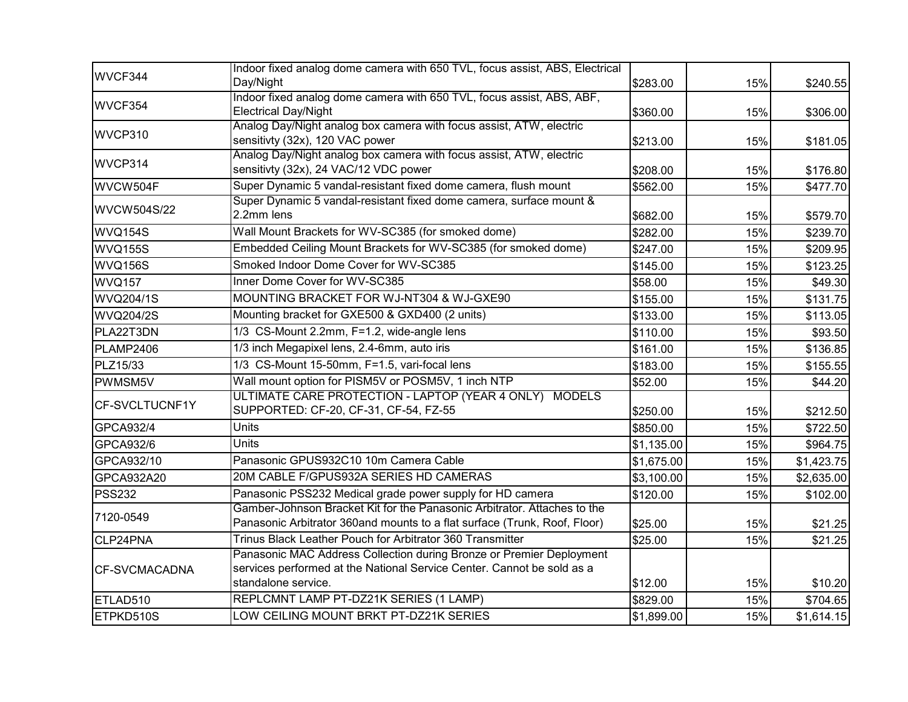| WVCF344              | Indoor fixed analog dome camera with 650 TVL, focus assist, ABS, Electrical<br>Day/Night                                                              | \$283.00   | 15% | \$240.55   |
|----------------------|-------------------------------------------------------------------------------------------------------------------------------------------------------|------------|-----|------------|
|                      | Indoor fixed analog dome camera with 650 TVL, focus assist, ABS, ABF,                                                                                 |            |     |            |
| WVCF354              | <b>Electrical Day/Night</b>                                                                                                                           | \$360.00   | 15% | \$306.00   |
| WVCP310              | Analog Day/Night analog box camera with focus assist, ATW, electric                                                                                   |            |     |            |
|                      | sensitivty (32x), 120 VAC power                                                                                                                       | \$213.00   | 15% | \$181.05   |
| WVCP314              | Analog Day/Night analog box camera with focus assist, ATW, electric<br>sensitivty (32x), 24 VAC/12 VDC power                                          | \$208.00   | 15% | \$176.80   |
| WVCW504F             | Super Dynamic 5 vandal-resistant fixed dome camera, flush mount                                                                                       | \$562.00   | 15% | \$477.70   |
|                      | Super Dynamic 5 vandal-resistant fixed dome camera, surface mount &                                                                                   |            |     |            |
| <b>WVCW504S/22</b>   | 2.2mm lens                                                                                                                                            | \$682.00   | 15% | \$579.70   |
| WVQ154S              | Wall Mount Brackets for WV-SC385 (for smoked dome)                                                                                                    | \$282.00   | 15% | \$239.70   |
| WVQ155S              | Embedded Ceiling Mount Brackets for WV-SC385 (for smoked dome)                                                                                        | \$247.00   | 15% | \$209.95   |
| WVQ156S              | Smoked Indoor Dome Cover for WV-SC385                                                                                                                 | \$145.00   | 15% | \$123.25   |
| <b>WVQ157</b>        | Inner Dome Cover for WV-SC385                                                                                                                         | \$58.00    | 15% | \$49.30    |
| <b>WVQ204/1S</b>     | MOUNTING BRACKET FOR WJ-NT304 & WJ-GXE90                                                                                                              | \$155.00   | 15% | \$131.75   |
| <b>WVQ204/2S</b>     | Mounting bracket for GXE500 & GXD400 (2 units)                                                                                                        | \$133.00   | 15% | \$113.05   |
| PLA22T3DN            | 1/3 CS-Mount 2.2mm, F=1.2, wide-angle lens                                                                                                            | \$110.00   | 15% | \$93.50    |
| PLAMP2406            | 1/3 inch Megapixel lens, 2.4-6mm, auto iris                                                                                                           | \$161.00   | 15% | \$136.85   |
| PLZ15/33             | 1/3 CS-Mount 15-50mm, F=1.5, vari-focal lens                                                                                                          | \$183.00   | 15% | \$155.55   |
| PWMSM5V              | Wall mount option for PISM5V or POSM5V, 1 inch NTP                                                                                                    | \$52.00    | 15% | \$44.20    |
| CF-SVCLTUCNF1Y       | ULTIMATE CARE PROTECTION - LAPTOP (YEAR 4 ONLY) MODELS<br>SUPPORTED: CF-20, CF-31, CF-54, FZ-55                                                       | \$250.00   | 15% | \$212.50   |
| GPCA932/4            | <b>Units</b>                                                                                                                                          | \$850.00   | 15% | \$722.50   |
| GPCA932/6            | <b>Units</b>                                                                                                                                          | \$1,135.00 | 15% | \$964.75   |
| GPCA932/10           | Panasonic GPUS932C10 10m Camera Cable                                                                                                                 | \$1,675.00 | 15% | \$1,423.75 |
| GPCA932A20           | 20M CABLE F/GPUS932A SERIES HD CAMERAS                                                                                                                | \$3,100.00 | 15% | \$2,635.00 |
| <b>PSS232</b>        | Panasonic PSS232 Medical grade power supply for HD camera                                                                                             | \$120.00   | 15% | \$102.00   |
| 7120-0549            | Gamber-Johnson Bracket Kit for the Panasonic Arbitrator. Attaches to the<br>Panasonic Arbitrator 360and mounts to a flat surface (Trunk, Roof, Floor) | \$25.00    | 15% | \$21.25    |
| CLP24PNA             | Trinus Black Leather Pouch for Arbitrator 360 Transmitter                                                                                             | \$25.00    | 15% | \$21.25    |
|                      | Panasonic MAC Address Collection during Bronze or Premier Deployment                                                                                  |            |     |            |
| <b>CF-SVCMACADNA</b> | services performed at the National Service Center. Cannot be sold as a                                                                                |            |     |            |
|                      | standalone service.                                                                                                                                   | \$12.00    | 15% | \$10.20    |
| ETLAD510             | REPLCMNT LAMP PT-DZ21K SERIES (1 LAMP)                                                                                                                | \$829.00   | 15% | \$704.65   |
| ETPKD510S            | LOW CEILING MOUNT BRKT PT-DZ21K SERIES                                                                                                                | \$1,899.00 | 15% | \$1,614.15 |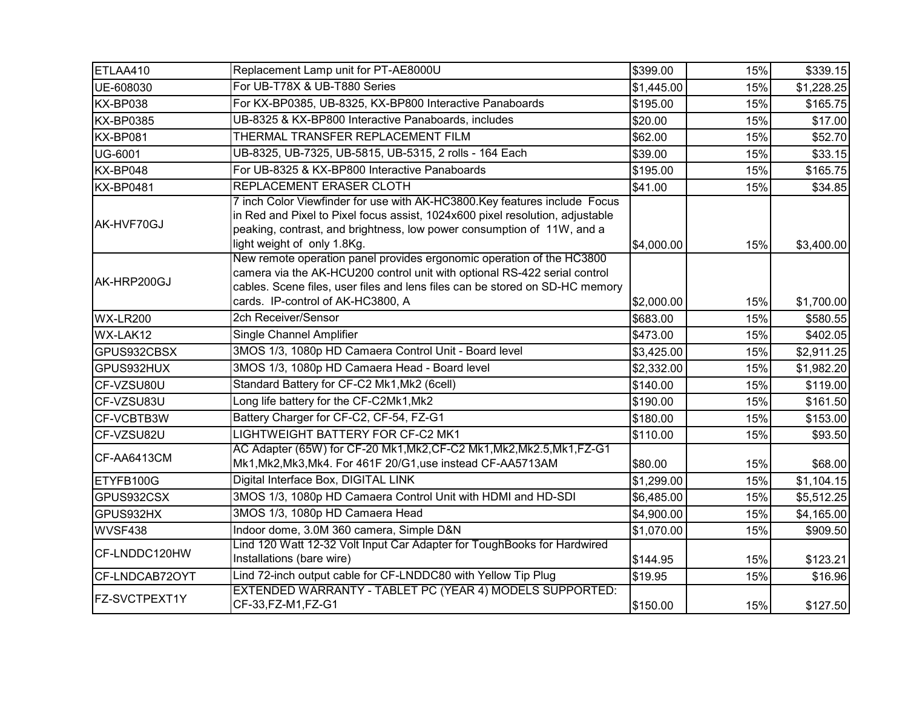| ETLAA410             | Replacement Lamp unit for PT-AE8000U                                                                                                                                                                                                                                    | \$399.00   | 15% | \$339.15   |
|----------------------|-------------------------------------------------------------------------------------------------------------------------------------------------------------------------------------------------------------------------------------------------------------------------|------------|-----|------------|
| UE-608030            | For UB-T78X & UB-T880 Series                                                                                                                                                                                                                                            | \$1,445.00 | 15% | \$1,228.25 |
| KX-BP038             | For KX-BP0385, UB-8325, KX-BP800 Interactive Panaboards                                                                                                                                                                                                                 | \$195.00   | 15% | \$165.75   |
| <b>KX-BP0385</b>     | UB-8325 & KX-BP800 Interactive Panaboards, includes                                                                                                                                                                                                                     | \$20.00    | 15% | \$17.00    |
| KX-BP081             | THERMAL TRANSFER REPLACEMENT FILM                                                                                                                                                                                                                                       | \$62.00    | 15% | \$52.70    |
| <b>UG-6001</b>       | UB-8325, UB-7325, UB-5815, UB-5315, 2 rolls - 164 Each                                                                                                                                                                                                                  | \$39.00    | 15% | \$33.15    |
| KX-BP048             | For UB-8325 & KX-BP800 Interactive Panaboards                                                                                                                                                                                                                           | \$195.00   | 15% | \$165.75   |
| <b>KX-BP0481</b>     | REPLACEMENT ERASER CLOTH                                                                                                                                                                                                                                                | \$41.00    | 15% | \$34.85    |
| AK-HVF70GJ           | 7 inch Color Viewfinder for use with AK-HC3800. Key features include Focus<br>in Red and Pixel to Pixel focus assist, 1024x600 pixel resolution, adjustable<br>peaking, contrast, and brightness, low power consumption of 11W, and a<br>light weight of only 1.8Kg.    | \$4,000.00 | 15% | \$3,400.00 |
| AK-HRP200GJ          | New remote operation panel provides ergonomic operation of the HC3800<br>camera via the AK-HCU200 control unit with optional RS-422 serial control<br>cables. Scene files, user files and lens files can be stored on SD-HC memory<br>cards. IP-control of AK-HC3800, A | \$2,000.00 | 15% | \$1,700.00 |
| WX-LR200             | 2ch Receiver/Sensor                                                                                                                                                                                                                                                     | \$683.00   | 15% | \$580.55   |
| WX-LAK12             | Single Channel Amplifier                                                                                                                                                                                                                                                | \$473.00   | 15% | \$402.05   |
| GPUS932CBSX          | 3MOS 1/3, 1080p HD Camaera Control Unit - Board level                                                                                                                                                                                                                   | \$3,425.00 | 15% | \$2,911.25 |
| GPUS932HUX           | 3MOS 1/3, 1080p HD Camaera Head - Board level                                                                                                                                                                                                                           | \$2,332.00 | 15% | \$1,982.20 |
| CF-VZSU80U           | Standard Battery for CF-C2 Mk1, Mk2 (6cell)                                                                                                                                                                                                                             | \$140.00   | 15% | \$119.00   |
| CF-VZSU83U           | Long life battery for the CF-C2Mk1, Mk2                                                                                                                                                                                                                                 | \$190.00   | 15% | \$161.50   |
| CF-VCBTB3W           | Battery Charger for CF-C2, CF-54, FZ-G1                                                                                                                                                                                                                                 | \$180.00   | 15% | \$153.00   |
| CF-VZSU82U           | LIGHTWEIGHT BATTERY FOR CF-C2 MK1                                                                                                                                                                                                                                       | \$110.00   | 15% | \$93.50    |
| CF-AA6413CM          | AC Adapter (65W) for CF-20 Mk1, Mk2, CF-C2 Mk1, Mk2, Mk2.5, Mk1, FZ-G1<br>Mk1, Mk2, Mk3, Mk4. For 461F 20/G1, use instead CF-AA5713AM                                                                                                                                   | \$80.00    | 15% | \$68.00    |
| ETYFB100G            | Digital Interface Box, DIGITAL LINK                                                                                                                                                                                                                                     | \$1,299.00 | 15% | \$1,104.15 |
| GPUS932CSX           | 3MOS 1/3, 1080p HD Camaera Control Unit with HDMI and HD-SDI                                                                                                                                                                                                            | \$6,485.00 | 15% | \$5,512.25 |
| GPUS932HX            | 3MOS 1/3, 1080p HD Camaera Head                                                                                                                                                                                                                                         | \$4,900.00 | 15% | \$4,165.00 |
| WVSF438              | Indoor dome, 3.0M 360 camera, Simple D&N                                                                                                                                                                                                                                | \$1,070.00 | 15% | \$909.50   |
| CF-LNDDC120HW        | Lind 120 Watt 12-32 Volt Input Car Adapter for ToughBooks for Hardwired<br>Installations (bare wire)                                                                                                                                                                    | \$144.95   | 15% | \$123.21   |
| CF-LNDCAB72OYT       | Lind 72-inch output cable for CF-LNDDC80 with Yellow Tip Plug                                                                                                                                                                                                           | \$19.95    | 15% | \$16.96    |
| <b>FZ-SVCTPEXT1Y</b> | EXTENDED WARRANTY - TABLET PC (YEAR 4) MODELS SUPPORTED:<br>CF-33, FZ-M1, FZ-G1                                                                                                                                                                                         | \$150.00   | 15% | \$127.50   |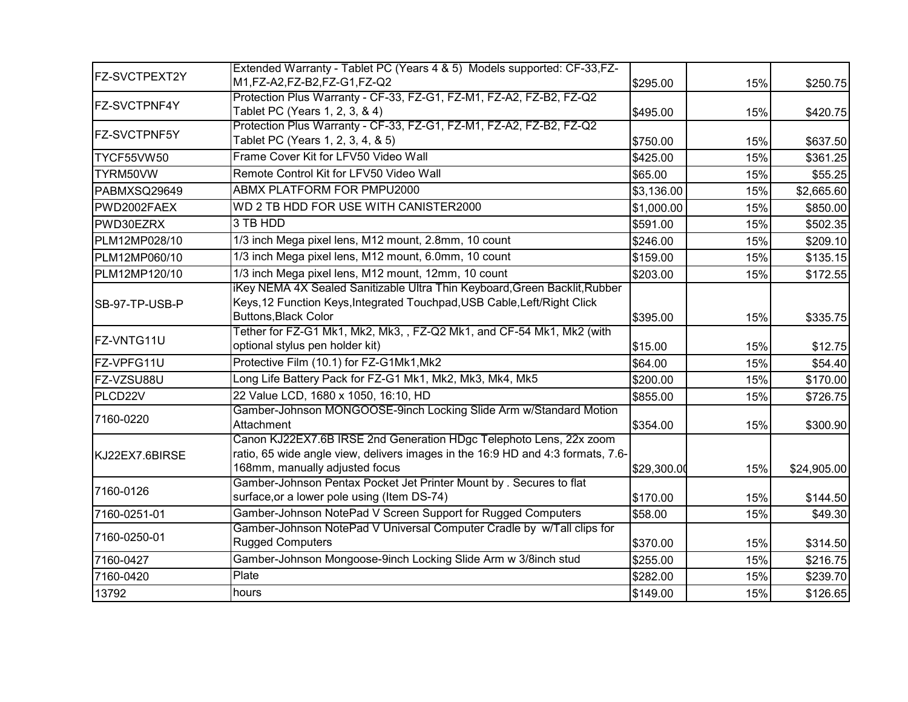| FZ-SVCTPEXT2Y       | Extended Warranty - Tablet PC (Years 4 & 5) Models supported: CF-33, FZ-<br>M1,FZ-A2,FZ-B2,FZ-G1,FZ-Q2                                                                                  | \$295.00    | 15% | \$250.75    |
|---------------------|-----------------------------------------------------------------------------------------------------------------------------------------------------------------------------------------|-------------|-----|-------------|
| <b>FZ-SVCTPNF4Y</b> | Protection Plus Warranty - CF-33, FZ-G1, FZ-M1, FZ-A2, FZ-B2, FZ-Q2<br>Tablet PC (Years 1, 2, 3, & 4)                                                                                   | \$495.00    | 15% | \$420.75    |
| FZ-SVCTPNF5Y        | Protection Plus Warranty - CF-33, FZ-G1, FZ-M1, FZ-A2, FZ-B2, FZ-Q2<br>Tablet PC (Years 1, 2, 3, 4, & 5)                                                                                | \$750.00    | 15% | \$637.50    |
| TYCF55VW50          | Frame Cover Kit for LFV50 Video Wall                                                                                                                                                    | \$425.00    | 15% | \$361.25    |
| TYRM50VW            | Remote Control Kit for LFV50 Video Wall                                                                                                                                                 | \$65.00     | 15% | \$55.25     |
| PABMXSQ29649        | ABMX PLATFORM FOR PMPU2000                                                                                                                                                              | \$3,136.00  | 15% | \$2,665.60  |
| PWD2002FAEX         | WD 2 TB HDD FOR USE WITH CANISTER2000                                                                                                                                                   | \$1,000.00  | 15% | \$850.00    |
| PWD30EZRX           | 3 TB HDD                                                                                                                                                                                | \$591.00    | 15% | \$502.35    |
| PLM12MP028/10       | 1/3 inch Mega pixel lens, M12 mount, 2.8mm, 10 count                                                                                                                                    | \$246.00    | 15% | \$209.10    |
| PLM12MP060/10       | 1/3 inch Mega pixel lens, M12 mount, 6.0mm, 10 count                                                                                                                                    | \$159.00    | 15% | \$135.15    |
| PLM12MP120/10       | 1/3 inch Mega pixel lens, M12 mount, 12mm, 10 count                                                                                                                                     | \$203.00    | 15% | \$172.55    |
| SB-97-TP-USB-P      | iKey NEMA 4X Sealed Sanitizable Ultra Thin Keyboard, Green Backlit, Rubber<br>Keys, 12 Function Keys, Integrated Touchpad, USB Cable, Left/Right Click<br><b>Buttons, Black Color</b>   | \$395.00    | 15% | \$335.75    |
| FZ-VNTG11U          | Tether for FZ-G1 Mk1, Mk2, Mk3, , FZ-Q2 Mk1, and CF-54 Mk1, Mk2 (with<br>optional stylus pen holder kit)                                                                                | \$15.00     | 15% | \$12.75     |
| FZ-VPFG11U          | Protective Film (10.1) for FZ-G1Mk1, Mk2                                                                                                                                                | \$64.00     | 15% | \$54.40     |
| FZ-VZSU88U          | Long Life Battery Pack for FZ-G1 Mk1, Mk2, Mk3, Mk4, Mk5                                                                                                                                | \$200.00    | 15% | \$170.00    |
| PLCD22V             | 22 Value LCD, 1680 x 1050, 16:10, HD                                                                                                                                                    | \$855.00    | 15% | \$726.75    |
| 7160-0220           | Gamber-Johnson MONGOOSE-9inch Locking Slide Arm w/Standard Motion<br>Attachment                                                                                                         | \$354.00    | 15% | \$300.90    |
| KJ22EX7.6BIRSE      | Canon KJ22EX7.6B IRSE 2nd Generation HDgc Telephoto Lens, 22x zoom<br>ratio, 65 wide angle view, delivers images in the 16:9 HD and 4:3 formats, 7.6-<br>168mm, manually adjusted focus | \$29,300.00 | 15% | \$24,905.00 |
| 7160-0126           | Gamber-Johnson Pentax Pocket Jet Printer Mount by . Secures to flat<br>surface, or a lower pole using (Item DS-74)                                                                      | \$170.00    | 15% | \$144.50    |
| 7160-0251-01        | Gamber-Johnson NotePad V Screen Support for Rugged Computers                                                                                                                            | \$58.00     | 15% | \$49.30     |
| 7160-0250-01        | Gamber-Johnson NotePad V Universal Computer Cradle by w/Tall clips for<br><b>Rugged Computers</b>                                                                                       | \$370.00    | 15% | \$314.50    |
| 7160-0427           | Gamber-Johnson Mongoose-9inch Locking Slide Arm w 3/8inch stud                                                                                                                          | \$255.00    | 15% | \$216.75    |
| 7160-0420           | Plate                                                                                                                                                                                   | \$282.00    | 15% | \$239.70    |
| 13792               | hours                                                                                                                                                                                   | \$149.00    | 15% | \$126.65    |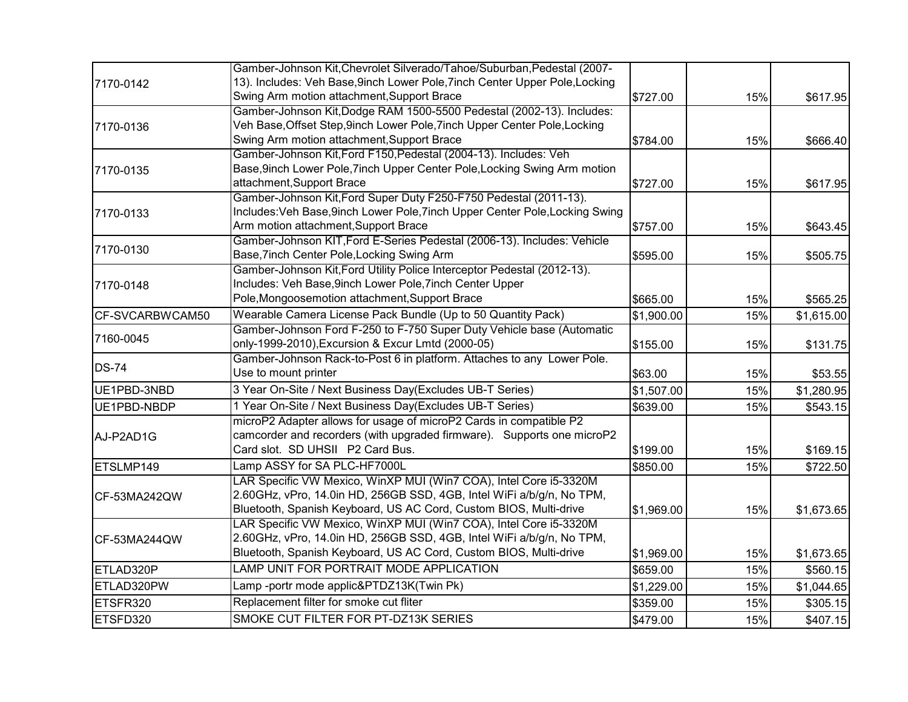|                 | Gamber-Johnson Kit, Chevrolet Silverado/Tahoe/Suburban, Pedestal (2007-      |            |     |            |
|-----------------|------------------------------------------------------------------------------|------------|-----|------------|
| 7170-0142       | 13). Includes: Veh Base, 9inch Lower Pole, 7inch Center Upper Pole, Locking  |            |     |            |
|                 | Swing Arm motion attachment, Support Brace                                   | \$727.00   | 15% | \$617.95   |
|                 | Gamber-Johnson Kit, Dodge RAM 1500-5500 Pedestal (2002-13). Includes:        |            |     |            |
| 7170-0136       | Veh Base, Offset Step, 9inch Lower Pole, 7inch Upper Center Pole, Locking    |            |     |            |
|                 | Swing Arm motion attachment, Support Brace                                   | \$784.00   | 15% | \$666.40   |
|                 | Gamber-Johnson Kit, Ford F150, Pedestal (2004-13). Includes: Veh             |            |     |            |
| 7170-0135       | Base, 9inch Lower Pole, 7inch Upper Center Pole, Locking Swing Arm motion    |            |     |            |
|                 | attachment, Support Brace                                                    | \$727.00   | 15% | \$617.95   |
|                 | Gamber-Johnson Kit, Ford Super Duty F250-F750 Pedestal (2011-13).            |            |     |            |
| 7170-0133       | Includes: Veh Base, 9inch Lower Pole, 7inch Upper Center Pole, Locking Swing |            |     |            |
|                 | Arm motion attachment, Support Brace                                         | \$757.00   | 15% | \$643.45   |
|                 | Gamber-Johnson KIT, Ford E-Series Pedestal (2006-13). Includes: Vehicle      |            |     |            |
| 7170-0130       | Base, 7inch Center Pole, Locking Swing Arm                                   | \$595.00   | 15% | \$505.75   |
|                 | Gamber-Johnson Kit, Ford Utility Police Interceptor Pedestal (2012-13).      |            |     |            |
| 7170-0148       | Includes: Veh Base, 9inch Lower Pole, 7inch Center Upper                     |            |     |            |
|                 | Pole, Mongoosemotion attachment, Support Brace                               | \$665.00   | 15% | \$565.25   |
| CF-SVCARBWCAM50 | Wearable Camera License Pack Bundle (Up to 50 Quantity Pack)                 | \$1,900.00 | 15% | \$1,615.00 |
|                 | Gamber-Johnson Ford F-250 to F-750 Super Duty Vehicle base (Automatic        |            |     |            |
| 7160-0045       | only-1999-2010), Excursion & Excur Lmtd (2000-05)                            | \$155.00   | 15% | \$131.75   |
| <b>DS-74</b>    | Gamber-Johnson Rack-to-Post 6 in platform. Attaches to any Lower Pole.       |            |     |            |
|                 | Use to mount printer                                                         | \$63.00    | 15% | \$53.55    |
| UE1PBD-3NBD     | 3 Year On-Site / Next Business Day(Excludes UB-T Series)                     | \$1,507.00 | 15% | \$1,280.95 |
| UE1PBD-NBDP     | 1 Year On-Site / Next Business Day(Excludes UB-T Series)                     | \$639.00   | 15% | \$543.15   |
|                 | microP2 Adapter allows for usage of microP2 Cards in compatible P2           |            |     |            |
| AJ-P2AD1G       | camcorder and recorders (with upgraded firmware). Supports one microP2       |            |     |            |
|                 | Card slot. SD UHSII P2 Card Bus.                                             | \$199.00   | 15% | \$169.15   |
| ETSLMP149       | Lamp ASSY for SA PLC-HF7000L                                                 | \$850.00   | 15% | \$722.50   |
|                 | LAR Specific VW Mexico, WinXP MUI (Win7 COA), Intel Core i5-3320M            |            |     |            |
| CF-53MA242QW    | 2.60GHz, vPro, 14.0in HD, 256GB SSD, 4GB, Intel WiFi a/b/g/n, No TPM,        |            |     |            |
|                 | Bluetooth, Spanish Keyboard, US AC Cord, Custom BIOS, Multi-drive            | \$1,969.00 | 15% | \$1,673.65 |
|                 | LAR Specific VW Mexico, WinXP MUI (Win7 COA), Intel Core i5-3320M            |            |     |            |
| CF-53MA244QW    | 2.60GHz, vPro, 14.0in HD, 256GB SSD, 4GB, Intel WiFi a/b/g/n, No TPM,        |            |     |            |
|                 | Bluetooth, Spanish Keyboard, US AC Cord, Custom BIOS, Multi-drive            | \$1,969.00 | 15% | \$1,673.65 |
| ETLAD320P       | LAMP UNIT FOR PORTRAIT MODE APPLICATION                                      | \$659.00   | 15% | \$560.15   |
| ETLAD320PW      | Lamp-portr mode applic&PTDZ13K(Twin Pk)                                      | \$1,229.00 | 15% | \$1,044.65 |
| ETSFR320        | Replacement filter for smoke cut fliter                                      | \$359.00   | 15% | \$305.15   |
| ETSFD320        | SMOKE CUT FILTER FOR PT-DZ13K SERIES                                         | \$479.00   | 15% | \$407.15   |
|                 |                                                                              |            |     |            |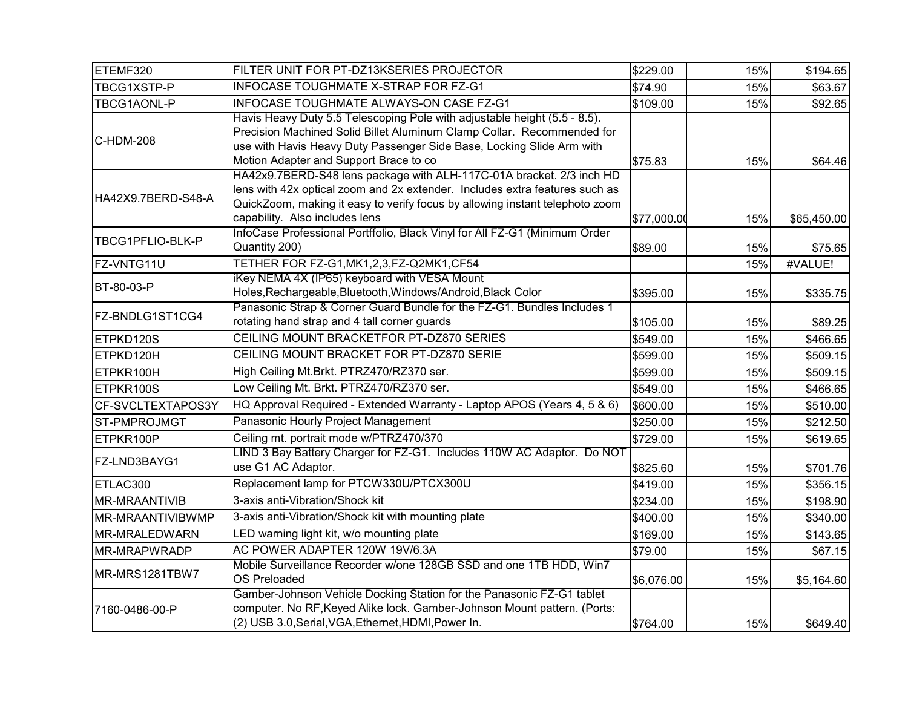| ETEMF320            | FILTER UNIT FOR PT-DZ13KSERIES PROJECTOR                                                                                                                                                                                                                               | \$229.00    | 15% | \$194.65    |
|---------------------|------------------------------------------------------------------------------------------------------------------------------------------------------------------------------------------------------------------------------------------------------------------------|-------------|-----|-------------|
| TBCG1XSTP-P         | INFOCASE TOUGHMATE X-STRAP FOR FZ-G1                                                                                                                                                                                                                                   | \$74.90     | 15% | \$63.67     |
| TBCG1AONL-P         | INFOCASE TOUGHMATE ALWAYS-ON CASE FZ-G1                                                                                                                                                                                                                                | \$109.00    | 15% | \$92.65     |
| C-HDM-208           | Havis Heavy Duty 5.5 Telescoping Pole with adjustable height (5.5 - 8.5).<br>Precision Machined Solid Billet Aluminum Clamp Collar. Recommended for<br>use with Havis Heavy Duty Passenger Side Base, Locking Slide Arm with<br>Motion Adapter and Support Brace to co | \$75.83     | 15% | \$64.46     |
| HA42X9.7BERD-S48-A  | HA42x9.7BERD-S48 lens package with ALH-117C-01A bracket. 2/3 inch HD<br>lens with 42x optical zoom and 2x extender. Includes extra features such as<br>QuickZoom, making it easy to verify focus by allowing instant telephoto zoom<br>capability. Also includes lens  | \$77,000.00 | 15% | \$65,450.00 |
| TBCG1PFLIO-BLK-P    | InfoCase Professional Portffolio, Black Vinyl for All FZ-G1 (Minimum Order<br>Quantity 200)                                                                                                                                                                            | \$89.00     | 15% | \$75.65     |
| FZ-VNTG11U          | TETHER FOR FZ-G1, MK1, 2, 3, FZ-Q2MK1, CF54                                                                                                                                                                                                                            |             | 15% | #VALUE!     |
| BT-80-03-P          | iKey NEMA 4X (IP65) keyboard with VESA Mount<br>Holes, Rechargeable, Bluetooth, Windows/Android, Black Color                                                                                                                                                           | \$395.00    | 15% | \$335.75    |
| FZ-BNDLG1ST1CG4     | Panasonic Strap & Corner Guard Bundle for the FZ-G1. Bundles Includes 1<br>rotating hand strap and 4 tall corner guards                                                                                                                                                | \$105.00    | 15% | \$89.25     |
| ETPKD120S           | CEILING MOUNT BRACKETFOR PT-DZ870 SERIES                                                                                                                                                                                                                               | \$549.00    | 15% | \$466.65    |
| ETPKD120H           | CEILING MOUNT BRACKET FOR PT-DZ870 SERIE                                                                                                                                                                                                                               | \$599.00    | 15% | \$509.15    |
| ETPKR100H           | High Ceiling Mt.Brkt. PTRZ470/RZ370 ser.                                                                                                                                                                                                                               | \$599.00    | 15% | \$509.15    |
| ETPKR100S           | Low Ceiling Mt. Brkt. PTRZ470/RZ370 ser.                                                                                                                                                                                                                               | \$549.00    | 15% | \$466.65    |
| CF-SVCLTEXTAPOS3Y   | HQ Approval Required - Extended Warranty - Laptop APOS (Years 4, 5 & 6)                                                                                                                                                                                                | \$600.00    | 15% | \$510.00    |
| ST-PMPROJMGT        | Panasonic Hourly Project Management                                                                                                                                                                                                                                    | \$250.00    | 15% | \$212.50    |
| ETPKR100P           | Ceiling mt. portrait mode w/PTRZ470/370                                                                                                                                                                                                                                | \$729.00    | 15% | \$619.65    |
| FZ-LND3BAYG1        | LIND 3 Bay Battery Charger for FZ-G1. Includes 110W AC Adaptor. Do NOT<br>use G1 AC Adaptor.                                                                                                                                                                           | \$825.60    | 15% | \$701.76    |
| ETLAC300            | Replacement lamp for PTCW330U/PTCX300U                                                                                                                                                                                                                                 | \$419.00    | 15% | \$356.15    |
| MR-MRAANTIVIB       | 3-axis anti-Vibration/Shock kit                                                                                                                                                                                                                                        | \$234.00    | 15% | \$198.90    |
| MR-MRAANTIVIBWMP    | 3-axis anti-Vibration/Shock kit with mounting plate                                                                                                                                                                                                                    | \$400.00    | 15% | \$340.00    |
| MR-MRALEDWARN       | LED warning light kit, w/o mounting plate                                                                                                                                                                                                                              | \$169.00    | 15% | \$143.65    |
| <b>MR-MRAPWRADP</b> | AC POWER ADAPTER 120W 19V/6.3A                                                                                                                                                                                                                                         | \$79.00     | 15% | \$67.15     |
| MR-MRS1281TBW7      | Mobile Surveillance Recorder w/one 128GB SSD and one 1TB HDD, Win7<br><b>OS Preloaded</b>                                                                                                                                                                              | \$6,076.00  | 15% | \$5,164.60  |
| 7160-0486-00-P      | Gamber-Johnson Vehicle Docking Station for the Panasonic FZ-G1 tablet<br>computer. No RF, Keyed Alike lock. Gamber-Johnson Mount pattern. (Ports:<br>(2) USB 3.0, Serial, VGA, Ethernet, HDMI, Power In.                                                               | \$764.00    | 15% | \$649.40    |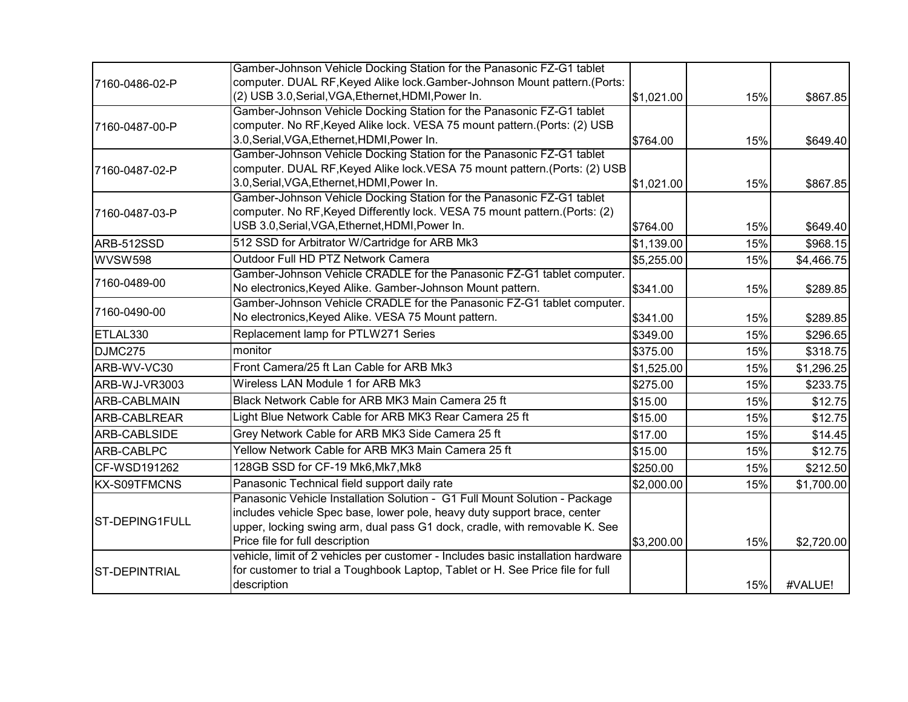|                      | Gamber-Johnson Vehicle Docking Station for the Panasonic FZ-G1 tablet                                                          |            |     |            |
|----------------------|--------------------------------------------------------------------------------------------------------------------------------|------------|-----|------------|
| 7160-0486-02-P       | computer. DUAL RF, Keyed Alike lock. Gamber-Johnson Mount pattern. (Ports:                                                     |            |     |            |
|                      | (2) USB 3.0, Serial, VGA, Ethernet, HDMI, Power In.                                                                            | \$1,021.00 | 15% | \$867.85   |
|                      | Gamber-Johnson Vehicle Docking Station for the Panasonic FZ-G1 tablet                                                          |            |     |            |
| 7160-0487-00-P       | computer. No RF, Keyed Alike lock. VESA 75 mount pattern. (Ports: (2) USB                                                      |            |     |            |
|                      | 3.0, Serial, VGA, Ethernet, HDMI, Power In.                                                                                    | \$764.00   | 15% | \$649.40   |
|                      | Gamber-Johnson Vehicle Docking Station for the Panasonic FZ-G1 tablet                                                          |            |     |            |
| 7160-0487-02-P       | computer. DUAL RF, Keyed Alike lock. VESA 75 mount pattern. (Ports: (2) USB                                                    |            |     |            |
|                      | 3.0, Serial, VGA, Ethernet, HDMI, Power In.                                                                                    | \$1,021.00 | 15% | \$867.85   |
|                      | Gamber-Johnson Vehicle Docking Station for the Panasonic FZ-G1 tablet                                                          |            |     |            |
| 7160-0487-03-P       | computer. No RF, Keyed Differently lock. VESA 75 mount pattern. (Ports: (2)<br>USB 3.0, Serial, VGA, Ethernet, HDMI, Power In. |            |     |            |
|                      |                                                                                                                                | \$764.00   | 15% | \$649.40   |
| ARB-512SSD           | 512 SSD for Arbitrator W/Cartridge for ARB Mk3                                                                                 | \$1,139.00 | 15% | \$968.15   |
| WVSW598              | Outdoor Full HD PTZ Network Camera                                                                                             | \$5,255.00 | 15% | \$4,466.75 |
| 7160-0489-00         | Gamber-Johnson Vehicle CRADLE for the Panasonic FZ-G1 tablet computer.                                                         |            |     |            |
|                      | No electronics, Keyed Alike. Gamber-Johnson Mount pattern.                                                                     | \$341.00   | 15% | \$289.85   |
| 7160-0490-00         | Gamber-Johnson Vehicle CRADLE for the Panasonic FZ-G1 tablet computer.                                                         |            |     |            |
|                      | No electronics, Keyed Alike. VESA 75 Mount pattern.                                                                            | \$341.00   | 15% | \$289.85   |
| ETLAL330             | Replacement lamp for PTLW271 Series                                                                                            | \$349.00   | 15% | \$296.65   |
| DJMC275              | monitor                                                                                                                        | \$375.00   | 15% | \$318.75   |
| ARB-WV-VC30          | Front Camera/25 ft Lan Cable for ARB Mk3                                                                                       | \$1,525.00 | 15% | \$1,296.25 |
| ARB-WJ-VR3003        | Wireless LAN Module 1 for ARB Mk3                                                                                              | \$275.00   | 15% | \$233.75   |
| <b>ARB-CABLMAIN</b>  | Black Network Cable for ARB MK3 Main Camera 25 ft                                                                              | \$15.00    | 15% | \$12.75    |
| ARB-CABLREAR         | Light Blue Network Cable for ARB MK3 Rear Camera 25 ft                                                                         | \$15.00    | 15% | \$12.75    |
| ARB-CABLSIDE         | Grey Network Cable for ARB MK3 Side Camera 25 ft                                                                               | \$17.00    | 15% | \$14.45    |
| ARB-CABLPC           | Yellow Network Cable for ARB MK3 Main Camera 25 ft                                                                             | \$15.00    | 15% | \$12.75    |
| CF-WSD191262         | 128GB SSD for CF-19 Mk6, Mk7, Mk8                                                                                              | \$250.00   | 15% | \$212.50   |
| <b>KX-S09TFMCNS</b>  | Panasonic Technical field support daily rate                                                                                   | \$2,000.00 | 15% | \$1,700.00 |
|                      | Panasonic Vehicle Installation Solution - G1 Full Mount Solution - Package                                                     |            |     |            |
| ST-DEPING1FULL       | includes vehicle Spec base, lower pole, heavy duty support brace, center                                                       |            |     |            |
|                      | upper, locking swing arm, dual pass G1 dock, cradle, with removable K. See                                                     |            |     |            |
|                      | Price file for full description                                                                                                | \$3,200.00 | 15% | \$2,720.00 |
|                      | vehicle, limit of 2 vehicles per customer - Includes basic installation hardware                                               |            |     |            |
| <b>ST-DEPINTRIAL</b> | for customer to trial a Toughbook Laptop, Tablet or H. See Price file for full                                                 |            |     |            |
|                      | description                                                                                                                    |            | 15% | #VALUE!    |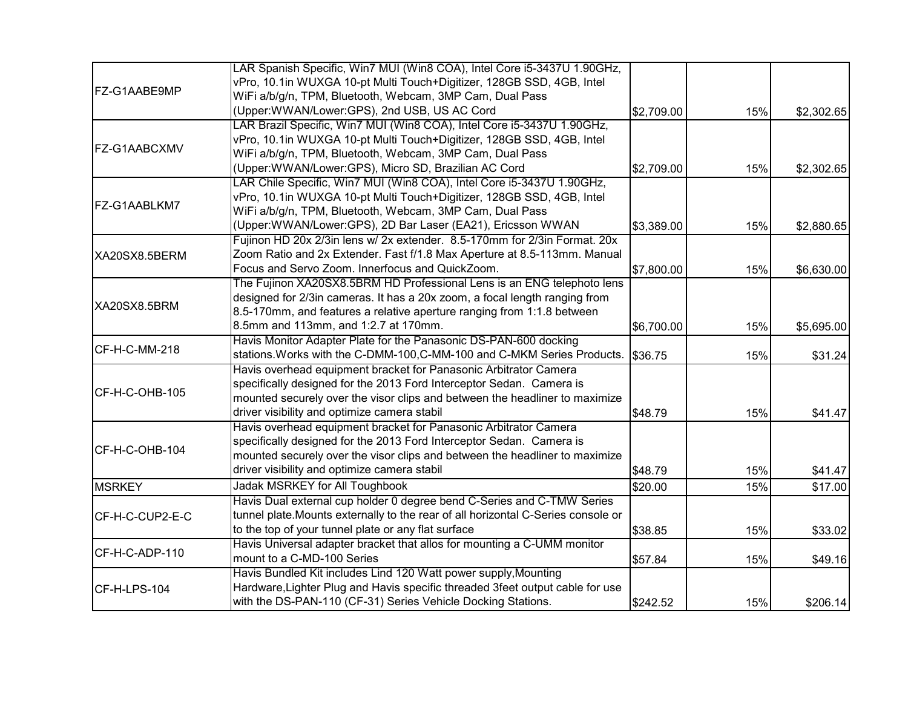|                 | LAR Spanish Specific, Win7 MUI (Win8 COA), Intel Core i5-3437U 1.90GHz,          |            |     |            |
|-----------------|----------------------------------------------------------------------------------|------------|-----|------------|
|                 | vPro, 10.1in WUXGA 10-pt Multi Touch+Digitizer, 128GB SSD, 4GB, Intel            |            |     |            |
| FZ-G1AABE9MP    | WiFi a/b/g/n, TPM, Bluetooth, Webcam, 3MP Cam, Dual Pass                         |            |     |            |
|                 | (Upper:WWAN/Lower:GPS), 2nd USB, US AC Cord                                      | \$2,709.00 | 15% | \$2,302.65 |
|                 | LAR Brazil Specific, Win7 MUI (Win8 COA), Intel Core i5-3437U 1.90GHz,           |            |     |            |
|                 | vPro, 10.1in WUXGA 10-pt Multi Touch+Digitizer, 128GB SSD, 4GB, Intel            |            |     |            |
| FZ-G1AABCXMV    | WiFi a/b/g/n, TPM, Bluetooth, Webcam, 3MP Cam, Dual Pass                         |            |     |            |
|                 | (Upper:WWAN/Lower:GPS), Micro SD, Brazilian AC Cord                              | \$2,709.00 | 15% | \$2,302.65 |
|                 | LAR Chile Specific, Win7 MUI (Win8 COA), Intel Core i5-3437U 1.90GHz,            |            |     |            |
|                 | vPro, 10.1in WUXGA 10-pt Multi Touch+Digitizer, 128GB SSD, 4GB, Intel            |            |     |            |
| FZ-G1AABLKM7    | WiFi a/b/g/n, TPM, Bluetooth, Webcam, 3MP Cam, Dual Pass                         |            |     |            |
|                 | (Upper:WWAN/Lower:GPS), 2D Bar Laser (EA21), Ericsson WWAN                       | \$3,389.00 | 15% | \$2,880.65 |
|                 | Fujinon HD 20x 2/3in lens w/ 2x extender. 8.5-170mm for 2/3in Format. 20x        |            |     |            |
| XA20SX8.5BERM   | Zoom Ratio and 2x Extender. Fast f/1.8 Max Aperture at 8.5-113mm. Manual         |            |     |            |
|                 | Focus and Servo Zoom. Innerfocus and QuickZoom.                                  | \$7,800.00 | 15% | \$6,630.00 |
|                 | The Fujinon XA20SX8.5BRM HD Professional Lens is an ENG telephoto lens           |            |     |            |
|                 | designed for 2/3in cameras. It has a 20x zoom, a focal length ranging from       |            |     |            |
| XA20SX8.5BRM    | 8.5-170mm, and features a relative aperture ranging from 1:1.8 between           |            |     |            |
|                 | 8.5mm and 113mm, and 1:2.7 at 170mm.                                             | \$6,700.00 | 15% | \$5,695.00 |
|                 | Havis Monitor Adapter Plate for the Panasonic DS-PAN-600 docking                 |            |     |            |
| CF-H-C-MM-218   | stations. Works with the C-DMM-100, C-MM-100 and C-MKM Series Products.          | \$36.75    | 15% | \$31.24    |
|                 | Havis overhead equipment bracket for Panasonic Arbitrator Camera                 |            |     |            |
| CF-H-C-OHB-105  | specifically designed for the 2013 Ford Interceptor Sedan. Camera is             |            |     |            |
|                 | mounted securely over the visor clips and between the headliner to maximize      |            |     |            |
|                 | driver visibility and optimize camera stabil                                     | \$48.79    | 15% | \$41.47    |
|                 | Havis overhead equipment bracket for Panasonic Arbitrator Camera                 |            |     |            |
| CF-H-C-OHB-104  | specifically designed for the 2013 Ford Interceptor Sedan. Camera is             |            |     |            |
|                 | mounted securely over the visor clips and between the headliner to maximize      |            |     |            |
|                 | driver visibility and optimize camera stabil                                     | \$48.79    | 15% | \$41.47    |
| <b>MSRKEY</b>   | Jadak MSRKEY for All Toughbook                                                   | \$20.00    | 15% | \$17.00    |
|                 | Havis Dual external cup holder 0 degree bend C-Series and C-TMW Series           |            |     |            |
| CF-H-C-CUP2-E-C | tunnel plate.Mounts externally to the rear of all horizontal C-Series console or |            |     |            |
|                 | to the top of your tunnel plate or any flat surface                              | \$38.85    | 15% | \$33.02    |
|                 | Havis Universal adapter bracket that allos for mounting a C-UMM monitor          |            |     |            |
| CF-H-C-ADP-110  | mount to a C-MD-100 Series                                                       | \$57.84    | 15% | \$49.16    |
|                 | Havis Bundled Kit includes Lind 120 Watt power supply, Mounting                  |            |     |            |
| CF-H-LPS-104    | Hardware, Lighter Plug and Havis specific threaded 3feet output cable for use    |            |     |            |
|                 | with the DS-PAN-110 (CF-31) Series Vehicle Docking Stations.                     | \$242.52   | 15% | \$206.14   |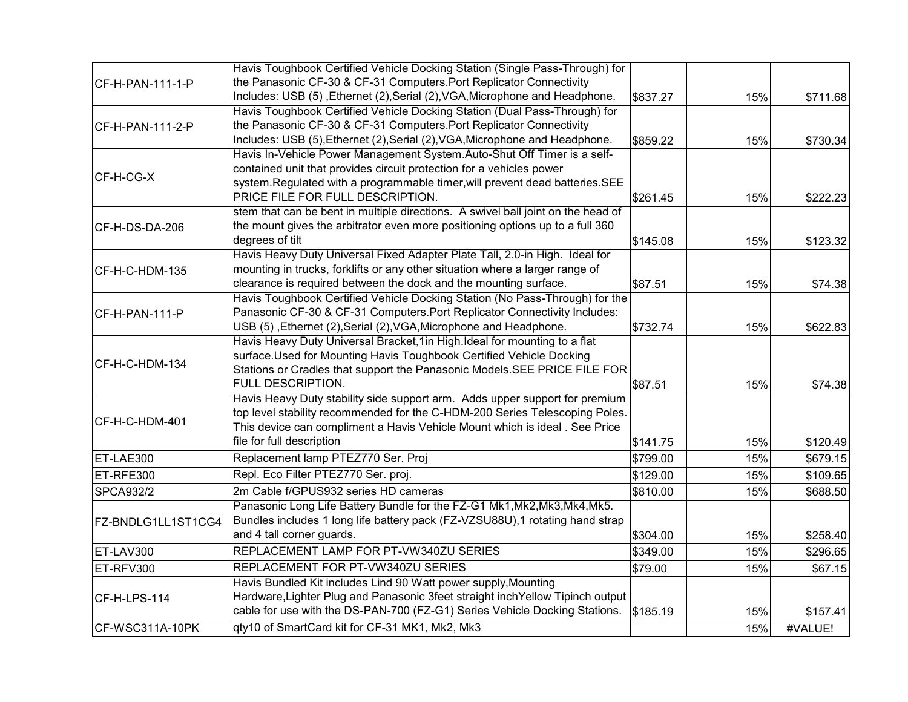|                    | Havis Toughbook Certified Vehicle Docking Station (Single Pass-Through) for      |          |     |          |
|--------------------|----------------------------------------------------------------------------------|----------|-----|----------|
| CF-H-PAN-111-1-P   | the Panasonic CF-30 & CF-31 Computers. Port Replicator Connectivity              |          |     |          |
|                    | Includes: USB (5), Ethernet (2), Serial (2), VGA, Microphone and Headphone.      | \$837.27 | 15% | \$711.68 |
|                    | Havis Toughbook Certified Vehicle Docking Station (Dual Pass-Through) for        |          |     |          |
| CF-H-PAN-111-2-P   | the Panasonic CF-30 & CF-31 Computers. Port Replicator Connectivity              |          |     |          |
|                    | Includes: USB (5), Ethernet (2), Serial (2), VGA, Microphone and Headphone.      | \$859.22 | 15% | \$730.34 |
|                    | Havis In-Vehicle Power Management System.Auto-Shut Off Timer is a self-          |          |     |          |
|                    | contained unit that provides circuit protection for a vehicles power             |          |     |          |
| CF-H-CG-X          | system. Regulated with a programmable timer, will prevent dead batteries. SEE    |          |     |          |
|                    | PRICE FILE FOR FULL DESCRIPTION.                                                 | \$261.45 | 15% | \$222.23 |
|                    | stem that can be bent in multiple directions. A swivel ball joint on the head of |          |     |          |
| CF-H-DS-DA-206     | the mount gives the arbitrator even more positioning options up to a full 360    |          |     |          |
|                    | degrees of tilt                                                                  | \$145.08 | 15% | \$123.32 |
|                    | Havis Heavy Duty Universal Fixed Adapter Plate Tall, 2.0-in High. Ideal for      |          |     |          |
| CF-H-C-HDM-135     | mounting in trucks, forklifts or any other situation where a larger range of     |          |     |          |
|                    | clearance is required between the dock and the mounting surface.                 | \$87.51  | 15% | \$74.38  |
|                    | Havis Toughbook Certified Vehicle Docking Station (No Pass-Through) for the      |          |     |          |
| CF-H-PAN-111-P     | Panasonic CF-30 & CF-31 Computers. Port Replicator Connectivity Includes:        |          |     |          |
|                    | USB (5) , Ethernet (2), Serial (2), VGA, Microphone and Headphone.               | \$732.74 | 15% | \$622.83 |
|                    | Havis Heavy Duty Universal Bracket, 1 in High. Ideal for mounting to a flat      |          |     |          |
|                    | surface.Used for Mounting Havis Toughbook Certified Vehicle Docking              |          |     |          |
| CF-H-C-HDM-134     | Stations or Cradles that support the Panasonic Models. SEE PRICE FILE FOR        |          |     |          |
|                    | FULL DESCRIPTION.                                                                | \$87.51  | 15% | \$74.38  |
|                    | Havis Heavy Duty stability side support arm. Adds upper support for premium      |          |     |          |
|                    | top level stability recommended for the C-HDM-200 Series Telescoping Poles.      |          |     |          |
| CF-H-C-HDM-401     | This device can compliment a Havis Vehicle Mount which is ideal. See Price       |          |     |          |
|                    | file for full description                                                        | \$141.75 | 15% | \$120.49 |
| ET-LAE300          | Replacement lamp PTEZ770 Ser. Proj                                               | \$799.00 | 15% | \$679.15 |
| ET-RFE300          | Repl. Eco Filter PTEZ770 Ser. proj.                                              | \$129.00 | 15% | \$109.65 |
| <b>SPCA932/2</b>   | 2m Cable f/GPUS932 series HD cameras                                             | \$810.00 | 15% | \$688.50 |
|                    | Panasonic Long Life Battery Bundle for the FZ-G1 Mk1, Mk2, Mk3, Mk4, Mk5.        |          |     |          |
| FZ-BNDLG1LL1ST1CG4 | Bundles includes 1 long life battery pack (FZ-VZSU88U), 1 rotating hand strap    |          |     |          |
|                    | and 4 tall corner guards.                                                        | \$304.00 | 15% | \$258.40 |
| ET-LAV300          | REPLACEMENT LAMP FOR PT-VW340ZU SERIES                                           | \$349.00 | 15% | \$296.65 |
| ET-RFV300          | REPLACEMENT FOR PT-VW340ZU SERIES                                                | \$79.00  | 15% | \$67.15  |
|                    | Havis Bundled Kit includes Lind 90 Watt power supply, Mounting                   |          |     |          |
| CF-H-LPS-114       | Hardware, Lighter Plug and Panasonic 3feet straight inch Yellow Tipinch output   |          |     |          |
|                    | cable for use with the DS-PAN-700 (FZ-G1) Series Vehicle Docking Stations.       | \$185.19 | 15% | \$157.41 |
| CF-WSC311A-10PK    | qty10 of SmartCard kit for CF-31 MK1, Mk2, Mk3                                   |          | 15% | #VALUE!  |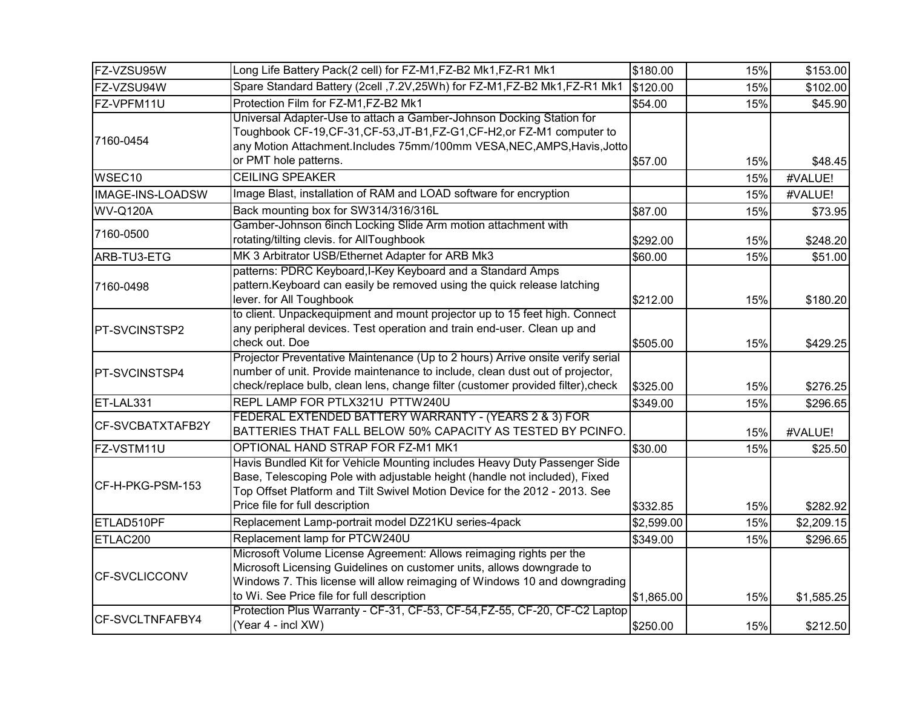| FZ-VZSU95W           | Long Life Battery Pack(2 cell) for FZ-M1, FZ-B2 Mk1, FZ-R1 Mk1                                                                                                                                                                                                           | \$180.00               | 15%        | \$153.00               |
|----------------------|--------------------------------------------------------------------------------------------------------------------------------------------------------------------------------------------------------------------------------------------------------------------------|------------------------|------------|------------------------|
| FZ-VZSU94W           | Spare Standard Battery (2cell , 7.2V, 25Wh) for FZ-M1, FZ-B2 Mk1, FZ-R1 Mk1                                                                                                                                                                                              | \$120.00               | 15%        | \$102.00               |
| FZ-VPFM11U           | Protection Film for FZ-M1,FZ-B2 Mk1                                                                                                                                                                                                                                      | \$54.00                | 15%        | \$45.90                |
| 7160-0454            | Universal Adapter-Use to attach a Gamber-Johnson Docking Station for<br>Toughbook CF-19,CF-31,CF-53,JT-B1,FZ-G1,CF-H2,or FZ-M1 computer to<br>any Motion Attachment.Includes 75mm/100mm VESA,NEC,AMPS,Havis,Jotto<br>or PMT hole patterns.                               | \$57.00                | 15%        | \$48.45                |
| WSEC <sub>10</sub>   | <b>CEILING SPEAKER</b>                                                                                                                                                                                                                                                   |                        | 15%        | #VALUE!                |
| IMAGE-INS-LOADSW     | Image Blast, installation of RAM and LOAD software for encryption                                                                                                                                                                                                        |                        | 15%        | #VALUE!                |
| <b>WV-Q120A</b>      | Back mounting box for SW314/316/316L                                                                                                                                                                                                                                     | \$87.00                | 15%        | \$73.95                |
| 7160-0500            | Gamber-Johnson 6inch Locking Slide Arm motion attachment with<br>rotating/tilting clevis. for AllToughbook                                                                                                                                                               | \$292.00               | 15%        | \$248.20               |
| ARB-TU3-ETG          | MK 3 Arbitrator USB/Ethernet Adapter for ARB Mk3                                                                                                                                                                                                                         | \$60.00                | 15%        | \$51.00                |
| 7160-0498            | patterns: PDRC Keyboard, I-Key Keyboard and a Standard Amps<br>pattern. Keyboard can easily be removed using the quick release latching<br>lever. for All Toughbook                                                                                                      | \$212.00               | 15%        | \$180.20               |
| <b>PT-SVCINSTSP2</b> | to client. Unpackequipment and mount projector up to 15 feet high. Connect<br>any peripheral devices. Test operation and train end-user. Clean up and<br>check out. Doe                                                                                                  | \$505.00               | 15%        | \$429.25               |
| <b>PT-SVCINSTSP4</b> | Projector Preventative Maintenance (Up to 2 hours) Arrive onsite verify serial<br>number of unit. Provide maintenance to include, clean dust out of projector,<br>check/replace bulb, clean lens, change filter (customer provided filter), check                        | \$325.00               | 15%        | \$276.25               |
| ET-LAL331            | REPL LAMP FOR PTLX321U PTTW240U                                                                                                                                                                                                                                          | \$349.00               | 15%        | \$296.65               |
| CF-SVCBATXTAFB2Y     | FEDERAL EXTENDED BATTERY WARRANTY - (YEARS 2 & 3) FOR<br>BATTERIES THAT FALL BELOW 50% CAPACITY AS TESTED BY PCINFO.                                                                                                                                                     |                        | 15%        | #VALUE!                |
| FZ-VSTM11U           | OPTIONAL HAND STRAP FOR FZ-M1 MK1                                                                                                                                                                                                                                        | \$30.00                | 15%        | \$25.50                |
| CF-H-PKG-PSM-153     | Havis Bundled Kit for Vehicle Mounting includes Heavy Duty Passenger Side<br>Base, Telescoping Pole with adjustable height (handle not included), Fixed<br>Top Offset Platform and Tilt Swivel Motion Device for the 2012 - 2013. See<br>Price file for full description |                        |            |                        |
| ETLAD510PF           | Replacement Lamp-portrait model DZ21KU series-4pack                                                                                                                                                                                                                      | \$332.85               | 15%        | \$282.92               |
| ETLAC200             | Replacement lamp for PTCW240U                                                                                                                                                                                                                                            | \$2,599.00<br>\$349.00 | 15%        | \$2,209.15             |
| <b>CF-SVCLICCONV</b> | Microsoft Volume License Agreement: Allows reimaging rights per the<br>Microsoft Licensing Guidelines on customer units, allows downgrade to<br>Windows 7. This license will allow reimaging of Windows 10 and downgrading<br>to Wi. See Price file for full description | \$1,865.00             | 15%<br>15% | \$296.65<br>\$1,585.25 |
| CF-SVCLTNFAFBY4      | Protection Plus Warranty - CF-31, CF-53, CF-54, FZ-55, CF-20, CF-C2 Laptop<br>(Year 4 - incl XW)                                                                                                                                                                         | \$250.00               | 15%        | \$212.50               |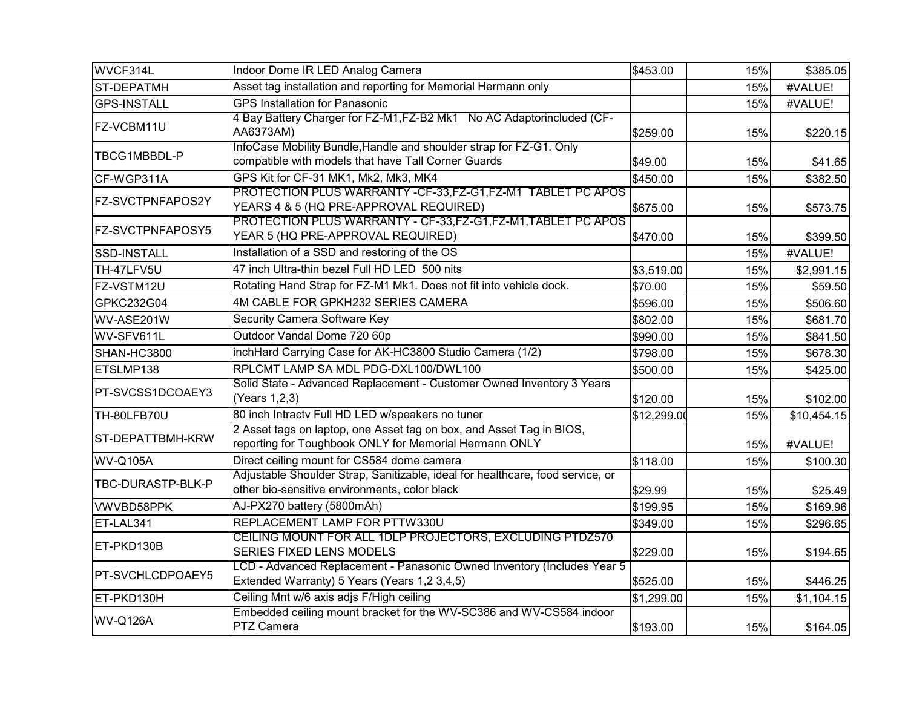| WVCF314L                | Indoor Dome IR LED Analog Camera                                                                                                | \$453.00    | 15% | \$385.05    |
|-------------------------|---------------------------------------------------------------------------------------------------------------------------------|-------------|-----|-------------|
| <b>ST-DEPATMH</b>       | Asset tag installation and reporting for Memorial Hermann only                                                                  |             | 15% | #VALUE!     |
| <b>GPS-INSTALL</b>      | <b>GPS Installation for Panasonic</b>                                                                                           |             | 15% | #VALUE!     |
| FZ-VCBM11U              | 4 Bay Battery Charger for FZ-M1, FZ-B2 Mk1 No AC Adaptorincluded (CF-<br>AA6373AM)                                              | \$259.00    | 15% | \$220.15    |
| TBCG1MBBDL-P            | InfoCase Mobility Bundle, Handle and shoulder strap for FZ-G1. Only<br>compatible with models that have Tall Corner Guards      | \$49.00     | 15% | \$41.65     |
| CF-WGP311A              | GPS Kit for CF-31 MK1, Mk2, Mk3, MK4                                                                                            | \$450.00    | 15% | \$382.50    |
| FZ-SVCTPNFAPOS2Y        | PROTECTION PLUS WARRANTY - CF-33, FZ-G1, FZ-M1 TABLET PC APOS<br>YEARS 4 & 5 (HQ PRE-APPROVAL REQUIRED)                         | \$675.00    | 15% | \$573.75    |
| <b>FZ-SVCTPNFAPOSY5</b> | PROTECTION PLUS WARRANTY - CF-33, FZ-G1, FZ-M1, TABLET PC APOS<br>YEAR 5 (HQ PRE-APPROVAL REQUIRED)                             | \$470.00    | 15% | \$399.50    |
| <b>SSD-INSTALL</b>      | Installation of a SSD and restoring of the OS                                                                                   |             | 15% | #VALUE!     |
| TH-47LFV5U              | 47 inch Ultra-thin bezel Full HD LED 500 nits                                                                                   | \$3,519.00  | 15% | \$2,991.15  |
| FZ-VSTM12U              | Rotating Hand Strap for FZ-M1 Mk1. Does not fit into vehicle dock.                                                              | \$70.00     | 15% | \$59.50     |
| GPKC232G04              | 4M CABLE FOR GPKH232 SERIES CAMERA                                                                                              | \$596.00    | 15% | \$506.60    |
| WV-ASE201W              | Security Camera Software Key                                                                                                    | \$802.00    | 15% | \$681.70    |
| WV-SFV611L              | Outdoor Vandal Dome 720 60p                                                                                                     | \$990.00    | 15% | \$841.50    |
| SHAN-HC3800             | inchHard Carrying Case for AK-HC3800 Studio Camera (1/2)                                                                        | \$798.00    | 15% | \$678.30    |
| ETSLMP138               | RPLCMT LAMP SA MDL PDG-DXL100/DWL100                                                                                            | \$500.00    | 15% | \$425.00    |
| PT-SVCSS1DCOAEY3        | Solid State - Advanced Replacement - Customer Owned Inventory 3 Years<br>(Years 1,2,3)                                          | \$120.00    | 15% | \$102.00    |
| TH-80LFB70U             | 80 inch Intractv Full HD LED w/speakers no tuner                                                                                | \$12,299.00 | 15% | \$10,454.15 |
| ST-DEPATTBMH-KRW        | 2 Asset tags on laptop, one Asset tag on box, and Asset Tag in BIOS,<br>reporting for Toughbook ONLY for Memorial Hermann ONLY  |             | 15% | #VALUE!     |
| <b>WV-Q105A</b>         | Direct ceiling mount for CS584 dome camera                                                                                      | \$118.00    | 15% | \$100.30    |
| TBC-DURASTP-BLK-P       | Adjustable Shoulder Strap, Sanitizable, ideal for healthcare, food service, or<br>other bio-sensitive environments, color black | \$29.99     | 15% | \$25.49     |
| <b>VWVBD58PPK</b>       | AJ-PX270 battery (5800mAh)                                                                                                      | \$199.95    | 15% | \$169.96    |
| ET-LAL341               | REPLACEMENT LAMP FOR PTTW330U                                                                                                   | \$349.00    | 15% | \$296.65    |
| ET-PKD130B              | CEILING MOUNT FOR ALL 1DLP PROJECTORS, EXCLUDING PTDZ570<br>SERIES FIXED LENS MODELS                                            | \$229.00    | 15% | \$194.65    |
| <b>PT-SVCHLCDPOAEY5</b> | LCD - Advanced Replacement - Panasonic Owned Inventory (Includes Year 5<br>Extended Warranty) 5 Years (Years 1,2 3,4,5)         | \$525.00    | 15% | \$446.25    |
| ET-PKD130H              | Ceiling Mnt w/6 axis adjs F/High ceiling                                                                                        | \$1,299.00  | 15% | \$1,104.15  |
| WV-Q126A                | Embedded ceiling mount bracket for the WV-SC386 and WV-CS584 indoor<br>PTZ Camera                                               | \$193.00    | 15% | \$164.05    |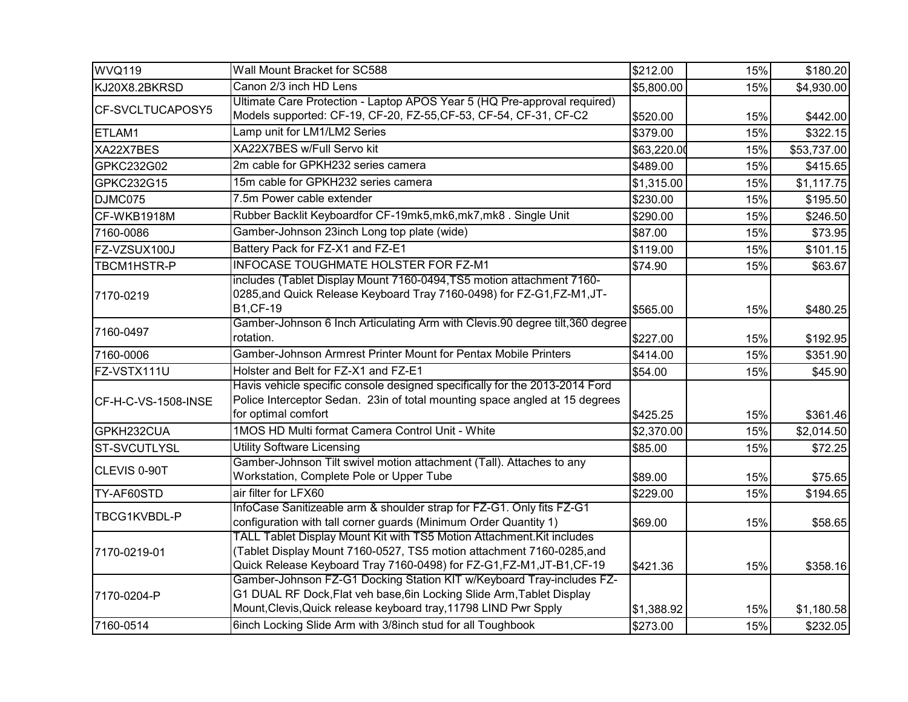| WVQ119              | Wall Mount Bracket for SC588                                                                                                                                                                                             | \$212.00    | 15% | \$180.20    |
|---------------------|--------------------------------------------------------------------------------------------------------------------------------------------------------------------------------------------------------------------------|-------------|-----|-------------|
| KJ20X8.2BKRSD       | Canon 2/3 inch HD Lens                                                                                                                                                                                                   | \$5,800.00  | 15% | \$4,930.00  |
| CF-SVCLTUCAPOSY5    | Ultimate Care Protection - Laptop APOS Year 5 (HQ Pre-approval required)                                                                                                                                                 |             |     |             |
|                     | Models supported: CF-19, CF-20, FZ-55, CF-53, CF-54, CF-31, CF-C2                                                                                                                                                        | \$520.00    | 15% | \$442.00    |
| ETLAM1              | Lamp unit for LM1/LM2 Series                                                                                                                                                                                             | \$379.00    | 15% | \$322.15    |
| XA22X7BES           | XA22X7BES w/Full Servo kit                                                                                                                                                                                               | \$63,220.00 | 15% | \$53,737.00 |
| GPKC232G02          | 2m cable for GPKH232 series camera                                                                                                                                                                                       | \$489.00    | 15% | \$415.65    |
| GPKC232G15          | 15m cable for GPKH232 series camera                                                                                                                                                                                      | \$1,315.00  | 15% | \$1,117.75  |
| DJMC075             | 7.5m Power cable extender                                                                                                                                                                                                | \$230.00    | 15% | \$195.50    |
| CF-WKB1918M         | Rubber Backlit Keyboardfor CF-19mk5,mk6,mk7,mk8 . Single Unit                                                                                                                                                            | \$290.00    | 15% | \$246.50    |
| 7160-0086           | Gamber-Johnson 23inch Long top plate (wide)                                                                                                                                                                              | \$87.00     | 15% | \$73.95     |
| FZ-VZSUX100J        | Battery Pack for FZ-X1 and FZ-E1                                                                                                                                                                                         | \$119.00    | 15% | \$101.15    |
| TBCM1HSTR-P         | INFOCASE TOUGHMATE HOLSTER FOR FZ-M1                                                                                                                                                                                     | \$74.90     | 15% | \$63.67     |
| 7170-0219           | includes (Tablet Display Mount 7160-0494, TS5 motion attachment 7160-<br>0285, and Quick Release Keyboard Tray 7160-0498) for FZ-G1, FZ-M1, JT-<br><b>B1,CF-19</b>                                                       | \$565.00    | 15% | \$480.25    |
| 7160-0497           | Gamber-Johnson 6 Inch Articulating Arm with Clevis.90 degree tilt, 360 degree<br>rotation.                                                                                                                               | \$227.00    | 15% | \$192.95    |
| 7160-0006           | Gamber-Johnson Armrest Printer Mount for Pentax Mobile Printers                                                                                                                                                          | \$414.00    | 15% | \$351.90    |
| FZ-VSTX111U         | Holster and Belt for FZ-X1 and FZ-E1                                                                                                                                                                                     | \$54.00     | 15% | \$45.90     |
| CF-H-C-VS-1508-INSE | Havis vehicle specific console designed specifically for the 2013-2014 Ford<br>Police Interceptor Sedan. 23in of total mounting space angled at 15 degrees<br>for optimal comfort                                        | \$425.25    | 15% | \$361.46    |
| GPKH232CUA          | 1MOS HD Multi format Camera Control Unit - White                                                                                                                                                                         | \$2,370.00  | 15% | \$2,014.50  |
| <b>ST-SVCUTLYSL</b> | <b>Utility Software Licensing</b>                                                                                                                                                                                        | \$85.00     | 15% | \$72.25     |
| CLEVIS 0-90T        | Gamber-Johnson Tilt swivel motion attachment (Tall). Attaches to any<br>Workstation, Complete Pole or Upper Tube                                                                                                         | \$89.00     | 15% | \$75.65     |
| TY-AF60STD          | air filter for LFX60                                                                                                                                                                                                     | \$229.00    | 15% | \$194.65    |
| TBCG1KVBDL-P        | InfoCase Sanitizeable arm & shoulder strap for FZ-G1. Only fits FZ-G1<br>configuration with tall corner guards (Minimum Order Quantity 1)                                                                                | \$69.00     | 15% | \$58.65     |
| 7170-0219-01        | TALL Tablet Display Mount Kit with TS5 Motion Attachment. Kit includes<br>(Tablet Display Mount 7160-0527, TS5 motion attachment 7160-0285, and<br>Quick Release Keyboard Tray 7160-0498) for FZ-G1, FZ-M1, JT-B1, CF-19 | \$421.36    | 15% | \$358.16    |
| 7170-0204-P         | Gamber-Johnson FZ-G1 Docking Station KIT w/Keyboard Tray-includes FZ-<br>G1 DUAL RF Dock, Flat veh base, 6in Locking Slide Arm, Tablet Display<br>Mount, Clevis, Quick release keyboard tray, 11798 LIND Pwr Spply       | \$1,388.92  | 15% | \$1,180.58  |
| 7160-0514           | 6inch Locking Slide Arm with 3/8inch stud for all Toughbook                                                                                                                                                              | \$273.00    | 15% | \$232.05    |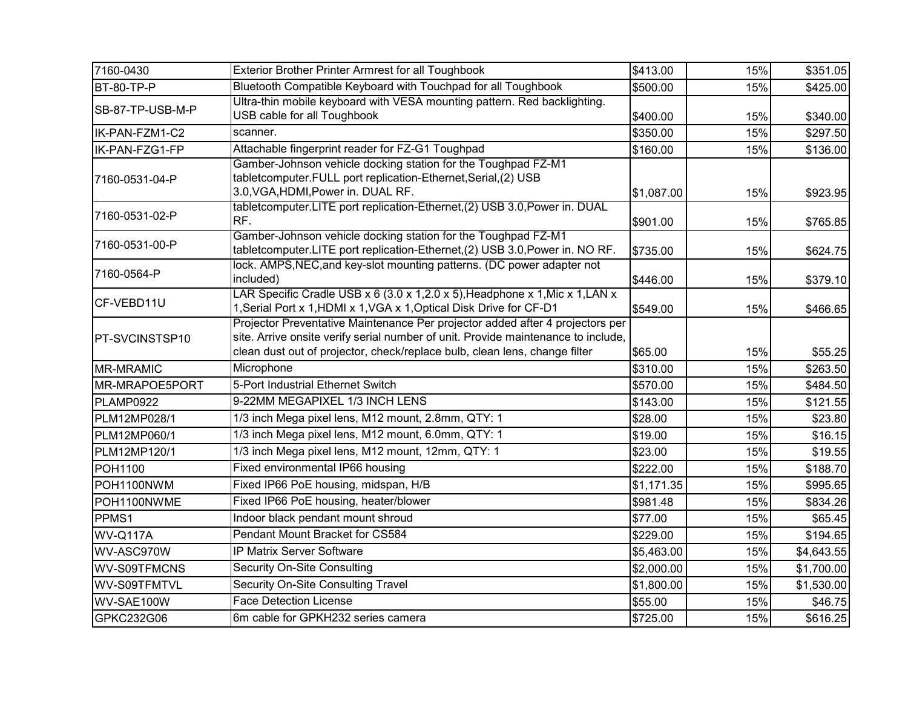| 7160-0430        | Exterior Brother Printer Armrest for all Toughbook                                                              | \$413.00   | 15% | \$351.05   |
|------------------|-----------------------------------------------------------------------------------------------------------------|------------|-----|------------|
| BT-80-TP-P       | Bluetooth Compatible Keyboard with Touchpad for all Toughbook                                                   | \$500.00   | 15% | \$425.00   |
| SB-87-TP-USB-M-P | Ultra-thin mobile keyboard with VESA mounting pattern. Red backlighting.                                        |            |     |            |
|                  | USB cable for all Toughbook                                                                                     | \$400.00   | 15% | \$340.00   |
| IK-PAN-FZM1-C2   | scanner.                                                                                                        | \$350.00   | 15% | \$297.50   |
| IK-PAN-FZG1-FP   | Attachable fingerprint reader for FZ-G1 Toughpad                                                                | \$160.00   | 15% | \$136.00   |
|                  | Gamber-Johnson vehicle docking station for the Toughpad FZ-M1                                                   |            |     |            |
| 7160-0531-04-P   | tabletcomputer.FULL port replication-Ethernet, Serial, (2) USB                                                  |            |     |            |
|                  | 3.0, VGA, HDMI, Power in. DUAL RF.<br>tabletcomputer.LITE port replication-Ethernet,(2) USB 3.0, Power in. DUAL | \$1,087.00 | 15% | \$923.95   |
| 7160-0531-02-P   | RF.                                                                                                             | \$901.00   | 15% | \$765.85   |
|                  | Gamber-Johnson vehicle docking station for the Toughpad FZ-M1                                                   |            |     |            |
| 7160-0531-00-P   | tabletcomputer.LITE port replication-Ethernet,(2) USB 3.0, Power in. NO RF.                                     | \$735.00   | 15% | \$624.75   |
|                  | lock. AMPS, NEC, and key-slot mounting patterns. (DC power adapter not                                          |            |     |            |
| 7160-0564-P      | included)                                                                                                       | \$446.00   | 15% | \$379.10   |
| CF-VEBD11U       | LAR Specific Cradle USB x 6 (3.0 x 1,2.0 x 5), Headphone x 1, Mic x 1, LAN x                                    |            |     |            |
|                  | 1, Serial Port x 1, HDMI x 1, VGA x 1, Optical Disk Drive for CF-D1                                             | \$549.00   | 15% | \$466.65   |
|                  | Projector Preventative Maintenance Per projector added after 4 projectors per                                   |            |     |            |
| PT-SVCINSTSP10   | site. Arrive onsite verify serial number of unit. Provide maintenance to include,                               |            |     |            |
|                  | clean dust out of projector, check/replace bulb, clean lens, change filter                                      | \$65.00    | 15% | \$55.25    |
| <b>MR-MRAMIC</b> | Microphone                                                                                                      | \$310.00   | 15% | \$263.50   |
| MR-MRAPOE5PORT   | 5-Port Industrial Ethernet Switch                                                                               | \$570.00   | 15% | \$484.50   |
| PLAMP0922        | 9-22MM MEGAPIXEL 1/3 INCH LENS                                                                                  | \$143.00   | 15% | \$121.55   |
| PLM12MP028/1     | 1/3 inch Mega pixel lens, M12 mount, 2.8mm, QTY: 1                                                              | \$28.00    | 15% | \$23.80    |
| PLM12MP060/1     | 1/3 inch Mega pixel lens, M12 mount, 6.0mm, QTY: 1                                                              | \$19.00    | 15% | \$16.15    |
| PLM12MP120/1     | 1/3 inch Mega pixel lens, M12 mount, 12mm, QTY: 1                                                               | \$23.00    | 15% | \$19.55    |
| <b>POH1100</b>   | Fixed environmental IP66 housing                                                                                | \$222.00   | 15% | \$188.70   |
| POH1100NWM       | Fixed IP66 PoE housing, midspan, H/B                                                                            | \$1,171.35 | 15% | \$995.65   |
| POH1100NWME      | Fixed IP66 PoE housing, heater/blower                                                                           | \$981.48   | 15% | \$834.26   |
| PPMS1            | Indoor black pendant mount shroud                                                                               | \$77.00    | 15% | \$65.45    |
| WV-Q117A         | Pendant Mount Bracket for CS584                                                                                 | \$229.00   | 15% | \$194.65   |
| WV-ASC970W       | IP Matrix Server Software                                                                                       | \$5,463.00 | 15% | \$4,643.55 |
| WV-S09TFMCNS     | <b>Security On-Site Consulting</b>                                                                              | \$2,000.00 | 15% | \$1,700.00 |
| WV-S09TFMTVL     | Security On-Site Consulting Travel                                                                              | \$1,800.00 | 15% | \$1,530.00 |
| WV-SAE100W       | <b>Face Detection License</b>                                                                                   | \$55.00    | 15% | \$46.75    |
| GPKC232G06       | 6m cable for GPKH232 series camera                                                                              | \$725.00   | 15% | \$616.25   |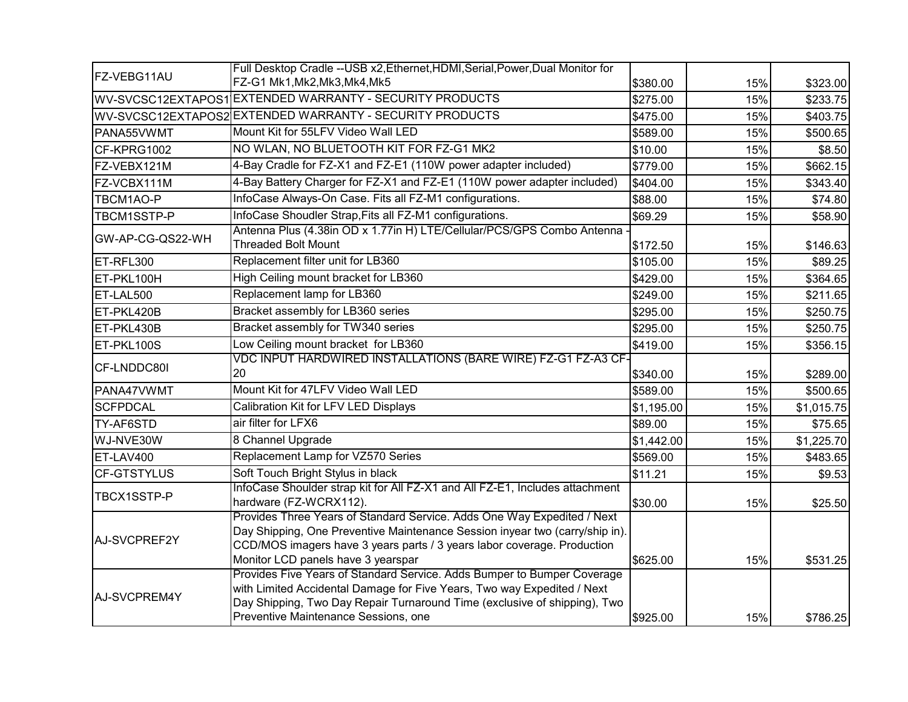|                    | Full Desktop Cradle -- USB x2, Ethernet, HDMI, Serial, Power, Dual Monitor for                                                                                                                                                                                           |            |     |            |
|--------------------|--------------------------------------------------------------------------------------------------------------------------------------------------------------------------------------------------------------------------------------------------------------------------|------------|-----|------------|
| FZ-VEBG11AU        | FZ-G1 Mk1, Mk2, Mk3, Mk4, Mk5                                                                                                                                                                                                                                            | \$380.00   | 15% | \$323.00   |
|                    | WV-SVCSC12EXTAPOS1 EXTENDED WARRANTY - SECURITY PRODUCTS                                                                                                                                                                                                                 | \$275.00   | 15% | \$233.75   |
|                    | WV-SVCSC12EXTAPOS2 EXTENDED WARRANTY - SECURITY PRODUCTS                                                                                                                                                                                                                 | \$475.00   | 15% | \$403.75   |
| PANA55VWMT         | Mount Kit for 55LFV Video Wall LED                                                                                                                                                                                                                                       | \$589.00   | 15% | \$500.65   |
| CF-KPRG1002        | NO WLAN, NO BLUETOOTH KIT FOR FZ-G1 MK2                                                                                                                                                                                                                                  | \$10.00    | 15% | \$8.50     |
| FZ-VEBX121M        | 4-Bay Cradle for FZ-X1 and FZ-E1 (110W power adapter included)                                                                                                                                                                                                           | \$779.00   | 15% | \$662.15   |
| FZ-VCBX111M        | 4-Bay Battery Charger for FZ-X1 and FZ-E1 (110W power adapter included)                                                                                                                                                                                                  | \$404.00   | 15% | \$343.40   |
| TBCM1AO-P          | InfoCase Always-On Case. Fits all FZ-M1 configurations.                                                                                                                                                                                                                  | \$88.00    | 15% | \$74.80    |
| TBCM1SSTP-P        | InfoCase Shoudler Strap, Fits all FZ-M1 configurations.                                                                                                                                                                                                                  | \$69.29    | 15% | \$58.90    |
| GW-AP-CG-QS22-WH   | Antenna Plus (4.38in OD x 1.77in H) LTE/Cellular/PCS/GPS Combo Antenna<br><b>Threaded Bolt Mount</b>                                                                                                                                                                     | \$172.50   | 15% | \$146.63   |
| ET-RFL300          | Replacement filter unit for LB360                                                                                                                                                                                                                                        | \$105.00   | 15% | \$89.25    |
| ET-PKL100H         | High Ceiling mount bracket for LB360                                                                                                                                                                                                                                     | \$429.00   | 15% | \$364.65   |
| ET-LAL500          | Replacement lamp for LB360                                                                                                                                                                                                                                               | \$249.00   | 15% | \$211.65   |
| ET-PKL420B         | Bracket assembly for LB360 series                                                                                                                                                                                                                                        | \$295.00   | 15% | \$250.75   |
| ET-PKL430B         | Bracket assembly for TW340 series                                                                                                                                                                                                                                        | \$295.00   | 15% | \$250.75   |
| ET-PKL100S         | Low Ceiling mount bracket for LB360                                                                                                                                                                                                                                      | \$419.00   | 15% | \$356.15   |
| CF-LNDDC80I        | VDC INPUT HARDWIRED INSTALLATIONS (BARE WIRE) FZ-G1 FZ-A3 CF-                                                                                                                                                                                                            |            |     |            |
|                    | 20                                                                                                                                                                                                                                                                       | \$340.00   | 15% | \$289.00   |
| PANA47VWMT         | Mount Kit for 47LFV Video Wall LED                                                                                                                                                                                                                                       | \$589.00   | 15% | \$500.65   |
| <b>SCFPDCAL</b>    | Calibration Kit for LFV LED Displays                                                                                                                                                                                                                                     | \$1,195.00 | 15% | \$1,015.75 |
| TY-AF6STD          | air filter for LFX6                                                                                                                                                                                                                                                      | \$89.00    | 15% | \$75.65    |
| WJ-NVE30W          | 8 Channel Upgrade                                                                                                                                                                                                                                                        | \$1,442.00 | 15% | \$1,225.70 |
| ET-LAV400          | Replacement Lamp for VZ570 Series                                                                                                                                                                                                                                        | \$569.00   | 15% | \$483.65   |
| <b>CF-GTSTYLUS</b> | Soft Touch Bright Stylus in black                                                                                                                                                                                                                                        | \$11.21    | 15% | \$9.53     |
| TBCX1SSTP-P        | InfoCase Shoulder strap kit for All FZ-X1 and All FZ-E1, Includes attachment<br>hardware (FZ-WCRX112).                                                                                                                                                                   | \$30.00    | 15% | \$25.50    |
| AJ-SVCPREF2Y       | Provides Three Years of Standard Service. Adds One Way Expedited / Next<br>Day Shipping, One Preventive Maintenance Session inyear two (carry/ship in).<br>CCD/MOS imagers have 3 years parts / 3 years labor coverage. Production<br>Monitor LCD panels have 3 yearspar | \$625.00   | 15% | \$531.25   |
| AJ-SVCPREM4Y       | Provides Five Years of Standard Service. Adds Bumper to Bumper Coverage<br>with Limited Accidental Damage for Five Years, Two way Expedited / Next<br>Day Shipping, Two Day Repair Turnaround Time (exclusive of shipping), Two<br>Preventive Maintenance Sessions, one  | \$925.00   | 15% | \$786.25   |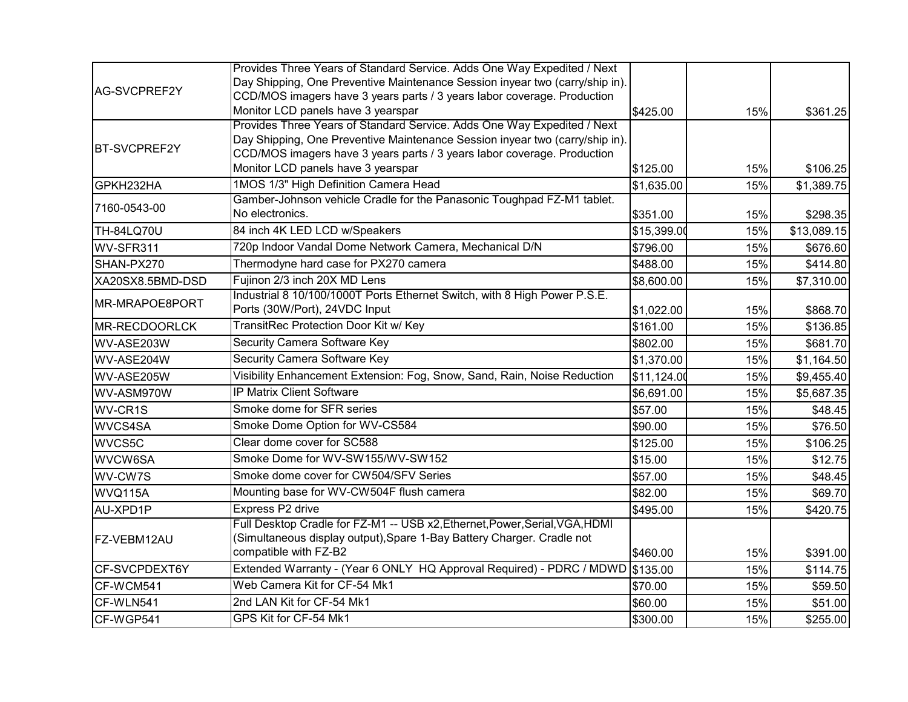|                      | Provides Three Years of Standard Service. Adds One Way Expedited / Next                   |             |     |             |
|----------------------|-------------------------------------------------------------------------------------------|-------------|-----|-------------|
| AG-SVCPREF2Y         | Day Shipping, One Preventive Maintenance Session inyear two (carry/ship in).              |             |     |             |
|                      | CCD/MOS imagers have 3 years parts / 3 years labor coverage. Production                   |             |     |             |
|                      | Monitor LCD panels have 3 yearspar                                                        | \$425.00    | 15% | \$361.25    |
|                      | Provides Three Years of Standard Service. Adds One Way Expedited / Next                   |             |     |             |
| <b>BT-SVCPREF2Y</b>  | Day Shipping, One Preventive Maintenance Session inyear two (carry/ship in).              |             |     |             |
|                      | CCD/MOS imagers have 3 years parts / 3 years labor coverage. Production                   |             |     |             |
|                      | Monitor LCD panels have 3 yearspar                                                        | \$125.00    | 15% | \$106.25    |
| GPKH232HA            | 1MOS 1/3" High Definition Camera Head                                                     | \$1,635.00  | 15% | \$1,389.75  |
| 7160-0543-00         | Gamber-Johnson vehicle Cradle for the Panasonic Toughpad FZ-M1 tablet.<br>No electronics. |             |     |             |
|                      |                                                                                           | \$351.00    | 15% | \$298.35    |
| <b>TH-84LQ70U</b>    | 84 inch 4K LED LCD w/Speakers                                                             | \$15,399.00 | 15% | \$13,089.15 |
| WV-SFR311            | 720p Indoor Vandal Dome Network Camera, Mechanical D/N                                    | \$796.00    | 15% | \$676.60    |
| SHAN-PX270           | Thermodyne hard case for PX270 camera                                                     | \$488.00    | 15% | \$414.80    |
| XA20SX8.5BMD-DSD     | Fujinon 2/3 inch 20X MD Lens                                                              | \$8,600.00  | 15% | \$7,310.00  |
| MR-MRAPOE8PORT       | Industrial 8 10/100/1000T Ports Ethernet Switch, with 8 High Power P.S.E.                 |             |     |             |
|                      | Ports (30W/Port), 24VDC Input                                                             | \$1,022.00  | 15% | \$868.70    |
| <b>MR-RECDOORLCK</b> | TransitRec Protection Door Kit w/ Key                                                     | \$161.00    | 15% | \$136.85    |
| WV-ASE203W           | Security Camera Software Key                                                              | \$802.00    | 15% | \$681.70    |
| WV-ASE204W           | Security Camera Software Key                                                              | \$1,370.00  | 15% | \$1,164.50  |
| WV-ASE205W           | Visibility Enhancement Extension: Fog, Snow, Sand, Rain, Noise Reduction                  | \$11,124.00 | 15% | \$9,455.40  |
| WV-ASM970W           | IP Matrix Client Software                                                                 | \$6,691.00  | 15% | \$5,687.35  |
| WV-CR1S              | Smoke dome for SFR series                                                                 | \$57.00     | 15% | \$48.45     |
| WVCS4SA              | Smoke Dome Option for WV-CS584                                                            | \$90.00     | 15% | \$76.50     |
| WVCS5C               | Clear dome cover for SC588                                                                | \$125.00    | 15% | \$106.25    |
| WVCW6SA              | Smoke Dome for WV-SW155/WV-SW152                                                          | \$15.00     | 15% | \$12.75     |
| WV-CW7S              | Smoke dome cover for CW504/SFV Series                                                     | \$57.00     | 15% | \$48.45     |
| WVQ115A              | Mounting base for WV-CW504F flush camera                                                  | \$82.00     | 15% | \$69.70     |
| AU-XPD1P             | Express P2 drive                                                                          | \$495.00    | 15% | \$420.75    |
|                      | Full Desktop Cradle for FZ-M1 -- USB x2, Ethernet, Power, Serial, VGA, HDMI               |             |     |             |
| FZ-VEBM12AU          | (Simultaneous display output), Spare 1-Bay Battery Charger. Cradle not                    |             |     |             |
|                      | compatible with FZ-B2                                                                     | \$460.00    | 15% | \$391.00    |
| CF-SVCPDEXT6Y        | Extended Warranty - (Year 6 ONLY HQ Approval Required) - PDRC / MDWD \$135.00             |             | 15% | \$114.75    |
| CF-WCM541            | Web Camera Kit for CF-54 Mk1                                                              | \$70.00     | 15% | \$59.50     |
| CF-WLN541            | 2nd LAN Kit for CF-54 Mk1                                                                 | \$60.00     | 15% | \$51.00     |
| CF-WGP541            | GPS Kit for CF-54 Mk1                                                                     | \$300.00    | 15% | \$255.00    |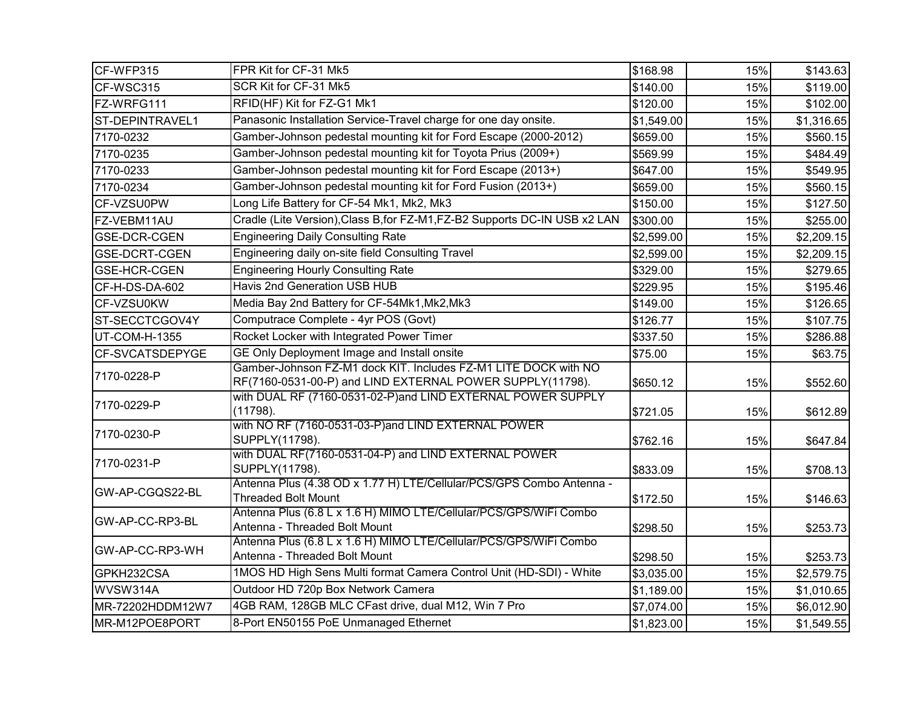| CF-WFP315            | FPR Kit for CF-31 Mk5                                                                                                        | \$168.98   | 15% | \$143.63   |
|----------------------|------------------------------------------------------------------------------------------------------------------------------|------------|-----|------------|
| CF-WSC315            | SCR Kit for CF-31 Mk5                                                                                                        | \$140.00   | 15% | \$119.00   |
| FZ-WRFG111           | RFID(HF) Kit for FZ-G1 Mk1                                                                                                   | \$120.00   | 15% | \$102.00   |
| ST-DEPINTRAVEL1      | Panasonic Installation Service-Travel charge for one day onsite.                                                             | \$1,549.00 | 15% | \$1,316.65 |
| 7170-0232            | Gamber-Johnson pedestal mounting kit for Ford Escape (2000-2012)                                                             | \$659.00   | 15% | \$560.15   |
| 7170-0235            | Gamber-Johnson pedestal mounting kit for Toyota Prius (2009+)                                                                | \$569.99   | 15% | \$484.49   |
| 7170-0233            | Gamber-Johnson pedestal mounting kit for Ford Escape (2013+)                                                                 | \$647.00   | 15% | \$549.95   |
| 7170-0234            | Gamber-Johnson pedestal mounting kit for Ford Fusion (2013+)                                                                 | \$659.00   | 15% | \$560.15   |
| CF-VZSU0PW           | Long Life Battery for CF-54 Mk1, Mk2, Mk3                                                                                    | \$150.00   | 15% | \$127.50   |
| FZ-VEBM11AU          | Cradle (Lite Version), Class B, for FZ-M1, FZ-B2 Supports DC-IN USB x2 LAN                                                   | \$300.00   | 15% | \$255.00   |
| <b>GSE-DCR-CGEN</b>  | <b>Engineering Daily Consulting Rate</b>                                                                                     | \$2,599.00 | 15% | \$2,209.15 |
| <b>GSE-DCRT-CGEN</b> | Engineering daily on-site field Consulting Travel                                                                            | \$2,599.00 | 15% | \$2,209.15 |
| <b>GSE-HCR-CGEN</b>  | <b>Engineering Hourly Consulting Rate</b>                                                                                    | \$329.00   | 15% | \$279.65   |
| CF-H-DS-DA-602       | Havis 2nd Generation USB HUB                                                                                                 | \$229.95   | 15% | \$195.46   |
| CF-VZSU0KW           | Media Bay 2nd Battery for CF-54Mk1, Mk2, Mk3                                                                                 | \$149.00   | 15% | \$126.65   |
| ST-SECCTCGOV4Y       | Computrace Complete - 4yr POS (Govt)                                                                                         | \$126.77   | 15% | \$107.75   |
| UT-COM-H-1355        | Rocket Locker with Integrated Power Timer                                                                                    | \$337.50   | 15% | \$286.88   |
| CF-SVCATSDEPYGE      | GE Only Deployment Image and Install onsite                                                                                  | \$75.00    | 15% | \$63.75    |
| 7170-0228-P          | Gamber-Johnson FZ-M1 dock KIT. Includes FZ-M1 LITE DOCK with NO<br>RF(7160-0531-00-P) and LIND EXTERNAL POWER SUPPLY(11798). | \$650.12   | 15% | \$552.60   |
| 7170-0229-P          | with DUAL RF (7160-0531-02-P)and LIND EXTERNAL POWER SUPPLY<br>(11798).                                                      | \$721.05   | 15% | \$612.89   |
| 7170-0230-P          | with NO RF (7160-0531-03-P)and LIND EXTERNAL POWER<br>SUPPLY(11798).                                                         | \$762.16   | 15% | \$647.84   |
| 7170-0231-P          | with DUAL RF(7160-0531-04-P) and LIND EXTERNAL POWER<br>SUPPLY(11798).                                                       | \$833.09   | 15% | \$708.13   |
| GW-AP-CGQS22-BL      | Antenna Plus (4.38 OD x 1.77 H) LTE/Cellular/PCS/GPS Combo Antenna -<br><b>Threaded Bolt Mount</b>                           | \$172.50   | 15% | \$146.63   |
| GW-AP-CC-RP3-BL      | Antenna Plus (6.8 L x 1.6 H) MIMO LTE/Cellular/PCS/GPS/WiFi Combo<br>Antenna - Threaded Bolt Mount                           | \$298.50   | 15% | \$253.73   |
| GW-AP-CC-RP3-WH      | Antenna Plus (6.8 L x 1.6 H) MIMO LTE/Cellular/PCS/GPS/WiFi Combo<br>Antenna - Threaded Bolt Mount                           | \$298.50   | 15% | \$253.73   |
| GPKH232CSA           | 1MOS HD High Sens Multi format Camera Control Unit (HD-SDI) - White                                                          | \$3,035.00 | 15% | \$2,579.75 |
| WVSW314A             | Outdoor HD 720p Box Network Camera                                                                                           | \$1,189.00 | 15% | \$1,010.65 |
| MR-72202HDDM12W7     | 4GB RAM, 128GB MLC CFast drive, dual M12, Win 7 Pro                                                                          | \$7,074.00 | 15% | \$6,012.90 |
| MR-M12POE8PORT       | 8-Port EN50155 PoE Unmanaged Ethernet                                                                                        | \$1,823.00 | 15% | \$1,549.55 |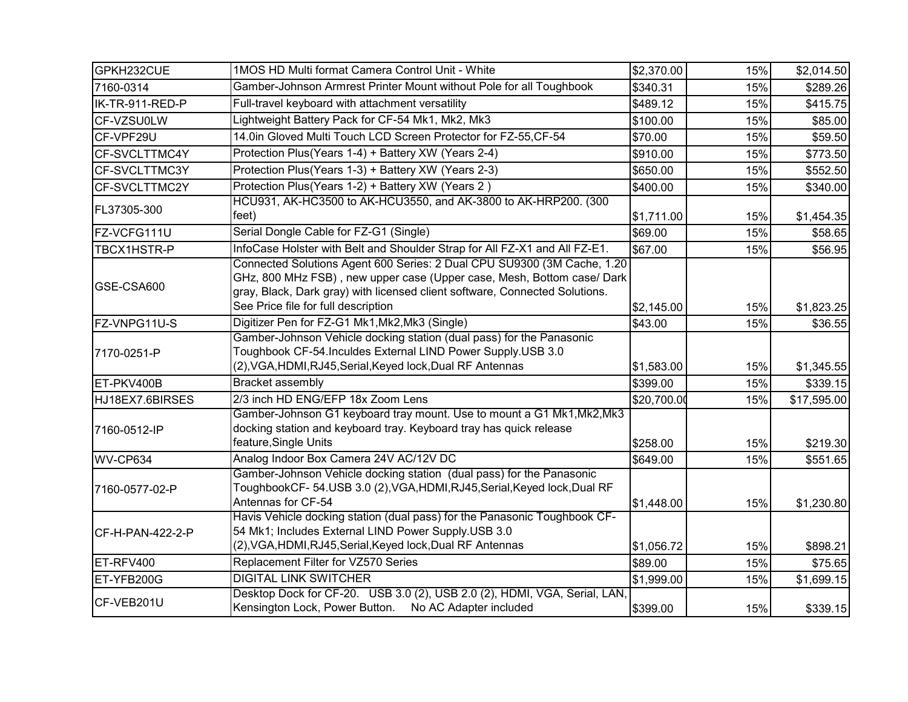| GPKH232CUE       | 1MOS HD Multi format Camera Control Unit - White                                                                                                                                                                                                                        | \$2,370.00  | 15% | \$2,014.50  |
|------------------|-------------------------------------------------------------------------------------------------------------------------------------------------------------------------------------------------------------------------------------------------------------------------|-------------|-----|-------------|
| 7160-0314        | Gamber-Johnson Armrest Printer Mount without Pole for all Toughbook                                                                                                                                                                                                     | \$340.31    | 15% | \$289.26    |
| IK-TR-911-RED-P  | Full-travel keyboard with attachment versatility                                                                                                                                                                                                                        | \$489.12    | 15% | \$415.75    |
| CF-VZSU0LW       | Lightweight Battery Pack for CF-54 Mk1, Mk2, Mk3                                                                                                                                                                                                                        | \$100.00    | 15% | \$85.00     |
| CF-VPF29U        | 14.0in Gloved Multi Touch LCD Screen Protector for FZ-55, CF-54                                                                                                                                                                                                         | \$70.00     | 15% | \$59.50     |
| CF-SVCLTTMC4Y    | Protection Plus(Years 1-4) + Battery XW (Years 2-4)                                                                                                                                                                                                                     | \$910.00    | 15% | \$773.50    |
| CF-SVCLTTMC3Y    | Protection Plus(Years 1-3) + Battery XW (Years 2-3)                                                                                                                                                                                                                     | \$650.00    | 15% | \$552.50    |
| CF-SVCLTTMC2Y    | Protection Plus(Years 1-2) + Battery XW (Years 2)                                                                                                                                                                                                                       | \$400.00    | 15% | \$340.00    |
| FL37305-300      | HCU931, AK-HC3500 to AK-HCU3550, and AK-3800 to AK-HRP200. (300<br>feet)                                                                                                                                                                                                | \$1,711.00  | 15% | \$1,454.35  |
| FZ-VCFG111U      | Serial Dongle Cable for FZ-G1 (Single)                                                                                                                                                                                                                                  | \$69.00     | 15% | \$58.65     |
| TBCX1HSTR-P      | InfoCase Holster with Belt and Shoulder Strap for All FZ-X1 and All FZ-E1.                                                                                                                                                                                              | \$67.00     | 15% | \$56.95     |
| GSE-CSA600       | Connected Solutions Agent 600 Series: 2 Dual CPU SU9300 (3M Cache, 1.20<br>GHz, 800 MHz FSB), new upper case (Upper case, Mesh, Bottom case/ Dark<br>gray, Black, Dark gray) with licensed client software, Connected Solutions.<br>See Price file for full description |             |     |             |
|                  | Digitizer Pen for FZ-G1 Mk1, Mk2, Mk3 (Single)                                                                                                                                                                                                                          | \$2,145.00  | 15% | \$1,823.25  |
| FZ-VNPG11U-S     | Gamber-Johnson Vehicle docking station (dual pass) for the Panasonic                                                                                                                                                                                                    | \$43.00     | 15% | \$36.55     |
| 7170-0251-P      | Toughbook CF-54. Inculdes External LIND Power Supply.USB 3.0<br>(2), VGA, HDMI, RJ45, Serial, Keyed lock, Dual RF Antennas                                                                                                                                              | \$1,583.00  | 15% | \$1,345.55  |
| ET-PKV400B       | Bracket assembly                                                                                                                                                                                                                                                        | \$399.00    | 15% | \$339.15    |
| HJ18EX7.6BIRSES  | 2/3 inch HD ENG/EFP 18x Zoom Lens                                                                                                                                                                                                                                       | \$20,700.00 | 15% | \$17,595.00 |
| 7160-0512-IP     | Gamber-Johnson G1 keyboard tray mount. Use to mount a G1 Mk1, Mk2, Mk3<br>docking station and keyboard tray. Keyboard tray has quick release<br>feature, Single Units                                                                                                   | \$258.00    | 15% | \$219.30    |
| WV-CP634         | Analog Indoor Box Camera 24V AC/12V DC                                                                                                                                                                                                                                  | \$649.00    | 15% | \$551.65    |
| 7160-0577-02-P   | Gamber-Johnson Vehicle docking station (dual pass) for the Panasonic<br>ToughbookCF- 54.USB 3.0 (2), VGA, HDMI, RJ45, Serial, Keyed lock, Dual RF<br>Antennas for CF-54                                                                                                 | \$1,448.00  | 15% | \$1,230.80  |
| CF-H-PAN-422-2-P | Havis Vehicle docking station (dual pass) for the Panasonic Toughbook CF-<br>54 Mk1; Includes External LIND Power Supply.USB 3.0<br>(2), VGA, HDMI, RJ45, Serial, Keyed lock, Dual RF Antennas                                                                          | \$1,056.72  | 15% | \$898.21    |
| ET-RFV400        | Replacement Filter for VZ570 Series                                                                                                                                                                                                                                     | \$89.00     | 15% | \$75.65     |
| ET-YFB200G       | <b>DIGITAL LINK SWITCHER</b>                                                                                                                                                                                                                                            | \$1,999.00  | 15% | \$1,699.15  |
| CF-VEB201U       | Desktop Dock for CF-20. USB 3.0 (2), USB 2.0 (2), HDMI, VGA, Serial, LAN,<br>Kensington Lock, Power Button. No AC Adapter included                                                                                                                                      | \$399.00    | 15% | \$339.15    |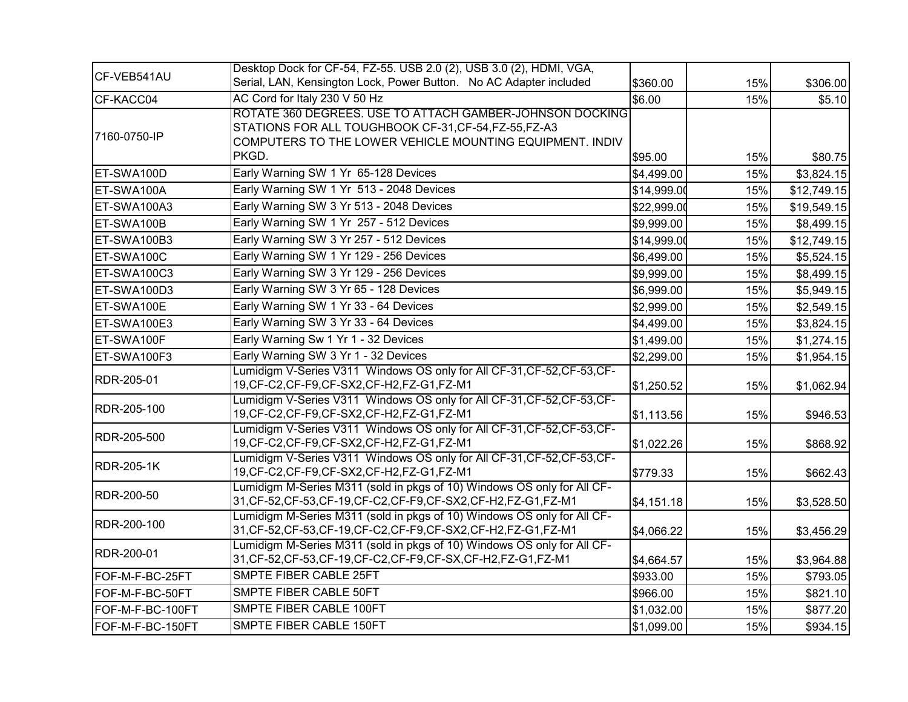| CF-VEB541AU       | Desktop Dock for CF-54, FZ-55. USB 2.0 (2), USB 3.0 (2), HDMI, VGA,                                                                                                                    |             |     |             |
|-------------------|----------------------------------------------------------------------------------------------------------------------------------------------------------------------------------------|-------------|-----|-------------|
|                   | Serial, LAN, Kensington Lock, Power Button. No AC Adapter included                                                                                                                     | \$360.00    | 15% | \$306.00    |
| CF-KACC04         | AC Cord for Italy 230 V 50 Hz                                                                                                                                                          | \$6.00      | 15% | \$5.10      |
| 7160-0750-IP      | ROTATE 360 DEGREES. USE TO ATTACH GAMBER-JOHNSON DOCKING<br>STATIONS FOR ALL TOUGHBOOK CF-31, CF-54, FZ-55, FZ-A3<br>COMPUTERS TO THE LOWER VEHICLE MOUNTING EQUIPMENT. INDIV<br>PKGD. | \$95.00     | 15% | \$80.75     |
| ET-SWA100D        | Early Warning SW 1 Yr 65-128 Devices                                                                                                                                                   | \$4,499.00  | 15% | \$3,824.15  |
| ET-SWA100A        | Early Warning SW 1 Yr 513 - 2048 Devices                                                                                                                                               | \$14,999.00 | 15% | \$12,749.15 |
| ET-SWA100A3       | Early Warning SW 3 Yr 513 - 2048 Devices                                                                                                                                               | \$22,999.00 | 15% | \$19,549.15 |
| ET-SWA100B        | Early Warning SW 1 Yr 257 - 512 Devices                                                                                                                                                | \$9,999.00  | 15% | \$8,499.15  |
| ET-SWA100B3       | Early Warning SW 3 Yr 257 - 512 Devices                                                                                                                                                | \$14,999.00 | 15% | \$12,749.15 |
| ET-SWA100C        | Early Warning SW 1 Yr 129 - 256 Devices                                                                                                                                                | \$6,499.00  | 15% | \$5,524.15  |
| ET-SWA100C3       | Early Warning SW 3 Yr 129 - 256 Devices                                                                                                                                                | \$9,999.00  | 15% | \$8,499.15  |
| ET-SWA100D3       | Early Warning SW 3 Yr 65 - 128 Devices                                                                                                                                                 | \$6,999.00  | 15% | \$5,949.15  |
| ET-SWA100E        | Early Warning SW 1 Yr 33 - 64 Devices                                                                                                                                                  | \$2,999.00  | 15% | \$2,549.15  |
| ET-SWA100E3       | Early Warning SW 3 Yr 33 - 64 Devices                                                                                                                                                  | \$4,499.00  | 15% | \$3,824.15  |
| ET-SWA100F        | Early Warning Sw 1 Yr 1 - 32 Devices                                                                                                                                                   | \$1,499.00  | 15% | \$1,274.15  |
| ET-SWA100F3       | Early Warning SW 3 Yr 1 - 32 Devices                                                                                                                                                   | \$2,299.00  | 15% | \$1,954.15  |
| RDR-205-01        | Lumidigm V-Series V311 Windows OS only for All CF-31, CF-52, CF-53, CF-<br>19, CF-C2, CF-F9, CF-SX2, CF-H2, FZ-G1, FZ-M1                                                               | \$1,250.52  | 15% | \$1,062.94  |
| RDR-205-100       | Lumidigm V-Series V311 Windows OS only for All CF-31, CF-52, CF-53, CF-<br>19, CF-C2, CF-F9, CF-SX2, CF-H2, FZ-G1, FZ-M1                                                               | \$1,113.56  | 15% | \$946.53    |
| RDR-205-500       | Lumidigm V-Series V311 Windows OS only for All CF-31, CF-52, CF-53, CF-<br>19, CF-C2, CF-F9, CF-SX2, CF-H2, FZ-G1, FZ-M1                                                               | \$1,022.26  | 15% | \$868.92    |
| <b>RDR-205-1K</b> | Lumidigm V-Series V311 Windows OS only for All CF-31, CF-52, CF-53, CF-<br>19, CF-C2, CF-F9, CF-SX2, CF-H2, FZ-G1, FZ-M1                                                               | \$779.33    | 15% | \$662.43    |
| RDR-200-50        | Lumidigm M-Series M311 (sold in pkgs of 10) Windows OS only for All CF-<br>31, CF-52, CF-53, CF-19, CF-C2, CF-F9, CF-SX2, CF-H2, FZ-G1, FZ-M1                                          | \$4,151.18  | 15% | \$3,528.50  |
| RDR-200-100       | Lumidigm M-Series M311 (sold in pkgs of 10) Windows OS only for All CF-<br>31, CF-52, CF-53, CF-19, CF-C2, CF-F9, CF-SX2, CF-H2, FZ-G1, FZ-M1                                          | \$4,066.22  | 15% | \$3,456.29  |
| RDR-200-01        | Lumidigm M-Series M311 (sold in pkgs of 10) Windows OS only for All CF-<br>31, CF-52, CF-53, CF-19, CF-C2, CF-F9, CF-SX, CF-H2, FZ-G1, FZ-M1                                           | \$4,664.57  | 15% | \$3,964.88  |
| FOF-M-F-BC-25FT   | SMPTE FIBER CABLE 25FT                                                                                                                                                                 | \$933.00    | 15% | \$793.05    |
| FOF-M-F-BC-50FT   | SMPTE FIBER CABLE 50FT                                                                                                                                                                 | \$966.00    | 15% | \$821.10    |
| FOF-M-F-BC-100FT  | SMPTE FIBER CABLE 100FT                                                                                                                                                                | \$1,032.00  | 15% | \$877.20    |
| FOF-M-F-BC-150FT  | SMPTE FIBER CABLE 150FT                                                                                                                                                                | \$1,099.00  | 15% | \$934.15    |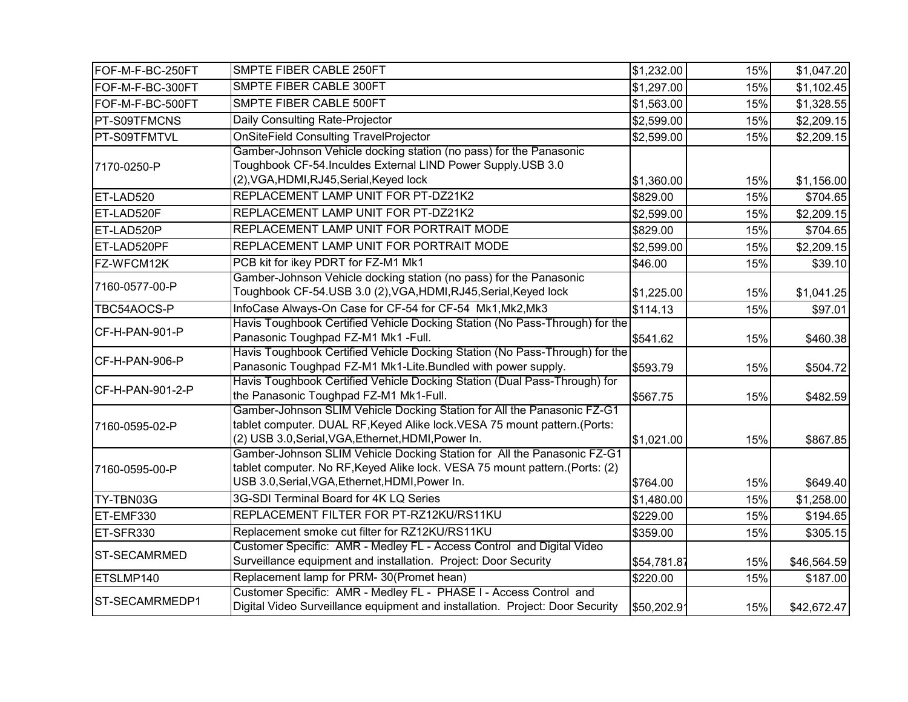| FOF-M-F-BC-250FT    | SMPTE FIBER CABLE 250FT                                                                                                           | \$1,232.00  | 15% | \$1,047.20  |
|---------------------|-----------------------------------------------------------------------------------------------------------------------------------|-------------|-----|-------------|
| FOF-M-F-BC-300FT    | SMPTE FIBER CABLE 300FT                                                                                                           | \$1,297.00  | 15% | \$1,102.45  |
| FOF-M-F-BC-500FT    | SMPTE FIBER CABLE 500FT                                                                                                           | \$1,563.00  | 15% | \$1,328.55  |
| <b>PT-S09TFMCNS</b> | Daily Consulting Rate-Projector                                                                                                   | \$2,599.00  | 15% | \$2,209.15  |
| PT-S09TFMTVL        | <b>OnSiteField Consulting TravelProjector</b>                                                                                     | \$2,599.00  | 15% | \$2,209.15  |
|                     | Gamber-Johnson Vehicle docking station (no pass) for the Panasonic                                                                |             |     |             |
| 7170-0250-P         | Toughbook CF-54.Inculdes External LIND Power Supply.USB 3.0                                                                       |             |     |             |
|                     | (2), VGA, HDMI, RJ45, Serial, Keyed lock                                                                                          | \$1,360.00  | 15% | \$1,156.00  |
| ET-LAD520           | REPLACEMENT LAMP UNIT FOR PT-DZ21K2                                                                                               | \$829.00    | 15% | \$704.65    |
| ET-LAD520F          | REPLACEMENT LAMP UNIT FOR PT-DZ21K2                                                                                               | \$2,599.00  | 15% | \$2,209.15  |
| ET-LAD520P          | REPLACEMENT LAMP UNIT FOR PORTRAIT MODE                                                                                           | \$829.00    | 15% | \$704.65    |
| ET-LAD520PF         | REPLACEMENT LAMP UNIT FOR PORTRAIT MODE                                                                                           | \$2,599.00  | 15% | \$2,209.15  |
| FZ-WFCM12K          | PCB kit for ikey PDRT for FZ-M1 Mk1                                                                                               | \$46.00     | 15% | \$39.10     |
|                     | Gamber-Johnson Vehicle docking station (no pass) for the Panasonic                                                                |             |     |             |
| 7160-0577-00-P      | Toughbook CF-54.USB 3.0 (2), VGA, HDMI, RJ45, Serial, Keyed lock                                                                  | \$1,225.00  | 15% | \$1,041.25  |
| TBC54AOCS-P         | InfoCase Always-On Case for CF-54 for CF-54 Mk1, Mk2, Mk3                                                                         | \$114.13    | 15% | \$97.01     |
| CF-H-PAN-901-P      | Havis Toughbook Certified Vehicle Docking Station (No Pass-Through) for the                                                       |             |     |             |
|                     | Panasonic Toughpad FZ-M1 Mk1 -Full.                                                                                               | \$541.62    | 15% | \$460.38    |
| CF-H-PAN-906-P      | Havis Toughbook Certified Vehicle Docking Station (No Pass-Through) for the                                                       |             |     |             |
|                     | Panasonic Toughpad FZ-M1 Mk1-Lite.Bundled with power supply.                                                                      | \$593.79    | 15% | \$504.72    |
| CF-H-PAN-901-2-P    | Havis Toughbook Certified Vehicle Docking Station (Dual Pass-Through) for                                                         |             |     |             |
|                     | the Panasonic Toughpad FZ-M1 Mk1-Full.                                                                                            | \$567.75    | 15% | \$482.59    |
|                     | Gamber-Johnson SLIM Vehicle Docking Station for All the Panasonic FZ-G1                                                           |             |     |             |
| 7160-0595-02-P      | tablet computer. DUAL RF, Keyed Alike lock. VESA 75 mount pattern. (Ports:<br>(2) USB 3.0, Serial, VGA, Ethernet, HDMI, Power In. | \$1,021.00  | 15% | \$867.85    |
|                     | Gamber-Johnson SLIM Vehicle Docking Station for All the Panasonic FZ-G1                                                           |             |     |             |
| 7160-0595-00-P      | tablet computer. No RF, Keyed Alike lock. VESA 75 mount pattern. (Ports: (2)                                                      |             |     |             |
|                     | USB 3.0, Serial, VGA, Ethernet, HDMI, Power In.                                                                                   | \$764.00    | 15% | \$649.40    |
| TY-TBN03G           | 3G-SDI Terminal Board for 4K LQ Series                                                                                            | \$1,480.00  | 15% | \$1,258.00  |
| ET-EMF330           | REPLACEMENT FILTER FOR PT-RZ12KU/RS11KU                                                                                           | \$229.00    | 15% | \$194.65    |
| ET-SFR330           | Replacement smoke cut filter for RZ12KU/RS11KU                                                                                    | \$359.00    | 15% | \$305.15    |
|                     | Customer Specific: AMR - Medley FL - Access Control and Digital Video                                                             |             |     |             |
| <b>ST-SECAMRMED</b> | Surveillance equipment and installation. Project: Door Security                                                                   | \$54,781.87 | 15% | \$46,564.59 |
| ETSLMP140           | Replacement lamp for PRM-30(Promet hean)                                                                                          | \$220.00    | 15% | \$187.00    |
|                     | Customer Specific: AMR - Medley FL - PHASE I - Access Control and                                                                 |             |     |             |
| ST-SECAMRMEDP1      | Digital Video Surveillance equipment and installation. Project: Door Security                                                     | \$50,202.91 | 15% | \$42,672.47 |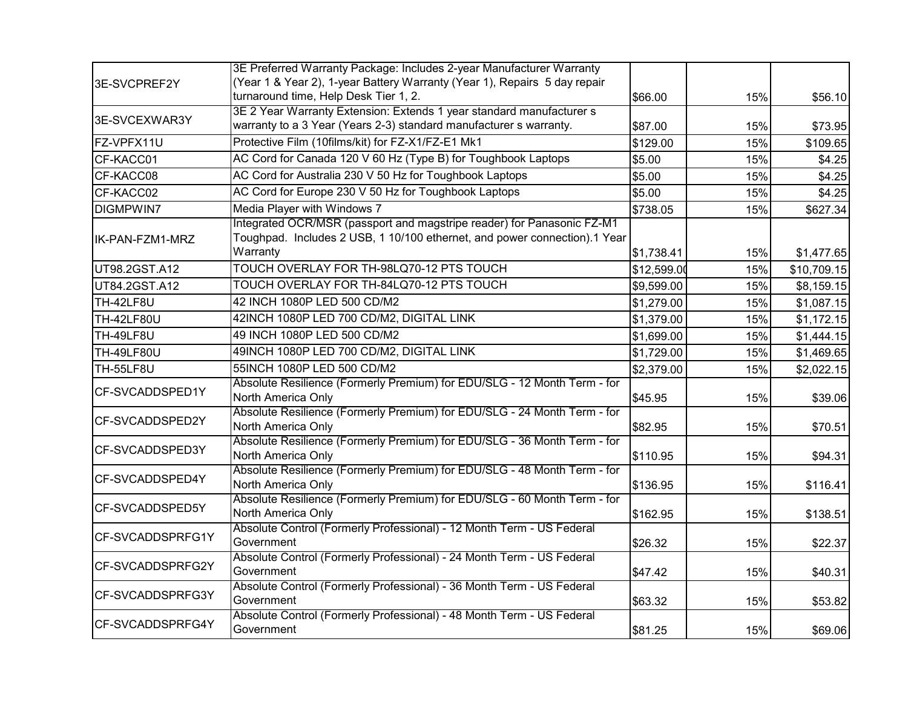|                   | 3E Preferred Warranty Package: Includes 2-year Manufacturer Warranty                           |             |     |             |
|-------------------|------------------------------------------------------------------------------------------------|-------------|-----|-------------|
| 3E-SVCPREF2Y      | (Year 1 & Year 2), 1-year Battery Warranty (Year 1), Repairs 5 day repair                      |             |     |             |
|                   | turnaround time, Help Desk Tier 1, 2.                                                          | \$66.00     | 15% | \$56.10     |
| 3E-SVCEXWAR3Y     | 3E 2 Year Warranty Extension: Extends 1 year standard manufacturer s                           |             |     |             |
|                   | warranty to a 3 Year (Years 2-3) standard manufacturer s warranty.                             | \$87.00     | 15% | \$73.95     |
| FZ-VPFX11U        | Protective Film (10films/kit) for FZ-X1/FZ-E1 Mk1                                              | \$129.00    | 15% | \$109.65    |
| CF-KACC01         | AC Cord for Canada 120 V 60 Hz (Type B) for Toughbook Laptops                                  | \$5.00      | 15% | \$4.25      |
| CF-KACC08         | AC Cord for Australia 230 V 50 Hz for Toughbook Laptops                                        | \$5.00      | 15% | \$4.25      |
| CF-KACC02         | AC Cord for Europe 230 V 50 Hz for Toughbook Laptops                                           | \$5.00      | 15% | \$4.25      |
| <b>DIGMPWIN7</b>  | Media Player with Windows 7                                                                    | \$738.05    | 15% | \$627.34    |
|                   | Integrated OCR/MSR (passport and magstripe reader) for Panasonic FZ-M1                         |             |     |             |
| IK-PAN-FZM1-MRZ   | Toughpad. Includes 2 USB, 1 10/100 ethernet, and power connection).1 Year                      |             |     |             |
|                   | Warranty                                                                                       | \$1,738.41  | 15% | \$1,477.65  |
| UT98.2GST.A12     | TOUCH OVERLAY FOR TH-98LQ70-12 PTS TOUCH                                                       | \$12,599.00 | 15% | \$10,709.15 |
| UT84.2GST.A12     | TOUCH OVERLAY FOR TH-84LQ70-12 PTS TOUCH                                                       | \$9,599.00  | 15% | \$8,159.15  |
| TH-42LF8U         | 42 INCH 1080P LED 500 CD/M2                                                                    | \$1,279.00  | 15% | \$1,087.15  |
| TH-42LF80U        | 42INCH 1080P LED 700 CD/M2, DIGITAL LINK                                                       | \$1,379.00  | 15% | \$1,172.15  |
| TH-49LF8U         | 49 INCH 1080P LED 500 CD/M2                                                                    | \$1,699.00  | 15% | \$1,444.15  |
| <b>TH-49LF80U</b> | 49INCH 1080P LED 700 CD/M2, DIGITAL LINK                                                       | \$1,729.00  | 15% | \$1,469.65  |
| TH-55LF8U         | 55INCH 1080P LED 500 CD/M2                                                                     | \$2,379.00  | 15% | \$2,022.15  |
|                   | Absolute Resilience (Formerly Premium) for EDU/SLG - 12 Month Term - for                       |             |     |             |
| CF-SVCADDSPED1Y   | North America Only                                                                             | \$45.95     | 15% | \$39.06     |
| CF-SVCADDSPED2Y   | Absolute Resilience (Formerly Premium) for EDU/SLG - 24 Month Term - for                       |             |     |             |
|                   | North America Only                                                                             | \$82.95     | 15% | \$70.51     |
| CF-SVCADDSPED3Y   | Absolute Resilience (Formerly Premium) for EDU/SLG - 36 Month Term - for<br>North America Only |             |     |             |
|                   | Absolute Resilience (Formerly Premium) for EDU/SLG - 48 Month Term - for                       | \$110.95    | 15% | \$94.31     |
| CF-SVCADDSPED4Y   | North America Only                                                                             | \$136.95    | 15% | \$116.41    |
|                   | Absolute Resilience (Formerly Premium) for EDU/SLG - 60 Month Term - for                       |             |     |             |
| CF-SVCADDSPED5Y   | North America Only                                                                             | \$162.95    | 15% | \$138.51    |
|                   | Absolute Control (Formerly Professional) - 12 Month Term - US Federal                          |             |     |             |
| CF-SVCADDSPRFG1Y  | Government                                                                                     | \$26.32     | 15% | \$22.37     |
| CF-SVCADDSPRFG2Y  | Absolute Control (Formerly Professional) - 24 Month Term - US Federal                          |             |     |             |
|                   | Government                                                                                     | \$47.42     | 15% | \$40.31     |
| CF-SVCADDSPRFG3Y  | Absolute Control (Formerly Professional) - 36 Month Term - US Federal                          |             |     |             |
|                   | Government                                                                                     | \$63.32     | 15% | \$53.82     |
| CF-SVCADDSPRFG4Y  | Absolute Control (Formerly Professional) - 48 Month Term - US Federal<br>Government            | \$81.25     | 15% | \$69.06     |
|                   |                                                                                                |             |     |             |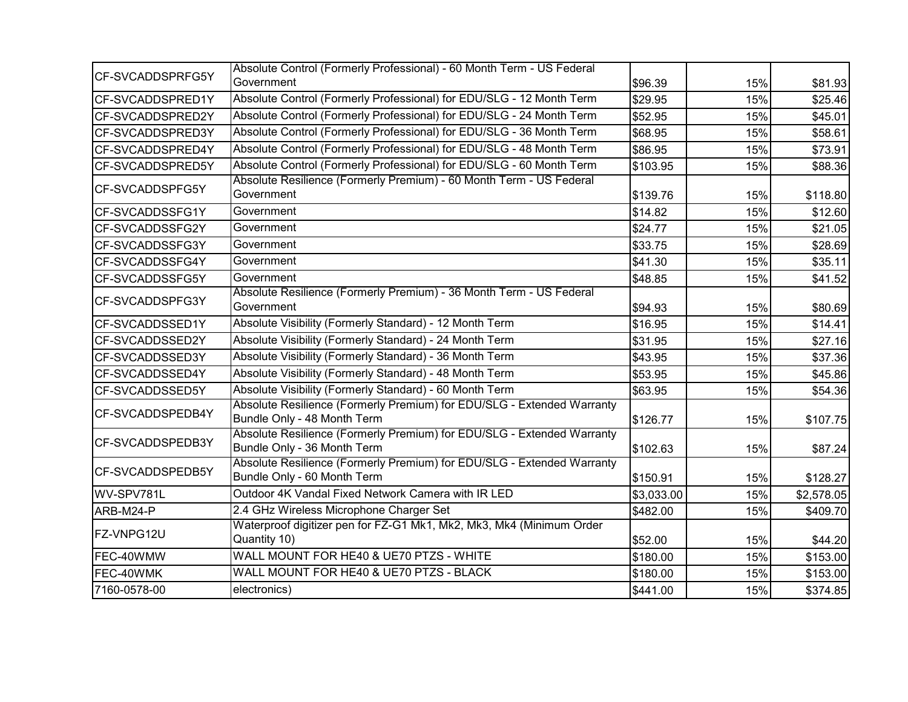| CF-SVCADDSPRFG5Y       | Absolute Control (Formerly Professional) - 60 Month Term - US Federal<br>Government                   | \$96.39    | 15% | \$81.93    |
|------------------------|-------------------------------------------------------------------------------------------------------|------------|-----|------------|
| CF-SVCADDSPRED1Y       | Absolute Control (Formerly Professional) for EDU/SLG - 12 Month Term                                  | \$29.95    | 15% | \$25.46    |
| CF-SVCADDSPRED2Y       | Absolute Control (Formerly Professional) for EDU/SLG - 24 Month Term                                  | \$52.95    | 15% | \$45.01    |
| CF-SVCADDSPRED3Y       | Absolute Control (Formerly Professional) for EDU/SLG - 36 Month Term                                  |            | 15% |            |
|                        |                                                                                                       | \$68.95    |     | \$58.61    |
| CF-SVCADDSPRED4Y       | Absolute Control (Formerly Professional) for EDU/SLG - 48 Month Term                                  | \$86.95    | 15% | \$73.91    |
| CF-SVCADDSPRED5Y       | Absolute Control (Formerly Professional) for EDU/SLG - 60 Month Term                                  | \$103.95   | 15% | \$88.36    |
| <b>CF-SVCADDSPFG5Y</b> | Absolute Resilience (Formerly Premium) - 60 Month Term - US Federal<br>Government                     | \$139.76   | 15% | \$118.80   |
| CF-SVCADDSSFG1Y        | Government                                                                                            | \$14.82    | 15% | \$12.60    |
| CF-SVCADDSSFG2Y        | Government                                                                                            | \$24.77    | 15% | \$21.05    |
| CF-SVCADDSSFG3Y        | Government                                                                                            | \$33.75    | 15% | \$28.69    |
| CF-SVCADDSSFG4Y        | Government                                                                                            | \$41.30    | 15% | \$35.11    |
| CF-SVCADDSSFG5Y        | Government                                                                                            | \$48.85    | 15% | \$41.52    |
| CF-SVCADDSPFG3Y        | Absolute Resilience (Formerly Premium) - 36 Month Term - US Federal<br>Government                     | \$94.93    | 15% | \$80.69    |
| CF-SVCADDSSED1Y        | Absolute Visibility (Formerly Standard) - 12 Month Term                                               | \$16.95    | 15% | \$14.41    |
| CF-SVCADDSSED2Y        | Absolute Visibility (Formerly Standard) - 24 Month Term                                               | \$31.95    | 15% | \$27.16    |
| CF-SVCADDSSED3Y        | Absolute Visibility (Formerly Standard) - 36 Month Term                                               | \$43.95    | 15% | \$37.36    |
| CF-SVCADDSSED4Y        | Absolute Visibility (Formerly Standard) - 48 Month Term                                               | \$53.95    | 15% | \$45.86    |
| CF-SVCADDSSED5Y        | Absolute Visibility (Formerly Standard) - 60 Month Term                                               | \$63.95    | 15% | \$54.36    |
| CF-SVCADDSPEDB4Y       | Absolute Resilience (Formerly Premium) for EDU/SLG - Extended Warranty<br>Bundle Only - 48 Month Term | \$126.77   | 15% | \$107.75   |
| CF-SVCADDSPEDB3Y       | Absolute Resilience (Formerly Premium) for EDU/SLG - Extended Warranty<br>Bundle Only - 36 Month Term | \$102.63   | 15% | \$87.24    |
| CF-SVCADDSPEDB5Y       | Absolute Resilience (Formerly Premium) for EDU/SLG - Extended Warranty<br>Bundle Only - 60 Month Term | \$150.91   | 15% | \$128.27   |
| WV-SPV781L             | Outdoor 4K Vandal Fixed Network Camera with IR LED                                                    | \$3,033.00 | 15% | \$2,578.05 |
| ARB-M24-P              | 2.4 GHz Wireless Microphone Charger Set                                                               | \$482.00   | 15% | \$409.70   |
| FZ-VNPG12U             | Waterproof digitizer pen for FZ-G1 Mk1, Mk2, Mk3, Mk4 (Minimum Order<br>Quantity 10)                  | \$52.00    | 15% | \$44.20    |
| FEC-40WMW              | WALL MOUNT FOR HE40 & UE70 PTZS - WHITE                                                               | \$180.00   | 15% | \$153.00   |
| FEC-40WMK              | WALL MOUNT FOR HE40 & UE70 PTZS - BLACK                                                               | \$180.00   | 15% | \$153.00   |
| 7160-0578-00           | electronics)                                                                                          | \$441.00   | 15% | \$374.85   |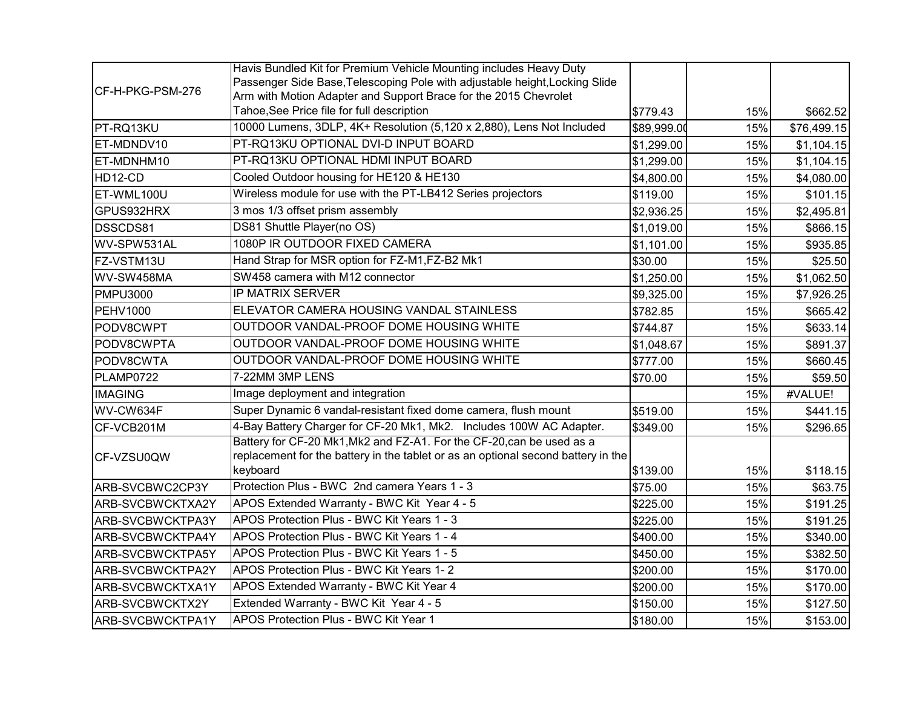|                  | Havis Bundled Kit for Premium Vehicle Mounting includes Heavy Duty                |             |     |             |
|------------------|-----------------------------------------------------------------------------------|-------------|-----|-------------|
| CF-H-PKG-PSM-276 | Passenger Side Base, Telescoping Pole with adjustable height, Locking Slide       |             |     |             |
|                  | Arm with Motion Adapter and Support Brace for the 2015 Chevrolet                  |             |     |             |
|                  | Tahoe, See Price file for full description                                        | \$779.43    | 15% | \$662.52    |
| PT-RQ13KU        | 10000 Lumens, 3DLP, 4K+ Resolution (5,120 x 2,880), Lens Not Included             | \$89,999.00 | 15% | \$76,499.15 |
| ET-MDNDV10       | PT-RQ13KU OPTIONAL DVI-D INPUT BOARD                                              | \$1,299.00  | 15% | \$1,104.15  |
| ET-MDNHM10       | PT-RQ13KU OPTIONAL HDMI INPUT BOARD                                               | \$1,299.00  | 15% | \$1,104.15  |
| HD12-CD          | Cooled Outdoor housing for HE120 & HE130                                          | \$4,800.00  | 15% | \$4,080.00  |
| ET-WML100U       | Wireless module for use with the PT-LB412 Series projectors                       | \$119.00    | 15% | \$101.15    |
| GPUS932HRX       | 3 mos 1/3 offset prism assembly                                                   | \$2,936.25  | 15% | \$2,495.81  |
| DSSCDS81         | DS81 Shuttle Player(no OS)                                                        | \$1,019.00  | 15% | \$866.15    |
| WV-SPW531AL      | 1080P IR OUTDOOR FIXED CAMERA                                                     | \$1,101.00  | 15% | \$935.85    |
| FZ-VSTM13U       | Hand Strap for MSR option for FZ-M1,FZ-B2 Mk1                                     | \$30.00     | 15% | \$25.50     |
| WV-SW458MA       | SW458 camera with M12 connector                                                   | \$1,250.00  | 15% | \$1,062.50  |
| <b>PMPU3000</b>  | <b>IP MATRIX SERVER</b>                                                           | \$9,325.00  | 15% | \$7,926.25  |
| <b>PEHV1000</b>  | ELEVATOR CAMERA HOUSING VANDAL STAINLESS                                          | \$782.85    | 15% | \$665.42    |
| PODV8CWPT        | OUTDOOR VANDAL-PROOF DOME HOUSING WHITE                                           | \$744.87    | 15% | \$633.14    |
| PODV8CWPTA       | OUTDOOR VANDAL-PROOF DOME HOUSING WHITE                                           | \$1,048.67  | 15% | \$891.37    |
| PODV8CWTA        | OUTDOOR VANDAL-PROOF DOME HOUSING WHITE                                           | \$777.00    | 15% | \$660.45    |
| PLAMP0722        | 7-22MM 3MP LENS                                                                   | \$70.00     | 15% | \$59.50     |
| <b>IMAGING</b>   | Image deployment and integration                                                  |             | 15% | #VALUE!     |
| WV-CW634F        | Super Dynamic 6 vandal-resistant fixed dome camera, flush mount                   | \$519.00    | 15% | \$441.15    |
| CF-VCB201M       | 4-Bay Battery Charger for CF-20 Mk1, Mk2. Includes 100W AC Adapter.               | \$349.00    | 15% | \$296.65    |
|                  | Battery for CF-20 Mk1, Mk2 and FZ-A1. For the CF-20, can be used as a             |             |     |             |
| CF-VZSU0QW       | replacement for the battery in the tablet or as an optional second battery in the |             |     |             |
|                  | keyboard                                                                          | \$139.00    | 15% | \$118.15    |
| ARB-SVCBWC2CP3Y  | Protection Plus - BWC 2nd camera Years 1 - 3                                      | \$75.00     | 15% | \$63.75     |
| ARB-SVCBWCKTXA2Y | APOS Extended Warranty - BWC Kit Year 4 - 5                                       | \$225.00    | 15% | \$191.25    |
| ARB-SVCBWCKTPA3Y | APOS Protection Plus - BWC Kit Years 1 - 3                                        | \$225.00    | 15% | \$191.25    |
| ARB-SVCBWCKTPA4Y | APOS Protection Plus - BWC Kit Years 1 - 4                                        | \$400.00    | 15% | \$340.00    |
| ARB-SVCBWCKTPA5Y | APOS Protection Plus - BWC Kit Years 1 - 5                                        | \$450.00    | 15% | \$382.50    |
| ARB-SVCBWCKTPA2Y | APOS Protection Plus - BWC Kit Years 1-2                                          | \$200.00    | 15% | \$170.00    |
| ARB-SVCBWCKTXA1Y | APOS Extended Warranty - BWC Kit Year 4                                           | \$200.00    | 15% | \$170.00    |
| ARB-SVCBWCKTX2Y  | Extended Warranty - BWC Kit Year 4 - 5                                            | \$150.00    | 15% | \$127.50    |
| ARB-SVCBWCKTPA1Y | <b>APOS Protection Plus - BWC Kit Year 1</b>                                      | \$180.00    | 15% | \$153.00    |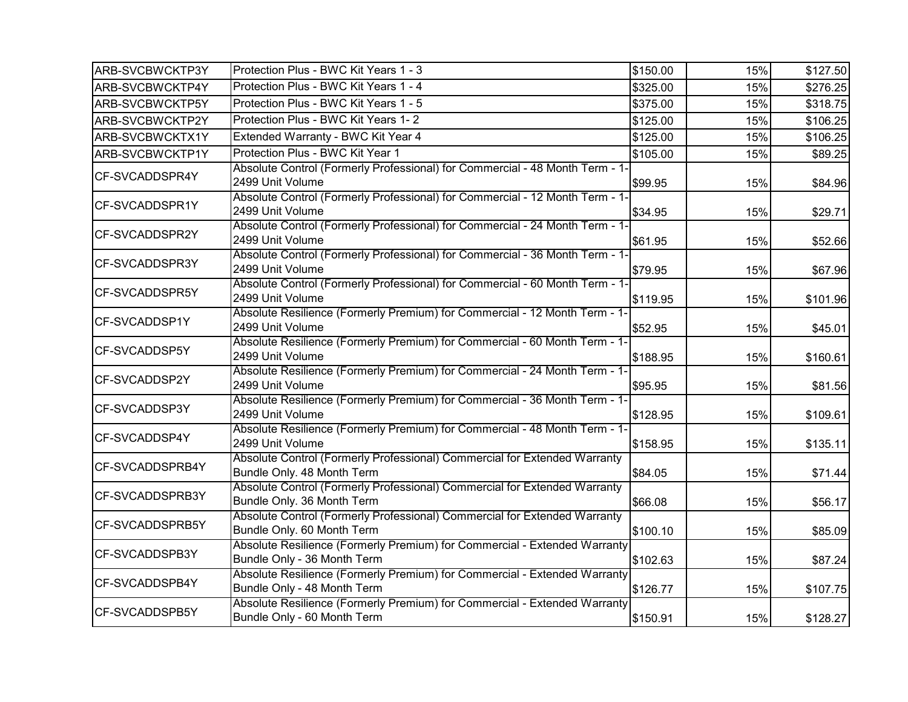| ARB-SVCBWCKTP3Y | Protection Plus - BWC Kit Years 1 - 3                                                                    | \$150.00 | 15% | \$127.50 |
|-----------------|----------------------------------------------------------------------------------------------------------|----------|-----|----------|
| ARB-SVCBWCKTP4Y | Protection Plus - BWC Kit Years 1 - 4                                                                    | \$325.00 | 15% | \$276.25 |
| ARB-SVCBWCKTP5Y | Protection Plus - BWC Kit Years 1 - 5                                                                    | \$375.00 | 15% | \$318.75 |
| ARB-SVCBWCKTP2Y | Protection Plus - BWC Kit Years 1-2                                                                      | \$125.00 | 15% | \$106.25 |
| ARB-SVCBWCKTX1Y | Extended Warranty - BWC Kit Year 4                                                                       | \$125.00 | 15% | \$106.25 |
| ARB-SVCBWCKTP1Y | Protection Plus - BWC Kit Year 1                                                                         | \$105.00 | 15% | \$89.25  |
| CF-SVCADDSPR4Y  | Absolute Control (Formerly Professional) for Commercial - 48 Month Term - 1-<br>2499 Unit Volume         | \$99.95  | 15% | \$84.96  |
| CF-SVCADDSPR1Y  | Absolute Control (Formerly Professional) for Commercial - 12 Month Term - 1-<br>2499 Unit Volume         | \$34.95  | 15% | \$29.71  |
| CF-SVCADDSPR2Y  | Absolute Control (Formerly Professional) for Commercial - 24 Month Term - 1-<br>2499 Unit Volume         | \$61.95  | 15% | \$52.66  |
| CF-SVCADDSPR3Y  | Absolute Control (Formerly Professional) for Commercial - 36 Month Term - 1-<br>2499 Unit Volume         | \$79.95  | 15% | \$67.96  |
| CF-SVCADDSPR5Y  | Absolute Control (Formerly Professional) for Commercial - 60 Month Term - 1-<br>2499 Unit Volume         | \$119.95 | 15% | \$101.96 |
| CF-SVCADDSP1Y   | Absolute Resilience (Formerly Premium) for Commercial - 12 Month Term - 1-<br>2499 Unit Volume           | \$52.95  | 15% | \$45.01  |
| CF-SVCADDSP5Y   | Absolute Resilience (Formerly Premium) for Commercial - 60 Month Term - 1-<br>2499 Unit Volume           | \$188.95 | 15% | \$160.61 |
| CF-SVCADDSP2Y   | Absolute Resilience (Formerly Premium) for Commercial - 24 Month Term - 1-<br>2499 Unit Volume           | \$95.95  | 15% | \$81.56  |
| CF-SVCADDSP3Y   | Absolute Resilience (Formerly Premium) for Commercial - 36 Month Term - 1-<br>2499 Unit Volume           | \$128.95 | 15% | \$109.61 |
| CF-SVCADDSP4Y   | Absolute Resilience (Formerly Premium) for Commercial - 48 Month Term - 1-<br>2499 Unit Volume           | \$158.95 | 15% | \$135.11 |
| CF-SVCADDSPRB4Y | Absolute Control (Formerly Professional) Commercial for Extended Warranty<br>Bundle Only. 48 Month Term  | \$84.05  | 15% | \$71.44  |
| CF-SVCADDSPRB3Y | Absolute Control (Formerly Professional) Commercial for Extended Warranty<br>Bundle Only. 36 Month Term  | \$66.08  | 15% | \$56.17  |
| CF-SVCADDSPRB5Y | Absolute Control (Formerly Professional) Commercial for Extended Warranty<br>Bundle Only. 60 Month Term  | \$100.10 | 15% | \$85.09  |
| CF-SVCADDSPB3Y  | Absolute Resilience (Formerly Premium) for Commercial - Extended Warranty<br>Bundle Only - 36 Month Term | \$102.63 | 15% | \$87.24  |
| CF-SVCADDSPB4Y  | Absolute Resilience (Formerly Premium) for Commercial - Extended Warranty<br>Bundle Only - 48 Month Term | \$126.77 | 15% | \$107.75 |
| CF-SVCADDSPB5Y  | Absolute Resilience (Formerly Premium) for Commercial - Extended Warranty<br>Bundle Only - 60 Month Term | \$150.91 | 15% | \$128.27 |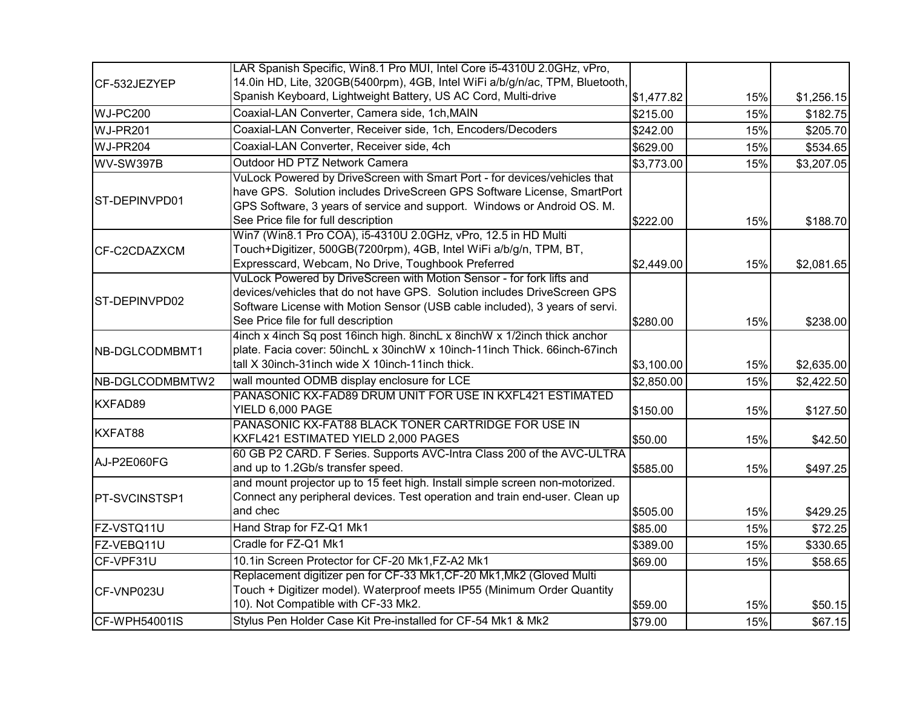|                      | LAR Spanish Specific, Win8.1 Pro MUI, Intel Core i5-4310U 2.0GHz, vPro,                                                                                                                                                                                                 |            |     |            |
|----------------------|-------------------------------------------------------------------------------------------------------------------------------------------------------------------------------------------------------------------------------------------------------------------------|------------|-----|------------|
| CF-532JEZYEP         | 14.0in HD, Lite, 320GB(5400rpm), 4GB, Intel WiFi a/b/g/n/ac, TPM, Bluetooth,<br>Spanish Keyboard, Lightweight Battery, US AC Cord, Multi-drive                                                                                                                          | \$1,477.82 | 15% | \$1,256.15 |
| WJ-PC200             | Coaxial-LAN Converter, Camera side, 1ch, MAIN                                                                                                                                                                                                                           | \$215.00   | 15% | \$182.75   |
| WJ-PR201             | Coaxial-LAN Converter, Receiver side, 1ch, Encoders/Decoders                                                                                                                                                                                                            | \$242.00   | 15% | \$205.70   |
| WJ-PR204             | Coaxial-LAN Converter, Receiver side, 4ch                                                                                                                                                                                                                               | \$629.00   | 15% | \$534.65   |
| WV-SW397B            | Outdoor HD PTZ Network Camera                                                                                                                                                                                                                                           | \$3,773.00 | 15% | \$3,207.05 |
| ST-DEPINVPD01        | VuLock Powered by DriveScreen with Smart Port - for devices/vehicles that<br>have GPS. Solution includes DriveScreen GPS Software License, SmartPort<br>GPS Software, 3 years of service and support. Windows or Android OS. M.<br>See Price file for full description  | \$222.00   | 15% | \$188.70   |
| CF-C2CDAZXCM         | Win7 (Win8.1 Pro COA), i5-4310U 2.0GHz, vPro, 12.5 in HD Multi<br>Touch+Digitizer, 500GB(7200rpm), 4GB, Intel WiFi a/b/g/n, TPM, BT,<br>Expresscard, Webcam, No Drive, Toughbook Preferred                                                                              | \$2,449.00 | 15% | \$2,081.65 |
| ST-DEPINVPD02        | VuLock Powered by DriveScreen with Motion Sensor - for fork lifts and<br>devices/vehicles that do not have GPS. Solution includes DriveScreen GPS<br>Software License with Motion Sensor (USB cable included), 3 years of servi.<br>See Price file for full description | \$280.00   | 15% | \$238.00   |
| NB-DGLCODMBMT1       | 4inch x 4inch Sq post 16inch high. 8inchL x 8inchW x 1/2inch thick anchor<br>plate. Facia cover: 50inchL x 30inchW x 10inch-11inch Thick. 66inch-67inch<br>tall X 30inch-31inch wide X 10inch-11inch thick.                                                             | \$3,100.00 | 15% | \$2,635.00 |
| NB-DGLCODMBMTW2      | wall mounted ODMB display enclosure for LCE                                                                                                                                                                                                                             | \$2,850.00 | 15% | \$2,422.50 |
| KXFAD89              | PANASONIC KX-FAD89 DRUM UNIT FOR USE IN KXFL421 ESTIMATED<br>YIELD 6,000 PAGE                                                                                                                                                                                           | \$150.00   | 15% | \$127.50   |
| KXFAT88              | PANASONIC KX-FAT88 BLACK TONER CARTRIDGE FOR USE IN<br>KXFL421 ESTIMATED YIELD 2,000 PAGES                                                                                                                                                                              | \$50.00    | 15% | \$42.50    |
| AJ-P2E060FG          | 60 GB P2 CARD. F Series. Supports AVC-Intra Class 200 of the AVC-ULTRA<br>and up to 1.2Gb/s transfer speed.                                                                                                                                                             | \$585.00   | 15% | \$497.25   |
| <b>PT-SVCINSTSP1</b> | and mount projector up to 15 feet high. Install simple screen non-motorized.<br>Connect any peripheral devices. Test operation and train end-user. Clean up<br>and chec                                                                                                 | \$505.00   | 15% | \$429.25   |
| FZ-VSTQ11U           | Hand Strap for FZ-Q1 Mk1                                                                                                                                                                                                                                                | \$85.00    | 15% | \$72.25    |
| FZ-VEBQ11U           | Cradle for FZ-Q1 Mk1                                                                                                                                                                                                                                                    | \$389.00   | 15% | \$330.65   |
| CF-VPF31U            | 10.1in Screen Protector for CF-20 Mk1, FZ-A2 Mk1                                                                                                                                                                                                                        | \$69.00    | 15% | \$58.65    |
| CF-VNP023U           | Replacement digitizer pen for CF-33 Mk1, CF-20 Mk1, Mk2 (Gloved Multi<br>Touch + Digitizer model). Waterproof meets IP55 (Minimum Order Quantity<br>10). Not Compatible with CF-33 Mk2.                                                                                 | \$59.00    | 15% | \$50.15    |
| CF-WPH54001IS        | Stylus Pen Holder Case Kit Pre-installed for CF-54 Mk1 & Mk2                                                                                                                                                                                                            | \$79.00    | 15% | \$67.15    |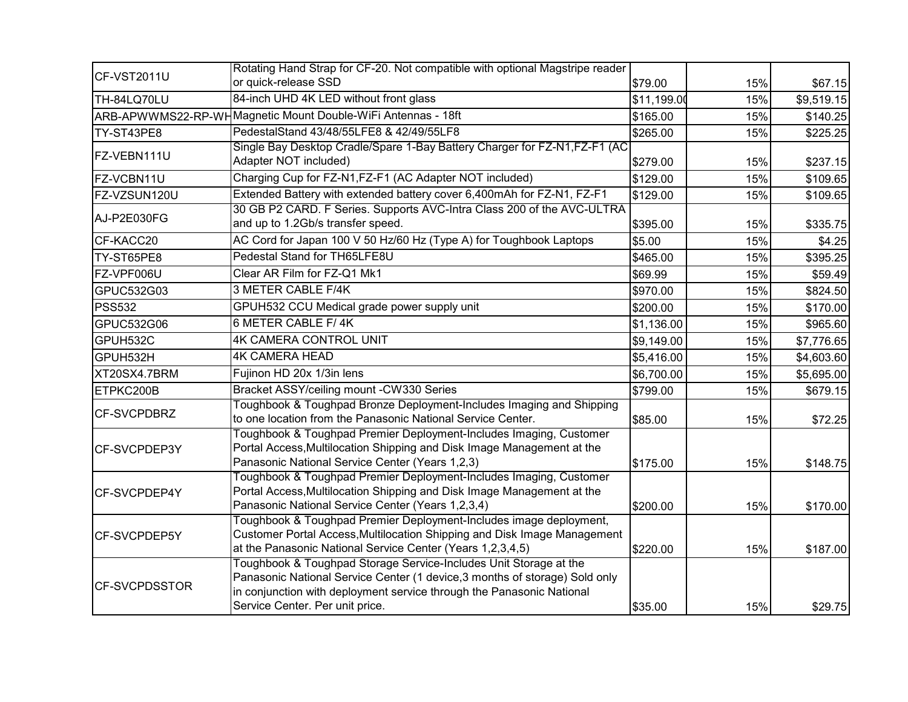| CF-VST2011U          | Rotating Hand Strap for CF-20. Not compatible with optional Magstripe reader<br>or quick-release SSD                                                                                                                                                         | \$79.00     | 15% | \$67.15    |
|----------------------|--------------------------------------------------------------------------------------------------------------------------------------------------------------------------------------------------------------------------------------------------------------|-------------|-----|------------|
| TH-84LQ70LU          | 84-inch UHD 4K LED without front glass                                                                                                                                                                                                                       | \$11,199.00 | 15% | \$9,519.15 |
|                      | ARB-APWWMS22-RP-WHMagnetic Mount Double-WiFi Antennas - 18ft                                                                                                                                                                                                 | \$165.00    | 15% | \$140.25   |
| TY-ST43PE8           | PedestalStand 43/48/55LFE8 & 42/49/55LF8                                                                                                                                                                                                                     | \$265.00    | 15% | \$225.25   |
|                      | Single Bay Desktop Cradle/Spare 1-Bay Battery Charger for FZ-N1, FZ-F1 (AC                                                                                                                                                                                   |             |     |            |
| FZ-VEBN111U          | Adapter NOT included)                                                                                                                                                                                                                                        | \$279.00    | 15% | \$237.15   |
| FZ-VCBN11U           | Charging Cup for FZ-N1, FZ-F1 (AC Adapter NOT included)                                                                                                                                                                                                      | \$129.00    | 15% | \$109.65   |
| FZ-VZSUN120U         | Extended Battery with extended battery cover 6,400mAh for FZ-N1, FZ-F1                                                                                                                                                                                       | \$129.00    | 15% | \$109.65   |
| AJ-P2E030FG          | 30 GB P2 CARD. F Series. Supports AVC-Intra Class 200 of the AVC-ULTRA<br>and up to 1.2Gb/s transfer speed.                                                                                                                                                  | \$395.00    | 15% | \$335.75   |
| CF-KACC20            | AC Cord for Japan 100 V 50 Hz/60 Hz (Type A) for Toughbook Laptops                                                                                                                                                                                           | \$5.00      | 15% | \$4.25     |
| TY-ST65PE8           | Pedestal Stand for TH65LFE8U                                                                                                                                                                                                                                 | \$465.00    | 15% | \$395.25   |
| FZ-VPF006U           | Clear AR Film for FZ-Q1 Mk1                                                                                                                                                                                                                                  | \$69.99     | 15% | \$59.49    |
| GPUC532G03           | 3 METER CABLE F/4K                                                                                                                                                                                                                                           | \$970.00    | 15% | \$824.50   |
| <b>PSS532</b>        | GPUH532 CCU Medical grade power supply unit                                                                                                                                                                                                                  | \$200.00    | 15% | \$170.00   |
| GPUC532G06           | 6 METER CABLE F/4K                                                                                                                                                                                                                                           | \$1,136.00  | 15% | \$965.60   |
| GPUH532C             | <b>4K CAMERA CONTROL UNIT</b>                                                                                                                                                                                                                                | \$9,149.00  | 15% | \$7,776.65 |
| GPUH532H             | <b>4K CAMERA HEAD</b>                                                                                                                                                                                                                                        | \$5,416.00  | 15% | \$4,603.60 |
| XT20SX4.7BRM         | Fujinon HD 20x 1/3in lens                                                                                                                                                                                                                                    | \$6,700.00  | 15% | \$5,695.00 |
| ETPKC200B            | Bracket ASSY/ceiling mount -CW330 Series                                                                                                                                                                                                                     | \$799.00    | 15% | \$679.15   |
| CF-SVCPDBRZ          | Toughbook & Toughpad Bronze Deployment-Includes Imaging and Shipping<br>to one location from the Panasonic National Service Center.                                                                                                                          | \$85.00     | 15% | \$72.25    |
| <b>CF-SVCPDEP3Y</b>  | Toughbook & Toughpad Premier Deployment-Includes Imaging, Customer<br>Portal Access, Multilocation Shipping and Disk Image Management at the<br>Panasonic National Service Center (Years 1,2,3)                                                              | \$175.00    | 15% | \$148.75   |
| <b>CF-SVCPDEP4Y</b>  | Toughbook & Toughpad Premier Deployment-Includes Imaging, Customer<br>Portal Access, Multilocation Shipping and Disk Image Management at the<br>Panasonic National Service Center (Years 1,2,3,4)                                                            | \$200.00    | 15% | \$170.00   |
| <b>CF-SVCPDEP5Y</b>  | Toughbook & Toughpad Premier Deployment-Includes image deployment,<br>Customer Portal Access, Multilocation Shipping and Disk Image Management<br>at the Panasonic National Service Center (Years 1,2,3,4,5)                                                 | \$220.00    | 15% | \$187.00   |
| <b>CF-SVCPDSSTOR</b> | Toughbook & Toughpad Storage Service-Includes Unit Storage at the<br>Panasonic National Service Center (1 device, 3 months of storage) Sold only<br>in conjunction with deployment service through the Panasonic National<br>Service Center. Per unit price. | \$35.00     | 15% | \$29.75    |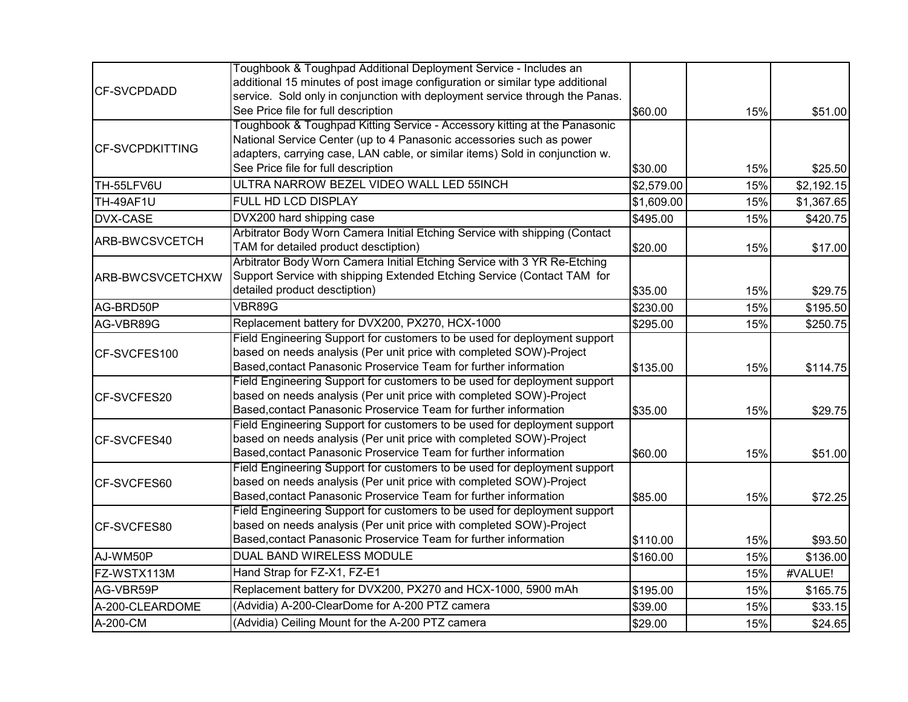|                        | Toughbook & Toughpad Additional Deployment Service - Includes an             |            |     |            |
|------------------------|------------------------------------------------------------------------------|------------|-----|------------|
|                        | additional 15 minutes of post image configuration or similar type additional |            |     |            |
| <b>CF-SVCPDADD</b>     | service. Sold only in conjunction with deployment service through the Panas. |            |     |            |
|                        | See Price file for full description                                          | \$60.00    | 15% | \$51.00    |
|                        | Toughbook & Toughpad Kitting Service - Accessory kitting at the Panasonic    |            |     |            |
| <b>CF-SVCPDKITTING</b> | National Service Center (up to 4 Panasonic accessories such as power         |            |     |            |
|                        | adapters, carrying case, LAN cable, or similar items) Sold in conjunction w. |            |     |            |
|                        | See Price file for full description                                          | \$30.00    | 15% | \$25.50    |
| TH-55LFV6U             | ULTRA NARROW BEZEL VIDEO WALL LED 55INCH                                     | \$2,579.00 | 15% | \$2,192.15 |
| TH-49AF1U              | FULL HD LCD DISPLAY                                                          | \$1,609.00 | 15% | \$1,367.65 |
| DVX-CASE               | DVX200 hard shipping case                                                    | \$495.00   | 15% | \$420.75   |
|                        | Arbitrator Body Worn Camera Initial Etching Service with shipping (Contact   |            |     |            |
| ARB-BWCSVCETCH         | TAM for detailed product desctiption)                                        | \$20.00    | 15% | \$17.00    |
|                        | Arbitrator Body Worn Camera Initial Etching Service with 3 YR Re-Etching     |            |     |            |
| ARB-BWCSVCETCHXW       | Support Service with shipping Extended Etching Service (Contact TAM for      |            |     |            |
|                        | detailed product desctiption)                                                | \$35.00    | 15% | \$29.75    |
| AG-BRD50P              | VBR89G                                                                       | \$230.00   | 15% | \$195.50   |
| AG-VBR89G              | Replacement battery for DVX200, PX270, HCX-1000                              | \$295.00   | 15% | \$250.75   |
|                        | Field Engineering Support for customers to be used for deployment support    |            |     |            |
| CF-SVCFES100           | based on needs analysis (Per unit price with completed SOW)-Project          |            |     |            |
|                        | Based, contact Panasonic Proservice Team for further information             | \$135.00   | 15% | \$114.75   |
|                        | Field Engineering Support for customers to be used for deployment support    |            |     |            |
| CF-SVCFES20            | based on needs analysis (Per unit price with completed SOW)-Project          |            |     |            |
|                        | Based, contact Panasonic Proservice Team for further information             | \$35.00    | 15% | \$29.75    |
|                        | Field Engineering Support for customers to be used for deployment support    |            |     |            |
| CF-SVCFES40            | based on needs analysis (Per unit price with completed SOW)-Project          |            |     |            |
|                        | Based, contact Panasonic Proservice Team for further information             | \$60.00    | 15% | \$51.00    |
|                        | Field Engineering Support for customers to be used for deployment support    |            |     |            |
| CF-SVCFES60            | based on needs analysis (Per unit price with completed SOW)-Project          |            |     |            |
|                        | Based, contact Panasonic Proservice Team for further information             | \$85.00    | 15% | \$72.25    |
|                        | Field Engineering Support for customers to be used for deployment support    |            |     |            |
| CF-SVCFES80            | based on needs analysis (Per unit price with completed SOW)-Project          |            |     |            |
|                        | Based, contact Panasonic Proservice Team for further information             | \$110.00   | 15% | \$93.50    |
| AJ-WM50P               | <b>DUAL BAND WIRELESS MODULE</b>                                             | \$160.00   | 15% | \$136.00   |
| FZ-WSTX113M            | Hand Strap for FZ-X1, FZ-E1                                                  |            | 15% | #VALUE!    |
| AG-VBR59P              | Replacement battery for DVX200, PX270 and HCX-1000, 5900 mAh                 | \$195.00   | 15% | \$165.75   |
| A-200-CLEARDOME        | (Advidia) A-200-ClearDome for A-200 PTZ camera                               | \$39.00    | 15% | \$33.15    |
| A-200-CM               | (Advidia) Ceiling Mount for the A-200 PTZ camera                             | \$29.00    | 15% | \$24.65    |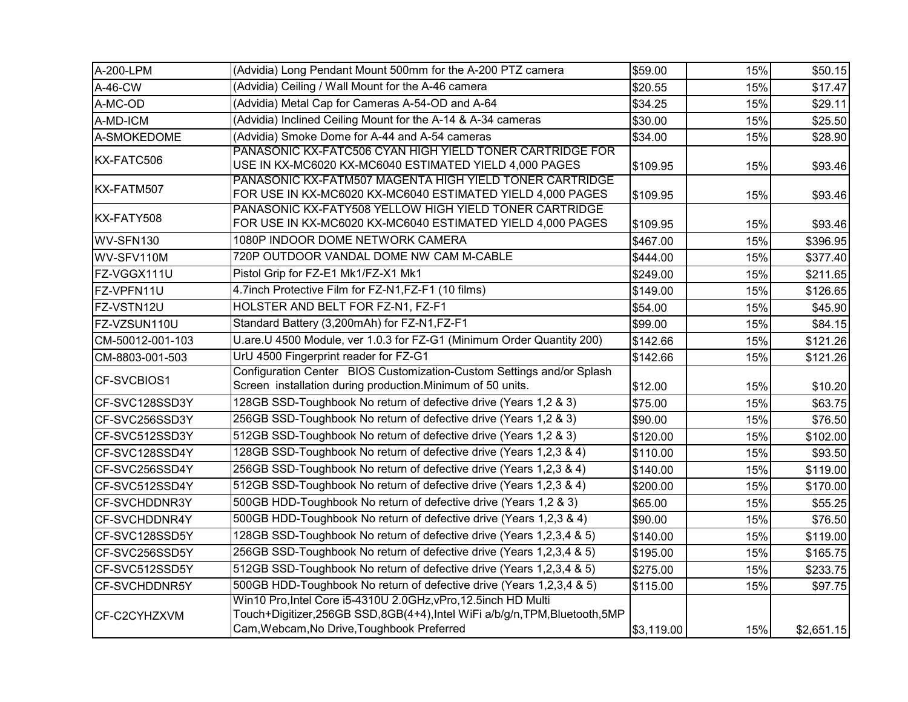| A-200-LPM        | (Advidia) Long Pendant Mount 500mm for the A-200 PTZ camera                                                          | \$59.00    | 15% | \$50.15    |
|------------------|----------------------------------------------------------------------------------------------------------------------|------------|-----|------------|
| A-46-CW          | (Advidia) Ceiling / Wall Mount for the A-46 camera                                                                   | \$20.55    | 15% | \$17.47    |
| A-MC-OD          | (Advidia) Metal Cap for Cameras A-54-OD and A-64                                                                     | \$34.25    | 15% | \$29.11    |
| A-MD-ICM         | (Advidia) Inclined Ceiling Mount for the A-14 & A-34 cameras                                                         | \$30.00    | 15% | \$25.50    |
| A-SMOKEDOME      | (Advidia) Smoke Dome for A-44 and A-54 cameras                                                                       | \$34.00    | 15% | \$28.90    |
| KX-FATC506       | PANASONIC KX-FATC506 CYAN HIGH YIELD TONER CARTRIDGE FOR                                                             |            |     |            |
|                  | USE IN KX-MC6020 KX-MC6040 ESTIMATED YIELD 4,000 PAGES                                                               | \$109.95   | 15% | \$93.46    |
| KX-FATM507       | PANASONIC KX-FATM507 MAGENTA HIGH YIELD TONER CARTRIDGE                                                              |            |     |            |
|                  | FOR USE IN KX-MC6020 KX-MC6040 ESTIMATED YIELD 4,000 PAGES<br>PANASONIC KX-FATY508 YELLOW HIGH YIELD TONER CARTRIDGE | \$109.95   | 15% | \$93.46    |
| KX-FATY508       | FOR USE IN KX-MC6020 KX-MC6040 ESTIMATED YIELD 4,000 PAGES                                                           | \$109.95   | 15% | \$93.46    |
| WV-SFN130        | 1080P INDOOR DOME NETWORK CAMERA                                                                                     | \$467.00   | 15% | \$396.95   |
| WV-SFV110M       | 720P OUTDOOR VANDAL DOME NW CAM M-CABLE                                                                              | \$444.00   | 15% | \$377.40   |
| FZ-VGGX111U      | Pistol Grip for FZ-E1 Mk1/FZ-X1 Mk1                                                                                  | \$249.00   | 15% | \$211.65   |
| FZ-VPFN11U       | 4.7inch Protective Film for FZ-N1, FZ-F1 (10 films)                                                                  | \$149.00   | 15% | \$126.65   |
|                  | HOLSTER AND BELT FOR FZ-N1, FZ-F1                                                                                    |            |     |            |
| FZ-VSTN12U       |                                                                                                                      | \$54.00    | 15% | \$45.90    |
| FZ-VZSUN110U     | Standard Battery (3,200mAh) for FZ-N1,FZ-F1                                                                          | \$99.00    | 15% | \$84.15    |
| CM-50012-001-103 | U.are.U 4500 Module, ver 1.0.3 for FZ-G1 (Minimum Order Quantity 200)                                                | \$142.66   | 15% | \$121.26   |
| CM-8803-001-503  | UrU 4500 Fingerprint reader for FZ-G1                                                                                | \$142.66   | 15% | \$121.26   |
| CF-SVCBIOS1      | Configuration Center BIOS Customization-Custom Settings and/or Splash                                                |            |     |            |
|                  | Screen installation during production. Minimum of 50 units.                                                          | \$12.00    | 15% | \$10.20    |
| CF-SVC128SSD3Y   | 128GB SSD-Toughbook No return of defective drive (Years 1,2 & 3)                                                     | \$75.00    | 15% | \$63.75    |
| CF-SVC256SSD3Y   | 256GB SSD-Toughbook No return of defective drive (Years 1,2 & 3)                                                     | \$90.00    | 15% | \$76.50    |
| CF-SVC512SSD3Y   | 512GB SSD-Toughbook No return of defective drive (Years 1,2 & 3)                                                     | \$120.00   | 15% | \$102.00   |
| CF-SVC128SSD4Y   | 128GB SSD-Toughbook No return of defective drive (Years 1,2,3 & 4)                                                   | \$110.00   | 15% | \$93.50    |
| CF-SVC256SSD4Y   | 256GB SSD-Toughbook No return of defective drive (Years 1,2,3 & 4)                                                   | \$140.00   | 15% | \$119.00   |
| CF-SVC512SSD4Y   | 512GB SSD-Toughbook No return of defective drive (Years 1,2,3 & 4)                                                   | \$200.00   | 15% | \$170.00   |
| CF-SVCHDDNR3Y    | 500GB HDD-Toughbook No return of defective drive (Years 1,2 & 3)                                                     | \$65.00    | 15% | \$55.25    |
| CF-SVCHDDNR4Y    | 500GB HDD-Toughbook No return of defective drive (Years 1,2,3 & 4)                                                   | \$90.00    | 15% | \$76.50    |
| CF-SVC128SSD5Y   | 128GB SSD-Toughbook No return of defective drive (Years 1,2,3,4 & 5)                                                 | \$140.00   | 15% | \$119.00   |
| CF-SVC256SSD5Y   | 256GB SSD-Toughbook No return of defective drive (Years 1,2,3,4 & 5)                                                 | \$195.00   | 15% | \$165.75   |
| CF-SVC512SSD5Y   | 512GB SSD-Toughbook No return of defective drive (Years 1,2,3,4 & 5)                                                 | \$275.00   | 15% | \$233.75   |
| CF-SVCHDDNR5Y    | 500GB HDD-Toughbook No return of defective drive (Years 1,2,3,4 & 5)                                                 | \$115.00   | 15% | \$97.75    |
|                  | Win10 Pro, Intel Core i5-4310U 2.0GHz, vPro, 12.5inch HD Multi                                                       |            |     |            |
| CF-C2CYHZXVM     | Touch+Digitizer,256GB SSD,8GB(4+4),Intel WiFi a/b/g/n,TPM,Bluetooth,5MP                                              |            |     |            |
|                  | Cam, Webcam, No Drive, Toughbook Preferred                                                                           | \$3,119.00 | 15% | \$2,651.15 |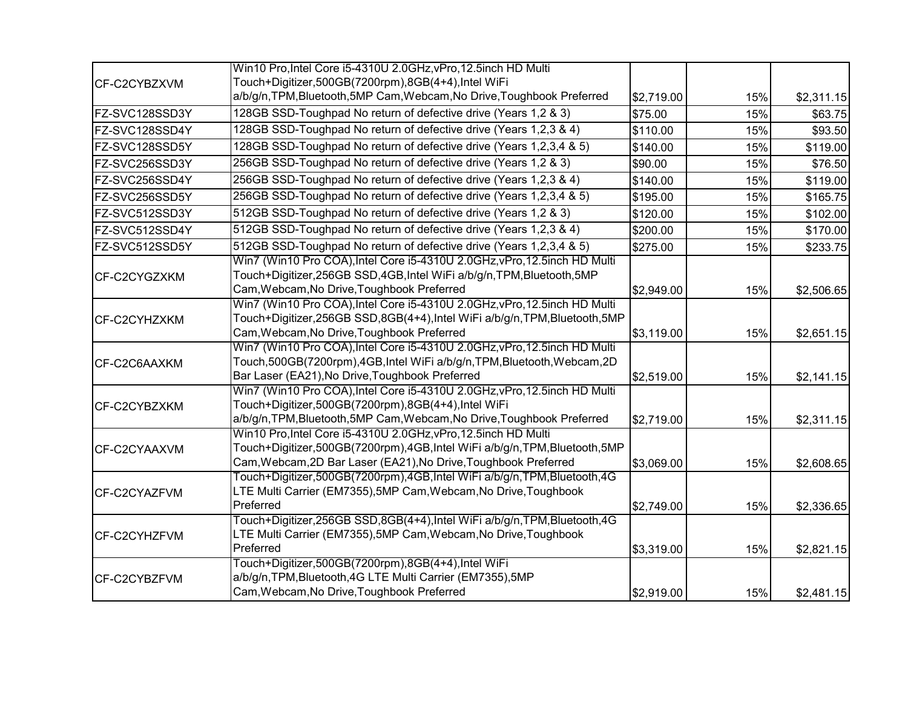|                | Win10 Pro, Intel Core i5-4310U 2.0GHz, vPro, 12.5inch HD Multi            |            |     |            |
|----------------|---------------------------------------------------------------------------|------------|-----|------------|
| CF-C2CYBZXVM   | Touch+Digitizer,500GB(7200rpm),8GB(4+4),Intel WiFi                        |            |     |            |
|                | a/b/g/n, TPM, Bluetooth, 5MP Cam, Webcam, No Drive, Toughbook Preferred   | \$2,719.00 | 15% | \$2,311.15 |
| FZ-SVC128SSD3Y | 128GB SSD-Toughpad No return of defective drive (Years 1,2 & 3)           | \$75.00    | 15% | \$63.75    |
| FZ-SVC128SSD4Y | 128GB SSD-Toughpad No return of defective drive (Years 1,2,3 & 4)         | \$110.00   | 15% | \$93.50    |
| FZ-SVC128SSD5Y | 128GB SSD-Toughpad No return of defective drive (Years 1,2,3,4 & 5)       | \$140.00   | 15% | \$119.00   |
| FZ-SVC256SSD3Y | 256GB SSD-Toughpad No return of defective drive (Years 1,2 & 3)           | \$90.00    | 15% | \$76.50    |
| FZ-SVC256SSD4Y | 256GB SSD-Toughpad No return of defective drive (Years 1,2,3 & 4)         | \$140.00   | 15% | \$119.00   |
| FZ-SVC256SSD5Y | 256GB SSD-Toughpad No return of defective drive (Years 1,2,3,4 & 5)       | \$195.00   | 15% | \$165.75   |
| FZ-SVC512SSD3Y | 512GB SSD-Toughpad No return of defective drive (Years 1,2 & 3)           | \$120.00   | 15% | \$102.00   |
| FZ-SVC512SSD4Y | 512GB SSD-Toughpad No return of defective drive (Years 1,2,3 & 4)         | \$200.00   | 15% | \$170.00   |
| FZ-SVC512SSD5Y | 512GB SSD-Toughpad No return of defective drive (Years 1,2,3,4 & 5)       | \$275.00   | 15% | \$233.75   |
|                | Win7 (Win10 Pro COA), Intel Core i5-4310U 2.0GHz, vPro, 12.5inch HD Multi |            |     |            |
| CF-C2CYGZXKM   | Touch+Digitizer,256GB SSD,4GB,Intel WiFi a/b/g/n,TPM,Bluetooth,5MP        |            |     |            |
|                | Cam, Webcam, No Drive, Toughbook Preferred                                | \$2,949.00 | 15% | \$2,506.65 |
|                | Win7 (Win10 Pro COA), Intel Core i5-4310U 2.0GHz, vPro, 12.5inch HD Multi |            |     |            |
| CF-C2CYHZXKM   | Touch+Digitizer,256GB SSD,8GB(4+4),Intel WiFi a/b/g/n,TPM,Bluetooth,5MP   |            |     |            |
|                | Cam, Webcam, No Drive, Toughbook Preferred                                | \$3,119.00 | 15% | \$2,651.15 |
|                | Win7 (Win10 Pro COA), Intel Core i5-4310U 2.0GHz, vPro, 12.5inch HD Multi |            |     |            |
| CF-C2C6AAXKM   | Touch,500GB(7200rpm),4GB,Intel WiFi a/b/g/n,TPM,Bluetooth,Webcam,2D       |            |     |            |
|                | Bar Laser (EA21), No Drive, Toughbook Preferred                           | \$2,519.00 | 15% | \$2,141.15 |
|                | Win7 (Win10 Pro COA), Intel Core i5-4310U 2.0GHz, vPro, 12.5inch HD Multi |            |     |            |
| CF-C2CYBZXKM   | Touch+Digitizer,500GB(7200rpm),8GB(4+4),Intel WiFi                        |            |     |            |
|                | a/b/g/n, TPM, Bluetooth, 5MP Cam, Webcam, No Drive, Toughbook Preferred   | \$2,719.00 | 15% | \$2,311.15 |
|                | Win10 Pro, Intel Core i5-4310U 2.0GHz, vPro, 12.5inch HD Multi            |            |     |            |
| CF-C2CYAAXVM   | Touch+Digitizer,500GB(7200rpm),4GB,Intel WiFi a/b/g/n,TPM,Bluetooth,5MP   |            |     |            |
|                | Cam, Webcam, 2D Bar Laser (EA21), No Drive, Toughbook Preferred           | \$3,069.00 | 15% | \$2,608.65 |
|                | Touch+Digitizer,500GB(7200rpm),4GB,Intel WiFi a/b/g/n,TPM,Bluetooth,4G    |            |     |            |
| CF-C2CYAZFVM   | LTE Multi Carrier (EM7355), 5MP Cam, Webcam, No Drive, Toughbook          |            |     |            |
|                | Preferred                                                                 | \$2,749.00 | 15% | \$2,336.65 |
|                | Touch+Digitizer,256GB SSD,8GB(4+4),Intel WiFi a/b/g/n,TPM,Bluetooth,4G    |            |     |            |
| CF-C2CYHZFVM   | LTE Multi Carrier (EM7355), 5MP Cam, Webcam, No Drive, Toughbook          |            |     |            |
|                | Preferred                                                                 | \$3,319.00 | 15% | \$2,821.15 |
|                | Touch+Digitizer,500GB(7200rpm),8GB(4+4),Intel WiFi                        |            |     |            |
| CF-C2CYBZFVM   | a/b/g/n, TPM, Bluetooth, 4G LTE Multi Carrier (EM7355), 5MP               |            |     |            |
|                | Cam, Webcam, No Drive, Toughbook Preferred                                | \$2,919.00 | 15% | \$2,481.15 |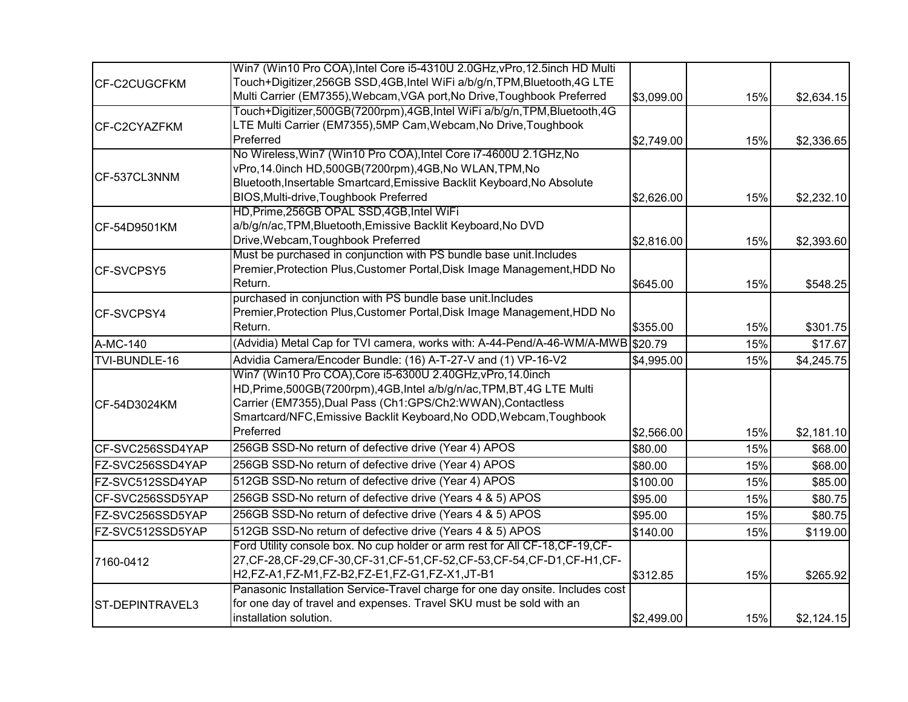|                  | Win7 (Win10 Pro COA), Intel Core i5-4310U 2.0GHz, vPro, 12.5inch HD Multi       |            |     |            |
|------------------|---------------------------------------------------------------------------------|------------|-----|------------|
| CF-C2CUGCFKM     | Touch+Digitizer,256GB SSD,4GB,Intel WiFi a/b/g/n,TPM,Bluetooth,4G LTE           |            |     |            |
|                  | Multi Carrier (EM7355), Webcam, VGA port, No Drive, Toughbook Preferred         | \$3,099.00 | 15% | \$2,634.15 |
|                  | Touch+Digitizer,500GB(7200rpm),4GB,Intel WiFi a/b/g/n,TPM,Bluetooth,4G          |            |     |            |
| CF-C2CYAZFKM     | LTE Multi Carrier (EM7355), 5MP Cam, Webcam, No Drive, Toughbook                |            |     |            |
|                  | Preferred                                                                       | \$2,749.00 | 15% | \$2,336.65 |
|                  | No Wireless, Win7 (Win10 Pro COA), Intel Core i7-4600U 2.1GHz, No               |            |     |            |
| CF-537CL3NNM     | vPro, 14.0inch HD, 500GB(7200rpm), 4GB, No WLAN, TPM, No                        |            |     |            |
|                  | Bluetooth, Insertable Smartcard, Emissive Backlit Keyboard, No Absolute         |            |     |            |
|                  | BIOS, Multi-drive, Toughbook Preferred                                          | \$2,626.00 | 15% | \$2,232.10 |
|                  | HD, Prime, 256GB OPAL SSD, 4GB, Intel WiFi                                      |            |     |            |
| CF-54D9501KM     | a/b/g/n/ac, TPM, Bluetooth, Emissive Backlit Keyboard, No DVD                   |            |     |            |
|                  | Drive, Webcam, Toughbook Preferred                                              | \$2,816.00 | 15% | \$2,393.60 |
|                  | Must be purchased in conjunction with PS bundle base unit. Includes             |            |     |            |
| CF-SVCPSY5       | Premier, Protection Plus, Customer Portal, Disk Image Management, HDD No        |            |     |            |
|                  | Return.                                                                         | \$645.00   | 15% | \$548.25   |
|                  | purchased in conjunction with PS bundle base unit. Includes                     |            |     |            |
| CF-SVCPSY4       | Premier, Protection Plus, Customer Portal, Disk Image Management, HDD No        |            |     |            |
|                  | Return.                                                                         | \$355.00   | 15% | \$301.75   |
| A-MC-140         | (Advidia) Metal Cap for TVI camera, works with: A-44-Pend/A-46-WM/A-MWB \$20.79 |            | 15% | \$17.67    |
| TVI-BUNDLE-16    | Advidia Camera/Encoder Bundle: (16) A-T-27-V and (1) VP-16-V2                   | \$4,995.00 | 15% | \$4,245.75 |
|                  | Win7 (Win10 Pro COA), Core i5-6300U 2.40GHz, vPro, 14.0inch                     |            |     |            |
|                  | HD, Prime, 500GB(7200rpm), 4GB, Intel a/b/g/n/ac, TPM, BT, 4G LTE Multi         |            |     |            |
| CF-54D3024KM     | Carrier (EM7355), Dual Pass (Ch1:GPS/Ch2:WWAN), Contactless                     |            |     |            |
|                  | Smartcard/NFC, Emissive Backlit Keyboard, No ODD, Webcam, Toughbook             |            |     |            |
|                  | Preferred                                                                       | \$2,566.00 | 15% | \$2,181.10 |
| CF-SVC256SSD4YAP | 256GB SSD-No return of defective drive (Year 4) APOS                            | \$80.00    | 15% | \$68.00    |
| FZ-SVC256SSD4YAP | 256GB SSD-No return of defective drive (Year 4) APOS                            | \$80.00    | 15% | \$68.00    |
| FZ-SVC512SSD4YAP | 512GB SSD-No return of defective drive (Year 4) APOS                            | \$100.00   | 15% | \$85.00    |
| CF-SVC256SSD5YAP | 256GB SSD-No return of defective drive (Years 4 & 5) APOS                       | \$95.00    | 15% | \$80.75    |
| FZ-SVC256SSD5YAP | 256GB SSD-No return of defective drive (Years 4 & 5) APOS                       | \$95.00    | 15% | \$80.75    |
| FZ-SVC512SSD5YAP | 512GB SSD-No return of defective drive (Years 4 & 5) APOS                       | \$140.00   | 15% | \$119.00   |
|                  | Ford Utility console box. No cup holder or arm rest for All CF-18, CF-19, CF-   |            |     |            |
| 7160-0412        | 27, CF-28, CF-29, CF-30, CF-31, CF-51, CF-52, CF-53, CF-54, CF-D1, CF-H1, CF-   |            |     |            |
|                  | H2,FZ-A1,FZ-M1,FZ-B2,FZ-E1,FZ-G1,FZ-X1,JT-B1                                    | \$312.85   | 15% | \$265.92   |
|                  | Panasonic Installation Service-Travel charge for one day onsite. Includes cost  |            |     |            |
| ST-DEPINTRAVEL3  | for one day of travel and expenses. Travel SKU must be sold with an             |            |     |            |
|                  | installation solution.                                                          | \$2,499.00 | 15% | \$2,124.15 |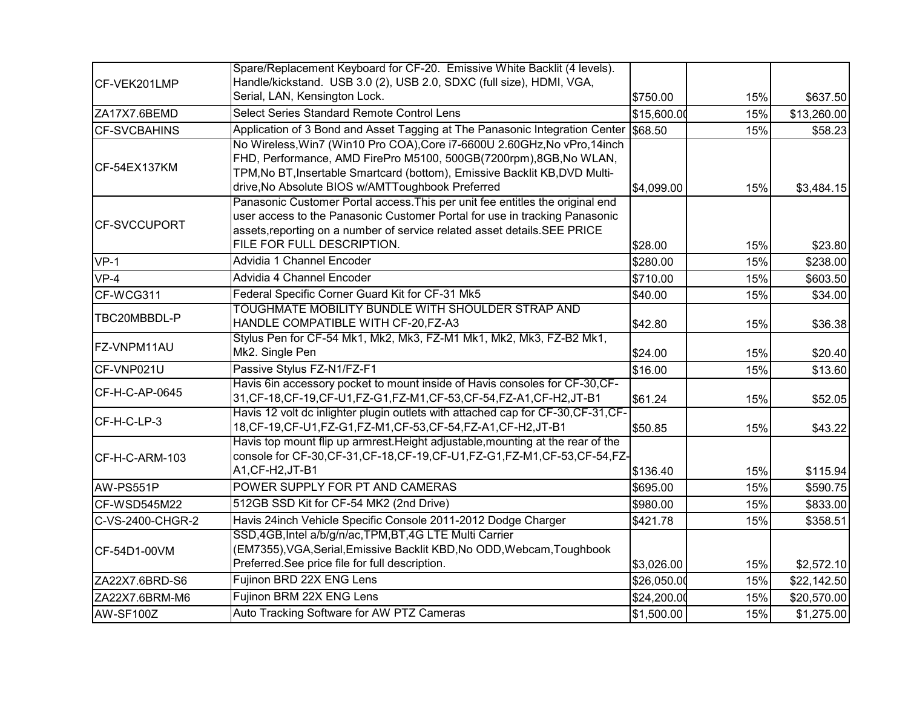|                     | Spare/Replacement Keyboard for CF-20. Emissive White Backlit (4 levels).                                                                                                                                                                                                         |             |     |             |
|---------------------|----------------------------------------------------------------------------------------------------------------------------------------------------------------------------------------------------------------------------------------------------------------------------------|-------------|-----|-------------|
| CF-VEK201LMP        | Handle/kickstand. USB 3.0 (2), USB 2.0, SDXC (full size), HDMI, VGA,                                                                                                                                                                                                             |             |     |             |
|                     | Serial, LAN, Kensington Lock.                                                                                                                                                                                                                                                    | \$750.00    | 15% | \$637.50    |
| ZA17X7.6BEMD        | Select Series Standard Remote Control Lens                                                                                                                                                                                                                                       | \$15,600.00 | 15% | \$13,260.00 |
| <b>CF-SVCBAHINS</b> | Application of 3 Bond and Asset Tagging at The Panasonic Integration Center 568.50                                                                                                                                                                                               |             | 15% | \$58.23     |
| CF-54EX137KM        | No Wireless, Win7 (Win10 Pro COA), Core i7-6600U 2.60GHz, No vPro, 14inch<br>FHD, Performance, AMD FirePro M5100, 500GB(7200rpm),8GB, No WLAN,<br>TPM, No BT, Insertable Smartcard (bottom), Emissive Backlit KB, DVD Multi-<br>drive, No Absolute BIOS w/AMTToughbook Preferred | \$4,099.00  | 15% | \$3,484.15  |
| <b>CF-SVCCUPORT</b> | Panasonic Customer Portal access. This per unit fee entitles the original end<br>user access to the Panasonic Customer Portal for use in tracking Panasonic<br>assets, reporting on a number of service related asset details. SEE PRICE<br>FILE FOR FULL DESCRIPTION.           | \$28.00     | 15% | \$23.80     |
| $VP-1$              | Advidia 1 Channel Encoder                                                                                                                                                                                                                                                        | \$280.00    | 15% | \$238.00    |
| $VP-4$              | Advidia 4 Channel Encoder                                                                                                                                                                                                                                                        | \$710.00    | 15% | \$603.50    |
| CF-WCG311           | Federal Specific Corner Guard Kit for CF-31 Mk5                                                                                                                                                                                                                                  | \$40.00     | 15% | \$34.00     |
| TBC20MBBDL-P        | TOUGHMATE MOBILITY BUNDLE WITH SHOULDER STRAP AND<br>HANDLE COMPATIBLE WITH CF-20,FZ-A3                                                                                                                                                                                          | \$42.80     | 15% | \$36.38     |
| FZ-VNPM11AU         | Stylus Pen for CF-54 Mk1, Mk2, Mk3, FZ-M1 Mk1, Mk2, Mk3, FZ-B2 Mk1,<br>Mk2. Single Pen                                                                                                                                                                                           | \$24.00     | 15% | \$20.40     |
| CF-VNP021U          | Passive Stylus FZ-N1/FZ-F1                                                                                                                                                                                                                                                       | \$16.00     | 15% | \$13.60     |
| CF-H-C-AP-0645      | Havis 6in accessory pocket to mount inside of Havis consoles for CF-30, CF-<br>31, CF-18, CF-19, CF-U1, FZ-G1, FZ-M1, CF-53, CF-54, FZ-A1, CF-H2, JT-B1                                                                                                                          | \$61.24     | 15% | \$52.05     |
| CF-H-C-LP-3         | Havis 12 volt dc inlighter plugin outlets with attached cap for CF-30, CF-31, CF-<br>18, CF-19, CF-U1, FZ-G1, FZ-M1, CF-53, CF-54, FZ-A1, CF-H2, JT-B1                                                                                                                           | \$50.85     | 15% | \$43.22     |
| CF-H-C-ARM-103      | Havis top mount flip up armrest. Height adjustable, mounting at the rear of the<br>console for CF-30, CF-31, CF-18, CF-19, CF-U1, FZ-G1, FZ-M1, CF-53, CF-54, FZ-<br>A1, CF-H2, JT-B1                                                                                            | \$136.40    | 15% | \$115.94    |
| AW-PS551P           | POWER SUPPLY FOR PT AND CAMERAS                                                                                                                                                                                                                                                  | \$695.00    | 15% | \$590.75    |
| CF-WSD545M22        | 512GB SSD Kit for CF-54 MK2 (2nd Drive)                                                                                                                                                                                                                                          | \$980.00    | 15% | \$833.00    |
| C-VS-2400-CHGR-2    | Havis 24inch Vehicle Specific Console 2011-2012 Dodge Charger                                                                                                                                                                                                                    | \$421.78    | 15% | \$358.51    |
| CF-54D1-00VM        | SSD,4GB, Intel a/b/g/n/ac, TPM, BT, 4G LTE Multi Carrier<br>(EM7355), VGA, Serial, Emissive Backlit KBD, No ODD, Webcam, Toughbook<br>Preferred.See price file for full description.                                                                                             | \$3,026.00  | 15% | \$2,572.10  |
| ZA22X7.6BRD-S6      | Fujinon BRD 22X ENG Lens                                                                                                                                                                                                                                                         | \$26,050.00 | 15% | \$22,142.50 |
| ZA22X7.6BRM-M6      | Fujinon BRM 22X ENG Lens                                                                                                                                                                                                                                                         | \$24,200.00 | 15% | \$20,570.00 |
| AW-SF100Z           | Auto Tracking Software for AW PTZ Cameras                                                                                                                                                                                                                                        | \$1,500.00  | 15% | \$1,275.00  |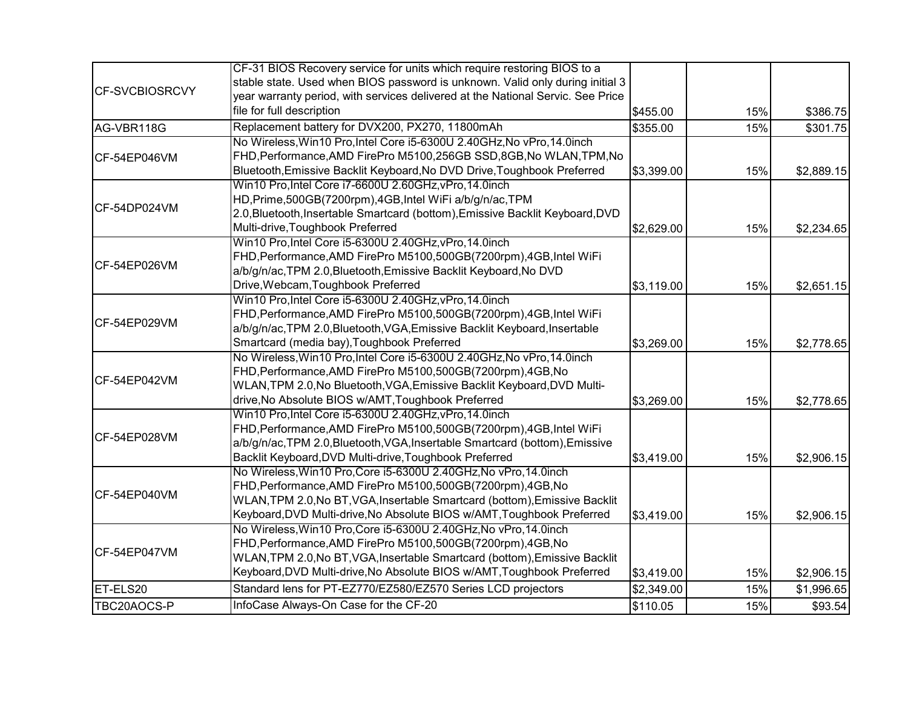|                              | CF-31 BIOS Recovery service for units which require restoring BIOS to a         |            |     |            |
|------------------------------|---------------------------------------------------------------------------------|------------|-----|------------|
|                              | stable state. Used when BIOS password is unknown. Valid only during initial 3   |            |     |            |
| <b>CF-SVCBIOSRCVY</b>        | year warranty period, with services delivered at the National Servic. See Price |            |     |            |
|                              | file for full description                                                       | \$455.00   | 15% | \$386.75   |
| AG-VBR118G                   | Replacement battery for DVX200, PX270, 11800mAh                                 | \$355.00   | 15% | \$301.75   |
|                              | No Wireless, Win10 Pro, Intel Core i5-6300U 2.40GHz, No vPro, 14.0inch          |            |     |            |
| CF-54EP046VM                 | FHD, Performance, AMD FirePro M5100, 256GB SSD, 8GB, No WLAN, TPM, No           |            |     |            |
|                              | Bluetooth, Emissive Backlit Keyboard, No DVD Drive, Toughbook Preferred         | \$3,399.00 | 15% | \$2,889.15 |
|                              | Win10 Pro, Intel Core i7-6600U 2.60GHz, vPro, 14.0inch                          |            |     |            |
|                              | HD, Prime, 500GB(7200rpm), 4GB, Intel WiFi a/b/g/n/ac, TPM                      |            |     |            |
| CF-54DP024VM                 | 2.0, Bluetooth, Insertable Smartcard (bottom), Emissive Backlit Keyboard, DVD   |            |     |            |
|                              | Multi-drive, Toughbook Preferred                                                | \$2,629.00 | 15% | \$2,234.65 |
|                              | Win10 Pro, Intel Core i5-6300U 2.40GHz, vPro, 14.0inch                          |            |     |            |
| CF-54EP026VM<br>CF-54EP029VM | FHD, Performance, AMD FirePro M5100, 500GB(7200rpm), 4GB, Intel WiFi            |            |     |            |
|                              | a/b/g/n/ac, TPM 2.0, Bluetooth, Emissive Backlit Keyboard, No DVD               |            |     |            |
|                              | Drive, Webcam, Toughbook Preferred                                              | \$3,119.00 | 15% | \$2,651.15 |
|                              | Win10 Pro, Intel Core i5-6300U 2.40GHz, vPro, 14.0inch                          |            |     |            |
|                              | FHD, Performance, AMD FirePro M5100, 500GB(7200rpm), 4GB, Intel WiFi            |            |     |            |
|                              | a/b/g/n/ac,TPM 2.0,Bluetooth,VGA,Emissive Backlit Keyboard, Insertable          |            |     |            |
|                              | Smartcard (media bay), Toughbook Preferred                                      | \$3,269.00 | 15% | \$2,778.65 |
|                              | No Wireless, Win10 Pro, Intel Core i5-6300U 2.40GHz, No vPro, 14.0inch          |            |     |            |
|                              | FHD, Performance, AMD FirePro M5100, 500GB(7200rpm), 4GB, No                    |            |     |            |
| CF-54EP042VM                 | WLAN, TPM 2.0, No Bluetooth, VGA, Emissive Backlit Keyboard, DVD Multi-         |            |     |            |
|                              | drive, No Absolute BIOS w/AMT, Toughbook Preferred                              | \$3,269.00 | 15% | \$2,778.65 |
|                              | Win10 Pro, Intel Core i5-6300U 2.40GHz, vPro, 14.0inch                          |            |     |            |
| CF-54EP028VM                 | FHD, Performance, AMD FirePro M5100, 500GB(7200rpm), 4GB, Intel WiFi            |            |     |            |
|                              | a/b/g/n/ac,TPM 2.0,Bluetooth,VGA,Insertable Smartcard (bottom),Emissive         |            |     |            |
|                              | Backlit Keyboard, DVD Multi-drive, Toughbook Preferred                          | \$3,419.00 | 15% | \$2,906.15 |
|                              | No Wireless, Win10 Pro, Core i5-6300U 2.40GHz, No vPro, 14.0inch                |            |     |            |
|                              | FHD, Performance, AMD FirePro M5100, 500GB(7200rpm), 4GB, No                    |            |     |            |
| CF-54EP040VM                 | WLAN, TPM 2.0, No BT, VGA, Insertable Smartcard (bottom), Emissive Backlit      |            |     |            |
|                              | Keyboard, DVD Multi-drive, No Absolute BIOS w/AMT, Toughbook Preferred          | \$3,419.00 | 15% | \$2,906.15 |
|                              | No Wireless, Win10 Pro, Core i5-6300U 2.40GHz, No vPro, 14.0inch                |            |     |            |
| CF-54EP047VM                 | FHD, Performance, AMD FirePro M5100, 500GB(7200rpm), 4GB, No                    |            |     |            |
|                              | WLAN, TPM 2.0, No BT, VGA, Insertable Smartcard (bottom), Emissive Backlit      |            |     |            |
|                              | Keyboard, DVD Multi-drive, No Absolute BIOS w/AMT, Toughbook Preferred          | \$3,419.00 | 15% | \$2,906.15 |
| ET-ELS20                     | Standard lens for PT-EZ770/EZ580/EZ570 Series LCD projectors                    | \$2,349.00 | 15% | \$1,996.65 |
| TBC20AOCS-P                  | InfoCase Always-On Case for the CF-20                                           | \$110.05   | 15% | \$93.54    |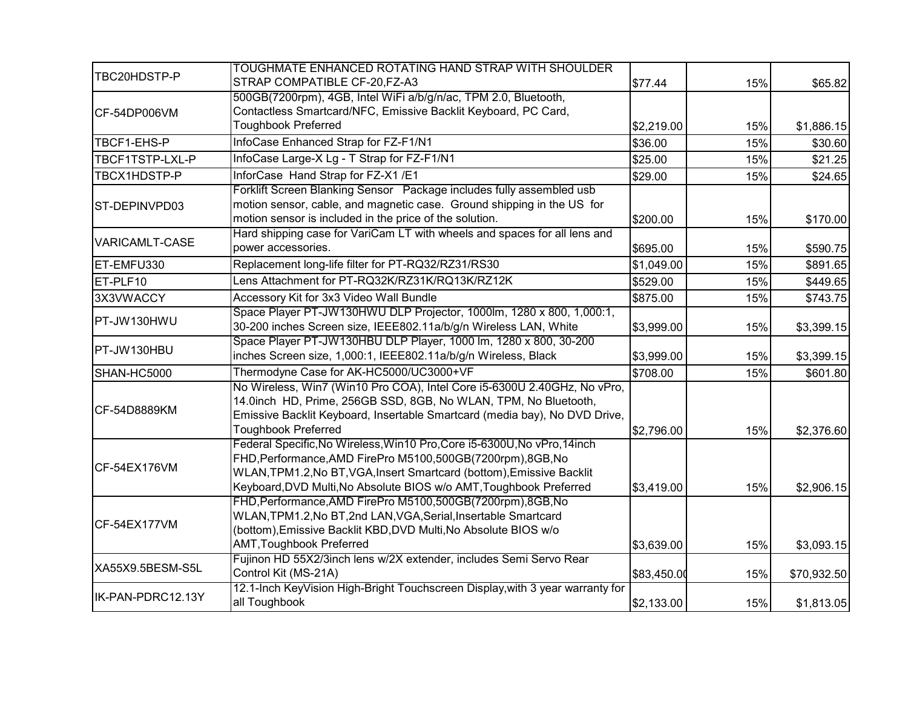| TBC20HDSTP-P      | TOUGHMATE ENHANCED ROTATING HAND STRAP WITH SHOULDER<br>STRAP COMPATIBLE CF-20, FZ-A3                                                                                                                                                                                                   | \$77.44     | 15% | \$65.82     |
|-------------------|-----------------------------------------------------------------------------------------------------------------------------------------------------------------------------------------------------------------------------------------------------------------------------------------|-------------|-----|-------------|
| CF-54DP006VM      | 500GB(7200rpm), 4GB, Intel WiFi a/b/g/n/ac, TPM 2.0, Bluetooth,<br>Contactless Smartcard/NFC, Emissive Backlit Keyboard, PC Card,<br><b>Toughbook Preferred</b>                                                                                                                         | \$2,219.00  | 15% | \$1,886.15  |
| TBCF1-EHS-P       | InfoCase Enhanced Strap for FZ-F1/N1                                                                                                                                                                                                                                                    | \$36.00     | 15% | \$30.60     |
| TBCF1TSTP-LXL-P   | InfoCase Large-X Lg - T Strap for FZ-F1/N1                                                                                                                                                                                                                                              | \$25.00     | 15% | \$21.25     |
| TBCX1HDSTP-P      | InforCase Hand Strap for FZ-X1 /E1                                                                                                                                                                                                                                                      | \$29.00     | 15% | \$24.65     |
| ST-DEPINVPD03     | Forklift Screen Blanking Sensor Package includes fully assembled usb<br>motion sensor, cable, and magnetic case. Ground shipping in the US for<br>motion sensor is included in the price of the solution.                                                                               | \$200.00    | 15% | \$170.00    |
| VARICAMLT-CASE    | Hard shipping case for VariCam LT with wheels and spaces for all lens and<br>power accessories.                                                                                                                                                                                         | \$695.00    | 15% | \$590.75    |
| ET-EMFU330        | Replacement long-life filter for PT-RQ32/RZ31/RS30                                                                                                                                                                                                                                      | \$1,049.00  | 15% | \$891.65    |
| ET-PLF10          | Lens Attachment for PT-RQ32K/RZ31K/RQ13K/RZ12K                                                                                                                                                                                                                                          | \$529.00    | 15% | \$449.65    |
| 3X3VWACCY         | Accessory Kit for 3x3 Video Wall Bundle                                                                                                                                                                                                                                                 | \$875.00    | 15% | \$743.75    |
| PT-JW130HWU       | Space Player PT-JW130HWU DLP Projector, 1000lm, 1280 x 800, 1,000:1,<br>30-200 inches Screen size, IEEE802.11a/b/g/n Wireless LAN, White                                                                                                                                                | \$3,999.00  | 15% | \$3,399.15  |
| PT-JW130HBU       | Space Player PT-JW130HBU DLP Player, 1000 lm, 1280 x 800, 30-200<br>inches Screen size, 1,000:1, IEEE802.11a/b/g/n Wireless, Black                                                                                                                                                      | \$3,999.00  | 15% | \$3,399.15  |
| SHAN-HC5000       | Thermodyne Case for AK-HC5000/UC3000+VF                                                                                                                                                                                                                                                 | \$708.00    | 15% | \$601.80    |
| CF-54D8889KM      | No Wireless, Win7 (Win10 Pro COA), Intel Core i5-6300U 2.40GHz, No vPro,<br>14.0inch HD, Prime, 256GB SSD, 8GB, No WLAN, TPM, No Bluetooth,<br>Emissive Backlit Keyboard, Insertable Smartcard (media bay), No DVD Drive,<br><b>Toughbook Preferred</b>                                 | \$2,796.00  | 15% | \$2,376.60  |
| CF-54EX176VM      | Federal Specific, No Wireless, Win10 Pro, Core i5-6300U, No vPro, 14inch<br>FHD, Performance, AMD FirePro M5100, 500GB(7200rpm), 8GB, No<br>WLAN, TPM1.2, No BT, VGA, Insert Smartcard (bottom), Emissive Backlit<br>Keyboard, DVD Multi, No Absolute BIOS w/o AMT, Toughbook Preferred | \$3,419.00  | 15% | \$2,906.15  |
| CF-54EX177VM      | FHD, Performance, AMD FirePro M5100, 500GB(7200rpm), 8GB, No<br>WLAN, TPM1.2, No BT, 2nd LAN, VGA, Serial, Insertable Smartcard<br>(bottom), Emissive Backlit KBD, DVD Multi, No Absolute BIOS w/o<br>AMT, Toughbook Preferred                                                          | \$3,639.00  | 15% | \$3,093.15  |
| XA55X9.5BESM-S5L  | Fujinon HD 55X2/3inch lens w/2X extender, includes Semi Servo Rear<br>Control Kit (MS-21A)                                                                                                                                                                                              | \$83,450.00 | 15% | \$70,932.50 |
| IK-PAN-PDRC12.13Y | 12.1-Inch KeyVision High-Bright Touchscreen Display, with 3 year warranty for<br>all Toughbook                                                                                                                                                                                          | \$2,133.00  | 15% | \$1,813.05  |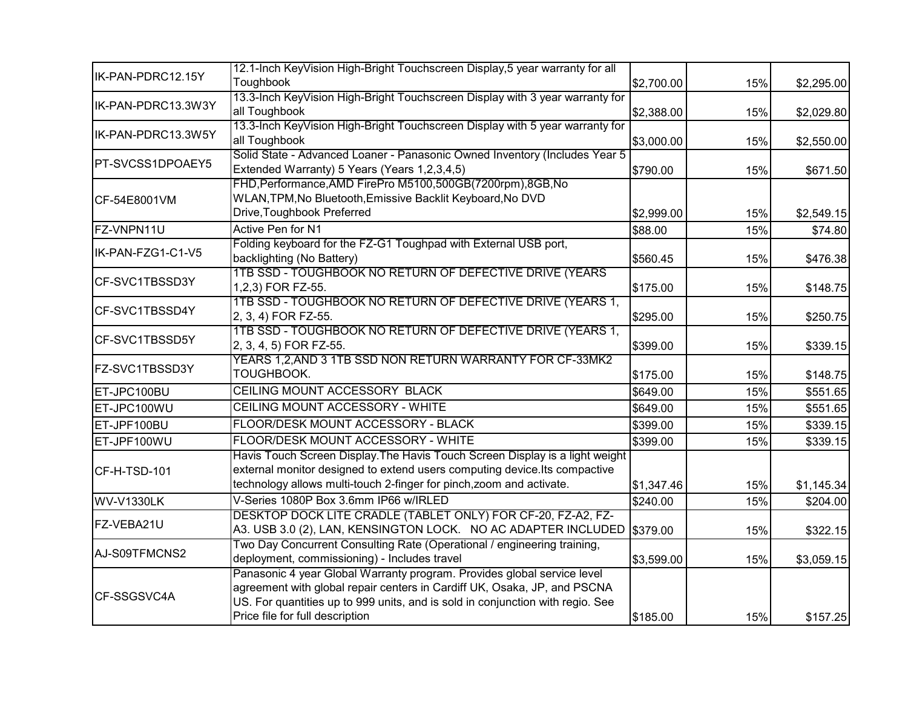|                    | 12.1-Inch KeyVision High-Bright Touchscreen Display, 5 year warranty for all                                                                                                                                                                                             |            |     |            |
|--------------------|--------------------------------------------------------------------------------------------------------------------------------------------------------------------------------------------------------------------------------------------------------------------------|------------|-----|------------|
| IK-PAN-PDRC12.15Y  | Toughbook                                                                                                                                                                                                                                                                | \$2,700.00 | 15% | \$2,295.00 |
| IK-PAN-PDRC13.3W3Y | 13.3-Inch KeyVision High-Bright Touchscreen Display with 3 year warranty for<br>all Toughbook                                                                                                                                                                            | \$2,388.00 | 15% | \$2,029.80 |
| IK-PAN-PDRC13.3W5Y | 13.3-Inch KeyVision High-Bright Touchscreen Display with 5 year warranty for<br>all Toughbook                                                                                                                                                                            | \$3,000.00 | 15% | \$2,550.00 |
| PT-SVCSS1DPOAEY5   | Solid State - Advanced Loaner - Panasonic Owned Inventory (Includes Year 5<br>Extended Warranty) 5 Years (Years 1,2,3,4,5)                                                                                                                                               | \$790.00   | 15% | \$671.50   |
| CF-54E8001VM       | FHD, Performance, AMD FirePro M5100, 500GB(7200rpm), 8GB, No<br>WLAN, TPM, No Bluetooth, Emissive Backlit Keyboard, No DVD<br>Drive, Toughbook Preferred                                                                                                                 | \$2,999.00 | 15% | \$2,549.15 |
| FZ-VNPN11U         | Active Pen for N1                                                                                                                                                                                                                                                        | \$88.00    | 15% | \$74.80    |
| IK-PAN-FZG1-C1-V5  | Folding keyboard for the FZ-G1 Toughpad with External USB port,<br>backlighting (No Battery)                                                                                                                                                                             | \$560.45   | 15% | \$476.38   |
| CF-SVC1TBSSD3Y     | 1TB SSD - TOUGHBOOK NO RETURN OF DEFECTIVE DRIVE (YEARS<br>1,2,3) FOR FZ-55.                                                                                                                                                                                             | \$175.00   | 15% | \$148.75   |
| CF-SVC1TBSSD4Y     | 1TB SSD - TOUGHBOOK NO RETURN OF DEFECTIVE DRIVE (YEARS 1,<br>2, 3, 4) FOR FZ-55.                                                                                                                                                                                        | \$295.00   | 15% | \$250.75   |
| CF-SVC1TBSSD5Y     | 1TB SSD - TOUGHBOOK NO RETURN OF DEFECTIVE DRIVE (YEARS 1,<br>2, 3, 4, 5) FOR FZ-55.                                                                                                                                                                                     | \$399.00   | 15% | \$339.15   |
| FZ-SVC1TBSSD3Y     | YEARS 1,2, AND 3 1TB SSD NON RETURN WARRANTY FOR CF-33MK2<br>TOUGHBOOK.                                                                                                                                                                                                  | \$175.00   | 15% | \$148.75   |
| ET-JPC100BU        | CEILING MOUNT ACCESSORY BLACK                                                                                                                                                                                                                                            | \$649.00   | 15% | \$551.65   |
| ET-JPC100WU        | CEILING MOUNT ACCESSORY - WHITE                                                                                                                                                                                                                                          | \$649.00   | 15% | \$551.65   |
| ET-JPF100BU        | FLOOR/DESK MOUNT ACCESSORY - BLACK                                                                                                                                                                                                                                       | \$399.00   | 15% | \$339.15   |
| ET-JPF100WU        | FLOOR/DESK MOUNT ACCESSORY - WHITE                                                                                                                                                                                                                                       | \$399.00   | 15% | \$339.15   |
| CF-H-TSD-101       | Havis Touch Screen Display. The Havis Touch Screen Display is a light weight<br>external monitor designed to extend users computing device. Its compactive<br>technology allows multi-touch 2-finger for pinch, zoom and activate.                                       | \$1,347.46 | 15% | \$1,145.34 |
| WV-V1330LK         | V-Series 1080P Box 3.6mm IP66 w/IRLED                                                                                                                                                                                                                                    | \$240.00   | 15% | \$204.00   |
| FZ-VEBA21U         | DESKTOP DOCK LITE CRADLE (TABLET ONLY) FOR CF-20, FZ-A2, FZ-<br>A3. USB 3.0 (2), LAN, KENSINGTON LOCK. NO AC ADAPTER INCLUDED \$379.00                                                                                                                                   |            | 15% | \$322.15   |
| AJ-S09TFMCNS2      | Two Day Concurrent Consulting Rate (Operational / engineering training,<br>deployment, commissioning) - Includes travel                                                                                                                                                  | \$3,599.00 | 15% | \$3,059.15 |
| CF-SSGSVC4A        | Panasonic 4 year Global Warranty program. Provides global service level<br>agreement with global repair centers in Cardiff UK, Osaka, JP, and PSCNA<br>US. For quantities up to 999 units, and is sold in conjunction with regio. See<br>Price file for full description | \$185.00   | 15% | \$157.25   |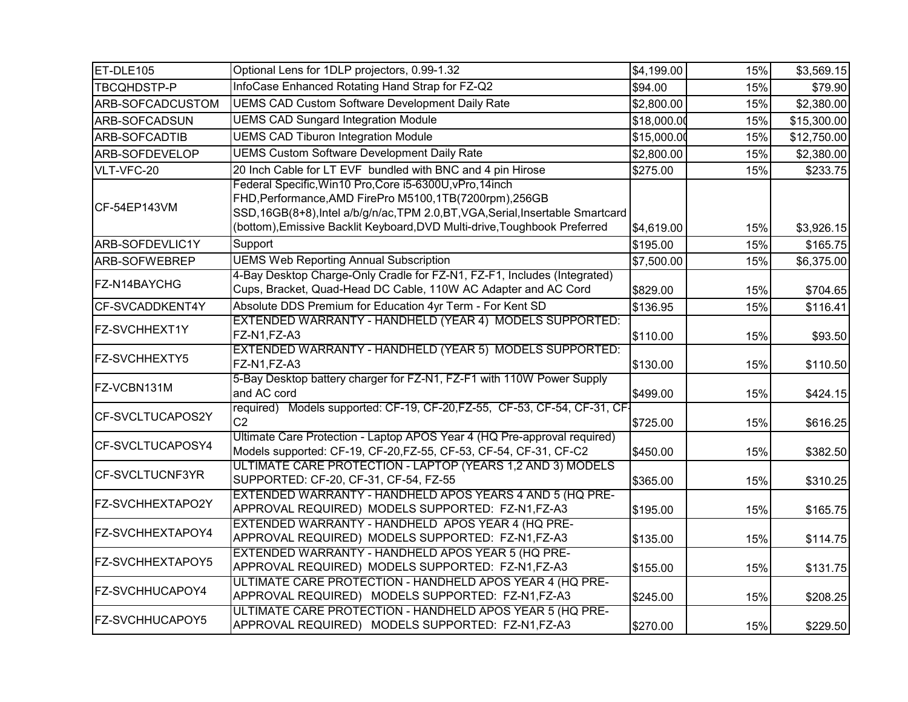| ET-DLE105              | Optional Lens for 1DLP projectors, 0.99-1.32                                                                                                                                                                                                                                          | \$4,199.00  | 15% | \$3,569.15  |
|------------------------|---------------------------------------------------------------------------------------------------------------------------------------------------------------------------------------------------------------------------------------------------------------------------------------|-------------|-----|-------------|
| TBCQHDSTP-P            | InfoCase Enhanced Rotating Hand Strap for FZ-Q2                                                                                                                                                                                                                                       | \$94.00     | 15% | \$79.90     |
| ARB-SOFCADCUSTOM       | <b>UEMS CAD Custom Software Development Daily Rate</b>                                                                                                                                                                                                                                | \$2,800.00  | 15% | \$2,380.00  |
| ARB-SOFCADSUN          | <b>UEMS CAD Sungard Integration Module</b>                                                                                                                                                                                                                                            | \$18,000.00 | 15% | \$15,300.00 |
| ARB-SOFCADTIB          | <b>UEMS CAD Tiburon Integration Module</b>                                                                                                                                                                                                                                            | \$15,000.00 | 15% | \$12,750.00 |
| ARB-SOFDEVELOP         | <b>UEMS Custom Software Development Daily Rate</b>                                                                                                                                                                                                                                    | \$2,800.00  | 15% | \$2,380.00  |
| VLT-VFC-20             | 20 Inch Cable for LT EVF bundled with BNC and 4 pin Hirose                                                                                                                                                                                                                            | \$275.00    | 15% | \$233.75    |
| CF-54EP143VM           | Federal Specific, Win10 Pro, Core i5-6300U, vPro, 14inch<br>FHD, Performance, AMD FirePro M5100, 1TB(7200rpm), 256GB<br>SSD, 16GB(8+8), Intel a/b/g/n/ac, TPM 2.0, BT, VGA, Serial, Insertable Smartcard<br>(bottom), Emissive Backlit Keyboard, DVD Multi-drive, Toughbook Preferred | \$4,619.00  | 15% | \$3,926.15  |
| ARB-SOFDEVLIC1Y        | Support                                                                                                                                                                                                                                                                               | \$195.00    | 15% | \$165.75    |
| ARB-SOFWEBREP          | <b>UEMS Web Reporting Annual Subscription</b>                                                                                                                                                                                                                                         | \$7,500.00  | 15% | \$6,375.00  |
| FZ-N14BAYCHG           | 4-Bay Desktop Charge-Only Cradle for FZ-N1, FZ-F1, Includes (Integrated)<br>Cups, Bracket, Quad-Head DC Cable, 110W AC Adapter and AC Cord                                                                                                                                            | \$829.00    | 15% | \$704.65    |
| CF-SVCADDKENT4Y        | Absolute DDS Premium for Education 4yr Term - For Kent SD                                                                                                                                                                                                                             | \$136.95    | 15% | \$116.41    |
| <b>FZ-SVCHHEXT1Y</b>   | EXTENDED WARRANTY - HANDHELD (YEAR 4) MODELS SUPPORTED:<br>FZ-N1,FZ-A3                                                                                                                                                                                                                | \$110.00    | 15% | \$93.50     |
| FZ-SVCHHEXTY5          | EXTENDED WARRANTY - HANDHELD (YEAR 5) MODELS SUPPORTED:<br>FZ-N1,FZ-A3                                                                                                                                                                                                                | \$130.00    | 15% | \$110.50    |
| FZ-VCBN131M            | 5-Bay Desktop battery charger for FZ-N1, FZ-F1 with 110W Power Supply<br>and AC cord                                                                                                                                                                                                  | \$499.00    | 15% | \$424.15    |
| CF-SVCLTUCAPOS2Y       | required) Models supported: CF-19, CF-20, FZ-55, CF-53, CF-54, CF-31, CF-<br>C <sub>2</sub>                                                                                                                                                                                           | \$725.00    | 15% | \$616.25    |
| CF-SVCLTUCAPOSY4       | Ultimate Care Protection - Laptop APOS Year 4 (HQ Pre-approval required)<br>Models supported: CF-19, CF-20, FZ-55, CF-53, CF-54, CF-31, CF-C2                                                                                                                                         | \$450.00    | 15% | \$382.50    |
| CF-SVCLTUCNF3YR        | ULTIMATE CARE PROTECTION - LAPTOP (YEARS 1,2 AND 3) MODELS<br>SUPPORTED: CF-20, CF-31, CF-54, FZ-55                                                                                                                                                                                   | \$365.00    | 15% | \$310.25    |
| FZ-SVCHHEXTAPO2Y       | EXTENDED WARRANTY - HANDHELD APOS YEARS 4 AND 5 (HQ PRE-<br>APPROVAL REQUIRED) MODELS SUPPORTED: FZ-N1,FZ-A3                                                                                                                                                                          | \$195.00    | 15% | \$165.75    |
| FZ-SVCHHEXTAPOY4       | EXTENDED WARRANTY - HANDHELD APOS YEAR 4 (HQ PRE-<br>APPROVAL REQUIRED) MODELS SUPPORTED: FZ-N1,FZ-A3                                                                                                                                                                                 | \$135.00    | 15% | \$114.75    |
| FZ-SVCHHEXTAPOY5       | EXTENDED WARRANTY - HANDHELD APOS YEAR 5 (HQ PRE-<br>APPROVAL REQUIRED) MODELS SUPPORTED: FZ-N1,FZ-A3                                                                                                                                                                                 | \$155.00    | 15% | \$131.75    |
| FZ-SVCHHUCAPOY4        | ULTIMATE CARE PROTECTION - HANDHELD APOS YEAR 4 (HQ PRE-<br>APPROVAL REQUIRED) MODELS SUPPORTED: FZ-N1,FZ-A3                                                                                                                                                                          | \$245.00    | 15% | \$208.25    |
| <b>FZ-SVCHHUCAPOY5</b> | ULTIMATE CARE PROTECTION - HANDHELD APOS YEAR 5 (HQ PRE-<br>APPROVAL REQUIRED) MODELS SUPPORTED: FZ-N1,FZ-A3                                                                                                                                                                          | \$270.00    | 15% | \$229.50    |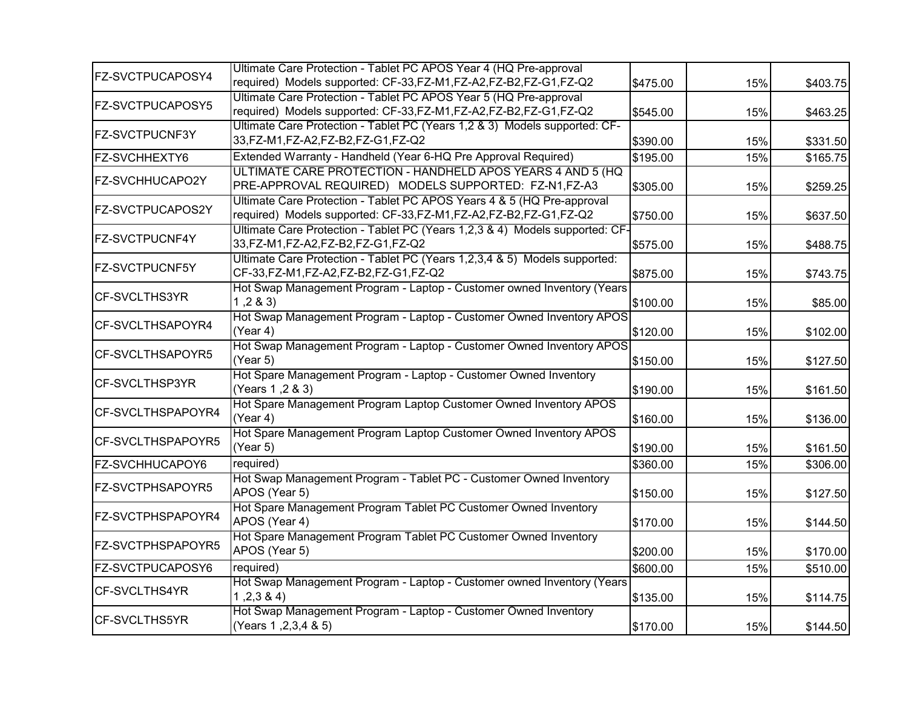| FZ-SVCTPUCAPOSY4        | Ultimate Care Protection - Tablet PC APOS Year 4 (HQ Pre-approval                                                                         |          |     |          |
|-------------------------|-------------------------------------------------------------------------------------------------------------------------------------------|----------|-----|----------|
|                         | required) Models supported: CF-33,FZ-M1,FZ-A2,FZ-B2,FZ-G1,FZ-Q2                                                                           | \$475.00 | 15% | \$403.75 |
| FZ-SVCTPUCAPOSY5        | Ultimate Care Protection - Tablet PC APOS Year 5 (HQ Pre-approval<br>required) Models supported: CF-33,FZ-M1,FZ-A2,FZ-B2,FZ-G1,FZ-Q2      | \$545.00 | 15% | \$463.25 |
| <b>FZ-SVCTPUCNF3Y</b>   | Ultimate Care Protection - Tablet PC (Years 1,2 & 3) Models supported: CF-<br>33, FZ-M1, FZ-A2, FZ-B2, FZ-G1, FZ-Q2                       | \$390.00 | 15% | \$331.50 |
| FZ-SVCHHEXTY6           | Extended Warranty - Handheld (Year 6-HQ Pre Approval Required)                                                                            | \$195.00 | 15% | \$165.75 |
| FZ-SVCHHUCAPO2Y         | ULTIMATE CARE PROTECTION - HANDHELD APOS YEARS 4 AND 5 (HQ<br>PRE-APPROVAL REQUIRED) MODELS SUPPORTED: FZ-N1,FZ-A3                        | \$305.00 | 15% | \$259.25 |
| <b>FZ-SVCTPUCAPOS2Y</b> | Ultimate Care Protection - Tablet PC APOS Years 4 & 5 (HQ Pre-approval<br>required) Models supported: CF-33,FZ-M1,FZ-A2,FZ-B2,FZ-G1,FZ-Q2 | \$750.00 | 15% | \$637.50 |
| FZ-SVCTPUCNF4Y          | Ultimate Care Protection - Tablet PC (Years 1,2,3 & 4) Models supported: CF-<br>33, FZ-M1, FZ-A2, FZ-B2, FZ-G1, FZ-Q2                     | \$575.00 | 15% | \$488.75 |
| <b>FZ-SVCTPUCNF5Y</b>   | Ultimate Care Protection - Tablet PC (Years 1,2,3,4 & 5) Models supported:<br>CF-33,FZ-M1,FZ-A2,FZ-B2,FZ-G1,FZ-Q2                         | \$875.00 | 15% | \$743.75 |
| CF-SVCLTHS3YR           | Hot Swap Management Program - Laptop - Customer owned Inventory (Years<br>1, 2 & 3                                                        | \$100.00 | 15% | \$85.00  |
| CF-SVCLTHSAPOYR4        | Hot Swap Management Program - Laptop - Customer Owned Inventory APOS<br>(Year 4)                                                          | \$120.00 | 15% | \$102.00 |
| CF-SVCLTHSAPOYR5        | Hot Swap Management Program - Laptop - Customer Owned Inventory APOS<br>(Year 5)                                                          | \$150.00 | 15% | \$127.50 |
| CF-SVCLTHSP3YR          | Hot Spare Management Program - Laptop - Customer Owned Inventory<br>(Years 1, 2 & 3)                                                      | \$190.00 | 15% | \$161.50 |
| CF-SVCLTHSPAPOYR4       | Hot Spare Management Program Laptop Customer Owned Inventory APOS<br>(Year 4)                                                             | \$160.00 | 15% | \$136.00 |
| CF-SVCLTHSPAPOYR5       | Hot Spare Management Program Laptop Customer Owned Inventory APOS<br>(Year 5)                                                             | \$190.00 | 15% | \$161.50 |
| FZ-SVCHHUCAPOY6         | required)                                                                                                                                 | \$360.00 | 15% | \$306.00 |
| <b>FZ-SVCTPHSAPOYR5</b> | Hot Swap Management Program - Tablet PC - Customer Owned Inventory<br>APOS (Year 5)                                                       | \$150.00 | 15% | \$127.50 |
| FZ-SVCTPHSPAPOYR4       | Hot Spare Management Program Tablet PC Customer Owned Inventory<br>APOS (Year 4)                                                          | \$170.00 | 15% | \$144.50 |
| FZ-SVCTPHSPAPOYR5       | Hot Spare Management Program Tablet PC Customer Owned Inventory<br>APOS (Year 5)                                                          | \$200.00 | 15% | \$170.00 |
| FZ-SVCTPUCAPOSY6        | required)                                                                                                                                 | \$600.00 | 15% | \$510.00 |
| <b>CF-SVCLTHS4YR</b>    | Hot Swap Management Program - Laptop - Customer owned Inventory (Years<br>1,2,3,8,4                                                       | \$135.00 | 15% | \$114.75 |
| <b>CF-SVCLTHS5YR</b>    | Hot Swap Management Program - Laptop - Customer Owned Inventory<br>(Years 1, 2, 3, 4 & 5)                                                 | \$170.00 | 15% | \$144.50 |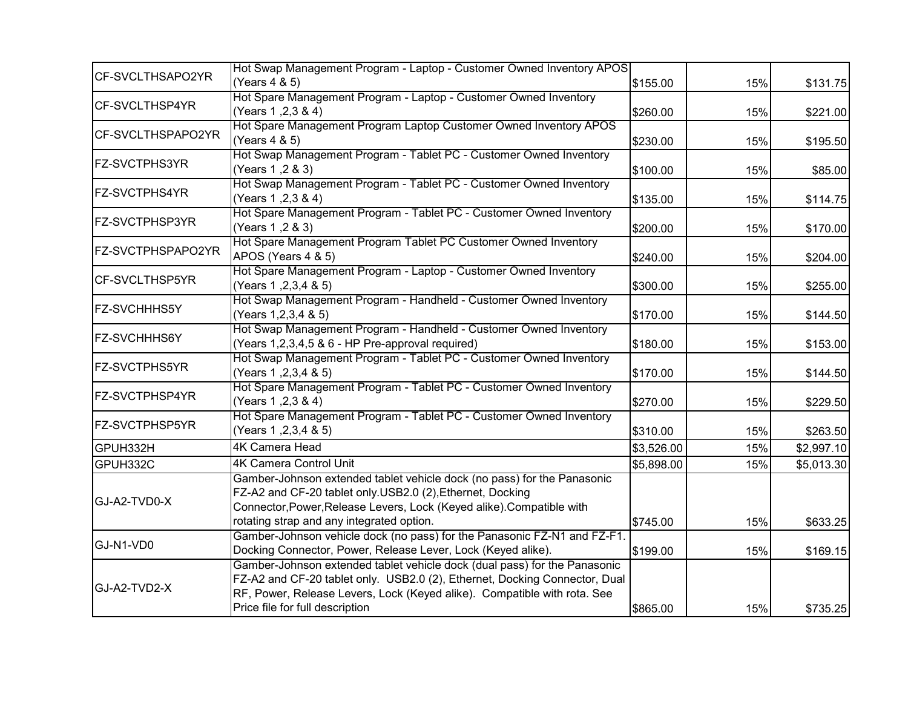|                       | Hot Swap Management Program - Laptop - Customer Owned Inventory APOS                                                                                                                                                                                                   |            |     |            |
|-----------------------|------------------------------------------------------------------------------------------------------------------------------------------------------------------------------------------------------------------------------------------------------------------------|------------|-----|------------|
| CF-SVCLTHSAPO2YR      | (Years 4 & 5)                                                                                                                                                                                                                                                          | \$155.00   | 15% | \$131.75   |
| CF-SVCLTHSP4YR        | Hot Spare Management Program - Laptop - Customer Owned Inventory<br>(Years 1, 2, 3 & 4)                                                                                                                                                                                | \$260.00   | 15% | \$221.00   |
| CF-SVCLTHSPAPO2YR     | Hot Spare Management Program Laptop Customer Owned Inventory APOS<br>(Years 4 & 5)                                                                                                                                                                                     | \$230.00   | 15% | \$195.50   |
| <b>FZ-SVCTPHS3YR</b>  | Hot Swap Management Program - Tablet PC - Customer Owned Inventory<br>(Years 1, 2 & 3)                                                                                                                                                                                 | \$100.00   | 15% | \$85.00    |
| <b>FZ-SVCTPHS4YR</b>  | Hot Swap Management Program - Tablet PC - Customer Owned Inventory<br>(Years 1, 2, 3 & 4)                                                                                                                                                                              | \$135.00   | 15% | \$114.75   |
| <b>FZ-SVCTPHSP3YR</b> | Hot Spare Management Program - Tablet PC - Customer Owned Inventory<br>(Years 1, 2 & 3)                                                                                                                                                                                | \$200.00   | 15% | \$170.00   |
| FZ-SVCTPHSPAPO2YR     | Hot Spare Management Program Tablet PC Customer Owned Inventory<br>APOS (Years 4 & 5)                                                                                                                                                                                  | \$240.00   | 15% | \$204.00   |
| CF-SVCLTHSP5YR        | Hot Spare Management Program - Laptop - Customer Owned Inventory<br>(Years 1, 2, 3, 4 & 5)                                                                                                                                                                             | \$300.00   | 15% | \$255.00   |
| <b>FZ-SVCHHHS5Y</b>   | Hot Swap Management Program - Handheld - Customer Owned Inventory<br>(Years 1, 2, 3, 4 & 5)                                                                                                                                                                            | \$170.00   | 15% | \$144.50   |
| <b>FZ-SVCHHHS6Y</b>   | Hot Swap Management Program - Handheld - Customer Owned Inventory<br>(Years 1,2,3,4,5 & 6 - HP Pre-approval required)                                                                                                                                                  | \$180.00   | 15% | \$153.00   |
| <b>FZ-SVCTPHS5YR</b>  | Hot Swap Management Program - Tablet PC - Customer Owned Inventory<br>(Years 1, 2, 3, 4 & 5)                                                                                                                                                                           | \$170.00   | 15% | \$144.50   |
| FZ-SVCTPHSP4YR        | Hot Spare Management Program - Tablet PC - Customer Owned Inventory<br>(Years 1, 2, 3 & 4)                                                                                                                                                                             | \$270.00   | 15% | \$229.50   |
| <b>FZ-SVCTPHSP5YR</b> | Hot Spare Management Program - Tablet PC - Customer Owned Inventory<br>(Years 1, 2, 3, 4 & 5)                                                                                                                                                                          | \$310.00   | 15% | \$263.50   |
| GPUH332H              | <b>4K Camera Head</b>                                                                                                                                                                                                                                                  | \$3,526.00 | 15% | \$2,997.10 |
| GPUH332C              | <b>4K Camera Control Unit</b>                                                                                                                                                                                                                                          | \$5,898.00 | 15% | \$5,013.30 |
| GJ-A2-TVD0-X          | Gamber-Johnson extended tablet vehicle dock (no pass) for the Panasonic<br>FZ-A2 and CF-20 tablet only.USB2.0 (2), Ethernet, Docking<br>Connector, Power, Release Levers, Lock (Keyed alike). Compatible with<br>rotating strap and any integrated option.             | \$745.00   | 15% | \$633.25   |
| GJ-N1-VD0             | Gamber-Johnson vehicle dock (no pass) for the Panasonic FZ-N1 and FZ-F1.<br>Docking Connector, Power, Release Lever, Lock (Keyed alike).                                                                                                                               | \$199.00   | 15% | \$169.15   |
| GJ-A2-TVD2-X          | Gamber-Johnson extended tablet vehicle dock (dual pass) for the Panasonic<br>FZ-A2 and CF-20 tablet only. USB2.0 (2), Ethernet, Docking Connector, Dual<br>RF, Power, Release Levers, Lock (Keyed alike). Compatible with rota. See<br>Price file for full description | \$865.00   | 15% | \$735.25   |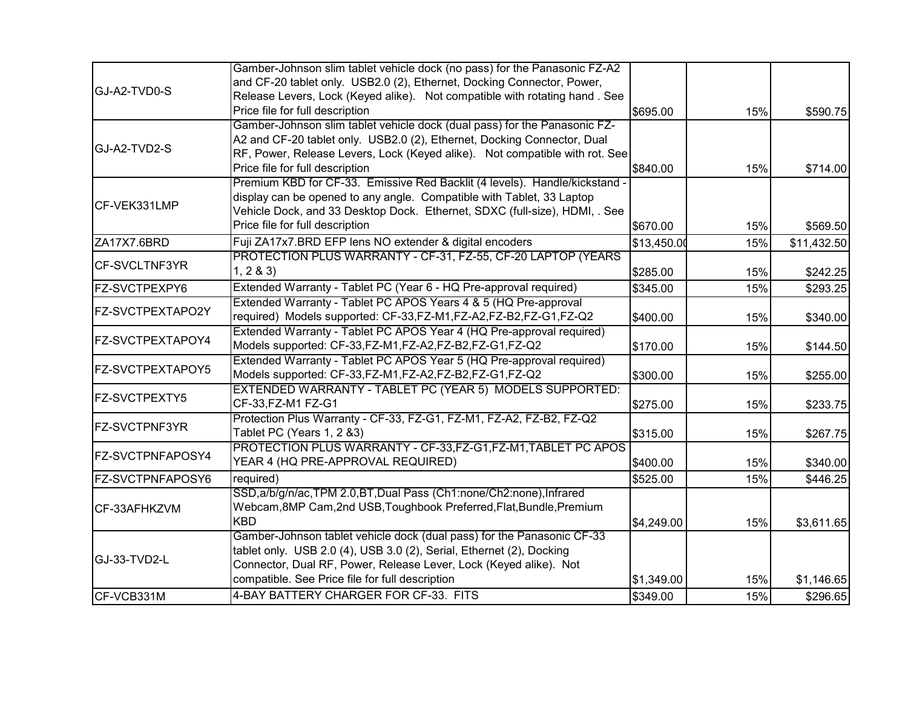|                         | Gamber-Johnson slim tablet vehicle dock (no pass) for the Panasonic FZ-A2   |             |     |             |
|-------------------------|-----------------------------------------------------------------------------|-------------|-----|-------------|
|                         | and CF-20 tablet only. USB2.0 (2), Ethernet, Docking Connector, Power,      |             |     |             |
| GJ-A2-TVD0-S            | Release Levers, Lock (Keyed alike). Not compatible with rotating hand. See  |             |     |             |
|                         | Price file for full description                                             | \$695.00    | 15% | \$590.75    |
|                         | Gamber-Johnson slim tablet vehicle dock (dual pass) for the Panasonic FZ-   |             |     |             |
|                         | A2 and CF-20 tablet only. USB2.0 (2), Ethernet, Docking Connector, Dual     |             |     |             |
| GJ-A2-TVD2-S            | RF, Power, Release Levers, Lock (Keyed alike). Not compatible with rot. See |             |     |             |
|                         | Price file for full description                                             | \$840.00    | 15% | \$714.00    |
|                         | Premium KBD for CF-33. Emissive Red Backlit (4 levels). Handle/kickstand -  |             |     |             |
|                         | display can be opened to any angle. Compatible with Tablet, 33 Laptop       |             |     |             |
| CF-VEK331LMP            | Vehicle Dock, and 33 Desktop Dock. Ethernet, SDXC (full-size), HDMI, . See  |             |     |             |
|                         | Price file for full description                                             | \$670.00    | 15% | \$569.50    |
|                         | Fuji ZA17x7.BRD EFP lens NO extender & digital encoders                     |             |     |             |
| ZA17X7.6BRD             | PROTECTION PLUS WARRANTY - CF-31, FZ-55, CF-20 LAPTOP (YEARS                | \$13,450.00 | 15% | \$11,432.50 |
| CF-SVCLTNF3YR           | 1, 283                                                                      |             |     |             |
|                         |                                                                             | \$285.00    | 15% | \$242.25    |
| FZ-SVCTPEXPY6           | Extended Warranty - Tablet PC (Year 6 - HQ Pre-approval required)           | \$345.00    | 15% | \$293.25    |
| FZ-SVCTPEXTAPO2Y        | Extended Warranty - Tablet PC APOS Years 4 & 5 (HQ Pre-approval             |             |     |             |
|                         | required) Models supported: CF-33,FZ-M1,FZ-A2,FZ-B2,FZ-G1,FZ-Q2             | \$400.00    | 15% | \$340.00    |
| FZ-SVCTPEXTAPOY4        | Extended Warranty - Tablet PC APOS Year 4 (HQ Pre-approval required)        |             |     |             |
|                         | Models supported: CF-33,FZ-M1,FZ-A2,FZ-B2,FZ-G1,FZ-Q2                       | \$170.00    | 15% | \$144.50    |
| FZ-SVCTPEXTAPOY5        | Extended Warranty - Tablet PC APOS Year 5 (HQ Pre-approval required)        |             |     |             |
|                         | Models supported: CF-33,FZ-M1,FZ-A2,FZ-B2,FZ-G1,FZ-Q2                       | \$300.00    | 15% | \$255.00    |
| FZ-SVCTPEXTY5           | EXTENDED WARRANTY - TABLET PC (YEAR 5) MODELS SUPPORTED:                    |             |     |             |
|                         | CF-33, FZ-M1 FZ-G1                                                          | \$275.00    | 15% | \$233.75    |
| <b>FZ-SVCTPNF3YR</b>    | Protection Plus Warranty - CF-33, FZ-G1, FZ-M1, FZ-A2, FZ-B2, FZ-Q2         |             |     |             |
|                         | Tablet PC (Years 1, 2 &3)                                                   | \$315.00    | 15% | \$267.75    |
| <b>FZ-SVCTPNFAPOSY4</b> | PROTECTION PLUS WARRANTY - CF-33, FZ-G1, FZ-M1, TABLET PC APOS              |             |     |             |
|                         | YEAR 4 (HQ PRE-APPROVAL REQUIRED)                                           | \$400.00    | 15% | \$340.00    |
| FZ-SVCTPNFAPOSY6        | required)                                                                   | \$525.00    | 15% | \$446.25    |
|                         | SSD, a/b/g/n/ac, TPM 2.0, BT, Dual Pass (Ch1:none/Ch2:none), Infrared       |             |     |             |
| CF-33AFHKZVM            | Webcam, 8MP Cam, 2nd USB, Toughbook Preferred, Flat, Bundle, Premium        |             |     |             |
|                         | <b>KBD</b>                                                                  | \$4,249.00  | 15% | \$3,611.65  |
|                         | Gamber-Johnson tablet vehicle dock (dual pass) for the Panasonic CF-33      |             |     |             |
| GJ-33-TVD2-L            | tablet only. USB 2.0 (4), USB 3.0 (2), Serial, Ethernet (2), Docking        |             |     |             |
|                         | Connector, Dual RF, Power, Release Lever, Lock (Keyed alike). Not           |             |     |             |
|                         | compatible. See Price file for full description                             | \$1,349.00  | 15% | \$1,146.65  |
| CF-VCB331M              | 4-BAY BATTERY CHARGER FOR CF-33. FITS                                       | \$349.00    | 15% | \$296.65    |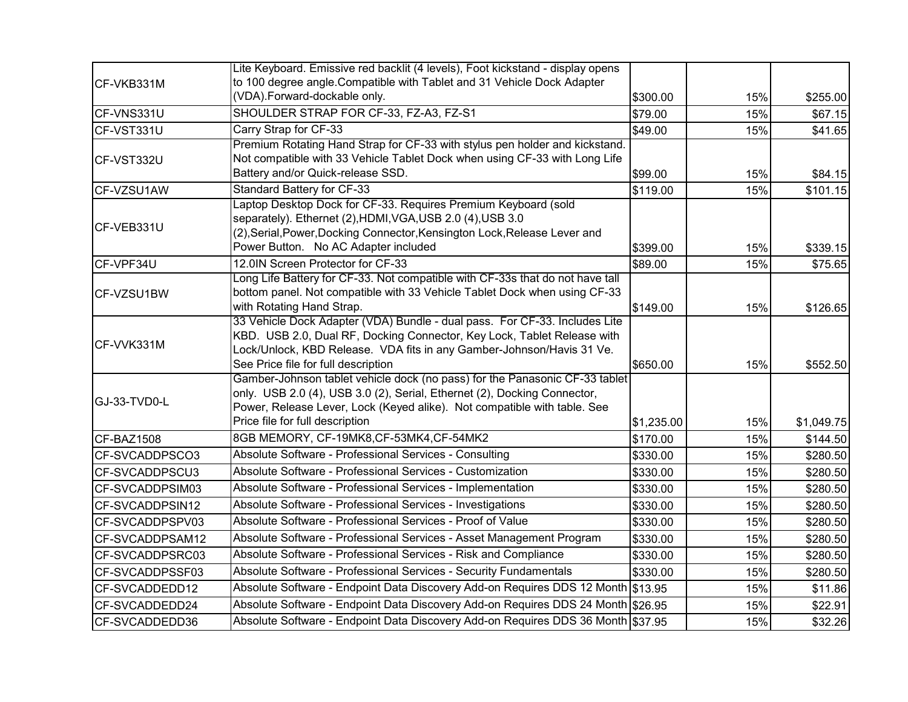|                 | Lite Keyboard. Emissive red backlit (4 levels), Foot kickstand - display opens                                                                                                                                                                                         |            |     |            |
|-----------------|------------------------------------------------------------------------------------------------------------------------------------------------------------------------------------------------------------------------------------------------------------------------|------------|-----|------------|
| CF-VKB331M      | to 100 degree angle. Compatible with Tablet and 31 Vehicle Dock Adapter                                                                                                                                                                                                |            |     |            |
|                 | (VDA).Forward-dockable only.                                                                                                                                                                                                                                           | \$300.00   | 15% | \$255.00   |
| CF-VNS331U      | SHOULDER STRAP FOR CF-33, FZ-A3, FZ-S1                                                                                                                                                                                                                                 | \$79.00    | 15% | \$67.15    |
| CF-VST331U      | Carry Strap for CF-33                                                                                                                                                                                                                                                  | \$49.00    | 15% | \$41.65    |
|                 | Premium Rotating Hand Strap for CF-33 with stylus pen holder and kickstand.                                                                                                                                                                                            |            |     |            |
| CF-VST332U      | Not compatible with 33 Vehicle Tablet Dock when using CF-33 with Long Life                                                                                                                                                                                             |            |     |            |
|                 | Battery and/or Quick-release SSD.                                                                                                                                                                                                                                      | \$99.00    | 15% | \$84.15    |
| CF-VZSU1AW      | Standard Battery for CF-33                                                                                                                                                                                                                                             | \$119.00   | 15% | \$101.15   |
| CF-VEB331U      | Laptop Desktop Dock for CF-33. Requires Premium Keyboard (sold<br>separately). Ethernet (2), HDMI, VGA, USB 2.0 (4), USB 3.0<br>(2), Serial, Power, Docking Connector, Kensington Lock, Release Lever and<br>Power Button. No AC Adapter included                      | \$399.00   | 15% | \$339.15   |
| CF-VPF34U       | 12.0IN Screen Protector for CF-33                                                                                                                                                                                                                                      | \$89.00    | 15% | \$75.65    |
|                 | Long Life Battery for CF-33. Not compatible with CF-33s that do not have tall                                                                                                                                                                                          |            |     |            |
| CF-VZSU1BW      | bottom panel. Not compatible with 33 Vehicle Tablet Dock when using CF-33                                                                                                                                                                                              |            |     |            |
|                 | with Rotating Hand Strap.                                                                                                                                                                                                                                              | \$149.00   | 15% | \$126.65   |
| CF-VVK331M      | 33 Vehicle Dock Adapter (VDA) Bundle - dual pass. For CF-33. Includes Lite<br>KBD. USB 2.0, Dual RF, Docking Connector, Key Lock, Tablet Release with<br>Lock/Unlock, KBD Release. VDA fits in any Gamber-Johnson/Havis 31 Ve.<br>See Price file for full description  | \$650.00   | 15% | \$552.50   |
| GJ-33-TVD0-L    | Gamber-Johnson tablet vehicle dock (no pass) for the Panasonic CF-33 tablet<br>only. USB 2.0 (4), USB 3.0 (2), Serial, Ethernet (2), Docking Connector,<br>Power, Release Lever, Lock (Keyed alike). Not compatible with table. See<br>Price file for full description | \$1,235.00 | 15% | \$1,049.75 |
| CF-BAZ1508      | 8GB MEMORY, CF-19MK8, CF-53MK4, CF-54MK2                                                                                                                                                                                                                               | \$170.00   | 15% | \$144.50   |
| CF-SVCADDPSCO3  | Absolute Software - Professional Services - Consulting                                                                                                                                                                                                                 | \$330.00   | 15% | \$280.50   |
| CF-SVCADDPSCU3  | Absolute Software - Professional Services - Customization                                                                                                                                                                                                              | \$330.00   | 15% | \$280.50   |
| CF-SVCADDPSIM03 | Absolute Software - Professional Services - Implementation                                                                                                                                                                                                             | \$330.00   | 15% | \$280.50   |
| CF-SVCADDPSIN12 | Absolute Software - Professional Services - Investigations                                                                                                                                                                                                             | \$330.00   | 15% | \$280.50   |
| CF-SVCADDPSPV03 | Absolute Software - Professional Services - Proof of Value                                                                                                                                                                                                             | \$330.00   | 15% | \$280.50   |
| CF-SVCADDPSAM12 | Absolute Software - Professional Services - Asset Management Program                                                                                                                                                                                                   | \$330.00   | 15% | \$280.50   |
| CF-SVCADDPSRC03 | Absolute Software - Professional Services - Risk and Compliance                                                                                                                                                                                                        | \$330.00   | 15% | \$280.50   |
| CF-SVCADDPSSF03 | Absolute Software - Professional Services - Security Fundamentals                                                                                                                                                                                                      | \$330.00   | 15% | \$280.50   |
| CF-SVCADDEDD12  | Absolute Software - Endpoint Data Discovery Add-on Requires DDS 12 Month \$13.95                                                                                                                                                                                       |            | 15% | \$11.86    |
| CF-SVCADDEDD24  | Absolute Software - Endpoint Data Discovery Add-on Requires DDS 24 Month \$26.95                                                                                                                                                                                       |            | 15% | \$22.91    |
| CF-SVCADDEDD36  | Absolute Software - Endpoint Data Discovery Add-on Requires DDS 36 Month \$37.95                                                                                                                                                                                       |            | 15% | \$32.26    |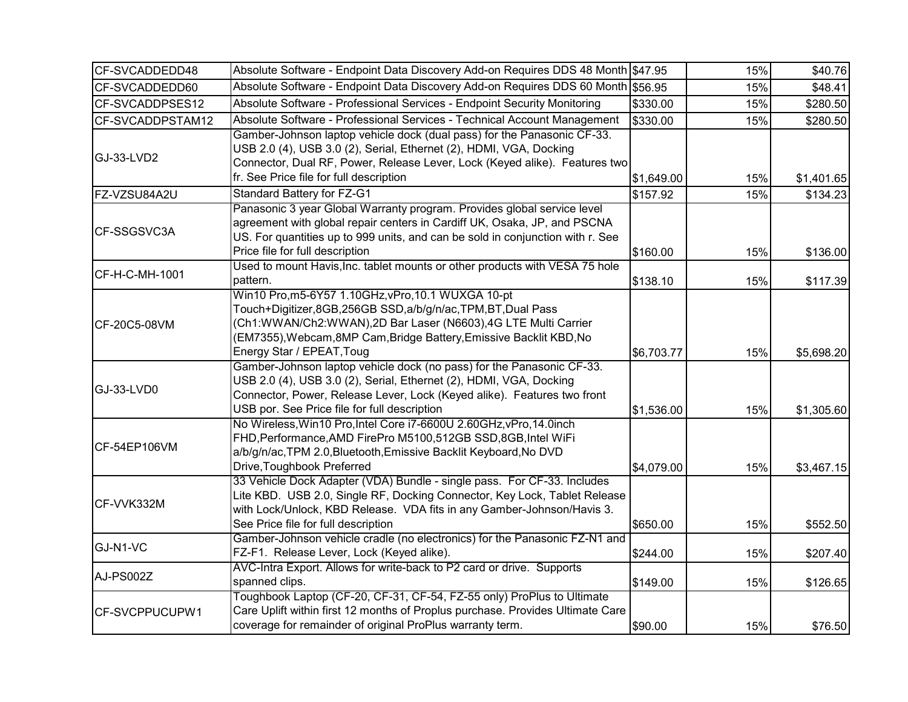| CF-SVCADDEDD48   | Absolute Software - Endpoint Data Discovery Add-on Requires DDS 48 Month \$47.95                                                                                                                                                                                                   |            | 15% | \$40.76    |
|------------------|------------------------------------------------------------------------------------------------------------------------------------------------------------------------------------------------------------------------------------------------------------------------------------|------------|-----|------------|
| CF-SVCADDEDD60   | Absolute Software - Endpoint Data Discovery Add-on Requires DDS 60 Month \$56.95                                                                                                                                                                                                   |            | 15% | \$48.41    |
| CF-SVCADDPSES12  | Absolute Software - Professional Services - Endpoint Security Monitoring                                                                                                                                                                                                           | \$330.00   | 15% | \$280.50   |
| CF-SVCADDPSTAM12 | Absolute Software - Professional Services - Technical Account Management                                                                                                                                                                                                           | \$330.00   | 15% | \$280.50   |
| GJ-33-LVD2       | Gamber-Johnson laptop vehicle dock (dual pass) for the Panasonic CF-33.<br>USB 2.0 (4), USB 3.0 (2), Serial, Ethernet (2), HDMI, VGA, Docking<br>Connector, Dual RF, Power, Release Lever, Lock (Keyed alike). Features two<br>fr. See Price file for full description             | \$1,649.00 | 15% | \$1,401.65 |
| FZ-VZSU84A2U     | <b>Standard Battery for FZ-G1</b>                                                                                                                                                                                                                                                  | \$157.92   | 15% | \$134.23   |
| CF-SSGSVC3A      | Panasonic 3 year Global Warranty program. Provides global service level<br>agreement with global repair centers in Cardiff UK, Osaka, JP, and PSCNA<br>US. For quantities up to 999 units, and can be sold in conjunction with r. See<br>Price file for full description           | \$160.00   | 15% | \$136.00   |
| CF-H-C-MH-1001   | Used to mount Havis, Inc. tablet mounts or other products with VESA 75 hole<br>pattern.                                                                                                                                                                                            | \$138.10   | 15% | \$117.39   |
| CF-20C5-08VM     | Win10 Pro,m5-6Y57 1.10GHz, vPro, 10.1 WUXGA 10-pt<br>Touch+Digitizer,8GB,256GB SSD,a/b/g/n/ac,TPM,BT,Dual Pass<br>Ch1:WWAN/Ch2:WWAN),2D Bar Laser (N6603),4G LTE Multi Carrier<br>(EM7355), Webcam, 8MP Cam, Bridge Battery, Emissive Backlit KBD, No<br>Energy Star / EPEAT, Toug | \$6,703.77 | 15% | \$5,698.20 |
| GJ-33-LVD0       | Gamber-Johnson laptop vehicle dock (no pass) for the Panasonic CF-33.<br>USB 2.0 (4), USB 3.0 (2), Serial, Ethernet (2), HDMI, VGA, Docking<br>Connector, Power, Release Lever, Lock (Keyed alike). Features two front<br>USB por. See Price file for full description             | \$1,536.00 | 15% | \$1,305.60 |
| CF-54EP106VM     | No Wireless, Win10 Pro, Intel Core i7-6600U 2.60GHz, vPro, 14.0inch<br>FHD, Performance, AMD FirePro M5100, 512GB SSD, 8GB, Intel WiFi<br>a/b/g/n/ac, TPM 2.0, Bluetooth, Emissive Backlit Keyboard, No DVD<br>Drive, Toughbook Preferred                                          | \$4,079.00 | 15% | \$3,467.15 |
| CF-VVK332M       | 33 Vehicle Dock Adapter (VDA) Bundle - single pass. For CF-33. Includes<br>Lite KBD. USB 2.0, Single RF, Docking Connector, Key Lock, Tablet Release<br>with Lock/Unlock, KBD Release. VDA fits in any Gamber-Johnson/Havis 3.<br>See Price file for full description              | \$650.00   | 15% | \$552.50   |
| GJ-N1-VC         | Gamber-Johnson vehicle cradle (no electronics) for the Panasonic FZ-N1 and<br>FZ-F1. Release Lever, Lock (Keyed alike).                                                                                                                                                            | \$244.00   | 15% | \$207.40   |
| AJ-PS002Z        | AVC-Intra Export. Allows for write-back to P2 card or drive. Supports<br>spanned clips.                                                                                                                                                                                            | \$149.00   | 15% | \$126.65   |
| CF-SVCPPUCUPW1   | Toughbook Laptop (CF-20, CF-31, CF-54, FZ-55 only) ProPlus to Ultimate<br>Care Uplift within first 12 months of Proplus purchase. Provides Ultimate Care<br>coverage for remainder of original ProPlus warranty term.                                                              | \$90.00    | 15% | \$76.50    |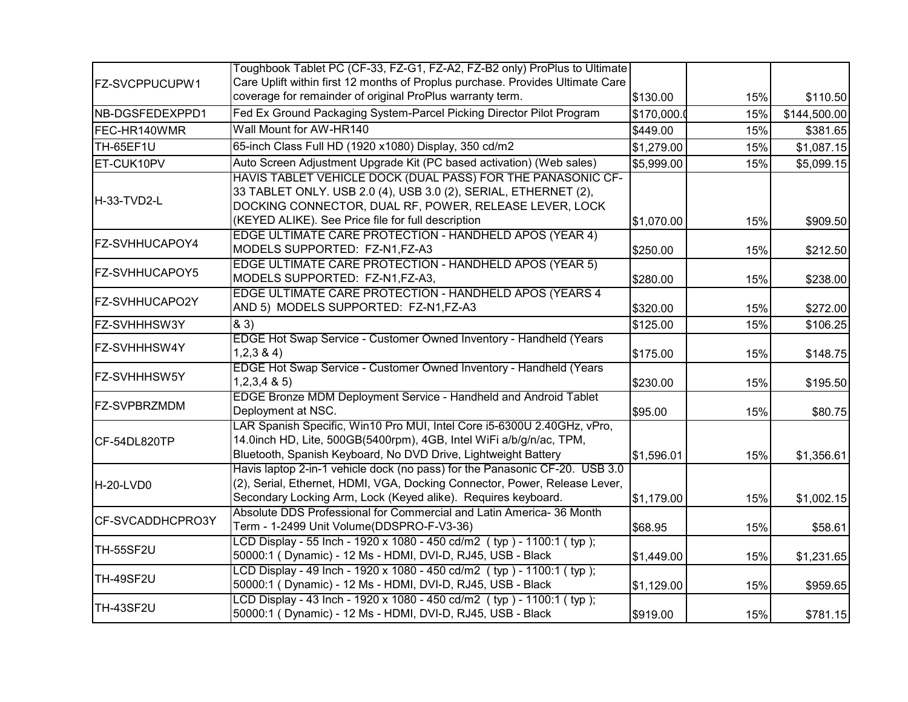|                       | Toughbook Tablet PC (CF-33, FZ-G1, FZ-A2, FZ-B2 only) ProPlus to Ultimate                                                                                                                                                                      |            |     |              |
|-----------------------|------------------------------------------------------------------------------------------------------------------------------------------------------------------------------------------------------------------------------------------------|------------|-----|--------------|
| FZ-SVCPPUCUPW1        | Care Uplift within first 12 months of Proplus purchase. Provides Ultimate Care                                                                                                                                                                 |            |     |              |
|                       | coverage for remainder of original ProPlus warranty term.                                                                                                                                                                                      | \$130.00   | 15% | \$110.50     |
| NB-DGSFEDEXPPD1       | Fed Ex Ground Packaging System-Parcel Picking Director Pilot Program                                                                                                                                                                           | \$170,000. | 15% | \$144,500.00 |
| FEC-HR140WMR          | Wall Mount for AW-HR140                                                                                                                                                                                                                        | \$449.00   | 15% | \$381.65     |
| TH-65EF1U             | 65-inch Class Full HD (1920 x1080) Display, 350 cd/m2                                                                                                                                                                                          | \$1,279.00 | 15% | \$1,087.15   |
| ET-CUK10PV            | Auto Screen Adjustment Upgrade Kit (PC based activation) (Web sales)                                                                                                                                                                           | \$5,999.00 | 15% | \$5,099.15   |
| H-33-TVD2-L           | HAVIS TABLET VEHICLE DOCK (DUAL PASS) FOR THE PANASONIC CF-<br>33 TABLET ONLY. USB 2.0 (4), USB 3.0 (2), SERIAL, ETHERNET (2),<br>DOCKING CONNECTOR, DUAL RF, POWER, RELEASE LEVER, LOCK<br>(KEYED ALIKE). See Price file for full description | \$1,070.00 | 15% | \$909.50     |
| FZ-SVHHUCAPOY4        | EDGE ULTIMATE CARE PROTECTION - HANDHELD APOS (YEAR 4)<br>MODELS SUPPORTED: FZ-N1,FZ-A3                                                                                                                                                        | \$250.00   | 15% | \$212.50     |
| <b>FZ-SVHHUCAPOY5</b> | EDGE ULTIMATE CARE PROTECTION - HANDHELD APOS (YEAR 5)<br>MODELS SUPPORTED: FZ-N1,FZ-A3,                                                                                                                                                       | \$280.00   | 15% | \$238.00     |
| <b>FZ-SVHHUCAPO2Y</b> | EDGE ULTIMATE CARE PROTECTION - HANDHELD APOS (YEARS 4<br>AND 5) MODELS SUPPORTED: FZ-N1,FZ-A3                                                                                                                                                 | \$320.00   | 15% | \$272.00     |
| FZ-SVHHHSW3Y          | & 3)                                                                                                                                                                                                                                           | \$125.00   | 15% | \$106.25     |
| FZ-SVHHHSW4Y          | EDGE Hot Swap Service - Customer Owned Inventory - Handheld (Years<br>1,2,3,8,4                                                                                                                                                                | \$175.00   | 15% | \$148.75     |
| <b>FZ-SVHHHSW5Y</b>   | EDGE Hot Swap Service - Customer Owned Inventory - Handheld (Years<br>$1,2,3,4$ & 5)                                                                                                                                                           | \$230.00   | 15% | \$195.50     |
| <b>FZ-SVPBRZMDM</b>   | EDGE Bronze MDM Deployment Service - Handheld and Android Tablet<br>Deployment at NSC.                                                                                                                                                         | \$95.00    | 15% | \$80.75      |
| CF-54DL820TP          | LAR Spanish Specific, Win10 Pro MUI, Intel Core i5-6300U 2.40GHz, vPro,<br>14.0inch HD, Lite, 500GB(5400rpm), 4GB, Intel WiFi a/b/g/n/ac, TPM,<br>Bluetooth, Spanish Keyboard, No DVD Drive, Lightweight Battery                               | \$1,596.01 | 15% | \$1,356.61   |
| H-20-LVD0             | Havis laptop 2-in-1 vehicle dock (no pass) for the Panasonic CF-20. USB 3.0<br>(2), Serial, Ethernet, HDMI, VGA, Docking Connector, Power, Release Lever,<br>Secondary Locking Arm, Lock (Keyed alike). Requires keyboard.                     | \$1,179.00 | 15% | \$1,002.15   |
| CF-SVCADDHCPRO3Y      | Absolute DDS Professional for Commercial and Latin America- 36 Month<br>Term - 1-2499 Unit Volume(DDSPRO-F-V3-36)                                                                                                                              | \$68.95    | 15% | \$58.61      |
| <b>TH-55SF2U</b>      | LCD Display - 55 Inch - 1920 x 1080 - 450 cd/m2 (typ) - 1100:1 (typ);<br>50000:1 (Dynamic) - 12 Ms - HDMI, DVI-D, RJ45, USB - Black                                                                                                            | \$1,449.00 | 15% | \$1,231.65   |
| <b>TH-49SF2U</b>      | LCD Display - 49 Inch - 1920 x 1080 - 450 cd/m2 (typ) - 1100:1 (typ);<br>50000:1 (Dynamic) - 12 Ms - HDMI, DVI-D, RJ45, USB - Black                                                                                                            | \$1,129.00 | 15% | \$959.65     |
| TH-43SF2U             | LCD Display - 43 Inch - 1920 x 1080 - 450 cd/m2 (typ) - 1100:1 (typ);<br>50000:1 (Dynamic) - 12 Ms - HDMI, DVI-D, RJ45, USB - Black                                                                                                            | \$919.00   | 15% | \$781.15     |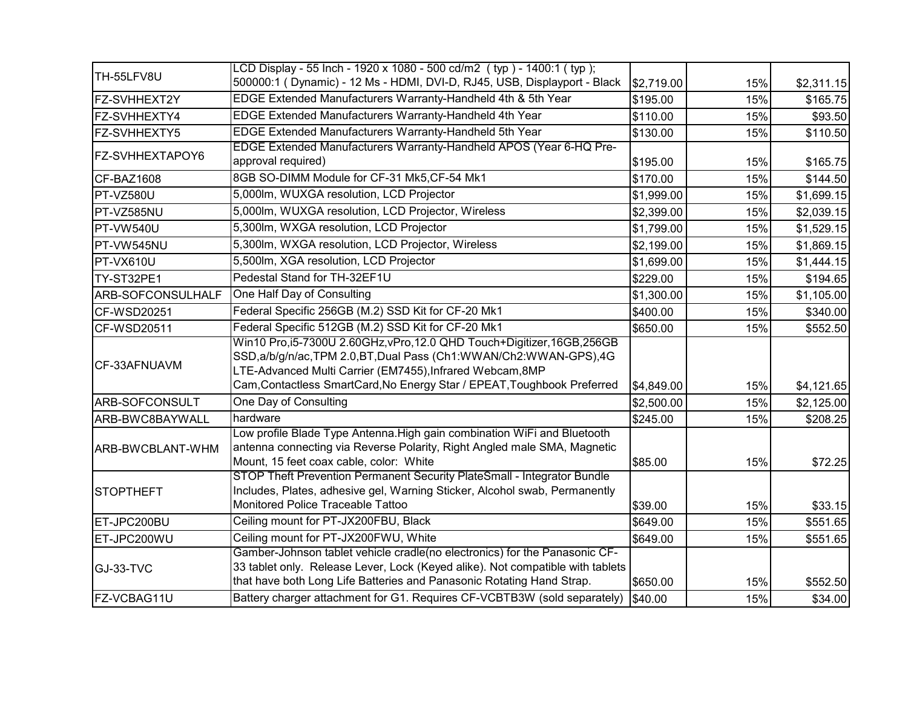| TH-55LFV8U        | LCD Display - 55 Inch - 1920 x 1080 - 500 cd/m2 (typ) - 1400:1 (typ);<br>500000:1 (Dynamic) - 12 Ms - HDMI, DVI-D, RJ45, USB, Displayport - Black | \$2,719.00 | 15% | \$2,311.15 |
|-------------------|---------------------------------------------------------------------------------------------------------------------------------------------------|------------|-----|------------|
| FZ-SVHHEXT2Y      | EDGE Extended Manufacturers Warranty-Handheld 4th & 5th Year                                                                                      | \$195.00   | 15% | \$165.75   |
| FZ-SVHHEXTY4      | EDGE Extended Manufacturers Warranty-Handheld 4th Year                                                                                            | \$110.00   | 15% | \$93.50    |
| FZ-SVHHEXTY5      | EDGE Extended Manufacturers Warranty-Handheld 5th Year                                                                                            | \$130.00   | 15% | \$110.50   |
|                   | EDGE Extended Manufacturers Warranty-Handheld APOS (Year 6-HQ Pre-                                                                                |            |     |            |
| FZ-SVHHEXTAPOY6   | approval required)                                                                                                                                | \$195.00   | 15% | \$165.75   |
| CF-BAZ1608        | 8GB SO-DIMM Module for CF-31 Mk5, CF-54 Mk1                                                                                                       | \$170.00   | 15% | \$144.50   |
| PT-VZ580U         | 5,000lm, WUXGA resolution, LCD Projector                                                                                                          | \$1,999.00 | 15% | \$1,699.15 |
| PT-VZ585NU        | 5,000lm, WUXGA resolution, LCD Projector, Wireless                                                                                                | \$2,399.00 | 15% | \$2,039.15 |
| PT-VW540U         | 5,300lm, WXGA resolution, LCD Projector                                                                                                           | \$1,799.00 | 15% | \$1,529.15 |
| PT-VW545NU        | 5,300lm, WXGA resolution, LCD Projector, Wireless                                                                                                 | \$2,199.00 | 15% | \$1,869.15 |
| PT-VX610U         | 5,500lm, XGA resolution, LCD Projector                                                                                                            | \$1,699.00 | 15% | \$1,444.15 |
| TY-ST32PE1        | Pedestal Stand for TH-32EF1U                                                                                                                      | \$229.00   | 15% | \$194.65   |
| ARB-SOFCONSULHALF | One Half Day of Consulting                                                                                                                        | \$1,300.00 | 15% | \$1,105.00 |
| CF-WSD20251       | Federal Specific 256GB (M.2) SSD Kit for CF-20 Mk1                                                                                                | \$400.00   | 15% | \$340.00   |
| CF-WSD20511       | Federal Specific 512GB (M.2) SSD Kit for CF-20 Mk1                                                                                                | \$650.00   | 15% | \$552.50   |
|                   | Win10 Pro,i5-7300U 2.60GHz, vPro, 12.0 QHD Touch+Digitizer, 16GB, 256GB                                                                           |            |     |            |
| CF-33AFNUAVM      | SSD, a/b/g/n/ac, TPM 2.0, BT, Dual Pass (Ch1: WWAN/Ch2: WWAN-GPS), 4G                                                                             |            |     |            |
|                   | LTE-Advanced Multi Carrier (EM7455), Infrared Webcam, 8MP                                                                                         |            |     |            |
|                   | Cam, Contactless SmartCard, No Energy Star / EPEAT, Toughbook Preferred                                                                           | \$4,849.00 | 15% | \$4,121.65 |
| ARB-SOFCONSULT    | One Day of Consulting                                                                                                                             | \$2,500.00 | 15% | \$2,125.00 |
| ARB-BWC8BAYWALL   | hardware                                                                                                                                          | \$245.00   | 15% | \$208.25   |
|                   | Low profile Blade Type Antenna. High gain combination WiFi and Bluetooth                                                                          |            |     |            |
| ARB-BWCBLANT-WHM  | antenna connecting via Reverse Polarity, Right Angled male SMA, Magnetic                                                                          |            |     |            |
|                   | Mount, 15 feet coax cable, color: White                                                                                                           | \$85.00    | 15% | \$72.25    |
|                   | STOP Theft Prevention Permanent Security PlateSmall - Integrator Bundle                                                                           |            |     |            |
| <b>STOPTHEFT</b>  | Includes, Plates, adhesive gel, Warning Sticker, Alcohol swab, Permanently                                                                        |            |     |            |
|                   | Monitored Police Traceable Tattoo                                                                                                                 | \$39.00    | 15% | \$33.15    |
| ET-JPC200BU       | Ceiling mount for PT-JX200FBU, Black                                                                                                              | \$649.00   | 15% | \$551.65   |
| ET-JPC200WU       | Ceiling mount for PT-JX200FWU, White                                                                                                              | \$649.00   | 15% | \$551.65   |
|                   | Gamber-Johnson tablet vehicle cradle(no electronics) for the Panasonic CF-                                                                        |            |     |            |
| GJ-33-TVC         | 33 tablet only. Release Lever, Lock (Keyed alike). Not compatible with tablets                                                                    |            |     |            |
|                   | that have both Long Life Batteries and Panasonic Rotating Hand Strap.                                                                             | \$650.00   | 15% | \$552.50   |
| FZ-VCBAG11U       | Battery charger attachment for G1. Requires CF-VCBTB3W (sold separately)                                                                          | \$40.00    | 15% | \$34.00    |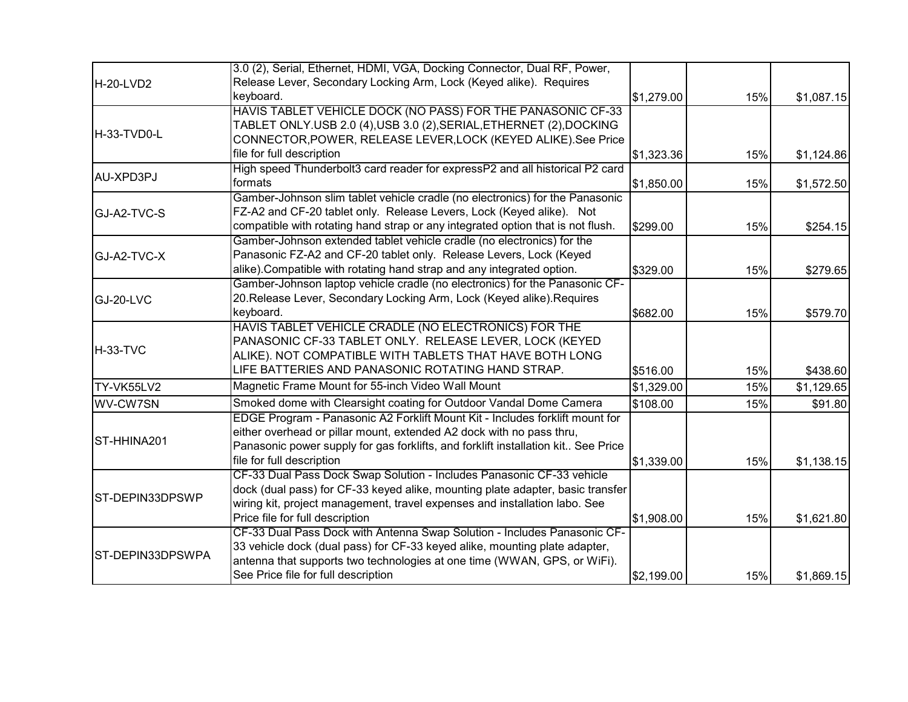|                  | 3.0 (2), Serial, Ethernet, HDMI, VGA, Docking Connector, Dual RF, Power,          |            |     |            |
|------------------|-----------------------------------------------------------------------------------|------------|-----|------------|
| H-20-LVD2        | Release Lever, Secondary Locking Arm, Lock (Keyed alike). Requires                |            |     |            |
|                  | keyboard.                                                                         | \$1,279.00 | 15% | \$1,087.15 |
|                  | HAVIS TABLET VEHICLE DOCK (NO PASS) FOR THE PANASONIC CF-33                       |            |     |            |
|                  | TABLET ONLY.USB 2.0 (4),USB 3.0 (2), SERIAL, ETHERNET (2), DOCKING                |            |     |            |
| H-33-TVD0-L      | CONNECTOR, POWER, RELEASE LEVER, LOCK (KEYED ALIKE). See Price                    |            |     |            |
|                  | file for full description                                                         | \$1,323.36 | 15% | \$1,124.86 |
| AU-XPD3PJ        | High speed Thunderbolt3 card reader for expressP2 and all historical P2 card      |            |     |            |
|                  | formats                                                                           | \$1,850.00 | 15% | \$1,572.50 |
|                  | Gamber-Johnson slim tablet vehicle cradle (no electronics) for the Panasonic      |            |     |            |
| GJ-A2-TVC-S      | FZ-A2 and CF-20 tablet only. Release Levers, Lock (Keyed alike). Not              |            |     |            |
|                  | compatible with rotating hand strap or any integrated option that is not flush.   | \$299.00   | 15% | \$254.15   |
|                  | Gamber-Johnson extended tablet vehicle cradle (no electronics) for the            |            |     |            |
| GJ-A2-TVC-X      | Panasonic FZ-A2 and CF-20 tablet only. Release Levers, Lock (Keyed                |            |     |            |
|                  | alike). Compatible with rotating hand strap and any integrated option.            | \$329.00   | 15% | \$279.65   |
|                  | Gamber-Johnson laptop vehicle cradle (no electronics) for the Panasonic CF-       |            |     |            |
| GJ-20-LVC        | 20. Release Lever, Secondary Locking Arm, Lock (Keyed alike). Requires            |            |     |            |
|                  | keyboard.                                                                         | \$682.00   | 15% | \$579.70   |
|                  | HAVIS TABLET VEHICLE CRADLE (NO ELECTRONICS) FOR THE                              |            |     |            |
|                  | PANASONIC CF-33 TABLET ONLY. RELEASE LEVER, LOCK (KEYED                           |            |     |            |
| H-33-TVC         | ALIKE). NOT COMPATIBLE WITH TABLETS THAT HAVE BOTH LONG                           |            |     |            |
|                  | LIFE BATTERIES AND PANASONIC ROTATING HAND STRAP.                                 | \$516.00   | 15% | \$438.60   |
| TY-VK55LV2       | Magnetic Frame Mount for 55-inch Video Wall Mount                                 | \$1,329.00 | 15% | \$1,129.65 |
| WV-CW7SN         | Smoked dome with Clearsight coating for Outdoor Vandal Dome Camera                | \$108.00   | 15% | \$91.80    |
|                  | EDGE Program - Panasonic A2 Forklift Mount Kit - Includes forklift mount for      |            |     |            |
|                  | either overhead or pillar mount, extended A2 dock with no pass thru,              |            |     |            |
| ST-HHINA201      | Panasonic power supply for gas forklifts, and forklift installation kit See Price |            |     |            |
|                  | file for full description                                                         | \$1,339.00 | 15% | \$1,138.15 |
|                  | CF-33 Dual Pass Dock Swap Solution - Includes Panasonic CF-33 vehicle             |            |     |            |
|                  | dock (dual pass) for CF-33 keyed alike, mounting plate adapter, basic transfer    |            |     |            |
| ST-DEPIN33DPSWP  | wiring kit, project management, travel expenses and installation labo. See        |            |     |            |
|                  | Price file for full description                                                   | \$1,908.00 | 15% | \$1,621.80 |
|                  | CF-33 Dual Pass Dock with Antenna Swap Solution - Includes Panasonic CF-          |            |     |            |
|                  | 33 vehicle dock (dual pass) for CF-33 keyed alike, mounting plate adapter,        |            |     |            |
| ST-DEPIN33DPSWPA | antenna that supports two technologies at one time (WWAN, GPS, or WiFi).          |            |     |            |
|                  | See Price file for full description                                               | \$2,199.00 | 15% | \$1,869.15 |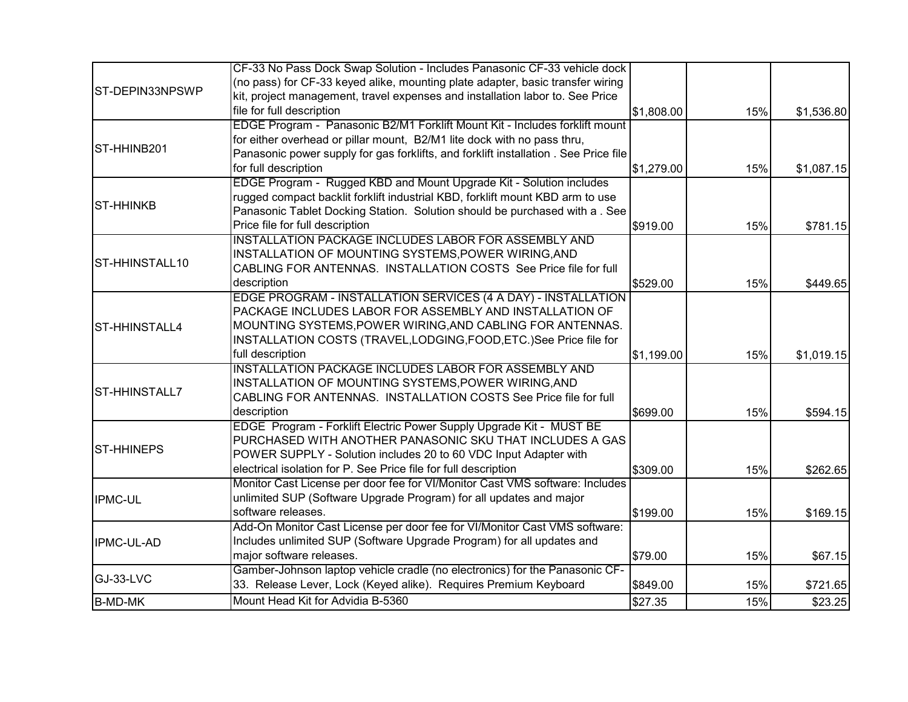|                    | CF-33 No Pass Dock Swap Solution - Includes Panasonic CF-33 vehicle dock             |            |     |            |
|--------------------|--------------------------------------------------------------------------------------|------------|-----|------------|
|                    | (no pass) for CF-33 keyed alike, mounting plate adapter, basic transfer wiring       |            |     |            |
| ST-DEPIN33NPSWP    | kit, project management, travel expenses and installation labor to. See Price        |            |     |            |
|                    | file for full description                                                            | \$1,808.00 | 15% | \$1,536.80 |
|                    | EDGE Program - Panasonic B2/M1 Forklift Mount Kit - Includes forklift mount          |            |     |            |
|                    | for either overhead or pillar mount, B2/M1 lite dock with no pass thru,              |            |     |            |
| ST-HHINB201        | Panasonic power supply for gas forklifts, and forklift installation . See Price file |            |     |            |
|                    | for full description                                                                 | \$1,279.00 | 15% | \$1,087.15 |
|                    | EDGE Program - Rugged KBD and Mount Upgrade Kit - Solution includes                  |            |     |            |
|                    | rugged compact backlit forklift industrial KBD, forklift mount KBD arm to use        |            |     |            |
| <b>I</b> ST-HHINKB | Panasonic Tablet Docking Station. Solution should be purchased with a . See          |            |     |            |
|                    | Price file for full description                                                      | \$919.00   | 15% | \$781.15   |
|                    | INSTALLATION PACKAGE INCLUDES LABOR FOR ASSEMBLY AND                                 |            |     |            |
| ST-HHINSTALL10     | INSTALLATION OF MOUNTING SYSTEMS, POWER WIRING, AND                                  |            |     |            |
|                    | CABLING FOR ANTENNAS. INSTALLATION COSTS See Price file for full                     |            |     |            |
|                    | description                                                                          | \$529.00   | 15% | \$449.65   |
|                    | EDGE PROGRAM - INSTALLATION SERVICES (4 A DAY) - INSTALLATION                        |            |     |            |
|                    | PACKAGE INCLUDES LABOR FOR ASSEMBLY AND INSTALLATION OF                              |            |     |            |
| ST-HHINSTALL4      | MOUNTING SYSTEMS, POWER WIRING, AND CABLING FOR ANTENNAS.                            |            |     |            |
|                    | INSTALLATION COSTS (TRAVEL,LODGING,FOOD,ETC.)See Price file for                      |            |     |            |
|                    | full description                                                                     | \$1,199.00 | 15% | \$1,019.15 |
|                    | INSTALLATION PACKAGE INCLUDES LABOR FOR ASSEMBLY AND                                 |            |     |            |
|                    | INSTALLATION OF MOUNTING SYSTEMS, POWER WIRING, AND                                  |            |     |            |
| ST-HHINSTALL7      | CABLING FOR ANTENNAS. INSTALLATION COSTS See Price file for full                     |            |     |            |
|                    | description                                                                          | \$699.00   | 15% | \$594.15   |
|                    | EDGE Program - Forklift Electric Power Supply Upgrade Kit - MUST BE                  |            |     |            |
|                    | PURCHASED WITH ANOTHER PANASONIC SKU THAT INCLUDES A GAS                             |            |     |            |
| <b>ST-HHINEPS</b>  | POWER SUPPLY - Solution includes 20 to 60 VDC Input Adapter with                     |            |     |            |
|                    | electrical isolation for P. See Price file for full description                      | \$309.00   | 15% | \$262.65   |
|                    | Monitor Cast License per door fee for VI/Monitor Cast VMS software: Includes         |            |     |            |
| <b>IPMC-UL</b>     | unlimited SUP (Software Upgrade Program) for all updates and major                   |            |     |            |
|                    | software releases.                                                                   | \$199.00   | 15% | \$169.15   |
|                    | Add-On Monitor Cast License per door fee for VI/Monitor Cast VMS software:           |            |     |            |
| <b>IPMC-UL-AD</b>  | Includes unlimited SUP (Software Upgrade Program) for all updates and                |            |     |            |
|                    | major software releases.                                                             | \$79.00    | 15% | \$67.15    |
|                    | Gamber-Johnson laptop vehicle cradle (no electronics) for the Panasonic CF-          |            |     |            |
| GJ-33-LVC          | 33. Release Lever, Lock (Keyed alike). Requires Premium Keyboard                     | \$849.00   | 15% | \$721.65   |
| <b>B-MD-MK</b>     | Mount Head Kit for Advidia B-5360                                                    | \$27.35    | 15% | \$23.25    |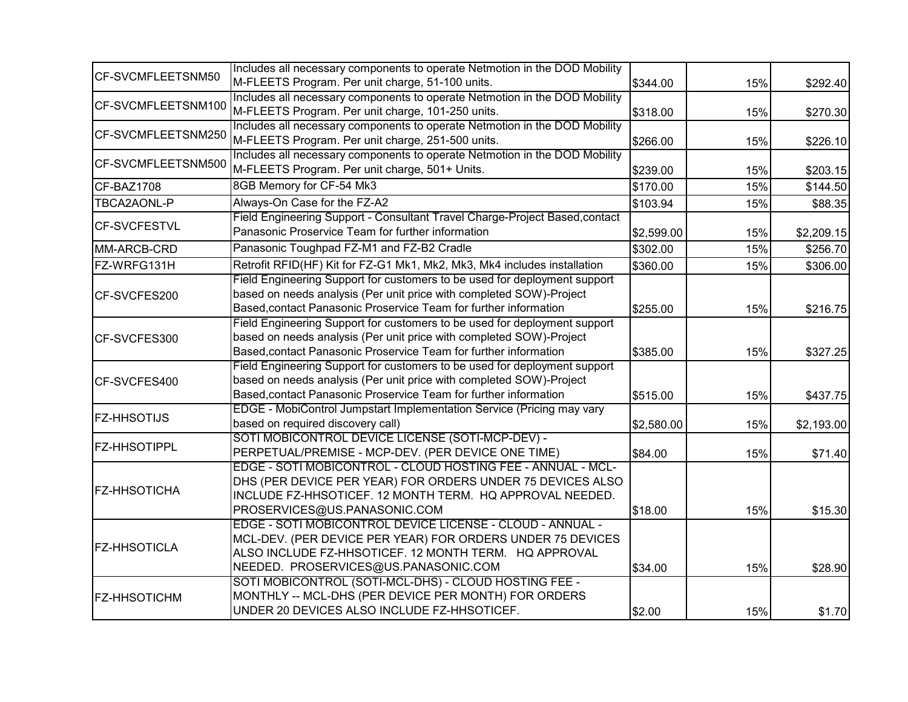|                     | Includes all necessary components to operate Netmotion in the DOD Mobility  |            |     |            |
|---------------------|-----------------------------------------------------------------------------|------------|-----|------------|
| CF-SVCMFLEETSNM50   | M-FLEETS Program. Per unit charge, 51-100 units.                            | \$344.00   | 15% | \$292.40   |
|                     | Includes all necessary components to operate Netmotion in the DOD Mobility  |            |     |            |
| CF-SVCMFLEETSNM100  | M-FLEETS Program. Per unit charge, 101-250 units.                           | \$318.00   | 15% | \$270.30   |
|                     | Includes all necessary components to operate Netmotion in the DOD Mobility  |            |     |            |
| CF-SVCMFLEETSNM250  | M-FLEETS Program. Per unit charge, 251-500 units.                           | \$266.00   | 15% | \$226.10   |
| CF-SVCMFLEETSNM500  | Includes all necessary components to operate Netmotion in the DOD Mobility  |            |     |            |
|                     | M-FLEETS Program. Per unit charge, 501+ Units.                              | \$239.00   | 15% | \$203.15   |
| CF-BAZ1708          | 8GB Memory for CF-54 Mk3                                                    | \$170.00   | 15% | \$144.50   |
| TBCA2AONL-P         | Always-On Case for the FZ-A2                                                | \$103.94   | 15% | \$88.35    |
|                     | Field Engineering Support - Consultant Travel Charge-Project Based, contact |            |     |            |
| <b>CF-SVCFESTVL</b> | Panasonic Proservice Team for further information                           | \$2,599.00 | 15% | \$2,209.15 |
| MM-ARCB-CRD         | Panasonic Toughpad FZ-M1 and FZ-B2 Cradle                                   | \$302.00   | 15% | \$256.70   |
| FZ-WRFG131H         | Retrofit RFID(HF) Kit for FZ-G1 Mk1, Mk2, Mk3, Mk4 includes installation    | \$360.00   | 15% | \$306.00   |
|                     | Field Engineering Support for customers to be used for deployment support   |            |     |            |
| CF-SVCFES200        | based on needs analysis (Per unit price with completed SOW)-Project         |            |     |            |
|                     | Based, contact Panasonic Proservice Team for further information            | \$255.00   | 15% | \$216.75   |
| CF-SVCFES300        | Field Engineering Support for customers to be used for deployment support   |            |     |            |
|                     | based on needs analysis (Per unit price with completed SOW)-Project         |            |     |            |
|                     | Based, contact Panasonic Proservice Team for further information            | \$385.00   | 15% | \$327.25   |
|                     | Field Engineering Support for customers to be used for deployment support   |            |     |            |
| CF-SVCFES400        | based on needs analysis (Per unit price with completed SOW)-Project         |            |     |            |
|                     | Based, contact Panasonic Proservice Team for further information            | \$515.00   | 15% | \$437.75   |
|                     | EDGE - MobiControl Jumpstart Implementation Service (Pricing may vary       |            |     |            |
| <b>FZ-HHSOTIJS</b>  | based on required discovery call)                                           | \$2,580.00 | 15% | \$2,193.00 |
|                     | SOTI MOBICONTROL DEVICE LICENSE (SOTI-MCP-DEV) -                            |            |     |            |
| <b>FZ-HHSOTIPPL</b> | PERPETUAL/PREMISE - MCP-DEV. (PER DEVICE ONE TIME)                          | \$84.00    | 15% | \$71.40    |
|                     | EDGE - SOTI MOBICONTROL - CLOUD HOSTING FEE - ANNUAL - MCL-                 |            |     |            |
|                     | DHS (PER DEVICE PER YEAR) FOR ORDERS UNDER 75 DEVICES ALSO                  |            |     |            |
| <b>FZ-HHSOTICHA</b> | INCLUDE FZ-HHSOTICEF. 12 MONTH TERM. HQ APPROVAL NEEDED.                    |            |     |            |
|                     | PROSERVICES@US.PANASONIC.COM                                                | \$18.00    | 15% | \$15.30    |
|                     | EDGE - SOTI MOBICONTROL DEVICE LICENSE - CLOUD - ANNUAL -                   |            |     |            |
|                     | MCL-DEV. (PER DEVICE PER YEAR) FOR ORDERS UNDER 75 DEVICES                  |            |     |            |
| <b>FZ-HHSOTICLA</b> | ALSO INCLUDE FZ-HHSOTICEF. 12 MONTH TERM. HQ APPROVAL                       |            |     |            |
|                     | NEEDED. PROSERVICES@US.PANASONIC.COM                                        | \$34.00    | 15% | \$28.90    |
|                     | SOTI MOBICONTROL (SOTI-MCL-DHS) - CLOUD HOSTING FEE -                       |            |     |            |
| <b>FZ-HHSOTICHM</b> | MONTHLY -- MCL-DHS (PER DEVICE PER MONTH) FOR ORDERS                        |            |     |            |
|                     | UNDER 20 DEVICES ALSO INCLUDE FZ-HHSOTICEF.                                 | \$2.00     | 15% | \$1.70     |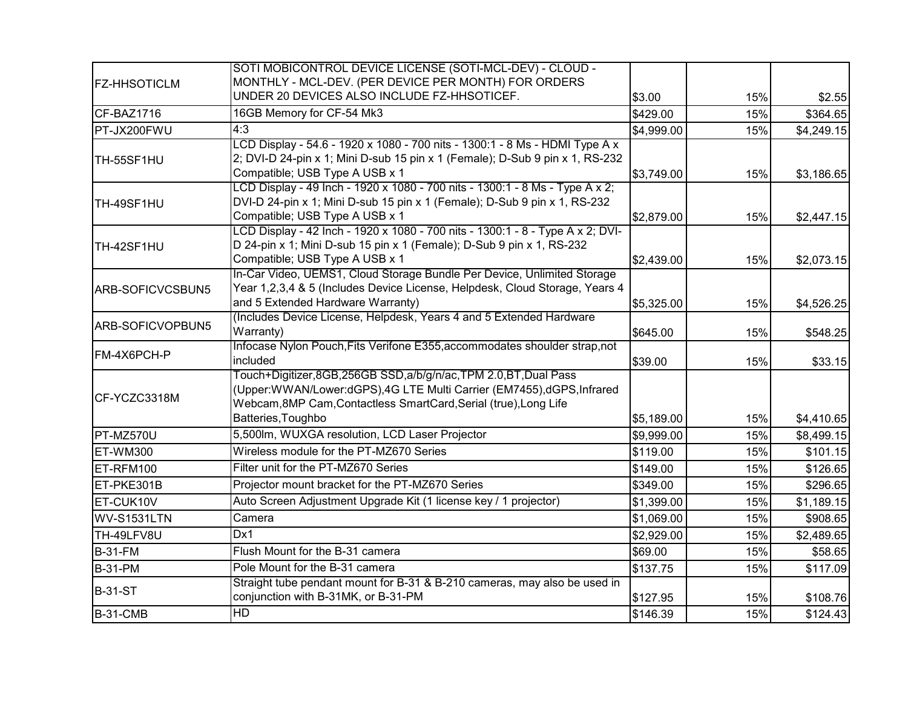|                     | SOTI MOBICONTROL DEVICE LICENSE (SOTI-MCL-DEV) - CLOUD -                                |            |     |            |
|---------------------|-----------------------------------------------------------------------------------------|------------|-----|------------|
| <b>FZ-HHSOTICLM</b> | MONTHLY - MCL-DEV. (PER DEVICE PER MONTH) FOR ORDERS                                    |            |     |            |
|                     | UNDER 20 DEVICES ALSO INCLUDE FZ-HHSOTICEF.                                             | \$3.00     | 15% | \$2.55     |
| CF-BAZ1716          | 16GB Memory for CF-54 Mk3                                                               | \$429.00   | 15% | \$364.65   |
| PT-JX200FWU         | 4:3                                                                                     | \$4,999.00 | 15% | \$4,249.15 |
|                     | LCD Display - 54.6 - 1920 x 1080 - 700 nits - 1300:1 - 8 Ms - HDMI Type A x             |            |     |            |
| TH-55SF1HU          | 2; DVI-D 24-pin x 1; Mini D-sub 15 pin x 1 (Female); D-Sub 9 pin x 1, RS-232            |            |     |            |
|                     | Compatible; USB Type A USB x 1                                                          | \$3,749.00 | 15% | \$3,186.65 |
|                     | LCD Display - 49 Inch - 1920 x 1080 - 700 nits - 1300:1 - 8 Ms - Type A x 2;            |            |     |            |
| TH-49SF1HU          | DVI-D 24-pin x 1; Mini D-sub 15 pin x 1 (Female); D-Sub 9 pin x 1, RS-232               |            |     |            |
|                     | Compatible; USB Type A USB x 1                                                          | \$2,879.00 | 15% | \$2,447.15 |
|                     | LCD Display - 42 Inch - 1920 x 1080 - 700 nits - 1300:1 - 8 - Type A x 2; DVI-          |            |     |            |
| TH-42SF1HU          | D 24-pin x 1; Mini D-sub 15 pin x 1 (Female); D-Sub 9 pin x 1, RS-232                   |            |     |            |
|                     | Compatible; USB Type A USB x 1                                                          | \$2,439.00 | 15% | \$2,073.15 |
|                     | In-Car Video, UEMS1, Cloud Storage Bundle Per Device, Unlimited Storage                 |            |     |            |
| ARB-SOFICVCSBUN5    | Year 1,2,3,4 & 5 (Includes Device License, Helpdesk, Cloud Storage, Years 4             |            |     |            |
|                     | and 5 Extended Hardware Warranty)                                                       | \$5,325.00 | 15% | \$4,526.25 |
| ARB-SOFICVOPBUN5    | (Includes Device License, Helpdesk, Years 4 and 5 Extended Hardware                     |            |     |            |
|                     | Warranty)<br>Infocase Nylon Pouch, Fits Verifone E355, accommodates shoulder strap, not | \$645.00   | 15% | \$548.25   |
| FM-4X6PCH-P         | included                                                                                | \$39.00    | 15% |            |
|                     | Touch+Digitizer,8GB,256GB SSD,a/b/g/n/ac,TPM 2.0,BT,Dual Pass                           |            |     | \$33.15    |
|                     | (Upper:WWAN/Lower:dGPS),4G LTE Multi Carrier (EM7455),dGPS,Infrared                     |            |     |            |
| CF-YCZC3318M        | Webcam, 8MP Cam, Contactless SmartCard, Serial (true), Long Life                        |            |     |            |
|                     | Batteries, Toughbo                                                                      | \$5,189.00 | 15% | \$4,410.65 |
| PT-MZ570U           | 5,500lm, WUXGA resolution, LCD Laser Projector                                          | \$9,999.00 | 15% | \$8,499.15 |
| ET-WM300            | Wireless module for the PT-MZ670 Series                                                 | \$119.00   | 15% | \$101.15   |
| ET-RFM100           | Filter unit for the PT-MZ670 Series                                                     | \$149.00   | 15% | \$126.65   |
| ET-PKE301B          | Projector mount bracket for the PT-MZ670 Series                                         | \$349.00   | 15% | \$296.65   |
| ET-CUK10V           | Auto Screen Adjustment Upgrade Kit (1 license key / 1 projector)                        | \$1,399.00 | 15% | \$1,189.15 |
| WV-S1531LTN         | Camera                                                                                  | \$1,069.00 | 15% | \$908.65   |
| TH-49LFV8U          | Dx1                                                                                     | \$2,929.00 | 15% | \$2,489.65 |
| <b>B-31-FM</b>      | Flush Mount for the B-31 camera                                                         | \$69.00    | 15% | \$58.65    |
| <b>B-31-PM</b>      | Pole Mount for the B-31 camera                                                          | \$137.75   | 15% | \$117.09   |
|                     | Straight tube pendant mount for B-31 & B-210 cameras, may also be used in               |            |     |            |
| <b>B-31-ST</b>      | conjunction with B-31MK, or B-31-PM                                                     | \$127.95   | 15% | \$108.76   |
| <b>B-31-CMB</b>     | <b>HD</b>                                                                               | \$146.39   | 15% | \$124.43   |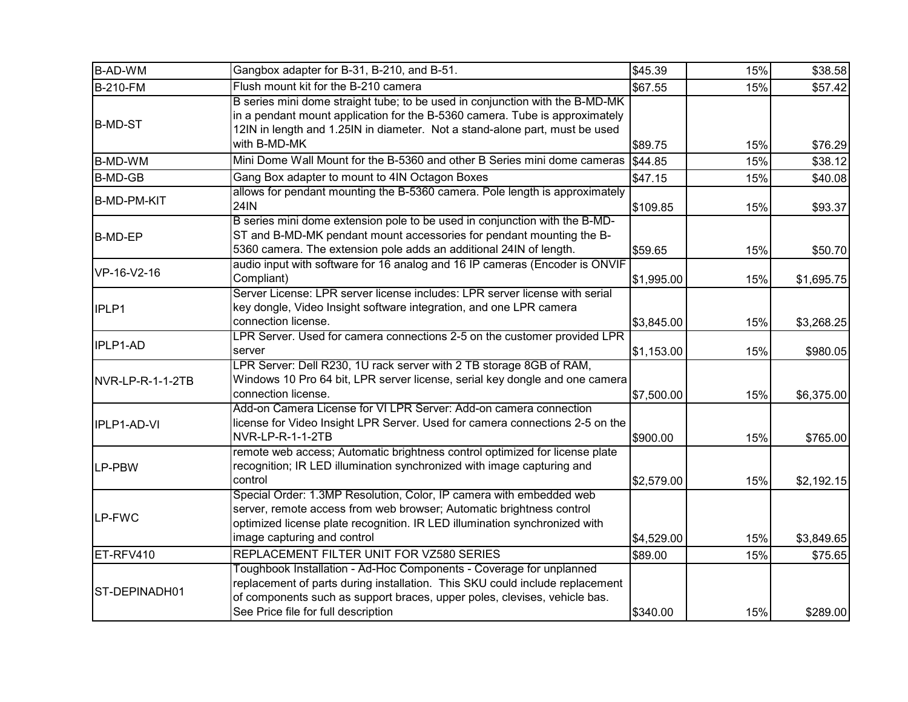| Gangbox adapter for B-31, B-210, and B-51.<br><b>B-AD-WM</b>                                                                                                 | \$45.39    | 15% | \$38.58    |
|--------------------------------------------------------------------------------------------------------------------------------------------------------------|------------|-----|------------|
| Flush mount kit for the B-210 camera<br><b>B-210-FM</b>                                                                                                      | \$67.55    | 15% | \$57.42    |
| B series mini dome straight tube; to be used in conjunction with the B-MD-MK                                                                                 |            |     |            |
| in a pendant mount application for the B-5360 camera. Tube is approximately<br><b>B-MD-ST</b>                                                                |            |     |            |
| 12IN in length and 1.25IN in diameter. Not a stand-alone part, must be used                                                                                  |            |     |            |
| with B-MD-MK                                                                                                                                                 | \$89.75    | 15% | \$76.29    |
| Mini Dome Wall Mount for the B-5360 and other B Series mini dome cameras<br><b>B-MD-WM</b>                                                                   | \$44.85    | 15% | \$38.12    |
| <b>B-MD-GB</b><br>Gang Box adapter to mount to 4IN Octagon Boxes                                                                                             | \$47.15    | 15% | \$40.08    |
| allows for pendant mounting the B-5360 camera. Pole length is approximately<br><b>B-MD-PM-KIT</b>                                                            |            |     |            |
| 24IN                                                                                                                                                         | \$109.85   | 15% | \$93.37    |
| B series mini dome extension pole to be used in conjunction with the B-MD-                                                                                   |            |     |            |
| ST and B-MD-MK pendant mount accessories for pendant mounting the B-<br><b>B-MD-EP</b><br>5360 camera. The extension pole adds an additional 24IN of length. |            |     |            |
| audio input with software for 16 analog and 16 IP cameras (Encoder is ONVIF                                                                                  | \$59.65    | 15% | \$50.70    |
| VP-16-V2-16<br>Compliant)                                                                                                                                    | \$1,995.00 | 15% | \$1,695.75 |
| Server License: LPR server license includes: LPR server license with serial                                                                                  |            |     |            |
| key dongle, Video Insight software integration, and one LPR camera<br>IPLP1                                                                                  |            |     |            |
| connection license.                                                                                                                                          | \$3,845.00 | 15% | \$3,268.25 |
| LPR Server. Used for camera connections 2-5 on the customer provided LPR                                                                                     |            |     |            |
| IPLP1-AD<br>server                                                                                                                                           | \$1,153.00 | 15% | \$980.05   |
| LPR Server: Dell R230, 1U rack server with 2 TB storage 8GB of RAM,                                                                                          |            |     |            |
| Windows 10 Pro 64 bit, LPR server license, serial key dongle and one camera<br>NVR-LP-R-1-1-2TB                                                              |            |     |            |
| connection license.                                                                                                                                          | \$7,500.00 | 15% | \$6,375.00 |
| Add-on Camera License for VI LPR Server: Add-on camera connection                                                                                            |            |     |            |
| license for Video Insight LPR Server. Used for camera connections 2-5 on the<br>IPLP1-AD-VI                                                                  |            |     |            |
| NVR-LP-R-1-1-2TB                                                                                                                                             | \$900.00   | 15% | \$765.00   |
| remote web access; Automatic brightness control optimized for license plate                                                                                  |            |     |            |
| recognition; IR LED illumination synchronized with image capturing and<br>LP-PBW                                                                             |            |     |            |
| control                                                                                                                                                      | \$2,579.00 | 15% | \$2,192.15 |
| Special Order: 1.3MP Resolution, Color, IP camera with embedded web<br>server, remote access from web browser; Automatic brightness control                  |            |     |            |
| LP-FWC<br>optimized license plate recognition. IR LED illumination synchronized with                                                                         |            |     |            |
| image capturing and control                                                                                                                                  | \$4,529.00 | 15% | \$3,849.65 |
| REPLACEMENT FILTER UNIT FOR VZ580 SERIES<br>ET-RFV410                                                                                                        | \$89.00    | 15% | \$75.65    |
| Toughbook Installation - Ad-Hoc Components - Coverage for unplanned                                                                                          |            |     |            |
| replacement of parts during installation. This SKU could include replacement                                                                                 |            |     |            |
| ST-DEPINADH01<br>of components such as support braces, upper poles, clevises, vehicle bas.                                                                   |            |     |            |
| See Price file for full description                                                                                                                          |            |     |            |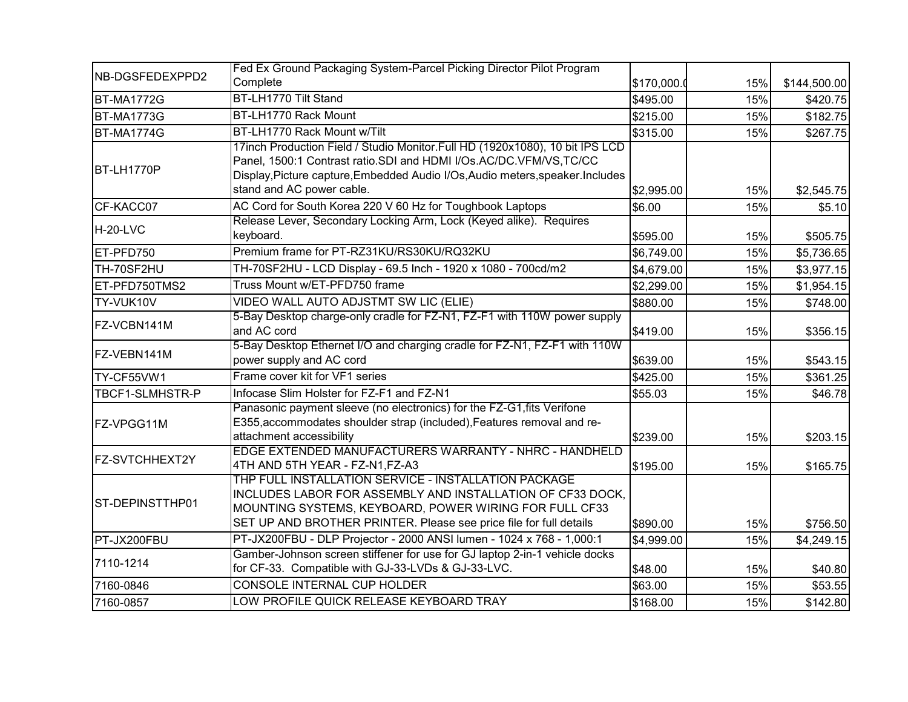|                   | Fed Ex Ground Packaging System-Parcel Picking Director Pilot Program                                                                                                                                                                                             |            |     |              |
|-------------------|------------------------------------------------------------------------------------------------------------------------------------------------------------------------------------------------------------------------------------------------------------------|------------|-----|--------------|
| NB-DGSFEDEXPPD2   | Complete                                                                                                                                                                                                                                                         | \$170,000. | 15% | \$144,500.00 |
| <b>BT-MA1772G</b> | BT-LH1770 Tilt Stand                                                                                                                                                                                                                                             | \$495.00   | 15% | \$420.75     |
| <b>BT-MA1773G</b> | BT-LH1770 Rack Mount                                                                                                                                                                                                                                             | \$215.00   | 15% | \$182.75     |
| <b>BT-MA1774G</b> | BT-LH1770 Rack Mount w/Tilt                                                                                                                                                                                                                                      | \$315.00   | 15% | \$267.75     |
| BT-LH1770P        | 17inch Production Field / Studio Monitor.Full HD (1920x1080), 10 bit IPS LCD<br>Panel, 1500:1 Contrast ratio.SDI and HDMI I/Os.AC/DC.VFM/VS,TC/CC<br>Display, Picture capture, Embedded Audio I/Os, Audio meters, speaker. Includes<br>stand and AC power cable. | \$2,995.00 | 15% | \$2,545.75   |
| CF-KACC07         | AC Cord for South Korea 220 V 60 Hz for Toughbook Laptops                                                                                                                                                                                                        | \$6.00     | 15% | \$5.10       |
| H-20-LVC          | Release Lever, Secondary Locking Arm, Lock (Keyed alike). Requires<br>keyboard.                                                                                                                                                                                  | \$595.00   | 15% | \$505.75     |
| ET-PFD750         | Premium frame for PT-RZ31KU/RS30KU/RQ32KU                                                                                                                                                                                                                        | \$6,749.00 | 15% | \$5,736.65   |
| TH-70SF2HU        | TH-70SF2HU - LCD Display - 69.5 Inch - 1920 x 1080 - 700cd/m2                                                                                                                                                                                                    | \$4,679.00 | 15% | \$3,977.15   |
| ET-PFD750TMS2     | Truss Mount w/ET-PFD750 frame                                                                                                                                                                                                                                    | \$2,299.00 | 15% | \$1,954.15   |
| TY-VUK10V         | VIDEO WALL AUTO ADJSTMT SW LIC (ELIE)                                                                                                                                                                                                                            | \$880.00   | 15% | \$748.00     |
| FZ-VCBN141M       | 5-Bay Desktop charge-only cradle for FZ-N1, FZ-F1 with 110W power supply<br>and AC cord                                                                                                                                                                          | \$419.00   | 15% | \$356.15     |
| FZ-VEBN141M       | 5-Bay Desktop Ethernet I/O and charging cradle for FZ-N1, FZ-F1 with 110W<br>power supply and AC cord                                                                                                                                                            | \$639.00   | 15% | \$543.15     |
| TY-CF55VW1        | Frame cover kit for VF1 series                                                                                                                                                                                                                                   | \$425.00   | 15% | \$361.25     |
| TBCF1-SLMHSTR-P   | Infocase Slim Holster for FZ-F1 and FZ-N1                                                                                                                                                                                                                        | \$55.03    | 15% | \$46.78      |
| FZ-VPGG11M        | Panasonic payment sleeve (no electronics) for the FZ-G1, fits Verifone<br>E355, accommodates shoulder strap (included), Features removal and re-<br>attachment accessibility                                                                                     | \$239.00   | 15% | \$203.15     |
| FZ-SVTCHHEXT2Y    | EDGE EXTENDED MANUFACTURERS WARRANTY - NHRC - HANDHELD<br>4TH AND 5TH YEAR - FZ-N1, FZ-A3                                                                                                                                                                        | \$195.00   | 15% | \$165.75     |
| ST-DEPINSTTHP01   | THP FULL INSTALLATION SERVICE - INSTALLATION PACKAGE<br>INCLUDES LABOR FOR ASSEMBLY AND INSTALLATION OF CF33 DOCK,<br>MOUNTING SYSTEMS, KEYBOARD, POWER WIRING FOR FULL CF33<br>SET UP AND BROTHER PRINTER. Please see price file for full details               | \$890.00   | 15% | \$756.50     |
| PT-JX200FBU       | PT-JX200FBU - DLP Projector - 2000 ANSI lumen - 1024 x 768 - 1,000:1                                                                                                                                                                                             | \$4,999.00 | 15% | \$4,249.15   |
| 7110-1214         | Gamber-Johnson screen stiffener for use for GJ laptop 2-in-1 vehicle docks<br>for CF-33. Compatible with GJ-33-LVDs & GJ-33-LVC.                                                                                                                                 | \$48.00    | 15% | \$40.80      |
| 7160-0846         | CONSOLE INTERNAL CUP HOLDER                                                                                                                                                                                                                                      | \$63.00    | 15% | \$53.55      |
| 7160-0857         | LOW PROFILE QUICK RELEASE KEYBOARD TRAY                                                                                                                                                                                                                          | \$168.00   | 15% | \$142.80     |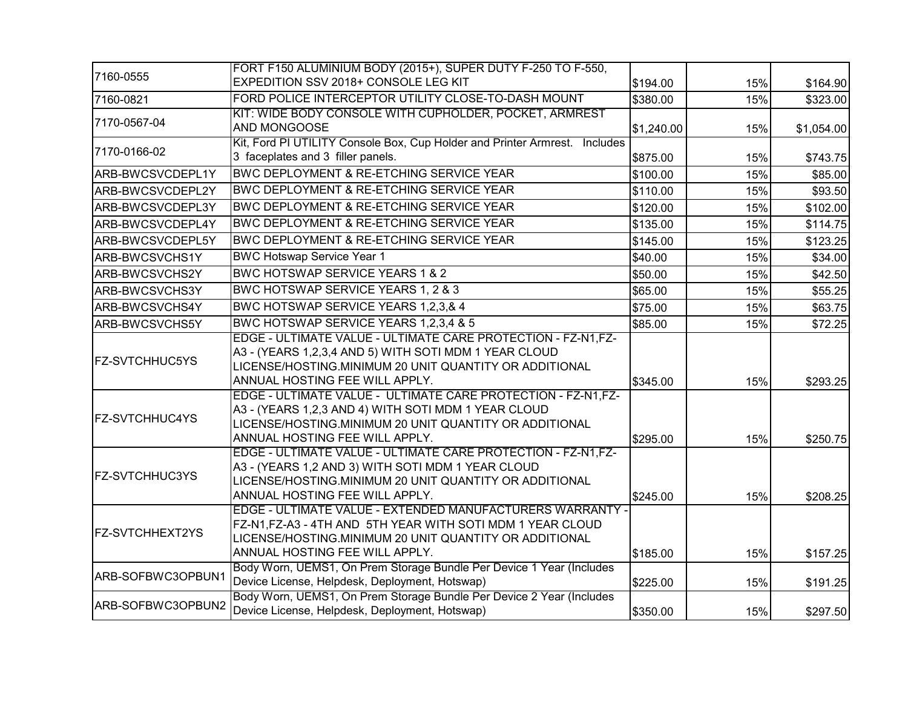| 7160-0555              | FORT F150 ALUMINIUM BODY (2015+), SUPER DUTY F-250 TO F-550,<br>EXPEDITION SSV 2018+ CONSOLE LEG KIT                                                                                                                | \$194.00   | 15% | \$164.90   |
|------------------------|---------------------------------------------------------------------------------------------------------------------------------------------------------------------------------------------------------------------|------------|-----|------------|
| 7160-0821              | FORD POLICE INTERCEPTOR UTILITY CLOSE-TO-DASH MOUNT                                                                                                                                                                 | \$380.00   | 15% | \$323.00   |
| 7170-0567-04           | KIT: WIDE BODY CONSOLE WITH CUPHOLDER, POCKET, ARMREST<br>AND MONGOOSE                                                                                                                                              | \$1,240.00 | 15% | \$1,054.00 |
| 7170-0166-02           | Kit, Ford PI UTILITY Console Box, Cup Holder and Printer Armrest. Includes<br>3 faceplates and 3 filler panels.                                                                                                     | \$875.00   | 15% | \$743.75   |
| ARB-BWCSVCDEPL1Y       | BWC DEPLOYMENT & RE-ETCHING SERVICE YEAR                                                                                                                                                                            | \$100.00   | 15% | \$85.00    |
| ARB-BWCSVCDEPL2Y       | <b>BWC DEPLOYMENT &amp; RE-ETCHING SERVICE YEAR</b>                                                                                                                                                                 | \$110.00   | 15% | \$93.50    |
| ARB-BWCSVCDEPL3Y       | BWC DEPLOYMENT & RE-ETCHING SERVICE YEAR                                                                                                                                                                            | \$120.00   | 15% | \$102.00   |
| ARB-BWCSVCDEPL4Y       | BWC DEPLOYMENT & RE-ETCHING SERVICE YEAR                                                                                                                                                                            | \$135.00   | 15% | \$114.75   |
| ARB-BWCSVCDEPL5Y       | <b>BWC DEPLOYMENT &amp; RE-ETCHING SERVICE YEAR</b>                                                                                                                                                                 | \$145.00   | 15% | \$123.25   |
| ARB-BWCSVCHS1Y         | <b>BWC Hotswap Service Year 1</b>                                                                                                                                                                                   | \$40.00    | 15% | \$34.00    |
| ARB-BWCSVCHS2Y         | BWC HOTSWAP SERVICE YEARS 1 & 2                                                                                                                                                                                     | \$50.00    | 15% | \$42.50    |
| ARB-BWCSVCHS3Y         | BWC HOTSWAP SERVICE YEARS 1, 2 & 3                                                                                                                                                                                  | \$65.00    | 15% | \$55.25    |
| ARB-BWCSVCHS4Y         | BWC HOTSWAP SERVICE YEARS 1,2,3,& 4                                                                                                                                                                                 | \$75.00    | 15% | \$63.75    |
| ARB-BWCSVCHS5Y         | BWC HOTSWAP SERVICE YEARS 1,2,3,4 & 5                                                                                                                                                                               | \$85.00    | 15% | \$72.25    |
| <b>FZ-SVTCHHUC5YS</b>  | EDGE - ULTIMATE VALUE - ULTIMATE CARE PROTECTION - FZ-N1, FZ-<br>A3 - (YEARS 1,2,3,4 AND 5) WITH SOTI MDM 1 YEAR CLOUD<br>LICENSE/HOSTING.MINIMUM 20 UNIT QUANTITY OR ADDITIONAL<br>ANNUAL HOSTING FEE WILL APPLY.  | \$345.00   | 15% | \$293.25   |
| <b>FZ-SVTCHHUC4YS</b>  | EDGE - ULTIMATE VALUE - ULTIMATE CARE PROTECTION - FZ-N1,FZ-<br>A3 - (YEARS 1,2,3 AND 4) WITH SOTI MDM 1 YEAR CLOUD<br>LICENSE/HOSTING.MINIMUM 20 UNIT QUANTITY OR ADDITIONAL<br>ANNUAL HOSTING FEE WILL APPLY.     | \$295.00   | 15% | \$250.75   |
| <b>FZ-SVTCHHUC3YS</b>  | EDGE - ULTIMATE VALUE - ULTIMATE CARE PROTECTION - FZ-N1, FZ-<br>A3 - (YEARS 1,2 AND 3) WITH SOTI MDM 1 YEAR CLOUD<br>LICENSE/HOSTING.MINIMUM 20 UNIT QUANTITY OR ADDITIONAL<br>ANNUAL HOSTING FEE WILL APPLY.      | \$245.00   | 15% | \$208.25   |
| <b>FZ-SVTCHHEXT2YS</b> | EDGE - ULTIMATE VALUE - EXTENDED MANUFACTURERS WARRANTY -<br>FZ-N1, FZ-A3 - 4TH AND 5TH YEAR WITH SOTI MDM 1 YEAR CLOUD<br>LICENSE/HOSTING.MINIMUM 20 UNIT QUANTITY OR ADDITIONAL<br>ANNUAL HOSTING FEE WILL APPLY. | \$185.00   | 15% | \$157.25   |
| ARB-SOFBWC3OPBUN1      | Body Worn, UEMS1, On Prem Storage Bundle Per Device 1 Year (Includes<br>Device License, Helpdesk, Deployment, Hotswap)                                                                                              | \$225.00   | 15% | \$191.25   |
| ARB-SOFBWC3OPBUN2      | Body Worn, UEMS1, On Prem Storage Bundle Per Device 2 Year (Includes<br>Device License, Helpdesk, Deployment, Hotswap)                                                                                              | \$350.00   | 15% | \$297.50   |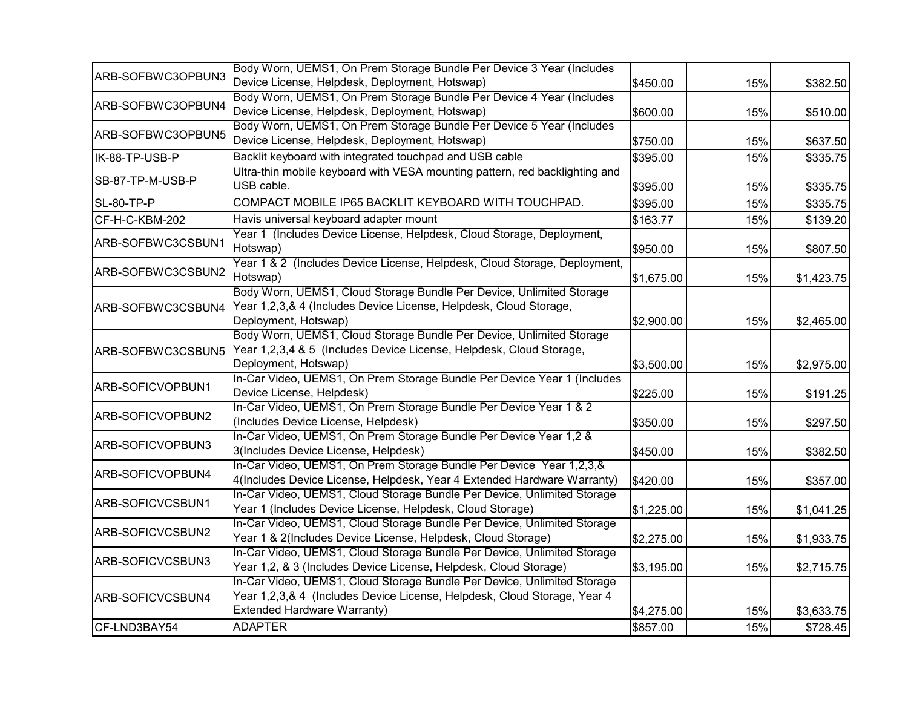|                   | Body Worn, UEMS1, On Prem Storage Bundle Per Device 3 Year (Includes        |            |     |            |
|-------------------|-----------------------------------------------------------------------------|------------|-----|------------|
| ARB-SOFBWC3OPBUN3 | Device License, Helpdesk, Deployment, Hotswap)                              | \$450.00   | 15% | \$382.50   |
|                   | Body Worn, UEMS1, On Prem Storage Bundle Per Device 4 Year (Includes        |            |     |            |
| ARB-SOFBWC3OPBUN4 | Device License, Helpdesk, Deployment, Hotswap)                              | \$600.00   | 15% | \$510.00   |
|                   | Body Worn, UEMS1, On Prem Storage Bundle Per Device 5 Year (Includes        |            |     |            |
| ARB-SOFBWC3OPBUN5 | Device License, Helpdesk, Deployment, Hotswap)                              | \$750.00   | 15% | \$637.50   |
| IK-88-TP-USB-P    | Backlit keyboard with integrated touchpad and USB cable                     | \$395.00   | 15% | \$335.75   |
| SB-87-TP-M-USB-P  | Ultra-thin mobile keyboard with VESA mounting pattern, red backlighting and |            |     |            |
|                   | USB cable.                                                                  | \$395.00   | 15% | \$335.75   |
| SL-80-TP-P        | COMPACT MOBILE IP65 BACKLIT KEYBOARD WITH TOUCHPAD.                         | \$395.00   | 15% | \$335.75   |
| CF-H-C-KBM-202    | Havis universal keyboard adapter mount                                      | \$163.77   | 15% | \$139.20   |
|                   | Year 1 (Includes Device License, Helpdesk, Cloud Storage, Deployment,       |            |     |            |
| ARB-SOFBWC3CSBUN1 | Hotswap)                                                                    | \$950.00   | 15% | \$807.50   |
|                   | Year 1 & 2 (Includes Device License, Helpdesk, Cloud Storage, Deployment,   |            |     |            |
| ARB-SOFBWC3CSBUN2 | Hotswap)                                                                    | \$1,675.00 | 15% | \$1,423.75 |
|                   | Body Worn, UEMS1, Cloud Storage Bundle Per Device, Unlimited Storage        |            |     |            |
| ARB-SOFBWC3CSBUN4 | Year 1,2,3,& 4 (Includes Device License, Helpdesk, Cloud Storage,           |            |     |            |
|                   | Deployment, Hotswap)                                                        | \$2,900.00 | 15% | \$2,465.00 |
|                   | Body Worn, UEMS1, Cloud Storage Bundle Per Device, Unlimited Storage        |            |     |            |
| ARB-SOFBWC3CSBUN5 | Year 1,2,3,4 & 5 (Includes Device License, Helpdesk, Cloud Storage,         |            |     |            |
|                   | Deployment, Hotswap)                                                        | \$3,500.00 | 15% | \$2,975.00 |
|                   | In-Car Video, UEMS1, On Prem Storage Bundle Per Device Year 1 (Includes     |            |     |            |
| ARB-SOFICVOPBUN1  | Device License, Helpdesk)                                                   | \$225.00   | 15% | \$191.25   |
|                   | In-Car Video, UEMS1, On Prem Storage Bundle Per Device Year 1 & 2           |            |     |            |
| ARB-SOFICVOPBUN2  | (Includes Device License, Helpdesk)                                         | \$350.00   | 15% | \$297.50   |
|                   | In-Car Video, UEMS1, On Prem Storage Bundle Per Device Year 1,2 &           |            |     |            |
| ARB-SOFICVOPBUN3  | 3(Includes Device License, Helpdesk)                                        | \$450.00   | 15% | \$382.50   |
|                   | In-Car Video, UEMS1, On Prem Storage Bundle Per Device Year 1,2,3,&         |            |     |            |
| ARB-SOFICVOPBUN4  | 4(Includes Device License, Helpdesk, Year 4 Extended Hardware Warranty)     | \$420.00   | 15% | \$357.00   |
|                   | In-Car Video, UEMS1, Cloud Storage Bundle Per Device, Unlimited Storage     |            |     |            |
| ARB-SOFICVCSBUN1  | Year 1 (Includes Device License, Helpdesk, Cloud Storage)                   | \$1,225.00 | 15% | \$1,041.25 |
|                   | In-Car Video, UEMS1, Cloud Storage Bundle Per Device, Unlimited Storage     |            |     |            |
| ARB-SOFICVCSBUN2  | Year 1 & 2(Includes Device License, Helpdesk, Cloud Storage)                | \$2,275.00 | 15% | \$1,933.75 |
|                   | In-Car Video, UEMS1, Cloud Storage Bundle Per Device, Unlimited Storage     |            |     |            |
| ARB-SOFICVCSBUN3  | Year 1,2, & 3 (Includes Device License, Helpdesk, Cloud Storage)            | \$3,195.00 | 15% | \$2,715.75 |
|                   | In-Car Video, UEMS1, Cloud Storage Bundle Per Device, Unlimited Storage     |            |     |            |
| ARB-SOFICVCSBUN4  | Year 1,2,3,& 4 (Includes Device License, Helpdesk, Cloud Storage, Year 4    |            |     |            |
|                   | <b>Extended Hardware Warranty)</b>                                          | \$4,275.00 | 15% | \$3,633.75 |
| CF-LND3BAY54      | <b>ADAPTER</b>                                                              | \$857.00   | 15% | \$728.45   |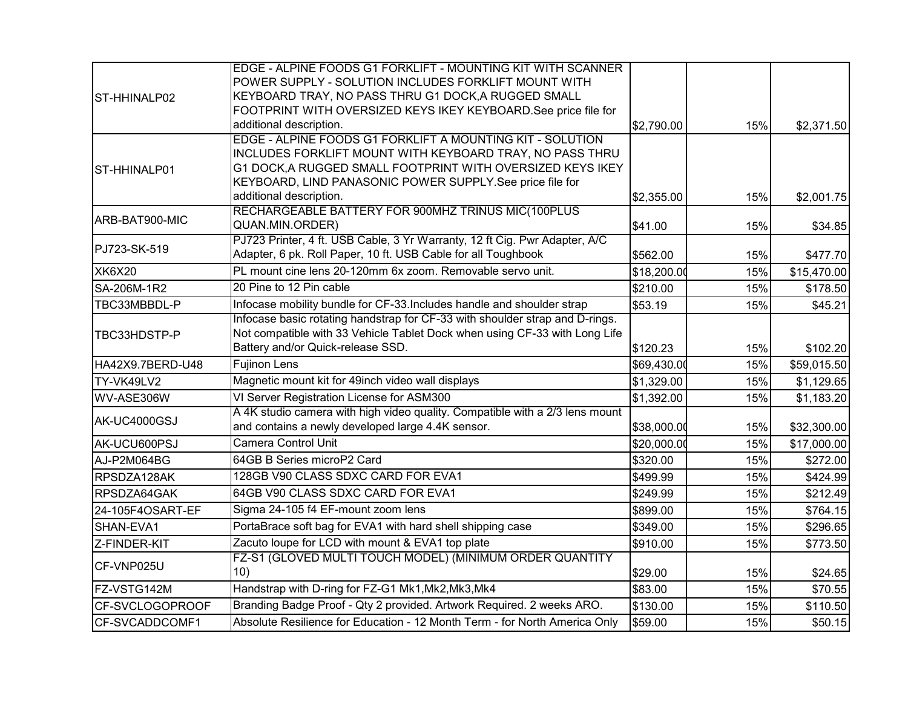|                  | EDGE - ALPINE FOODS G1 FORKLIFT - MOUNTING KIT WITH SCANNER                  |             |     |             |
|------------------|------------------------------------------------------------------------------|-------------|-----|-------------|
|                  | POWER SUPPLY - SOLUTION INCLUDES FORKLIFT MOUNT WITH                         |             |     |             |
| ST-HHINALP02     | KEYBOARD TRAY, NO PASS THRU G1 DOCK, A RUGGED SMALL                          |             |     |             |
|                  | FOOTPRINT WITH OVERSIZED KEYS IKEY KEYBOARD. See price file for              |             |     |             |
|                  | additional description.                                                      | \$2,790.00  | 15% | \$2,371.50  |
|                  | EDGE - ALPINE FOODS G1 FORKLIFT A MOUNTING KIT - SOLUTION                    |             |     |             |
|                  | INCLUDES FORKLIFT MOUNT WITH KEYBOARD TRAY, NO PASS THRU                     |             |     |             |
| ST-HHINALP01     | G1 DOCK, A RUGGED SMALL FOOTPRINT WITH OVERSIZED KEYS IKEY                   |             |     |             |
|                  | KEYBOARD, LIND PANASONIC POWER SUPPLY. See price file for                    |             |     |             |
|                  | additional description.                                                      | \$2,355.00  | 15% | \$2,001.75  |
|                  | RECHARGEABLE BATTERY FOR 900MHZ TRINUS MIC(100PLUS                           |             |     |             |
| ARB-BAT900-MIC   | QUAN.MIN.ORDER)                                                              | \$41.00     | 15% | \$34.85     |
| PJ723-SK-519     | PJ723 Printer, 4 ft. USB Cable, 3 Yr Warranty, 12 ft Cig. Pwr Adapter, A/C   |             |     |             |
|                  | Adapter, 6 pk. Roll Paper, 10 ft. USB Cable for all Toughbook                | \$562.00    | 15% | \$477.70    |
| <b>XK6X20</b>    | PL mount cine lens 20-120mm 6x zoom. Removable servo unit.                   | \$18,200.00 | 15% | \$15,470.00 |
| SA-206M-1R2      | 20 Pine to 12 Pin cable                                                      | \$210.00    | 15% | \$178.50    |
| TBC33MBBDL-P     | Infocase mobility bundle for CF-33. Includes handle and shoulder strap       | \$53.19     | 15% | \$45.21     |
| TBC33HDSTP-P     | Infocase basic rotating handstrap for CF-33 with shoulder strap and D-rings. |             |     |             |
|                  | Not compatible with 33 Vehicle Tablet Dock when using CF-33 with Long Life   |             |     |             |
|                  | Battery and/or Quick-release SSD.                                            | \$120.23    | 15% | \$102.20    |
| HA42X9.7BERD-U48 | <b>Fujinon Lens</b>                                                          | \$69,430.00 | 15% | \$59,015.50 |
| TY-VK49LV2       | Magnetic mount kit for 49inch video wall displays                            | \$1,329.00  | 15% | \$1,129.65  |
| WV-ASE306W       | VI Server Registration License for ASM300                                    | \$1,392.00  | 15% | \$1,183.20  |
| AK-UC4000GSJ     | A 4K studio camera with high video quality. Compatible with a 2/3 lens mount |             |     |             |
|                  | and contains a newly developed large 4.4K sensor.                            | \$38,000.00 | 15% | \$32,300.00 |
| AK-UCU600PSJ     | <b>Camera Control Unit</b>                                                   | \$20,000.00 | 15% | \$17,000.00 |
| AJ-P2M064BG      | 64GB B Series microP2 Card                                                   | \$320.00    | 15% | \$272.00    |
| RPSDZA128AK      | 128GB V90 CLASS SDXC CARD FOR EVA1                                           | \$499.99    | 15% | \$424.99    |
| RPSDZA64GAK      | 64GB V90 CLASS SDXC CARD FOR EVA1                                            | \$249.99    | 15% | \$212.49    |
| 24-105F4OSART-EF | Sigma 24-105 f4 EF-mount zoom lens                                           | \$899.00    | 15% | \$764.15    |
| SHAN-EVA1        | PortaBrace soft bag for EVA1 with hard shell shipping case                   | \$349.00    | 15% | \$296.65    |
| Z-FINDER-KIT     | Zacuto loupe for LCD with mount & EVA1 top plate                             | \$910.00    | 15% | \$773.50    |
| CF-VNP025U       | FZ-S1 (GLOVED MULTI TOUCH MODEL) (MINIMUM ORDER QUANTITY                     |             |     |             |
|                  | 10)                                                                          | \$29.00     | 15% | \$24.65     |
| FZ-VSTG142M      | Handstrap with D-ring for FZ-G1 Mk1, Mk2, Mk3, Mk4                           | \$83.00     | 15% | \$70.55     |
| CF-SVCLOGOPROOF  | Branding Badge Proof - Qty 2 provided. Artwork Required. 2 weeks ARO.        | \$130.00    | 15% | \$110.50    |
| CF-SVCADDCOMF1   | Absolute Resilience for Education - 12 Month Term - for North America Only   | \$59.00     | 15% | \$50.15     |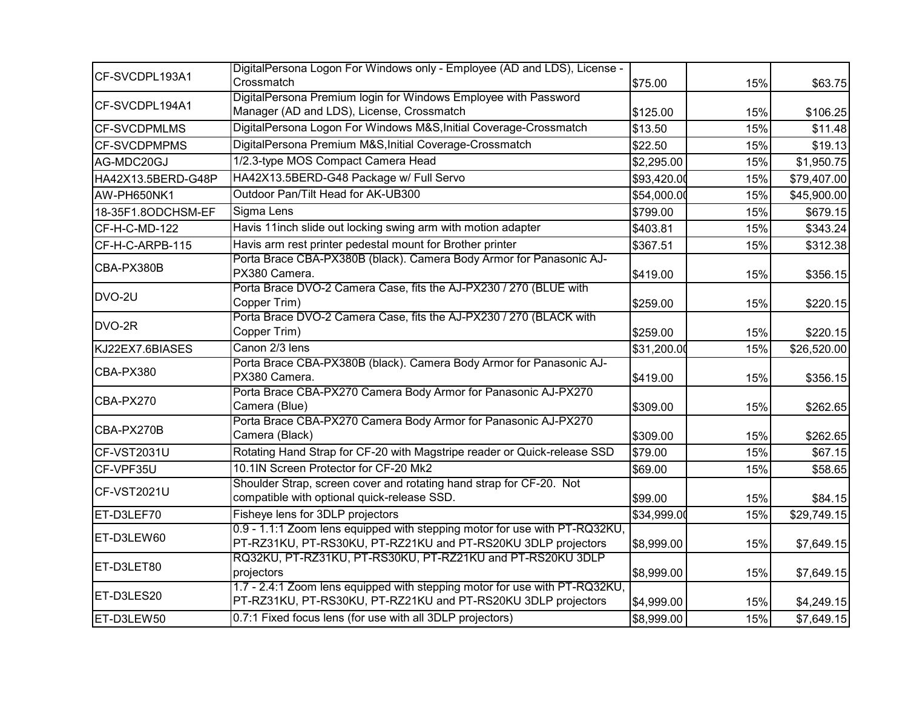| CF-SVCDPL193A1      | DigitalPersona Logon For Windows only - Employee (AD and LDS), License -<br>Crossmatch                                                      | \$75.00     | 15% | \$63.75     |
|---------------------|---------------------------------------------------------------------------------------------------------------------------------------------|-------------|-----|-------------|
| CF-SVCDPL194A1      | DigitalPersona Premium login for Windows Employee with Password<br>Manager (AD and LDS), License, Crossmatch                                | \$125.00    | 15% | \$106.25    |
| <b>CF-SVCDPMLMS</b> | DigitalPersona Logon For Windows M&S, Initial Coverage-Crossmatch                                                                           | \$13.50     | 15% | \$11.48     |
| <b>CF-SVCDPMPMS</b> | DigitalPersona Premium M&S, Initial Coverage-Crossmatch                                                                                     | \$22.50     | 15% | \$19.13     |
| AG-MDC20GJ          | 1/2.3-type MOS Compact Camera Head                                                                                                          | \$2,295.00  | 15% | \$1,950.75  |
| HA42X13.5BERD-G48P  | HA42X13.5BERD-G48 Package w/ Full Servo                                                                                                     | \$93,420.00 | 15% | \$79,407.00 |
| AW-PH650NK1         | Outdoor Pan/Tilt Head for AK-UB300                                                                                                          | \$54,000.00 | 15% | \$45,900.00 |
| 18-35F1.8ODCHSM-EF  | Sigma Lens                                                                                                                                  | \$799.00    | 15% | \$679.15    |
| CF-H-C-MD-122       | Havis 11inch slide out locking swing arm with motion adapter                                                                                | \$403.81    | 15% | \$343.24    |
| CF-H-C-ARPB-115     | Havis arm rest printer pedestal mount for Brother printer                                                                                   | \$367.51    | 15% | \$312.38    |
| CBA-PX380B          | Porta Brace CBA-PX380B (black). Camera Body Armor for Panasonic AJ-<br>PX380 Camera.                                                        | \$419.00    | 15% | \$356.15    |
| DVO-2U              | Porta Brace DVO-2 Camera Case, fits the AJ-PX230 / 270 (BLUE with<br>Copper Trim)                                                           | \$259.00    | 15% | \$220.15    |
| DVO-2R              | Porta Brace DVO-2 Camera Case, fits the AJ-PX230 / 270 (BLACK with<br>Copper Trim)                                                          | \$259.00    | 15% | \$220.15    |
| KJ22EX7.6BIASES     | Canon 2/3 lens                                                                                                                              | \$31,200.00 | 15% | \$26,520.00 |
| CBA-PX380           | Porta Brace CBA-PX380B (black). Camera Body Armor for Panasonic AJ-<br>PX380 Camera.                                                        | \$419.00    | 15% | \$356.15    |
| CBA-PX270           | Porta Brace CBA-PX270 Camera Body Armor for Panasonic AJ-PX270<br>Camera (Blue)                                                             | \$309.00    | 15% | \$262.65    |
| CBA-PX270B          | Porta Brace CBA-PX270 Camera Body Armor for Panasonic AJ-PX270<br>Camera (Black)                                                            | \$309.00    | 15% | \$262.65    |
| CF-VST2031U         | Rotating Hand Strap for CF-20 with Magstripe reader or Quick-release SSD                                                                    | \$79.00     | 15% | \$67.15     |
| CF-VPF35U           | 10.1IN Screen Protector for CF-20 Mk2                                                                                                       | \$69.00     | 15% | \$58.65     |
| CF-VST2021U         | Shoulder Strap, screen cover and rotating hand strap for CF-20. Not<br>compatible with optional quick-release SSD.                          | \$99.00     | 15% | \$84.15     |
| ET-D3LEF70          | Fisheye lens for 3DLP projectors                                                                                                            | \$34,999.00 | 15% | \$29,749.15 |
| ET-D3LEW60          | 0.9 - 1.1:1 Zoom lens equipped with stepping motor for use with PT-RQ32KU,<br>PT-RZ31KU, PT-RS30KU, PT-RZ21KU and PT-RS20KU 3DLP projectors | \$8,999.00  | 15% | \$7,649.15  |
| ET-D3LET80          | RQ32KU, PT-RZ31KU, PT-RS30KU, PT-RZ21KU and PT-RS20KU 3DLP<br>projectors                                                                    | \$8,999.00  | 15% | \$7,649.15  |
| ET-D3LES20          | 1.7 - 2.4:1 Zoom lens equipped with stepping motor for use with PT-RQ32KU,<br>PT-RZ31KU, PT-RS30KU, PT-RZ21KU and PT-RS20KU 3DLP projectors | \$4,999.00  | 15% | \$4,249.15  |
| ET-D3LEW50          | 0.7:1 Fixed focus lens (for use with all 3DLP projectors)                                                                                   | \$8,999.00  | 15% | \$7,649.15  |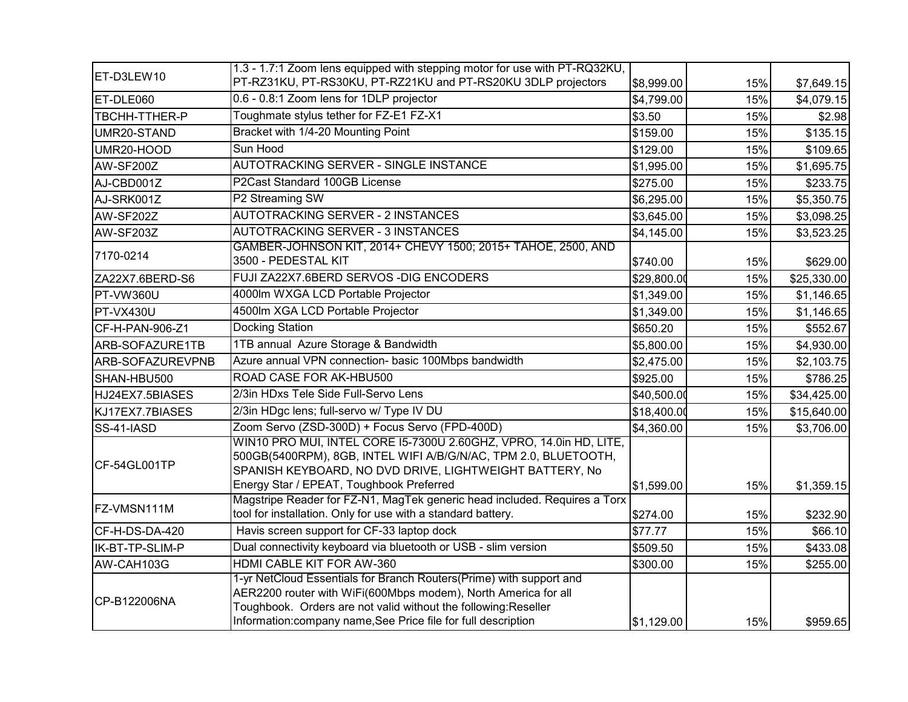| ET-D3LEW10       | 1.3 - 1.7:1 Zoom lens equipped with stepping motor for use with PT-RQ32KU,<br>PT-RZ31KU, PT-RS30KU, PT-RZ21KU and PT-RS20KU 3DLP projectors                                                                                                                               | \$8,999.00  | 15% | \$7,649.15  |
|------------------|---------------------------------------------------------------------------------------------------------------------------------------------------------------------------------------------------------------------------------------------------------------------------|-------------|-----|-------------|
| ET-DLE060        | 0.6 - 0.8:1 Zoom lens for 1DLP projector                                                                                                                                                                                                                                  | \$4,799.00  | 15% | \$4,079.15  |
| TBCHH-TTHER-P    | Toughmate stylus tether for FZ-E1 FZ-X1                                                                                                                                                                                                                                   | \$3.50      | 15% | \$2.98      |
| UMR20-STAND      | Bracket with 1/4-20 Mounting Point                                                                                                                                                                                                                                        | \$159.00    | 15% | \$135.15    |
| UMR20-HOOD       | Sun Hood                                                                                                                                                                                                                                                                  | \$129.00    | 15% | \$109.65    |
| AW-SF200Z        | AUTOTRACKING SERVER - SINGLE INSTANCE                                                                                                                                                                                                                                     | \$1,995.00  | 15% | \$1,695.75  |
| AJ-CBD001Z       | P2Cast Standard 100GB License                                                                                                                                                                                                                                             | \$275.00    | 15% | \$233.75    |
| AJ-SRK001Z       | P2 Streaming SW                                                                                                                                                                                                                                                           | \$6,295.00  | 15% | \$5,350.75  |
| AW-SF202Z        | AUTOTRACKING SERVER - 2 INSTANCES                                                                                                                                                                                                                                         | \$3,645.00  | 15% | \$3,098.25  |
| AW-SF203Z        | AUTOTRACKING SERVER - 3 INSTANCES                                                                                                                                                                                                                                         | \$4,145.00  | 15% | \$3,523.25  |
| 7170-0214        | GAMBER-JOHNSON KIT, 2014+ CHEVY 1500; 2015+ TAHOE, 2500, AND<br>3500 - PEDESTAL KIT                                                                                                                                                                                       | \$740.00    | 15% | \$629.00    |
| ZA22X7.6BERD-S6  | FUJI ZA22X7.6BERD SERVOS - DIG ENCODERS                                                                                                                                                                                                                                   | \$29,800.00 | 15% | \$25,330.00 |
| PT-VW360U        | 4000lm WXGA LCD Portable Projector                                                                                                                                                                                                                                        | \$1,349.00  | 15% | \$1,146.65  |
| PT-VX430U        | 4500lm XGA LCD Portable Projector                                                                                                                                                                                                                                         | \$1,349.00  | 15% | \$1,146.65  |
| CF-H-PAN-906-Z1  | Docking Station                                                                                                                                                                                                                                                           | \$650.20    | 15% | \$552.67    |
| ARB-SOFAZURE1TB  | 1TB annual Azure Storage & Bandwidth                                                                                                                                                                                                                                      | \$5,800.00  | 15% | \$4,930.00  |
| ARB-SOFAZUREVPNB | Azure annual VPN connection- basic 100Mbps bandwidth                                                                                                                                                                                                                      | \$2,475.00  | 15% | \$2,103.75  |
| SHAN-HBU500      | <b>ROAD CASE FOR AK-HBU500</b>                                                                                                                                                                                                                                            | \$925.00    | 15% | \$786.25    |
| HJ24EX7.5BIASES  | 2/3in HDxs Tele Side Full-Servo Lens                                                                                                                                                                                                                                      | \$40,500.00 | 15% | \$34,425.00 |
| KJ17EX7.7BIASES  | 2/3in HDgc lens; full-servo w/ Type IV DU                                                                                                                                                                                                                                 | \$18,400.00 | 15% | \$15,640.00 |
| SS-41-IASD       | Zoom Servo (ZSD-300D) + Focus Servo (FPD-400D)                                                                                                                                                                                                                            | \$4,360.00  | 15% | \$3,706.00  |
| CF-54GL001TP     | WIN10 PRO MUI, INTEL CORE 15-7300U 2.60GHZ, VPRO, 14.0in HD, LITE,<br>500GB(5400RPM), 8GB, INTEL WIFI A/B/G/N/AC, TPM 2.0, BLUETOOTH,<br>SPANISH KEYBOARD, NO DVD DRIVE, LIGHTWEIGHT BATTERY, No<br>Energy Star / EPEAT, Toughbook Preferred                              | \$1,599.00  | 15% | \$1,359.15  |
| FZ-VMSN111M      | Magstripe Reader for FZ-N1, MagTek generic head included. Requires a Torx<br>tool for installation. Only for use with a standard battery.                                                                                                                                 | \$274.00    | 15% | \$232.90    |
| CF-H-DS-DA-420   | Havis screen support for CF-33 laptop dock                                                                                                                                                                                                                                | \$77.77     | 15% | \$66.10     |
| IK-BT-TP-SLIM-P  | Dual connectivity keyboard via bluetooth or USB - slim version                                                                                                                                                                                                            | \$509.50    | 15% | \$433.08    |
| AW-CAH103G       | HDMI CABLE KIT FOR AW-360                                                                                                                                                                                                                                                 | \$300.00    | 15% | \$255.00    |
| CP-B122006NA     | 1-yr NetCloud Essentials for Branch Routers(Prime) with support and<br>AER2200 router with WiFi(600Mbps modem), North America for all<br>Toughbook. Orders are not valid without the following:Reseller<br>Information: company name, See Price file for full description | \$1,129.00  | 15% | \$959.65    |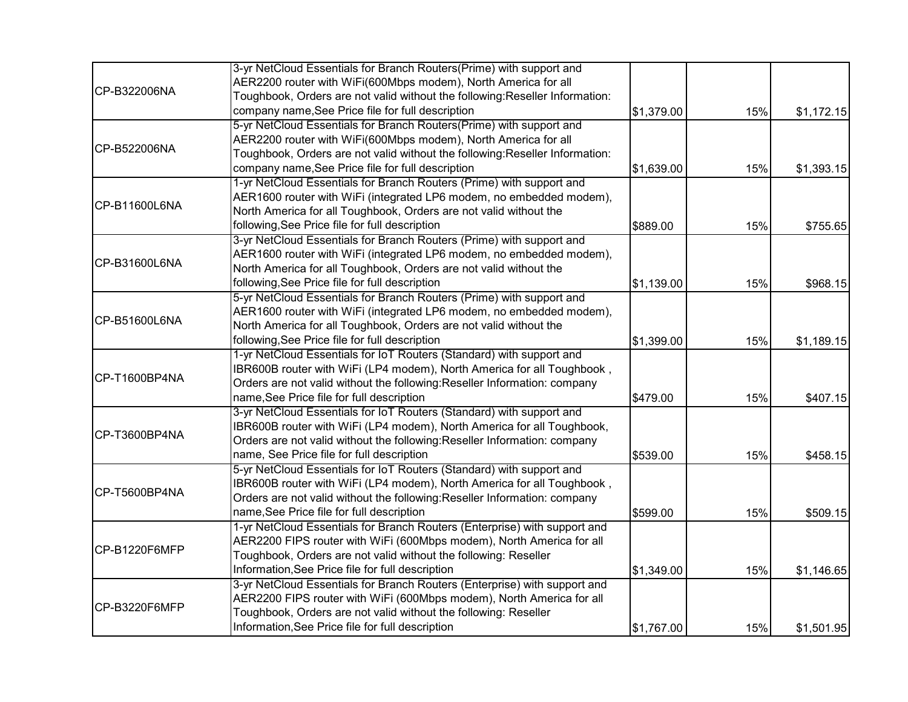|               | 3-yr NetCloud Essentials for Branch Routers(Prime) with support and          |            |     |            |
|---------------|------------------------------------------------------------------------------|------------|-----|------------|
|               | AER2200 router with WiFi(600Mbps modem), North America for all               |            |     |            |
| CP-B322006NA  | Toughbook, Orders are not valid without the following: Reseller Information: |            |     |            |
|               | company name, See Price file for full description                            | \$1,379.00 | 15% | \$1,172.15 |
|               | 5-yr NetCloud Essentials for Branch Routers(Prime) with support and          |            |     |            |
|               | AER2200 router with WiFi(600Mbps modem), North America for all               |            |     |            |
| CP-B522006NA  | Toughbook, Orders are not valid without the following: Reseller Information: |            |     |            |
|               | company name, See Price file for full description                            | \$1,639.00 | 15% | \$1,393.15 |
|               | 1-yr NetCloud Essentials for Branch Routers (Prime) with support and         |            |     |            |
|               | AER1600 router with WiFi (integrated LP6 modem, no embedded modem),          |            |     |            |
| CP-B11600L6NA | North America for all Toughbook, Orders are not valid without the            |            |     |            |
|               | following, See Price file for full description                               | \$889.00   | 15% | \$755.65   |
|               | 3-yr NetCloud Essentials for Branch Routers (Prime) with support and         |            |     |            |
| CP-B31600L6NA | AER1600 router with WiFi (integrated LP6 modem, no embedded modem),          |            |     |            |
|               | North America for all Toughbook, Orders are not valid without the            |            |     |            |
|               | following, See Price file for full description                               | \$1,139.00 | 15% | \$968.15   |
| CP-B51600L6NA | 5-yr NetCloud Essentials for Branch Routers (Prime) with support and         |            |     |            |
|               | AER1600 router with WiFi (integrated LP6 modem, no embedded modem),          |            |     |            |
|               | North America for all Toughbook, Orders are not valid without the            |            |     |            |
|               | following, See Price file for full description                               | \$1,399.00 | 15% | \$1,189.15 |
|               | 1-yr NetCloud Essentials for IoT Routers (Standard) with support and         |            |     |            |
| CP-T1600BP4NA | IBR600B router with WiFi (LP4 modem), North America for all Toughbook,       |            |     |            |
|               | Orders are not valid without the following:Reseller Information: company     |            |     |            |
|               | name, See Price file for full description                                    | \$479.00   | 15% | \$407.15   |
|               | 3-yr NetCloud Essentials for IoT Routers (Standard) with support and         |            |     |            |
| CP-T3600BP4NA | IBR600B router with WiFi (LP4 modem), North America for all Toughbook,       |            |     |            |
|               | Orders are not valid without the following: Reseller Information: company    |            |     |            |
|               | name, See Price file for full description                                    | \$539.00   | 15% | \$458.15   |
|               | 5-yr NetCloud Essentials for IoT Routers (Standard) with support and         |            |     |            |
| CP-T5600BP4NA | IBR600B router with WiFi (LP4 modem), North America for all Toughbook,       |            |     |            |
|               | Orders are not valid without the following: Reseller Information: company    |            |     |            |
|               | name, See Price file for full description                                    | \$599.00   | 15% | \$509.15   |
|               | 1-yr NetCloud Essentials for Branch Routers (Enterprise) with support and    |            |     |            |
| CP-B1220F6MFP | AER2200 FIPS router with WiFi (600Mbps modem), North America for all         |            |     |            |
|               | Toughbook, Orders are not valid without the following: Reseller              |            |     |            |
|               | Information, See Price file for full description                             | \$1,349.00 | 15% | \$1,146.65 |
|               | 3-yr NetCloud Essentials for Branch Routers (Enterprise) with support and    |            |     |            |
| CP-B3220F6MFP | AER2200 FIPS router with WiFi (600Mbps modem), North America for all         |            |     |            |
|               | Toughbook, Orders are not valid without the following: Reseller              |            |     |            |
|               | Information, See Price file for full description                             | \$1,767.00 | 15% | \$1,501.95 |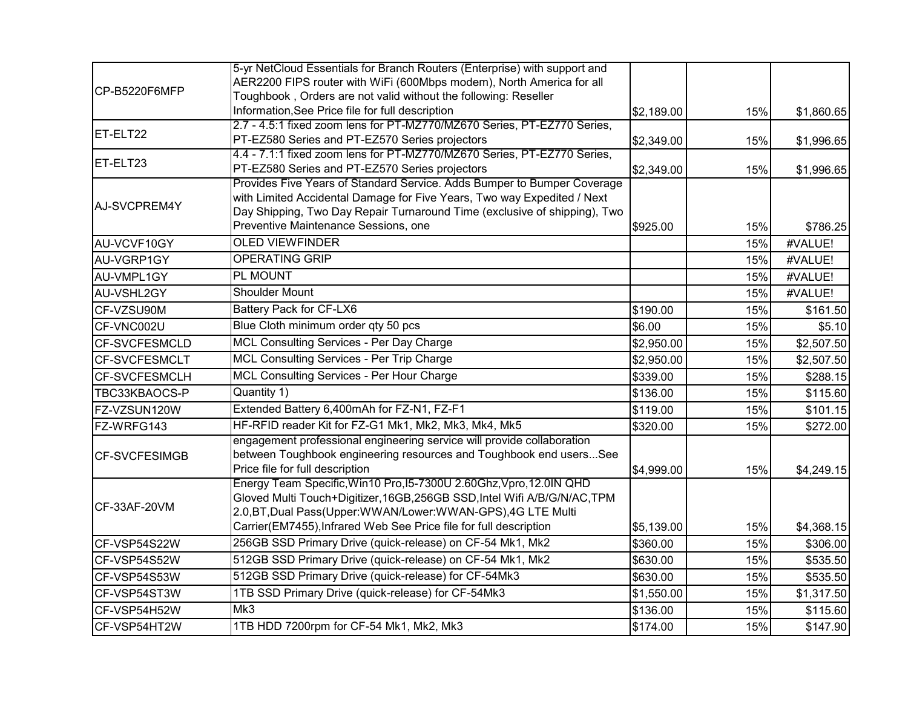|                      | 5-yr NetCloud Essentials for Branch Routers (Enterprise) with support and                                                                  |            |     |            |
|----------------------|--------------------------------------------------------------------------------------------------------------------------------------------|------------|-----|------------|
| CP-B5220F6MFP        | AER2200 FIPS router with WiFi (600Mbps modem), North America for all                                                                       |            |     |            |
|                      | Toughbook, Orders are not valid without the following: Reseller                                                                            |            |     |            |
|                      | Information, See Price file for full description                                                                                           | \$2,189.00 | 15% | \$1,860.65 |
| ET-ELT22             | 2.7 - 4.5:1 fixed zoom lens for PT-MZ770/MZ670 Series, PT-EZ770 Series,                                                                    |            |     |            |
|                      | PT-EZ580 Series and PT-EZ570 Series projectors                                                                                             | \$2,349.00 | 15% | \$1,996.65 |
| ET-ELT23             | 4.4 - 7.1:1 fixed zoom lens for PT-MZ770/MZ670 Series, PT-EZ770 Series,                                                                    |            |     |            |
|                      | PT-EZ580 Series and PT-EZ570 Series projectors<br>Provides Five Years of Standard Service. Adds Bumper to Bumper Coverage                  | \$2,349.00 | 15% | \$1,996.65 |
|                      | with Limited Accidental Damage for Five Years, Two way Expedited / Next                                                                    |            |     |            |
| AJ-SVCPREM4Y         | Day Shipping, Two Day Repair Turnaround Time (exclusive of shipping), Two                                                                  |            |     |            |
|                      | Preventive Maintenance Sessions, one                                                                                                       | \$925.00   | 15% | \$786.25   |
| AU-VCVF10GY          | <b>OLED VIEWFINDER</b>                                                                                                                     |            | 15% | #VALUE!    |
| AU-VGRP1GY           | <b>OPERATING GRIP</b>                                                                                                                      |            | 15% | #VALUE!    |
| AU-VMPL1GY           | PL MOUNT                                                                                                                                   |            | 15% | #VALUE!    |
| AU-VSHL2GY           | <b>Shoulder Mount</b>                                                                                                                      |            | 15% | #VALUE!    |
| CF-VZSU90M           | Battery Pack for CF-LX6                                                                                                                    | \$190.00   | 15% | \$161.50   |
| CF-VNC002U           | Blue Cloth minimum order qty 50 pcs                                                                                                        | \$6.00     | 15% | \$5.10     |
| CF-SVCFESMCLD        | MCL Consulting Services - Per Day Charge                                                                                                   | \$2,950.00 | 15% | \$2,507.50 |
| <b>CF-SVCFESMCLT</b> | MCL Consulting Services - Per Trip Charge                                                                                                  | \$2,950.00 | 15% | \$2,507.50 |
| <b>CF-SVCFESMCLH</b> | <b>MCL Consulting Services - Per Hour Charge</b>                                                                                           | \$339.00   | 15% | \$288.15   |
| TBC33KBAOCS-P        | Quantity 1)                                                                                                                                | \$136.00   | 15% | \$115.60   |
| FZ-VZSUN120W         | Extended Battery 6,400mAh for FZ-N1, FZ-F1                                                                                                 | \$119.00   | 15% | \$101.15   |
| FZ-WRFG143           | HF-RFID reader Kit for FZ-G1 Mk1, Mk2, Mk3, Mk4, Mk5                                                                                       | \$320.00   | 15% | \$272.00   |
|                      | engagement professional engineering service will provide collaboration                                                                     |            |     |            |
| <b>CF-SVCFESIMGB</b> | between Toughbook engineering resources and Toughbook end usersSee                                                                         |            |     |            |
|                      | Price file for full description                                                                                                            | \$4,999.00 | 15% | \$4,249.15 |
|                      | Energy Team Specific, Win10 Pro, 15-7300U 2.60Ghz, Vpro, 12.0IN QHD                                                                        |            |     |            |
| CF-33AF-20VM         | Gloved Multi Touch+Digitizer, 16GB, 256GB SSD, Intel Wifi A/B/G/N/AC, TPM<br>2.0, BT, Dual Pass(Upper: WWAN/Lower: WWAN-GPS), 4G LTE Multi |            |     |            |
|                      | Carrier(EM7455), Infrared Web See Price file for full description                                                                          | \$5,139.00 | 15% | \$4,368.15 |
| CF-VSP54S22W         | 256GB SSD Primary Drive (quick-release) on CF-54 Mk1, Mk2                                                                                  | \$360.00   | 15% | \$306.00   |
| CF-VSP54S52W         | 512GB SSD Primary Drive (quick-release) on CF-54 Mk1, Mk2                                                                                  | \$630.00   | 15% | \$535.50   |
| CF-VSP54S53W         | 512GB SSD Primary Drive (quick-release) for CF-54Mk3                                                                                       | \$630.00   | 15% | \$535.50   |
| CF-VSP54ST3W         | 1TB SSD Primary Drive (quick-release) for CF-54Mk3                                                                                         | \$1,550.00 | 15% | \$1,317.50 |
| CF-VSP54H52W         | Mk3                                                                                                                                        | \$136.00   | 15% | \$115.60   |
| CF-VSP54HT2W         | 1TB HDD 7200rpm for CF-54 Mk1, Mk2, Mk3                                                                                                    | \$174.00   | 15% | \$147.90   |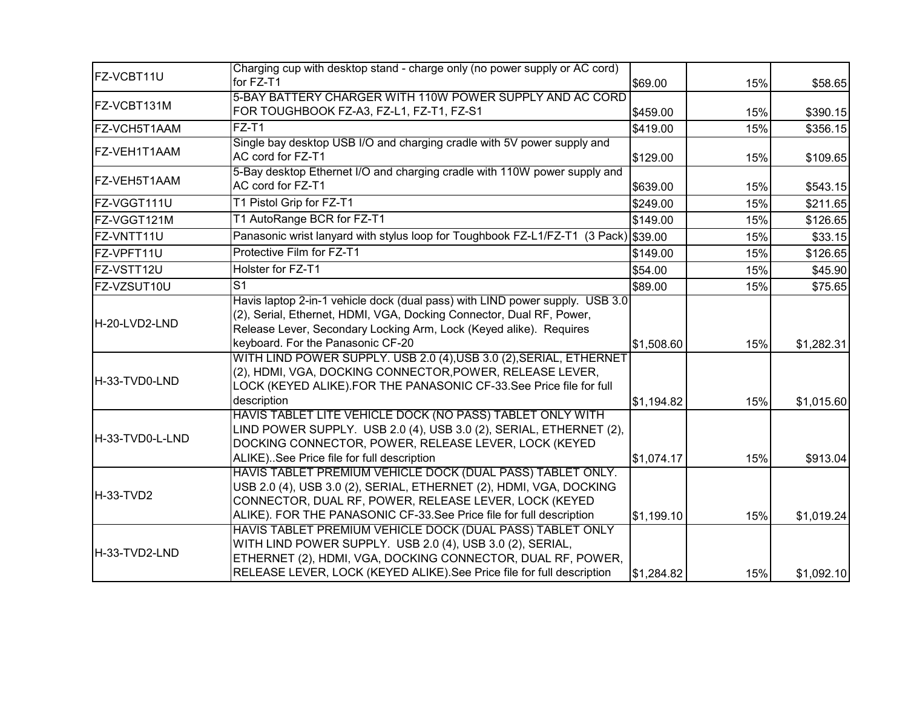| <b>IFZ-VCBT11U</b> | Charging cup with desktop stand - charge only (no power supply or AC cord)                                                                                                                                                                                       |            |     |            |
|--------------------|------------------------------------------------------------------------------------------------------------------------------------------------------------------------------------------------------------------------------------------------------------------|------------|-----|------------|
|                    | for FZ-T1                                                                                                                                                                                                                                                        | \$69.00    | 15% | \$58.65    |
| IFZ-VCBT131M       | 5-BAY BATTERY CHARGER WITH 110W POWER SUPPLY AND AC CORD                                                                                                                                                                                                         |            |     |            |
|                    | FOR TOUGHBOOK FZ-A3, FZ-L1, FZ-T1, FZ-S1                                                                                                                                                                                                                         | \$459.00   | 15% | \$390.15   |
| FZ-VCH5T1AAM       | $FZ-T1$                                                                                                                                                                                                                                                          | \$419.00   | 15% | \$356.15   |
| FZ-VEH1T1AAM       | Single bay desktop USB I/O and charging cradle with 5V power supply and<br>AC cord for FZ-T1                                                                                                                                                                     | \$129.00   | 15% | \$109.65   |
| FZ-VEH5T1AAM       | 5-Bay desktop Ethernet I/O and charging cradle with 110W power supply and<br>AC cord for FZ-T1                                                                                                                                                                   | \$639.00   | 15% | \$543.15   |
| FZ-VGGT111U        | T1 Pistol Grip for FZ-T1                                                                                                                                                                                                                                         | \$249.00   | 15% | \$211.65   |
| FZ-VGGT121M        | T1 AutoRange BCR for FZ-T1                                                                                                                                                                                                                                       | \$149.00   | 15% | \$126.65   |
| FZ-VNTT11U         | Panasonic wrist lanyard with stylus loop for Toughbook FZ-L1/FZ-T1 (3 Pack) \$39.00                                                                                                                                                                              |            | 15% | \$33.15    |
| FZ-VPFT11U         | Protective Film for FZ-T1                                                                                                                                                                                                                                        | \$149.00   | 15% | \$126.65   |
| FZ-VSTT12U         | Holster for FZ-T1                                                                                                                                                                                                                                                | \$54.00    | 15% | \$45.90    |
| FZ-VZSUT10U        | S <sub>1</sub>                                                                                                                                                                                                                                                   | \$89.00    | 15% | \$75.65    |
| H-20-LVD2-LND      | Havis laptop 2-in-1 vehicle dock (dual pass) with LIND power supply. USB 3.0<br>(2), Serial, Ethernet, HDMI, VGA, Docking Connector, Dual RF, Power,<br>Release Lever, Secondary Locking Arm, Lock (Keyed alike). Requires<br>keyboard. For the Panasonic CF-20  | \$1,508.60 | 15% | \$1,282.31 |
| H-33-TVD0-LND      | WITH LIND POWER SUPPLY. USB 2.0 (4), USB 3.0 (2), SERIAL, ETHERNET<br>(2), HDMI, VGA, DOCKING CONNECTOR, POWER, RELEASE LEVER,<br>LOCK (KEYED ALIKE).FOR THE PANASONIC CF-33.See Price file for full<br>description                                              | \$1,194.82 | 15% | \$1,015.60 |
| H-33-TVD0-L-LND    | HAVIS TABLET LITE VEHICLE DOCK (NO PASS) TABLET ONLY WITH<br>LIND POWER SUPPLY. USB 2.0 (4), USB 3.0 (2), SERIAL, ETHERNET (2),<br>DOCKING CONNECTOR, POWER, RELEASE LEVER, LOCK (KEYED<br>ALIKE). See Price file for full description                           | \$1,074.17 | 15% | \$913.04   |
| H-33-TVD2          | HAVIS TABLET PREMIUM VEHICLE DOCK (DUAL PASS) TABLET ONLY.<br>USB 2.0 (4), USB 3.0 (2), SERIAL, ETHERNET (2), HDMI, VGA, DOCKING<br>CONNECTOR, DUAL RF, POWER, RELEASE LEVER, LOCK (KEYED<br>ALIKE). FOR THE PANASONIC CF-33.See Price file for full description | \$1,199.10 | 15% | \$1,019.24 |
| H-33-TVD2-LND      | HAVIS TABLET PREMIUM VEHICLE DOCK (DUAL PASS) TABLET ONLY<br>WITH LIND POWER SUPPLY. USB 2.0 (4), USB 3.0 (2), SERIAL,<br>ETHERNET (2), HDMI, VGA, DOCKING CONNECTOR, DUAL RF, POWER,<br>RELEASE LEVER, LOCK (KEYED ALIKE).See Price file for full description   | \$1,284.82 | 15% | \$1,092.10 |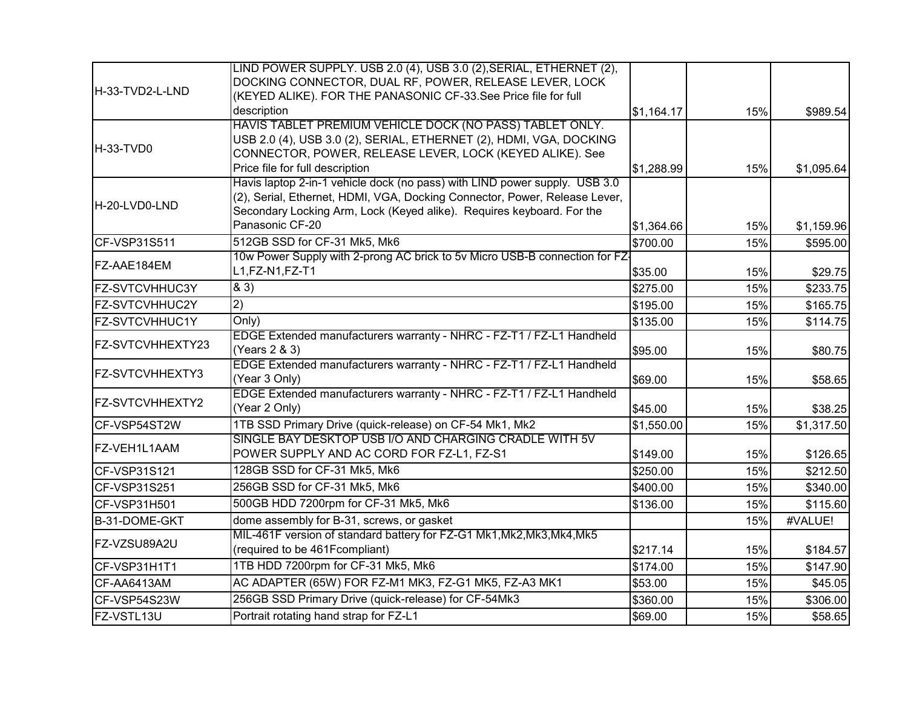|                        | LIND POWER SUPPLY. USB 2.0 (4), USB 3.0 (2), SERIAL, ETHERNET (2),          |            |     |            |
|------------------------|-----------------------------------------------------------------------------|------------|-----|------------|
|                        | DOCKING CONNECTOR, DUAL RF, POWER, RELEASE LEVER, LOCK                      |            |     |            |
| H-33-TVD2-L-LND        | (KEYED ALIKE). FOR THE PANASONIC CF-33.See Price file for full              |            |     |            |
|                        | description                                                                 | \$1,164.17 | 15% | \$989.54   |
|                        | HAVIS TABLET PREMIUM VEHICLE DOCK (NO PASS) TABLET ONLY.                    |            |     |            |
| H-33-TVD0              | USB 2.0 (4), USB 3.0 (2), SERIAL, ETHERNET (2), HDMI, VGA, DOCKING          |            |     |            |
|                        | CONNECTOR, POWER, RELEASE LEVER, LOCK (KEYED ALIKE). See                    |            |     |            |
|                        | Price file for full description                                             | \$1,288.99 | 15% | \$1,095.64 |
|                        | Havis laptop 2-in-1 vehicle dock (no pass) with LIND power supply. USB 3.0  |            |     |            |
| <b>IH-20-LVD0-LND</b>  | (2), Serial, Ethernet, HDMI, VGA, Docking Connector, Power, Release Lever,  |            |     |            |
|                        | Secondary Locking Arm, Lock (Keyed alike). Requires keyboard. For the       |            |     |            |
|                        | Panasonic CF-20                                                             | \$1,364.66 | 15% | \$1,159.96 |
| CF-VSP31S511           | 512GB SSD for CF-31 Mk5, Mk6                                                | \$700.00   | 15% | \$595.00   |
| FZ-AAE184EM            | 10w Power Supply with 2-prong AC brick to 5v Micro USB-B connection for FZ- |            |     |            |
|                        | L1, FZ-N1, FZ-T1                                                            | \$35.00    | 15% | \$29.75    |
| FZ-SVTCVHHUC3Y         | 83)                                                                         | \$275.00   | 15% | \$233.75   |
| <b>FZ-SVTCVHHUC2Y</b>  | 2)                                                                          | \$195.00   | 15% | \$165.75   |
| <b>FZ-SVTCVHHUC1Y</b>  | Only)                                                                       | \$135.00   | 15% | \$114.75   |
|                        | EDGE Extended manufacturers warranty - NHRC - FZ-T1 / FZ-L1 Handheld        |            |     |            |
| FZ-SVTCVHHEXTY23       | (Years 2 & 3)                                                               | \$95.00    | 15% | \$80.75    |
| <b>FZ-SVTCVHHEXTY3</b> | EDGE Extended manufacturers warranty - NHRC - FZ-T1 / FZ-L1 Handheld        |            |     |            |
|                        | (Year 3 Only)                                                               | \$69.00    | 15% | \$58.65    |
| <b>FZ-SVTCVHHEXTY2</b> | EDGE Extended manufacturers warranty - NHRC - FZ-T1 / FZ-L1 Handheld        |            |     |            |
|                        | (Year 2 Only)                                                               | \$45.00    | 15% | \$38.25    |
| CF-VSP54ST2W           | 1TB SSD Primary Drive (quick-release) on CF-54 Mk1, Mk2                     | \$1,550.00 | 15% | \$1,317.50 |
| FZ-VEH1L1AAM           | SINGLE BAY DESKTOP USB I/O AND CHARGING CRADLE WITH 5V                      |            |     |            |
|                        | POWER SUPPLY AND AC CORD FOR FZ-L1, FZ-S1                                   | \$149.00   | 15% | \$126.65   |
| CF-VSP31S121           | 128GB SSD for CF-31 Mk5, Mk6                                                | \$250.00   | 15% | \$212.50   |
| CF-VSP31S251           | 256GB SSD for CF-31 Mk5, Mk6                                                | \$400.00   | 15% | \$340.00   |
| CF-VSP31H501           | 500GB HDD 7200rpm for CF-31 Mk5, Mk6                                        | \$136.00   | 15% | \$115.60   |
| B-31-DOME-GKT          | dome assembly for B-31, screws, or gasket                                   |            | 15% | #VALUE!    |
|                        | MIL-461F version of standard battery for FZ-G1 Mk1, Mk2, Mk3, Mk4, Mk5      |            |     |            |
| FZ-VZSU89A2U           | (required to be 461Fcompliant)                                              | \$217.14   | 15% | \$184.57   |
| CF-VSP31H1T1           | 1TB HDD 7200rpm for CF-31 Mk5, Mk6                                          | \$174.00   | 15% | \$147.90   |
| CF-AA6413AM            | AC ADAPTER (65W) FOR FZ-M1 MK3, FZ-G1 MK5, FZ-A3 MK1                        | \$53.00    | 15% | \$45.05    |
| CF-VSP54S23W           | 256GB SSD Primary Drive (quick-release) for CF-54Mk3                        | \$360.00   | 15% | \$306.00   |
| FZ-VSTL13U             | Portrait rotating hand strap for FZ-L1                                      | \$69.00    | 15% | \$58.65    |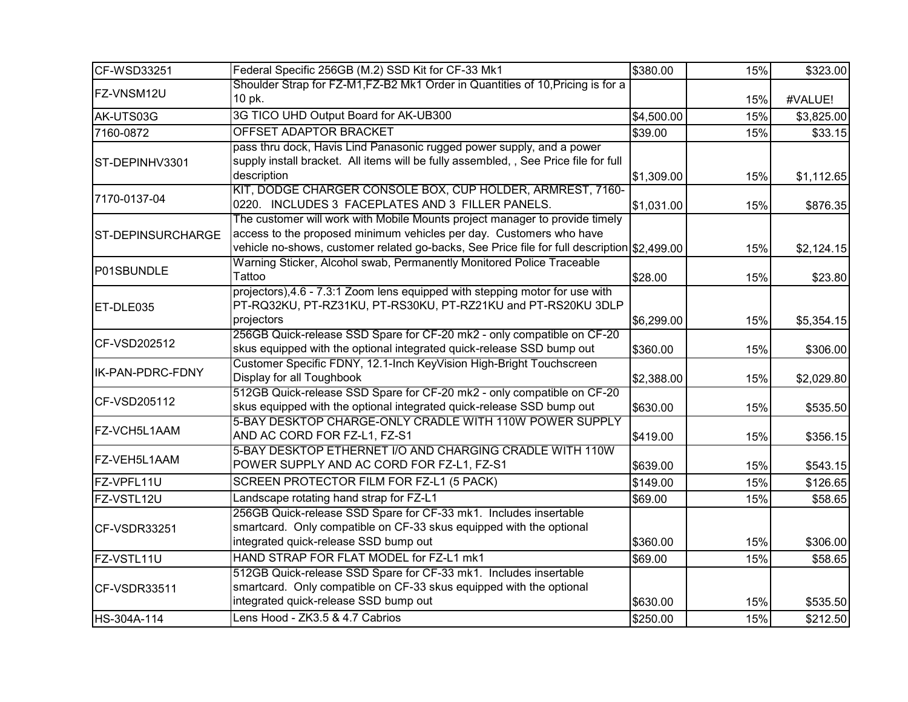| CF-WSD33251              | Federal Specific 256GB (M.2) SSD Kit for CF-33 Mk1                                                                                                                                                                                                | \$380.00   | 15% | \$323.00   |
|--------------------------|---------------------------------------------------------------------------------------------------------------------------------------------------------------------------------------------------------------------------------------------------|------------|-----|------------|
| FZ-VNSM12U               | Shoulder Strap for FZ-M1, FZ-B2 Mk1 Order in Quantities of 10, Pricing is for a<br>10 pk.                                                                                                                                                         |            | 15% | #VALUE!    |
| AK-UTS03G                | 3G TICO UHD Output Board for AK-UB300                                                                                                                                                                                                             | \$4,500.00 | 15% | \$3,825.00 |
| 7160-0872                | OFFSET ADAPTOR BRACKET                                                                                                                                                                                                                            | \$39.00    | 15% | \$33.15    |
| ST-DEPINHV3301           | pass thru dock, Havis Lind Panasonic rugged power supply, and a power<br>supply install bracket. All items will be fully assembled, , See Price file for full<br>description                                                                      | \$1,309.00 | 15% | \$1,112.65 |
| 7170-0137-04             | KIT, DODGE CHARGER CONSOLE BOX, CUP HOLDER, ARMREST, 7160-<br>0220. INCLUDES 3 FACEPLATES AND 3 FILLER PANELS.                                                                                                                                    | \$1,031.00 | 15% | \$876.35   |
| <b>ST-DEPINSURCHARGE</b> | The customer will work with Mobile Mounts project manager to provide timely<br>access to the proposed minimum vehicles per day. Customers who have<br>vehicle no-shows, customer related go-backs, See Price file for full description \$2,499.00 |            | 15% | \$2,124.15 |
| P01SBUNDLE               | Warning Sticker, Alcohol swab, Permanently Monitored Police Traceable<br>Tattoo                                                                                                                                                                   | \$28.00    | 15% | \$23.80    |
| ET-DLE035                | projectors), 4.6 - 7.3:1 Zoom lens equipped with stepping motor for use with<br>PT-RQ32KU, PT-RZ31KU, PT-RS30KU, PT-RZ21KU and PT-RS20KU 3DLP<br>projectors                                                                                       | \$6,299.00 | 15% | \$5,354.15 |
| CF-VSD202512             | 256GB Quick-release SSD Spare for CF-20 mk2 - only compatible on CF-20<br>skus equipped with the optional integrated quick-release SSD bump out                                                                                                   | \$360.00   | 15% | \$306.00   |
| IK-PAN-PDRC-FDNY         | Customer Specific FDNY, 12.1-Inch KeyVision High-Bright Touchscreen<br>Display for all Toughbook                                                                                                                                                  | \$2,388.00 | 15% | \$2,029.80 |
| CF-VSD205112             | 512GB Quick-release SSD Spare for CF-20 mk2 - only compatible on CF-20<br>skus equipped with the optional integrated quick-release SSD bump out                                                                                                   | \$630.00   | 15% | \$535.50   |
| FZ-VCH5L1AAM             | 5-BAY DESKTOP CHARGE-ONLY CRADLE WITH 110W POWER SUPPLY<br>AND AC CORD FOR FZ-L1, FZ-S1                                                                                                                                                           | \$419.00   | 15% | \$356.15   |
| FZ-VEH5L1AAM             | 5-BAY DESKTOP ETHERNET I/O AND CHARGING CRADLE WITH 110W<br>POWER SUPPLY AND AC CORD FOR FZ-L1, FZ-S1                                                                                                                                             | \$639.00   | 15% | \$543.15   |
| FZ-VPFL11U               | SCREEN PROTECTOR FILM FOR FZ-L1 (5 PACK)                                                                                                                                                                                                          | \$149.00   | 15% | \$126.65   |
| FZ-VSTL12U               | Landscape rotating hand strap for FZ-L1                                                                                                                                                                                                           | \$69.00    | 15% | \$58.65    |
| CF-VSDR33251             | 256GB Quick-release SSD Spare for CF-33 mk1. Includes insertable<br>smartcard. Only compatible on CF-33 skus equipped with the optional<br>integrated quick-release SSD bump out                                                                  | \$360.00   | 15% | \$306.00   |
| FZ-VSTL11U               | HAND STRAP FOR FLAT MODEL for FZ-L1 mk1                                                                                                                                                                                                           | \$69.00    | 15% | \$58.65    |
| CF-VSDR33511             | 512GB Quick-release SSD Spare for CF-33 mk1. Includes insertable<br>smartcard. Only compatible on CF-33 skus equipped with the optional<br>integrated quick-release SSD bump out                                                                  | \$630.00   | 15% | \$535.50   |
| HS-304A-114              | Lens Hood - ZK3.5 & 4.7 Cabrios                                                                                                                                                                                                                   | \$250.00   | 15% | \$212.50   |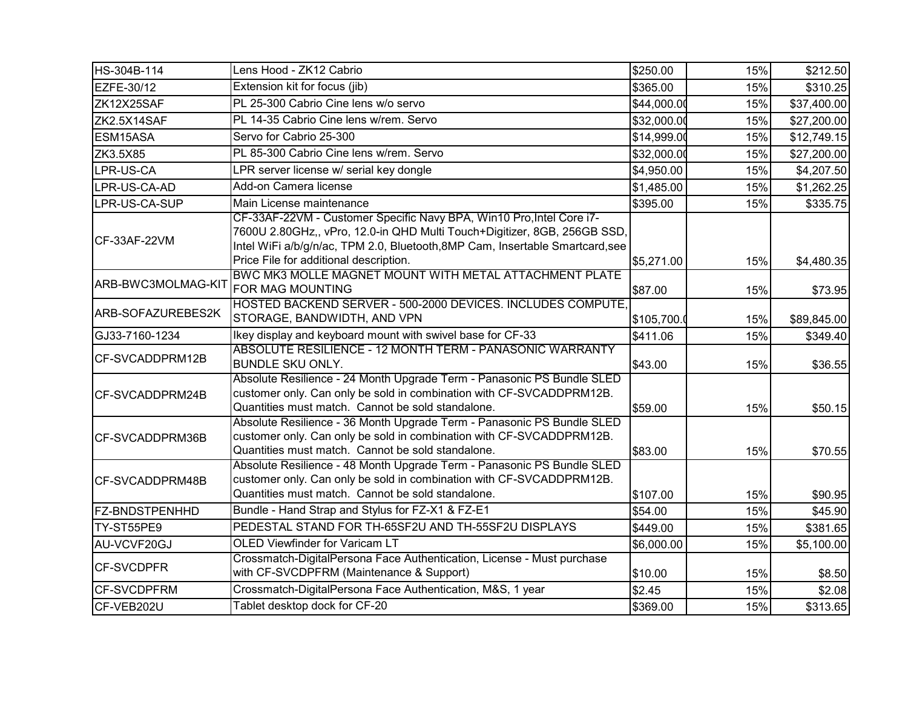| HS-304B-114           | Lens Hood - ZK12 Cabrio                                                                                                                                                                                                                                                     | \$250.00    | 15% | \$212.50    |
|-----------------------|-----------------------------------------------------------------------------------------------------------------------------------------------------------------------------------------------------------------------------------------------------------------------------|-------------|-----|-------------|
| EZFE-30/12            | Extension kit for focus (jib)                                                                                                                                                                                                                                               | \$365.00    | 15% | \$310.25    |
| ZK12X25SAF            | PL 25-300 Cabrio Cine lens w/o servo                                                                                                                                                                                                                                        | \$44,000.00 | 15% | \$37,400.00 |
| ZK2.5X14SAF           | PL 14-35 Cabrio Cine lens w/rem. Servo                                                                                                                                                                                                                                      | \$32,000.00 | 15% | \$27,200.00 |
| ESM15ASA              | Servo for Cabrio 25-300                                                                                                                                                                                                                                                     | \$14,999.00 | 15% | \$12,749.15 |
| ZK3.5X85              | PL 85-300 Cabrio Cine lens w/rem. Servo                                                                                                                                                                                                                                     | \$32,000.00 | 15% | \$27,200.00 |
| LPR-US-CA             | LPR server license w/ serial key dongle                                                                                                                                                                                                                                     | \$4,950.00  | 15% | \$4,207.50  |
| LPR-US-CA-AD          | Add-on Camera license                                                                                                                                                                                                                                                       | \$1,485.00  | 15% | \$1,262.25  |
| LPR-US-CA-SUP         | Main License maintenance                                                                                                                                                                                                                                                    | \$395.00    | 15% | \$335.75    |
| CF-33AF-22VM          | CF-33AF-22VM - Customer Specific Navy BPA, Win10 Pro, Intel Core i7-<br>7600U 2.80GHz,, vPro, 12.0-in QHD Multi Touch+Digitizer, 8GB, 256GB SSD,<br>Intel WiFi a/b/g/n/ac, TPM 2.0, Bluetooth, 8MP Cam, Insertable Smartcard, see<br>Price File for additional description. | \$5,271.00  | 15% | \$4,480.35  |
| ARB-BWC3MOLMAG-KIT    | BWC MK3 MOLLE MAGNET MOUNT WITH METAL ATTACHMENT PLATE<br><b>FOR MAG MOUNTING</b>                                                                                                                                                                                           | \$87.00     | 15% | \$73.95     |
| ARB-SOFAZUREBES2K     | HOSTED BACKEND SERVER - 500-2000 DEVICES. INCLUDES COMPUTE,<br>STORAGE, BANDWIDTH, AND VPN                                                                                                                                                                                  | \$105,700.0 | 15% | \$89,845.00 |
| GJ33-7160-1234        | Ikey display and keyboard mount with swivel base for CF-33                                                                                                                                                                                                                  | \$411.06    | 15% | \$349.40    |
| CF-SVCADDPRM12B       | ABSOLUTE RESILIENCE - 12 MONTH TERM - PANASONIC WARRANTY<br><b>BUNDLE SKU ONLY.</b>                                                                                                                                                                                         | \$43.00     | 15% | \$36.55     |
| CF-SVCADDPRM24B       | Absolute Resilience - 24 Month Upgrade Term - Panasonic PS Bundle SLED<br>customer only. Can only be sold in combination with CF-SVCADDPRM12B.<br>Quantities must match. Cannot be sold standalone.                                                                         | \$59.00     | 15% | \$50.15     |
| CF-SVCADDPRM36B       | Absolute Resilience - 36 Month Upgrade Term - Panasonic PS Bundle SLED<br>customer only. Can only be sold in combination with CF-SVCADDPRM12B.<br>Quantities must match. Cannot be sold standalone.                                                                         | \$83.00     | 15% | \$70.55     |
| CF-SVCADDPRM48B       | Absolute Resilience - 48 Month Upgrade Term - Panasonic PS Bundle SLED<br>customer only. Can only be sold in combination with CF-SVCADDPRM12B.<br>Quantities must match. Cannot be sold standalone.                                                                         | \$107.00    | 15% | \$90.95     |
| <b>FZ-BNDSTPENHHD</b> | Bundle - Hand Strap and Stylus for FZ-X1 & FZ-E1                                                                                                                                                                                                                            | \$54.00     | 15% | \$45.90     |
| TY-ST55PE9            | PEDESTAL STAND FOR TH-65SF2U AND TH-55SF2U DISPLAYS                                                                                                                                                                                                                         | \$449.00    | 15% | \$381.65    |
| AU-VCVF20GJ           | <b>OLED Viewfinder for Varicam LT</b>                                                                                                                                                                                                                                       | \$6,000.00  | 15% | \$5,100.00  |
| <b>CF-SVCDPFR</b>     | Crossmatch-DigitalPersona Face Authentication, License - Must purchase<br>with CF-SVCDPFRM (Maintenance & Support)                                                                                                                                                          | \$10.00     | 15% | \$8.50      |
| <b>CF-SVCDPFRM</b>    | Crossmatch-DigitalPersona Face Authentication, M&S, 1 year                                                                                                                                                                                                                  | \$2.45      | 15% | \$2.08      |
| CF-VEB202U            | Tablet desktop dock for CF-20                                                                                                                                                                                                                                               | \$369.00    | 15% | \$313.65    |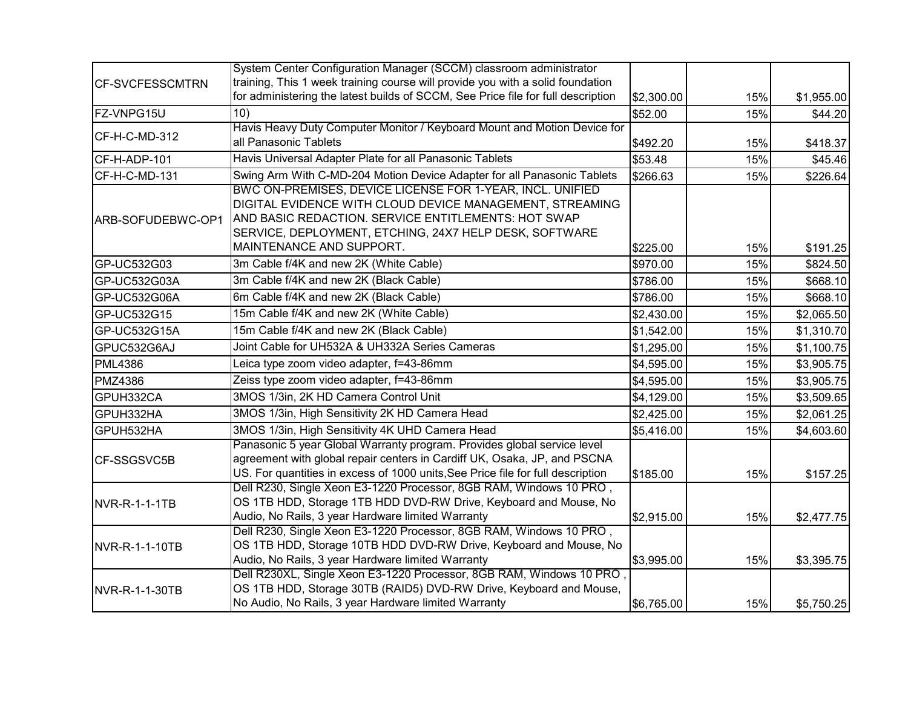|                        | System Center Configuration Manager (SCCM) classroom administrator               |            |     |            |
|------------------------|----------------------------------------------------------------------------------|------------|-----|------------|
| <b>CF-SVCFESSCMTRN</b> | training, This 1 week training course will provide you with a solid foundation   |            |     |            |
|                        | for administering the latest builds of SCCM, See Price file for full description | \$2,300.00 | 15% | \$1,955.00 |
| FZ-VNPG15U             | 10)                                                                              | \$52.00    | 15% | \$44.20    |
| CF-H-C-MD-312          | Havis Heavy Duty Computer Monitor / Keyboard Mount and Motion Device for         |            |     |            |
|                        | all Panasonic Tablets                                                            | \$492.20   | 15% | \$418.37   |
| CF-H-ADP-101           | Havis Universal Adapter Plate for all Panasonic Tablets                          | \$53.48    | 15% | \$45.46    |
| CF-H-C-MD-131          | Swing Arm With C-MD-204 Motion Device Adapter for all Panasonic Tablets          | \$266.63   | 15% | \$226.64   |
|                        | BWC ON-PREMISES, DEVICE LICENSE FOR 1-YEAR, INCL. UNIFIED                        |            |     |            |
|                        | DIGITAL EVIDENCE WITH CLOUD DEVICE MANAGEMENT, STREAMING                         |            |     |            |
| ARB-SOFUDEBWC-OP1      | AND BASIC REDACTION. SERVICE ENTITLEMENTS: HOT SWAP                              |            |     |            |
|                        | SERVICE, DEPLOYMENT, ETCHING, 24X7 HELP DESK, SOFTWARE                           |            |     |            |
|                        | MAINTENANCE AND SUPPORT.                                                         | \$225.00   | 15% | \$191.25   |
| GP-UC532G03            | 3m Cable f/4K and new 2K (White Cable)                                           | \$970.00   | 15% | \$824.50   |
| GP-UC532G03A           | 3m Cable f/4K and new 2K (Black Cable)                                           | \$786.00   | 15% | \$668.10   |
| GP-UC532G06A           | 6m Cable f/4K and new 2K (Black Cable)                                           | \$786.00   | 15% | \$668.10   |
| GP-UC532G15            | 15m Cable f/4K and new 2K (White Cable)                                          | \$2,430.00 | 15% | \$2,065.50 |
| GP-UC532G15A           | 15m Cable f/4K and new 2K (Black Cable)                                          | \$1,542.00 | 15% | \$1,310.70 |
| GPUC532G6AJ            | Joint Cable for UH532A & UH332A Series Cameras                                   | \$1,295.00 | 15% | \$1,100.75 |
| <b>PML4386</b>         | Leica type zoom video adapter, f=43-86mm                                         | \$4,595.00 | 15% | \$3,905.75 |
| <b>PMZ4386</b>         | Zeiss type zoom video adapter, f=43-86mm                                         | \$4,595.00 | 15% | \$3,905.75 |
| GPUH332CA              | 3MOS 1/3in, 2K HD Camera Control Unit                                            | \$4,129.00 | 15% | \$3,509.65 |
| GPUH332HA              | 3MOS 1/3in, High Sensitivity 2K HD Camera Head                                   | \$2,425.00 | 15% | \$2,061.25 |
| GPUH532HA              | 3MOS 1/3in, High Sensitivity 4K UHD Camera Head                                  | \$5,416.00 | 15% | \$4,603.60 |
|                        | Panasonic 5 year Global Warranty program. Provides global service level          |            |     |            |
| CF-SSGSVC5B            | agreement with global repair centers in Cardiff UK, Osaka, JP, and PSCNA         |            |     |            |
|                        | US. For quantities in excess of 1000 units, See Price file for full description  | \$185.00   | 15% | \$157.25   |
|                        | Dell R230, Single Xeon E3-1220 Processor, 8GB RAM, Windows 10 PRO,               |            |     |            |
| NVR-R-1-1-1TB          | OS 1TB HDD, Storage 1TB HDD DVD-RW Drive, Keyboard and Mouse, No                 |            |     |            |
|                        | Audio, No Rails, 3 year Hardware limited Warranty                                | \$2,915.00 | 15% | \$2,477.75 |
|                        | Dell R230, Single Xeon E3-1220 Processor, 8GB RAM, Windows 10 PRO,               |            |     |            |
| NVR-R-1-1-10TB         | OS 1TB HDD, Storage 10TB HDD DVD-RW Drive, Keyboard and Mouse, No                |            |     |            |
|                        | Audio, No Rails, 3 year Hardware limited Warranty                                | \$3,995.00 | 15% | \$3,395.75 |
|                        | Dell R230XL, Single Xeon E3-1220 Processor, 8GB RAM, Windows 10 PRO,             |            |     |            |
| NVR-R-1-1-30TB         | OS 1TB HDD, Storage 30TB (RAID5) DVD-RW Drive, Keyboard and Mouse,               |            |     |            |
|                        | No Audio, No Rails, 3 year Hardware limited Warranty                             | \$6,765.00 | 15% | \$5,750.25 |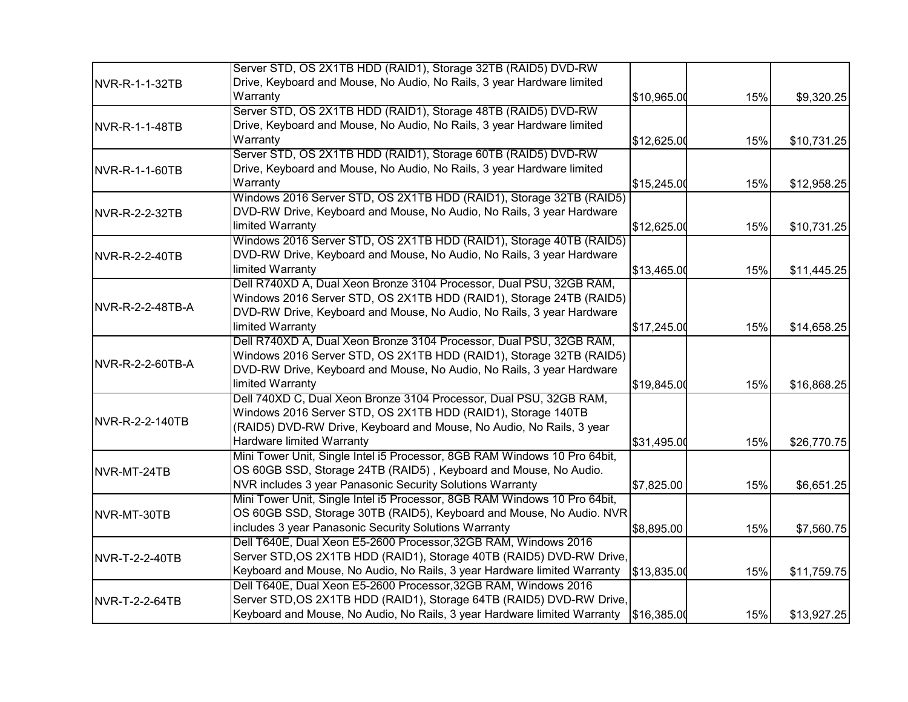|                        | Server STD, OS 2X1TB HDD (RAID1), Storage 32TB (RAID5) DVD-RW             |             |     |             |
|------------------------|---------------------------------------------------------------------------|-------------|-----|-------------|
| NVR-R-1-1-32TB         | Drive, Keyboard and Mouse, No Audio, No Rails, 3 year Hardware limited    |             |     |             |
|                        | Warranty                                                                  | \$10,965.00 | 15% | \$9,320.25  |
|                        | Server STD, OS 2X1TB HDD (RAID1), Storage 48TB (RAID5) DVD-RW             |             |     |             |
| NVR-R-1-1-48TB         | Drive, Keyboard and Mouse, No Audio, No Rails, 3 year Hardware limited    |             |     |             |
|                        | Warranty                                                                  | \$12,625.00 | 15% | \$10,731.25 |
|                        | Server STD, OS 2X1TB HDD (RAID1), Storage 60TB (RAID5) DVD-RW             |             |     |             |
| NVR-R-1-1-60TB         | Drive, Keyboard and Mouse, No Audio, No Rails, 3 year Hardware limited    |             |     |             |
|                        | Warranty                                                                  | \$15,245.00 | 15% | \$12,958.25 |
|                        | Windows 2016 Server STD, OS 2X1TB HDD (RAID1), Storage 32TB (RAID5)       |             |     |             |
| <b>INVR-R-2-2-32TB</b> | DVD-RW Drive, Keyboard and Mouse, No Audio, No Rails, 3 year Hardware     |             |     |             |
|                        | limited Warranty                                                          | \$12,625.00 | 15% | \$10,731.25 |
|                        | Windows 2016 Server STD, OS 2X1TB HDD (RAID1), Storage 40TB (RAID5)       |             |     |             |
| NVR-R-2-2-40TB         | DVD-RW Drive, Keyboard and Mouse, No Audio, No Rails, 3 year Hardware     |             |     |             |
|                        | limited Warranty                                                          | \$13,465.00 | 15% | \$11,445.25 |
|                        | Dell R740XD A, Dual Xeon Bronze 3104 Processor, Dual PSU, 32GB RAM,       |             |     |             |
|                        | Windows 2016 Server STD, OS 2X1TB HDD (RAID1), Storage 24TB (RAID5)       |             |     |             |
| NVR-R-2-2-48TB-A       | DVD-RW Drive, Keyboard and Mouse, No Audio, No Rails, 3 year Hardware     |             |     |             |
|                        | limited Warranty                                                          | \$17,245.00 | 15% | \$14,658.25 |
|                        | Dell R740XD A, Dual Xeon Bronze 3104 Processor, Dual PSU, 32GB RAM,       |             |     |             |
|                        | Windows 2016 Server STD, OS 2X1TB HDD (RAID1), Storage 32TB (RAID5)       |             |     |             |
| NVR-R-2-2-60TB-A       | DVD-RW Drive, Keyboard and Mouse, No Audio, No Rails, 3 year Hardware     |             |     |             |
|                        | limited Warranty                                                          | \$19,845.00 | 15% | \$16,868.25 |
|                        | Dell 740XD C, Dual Xeon Bronze 3104 Processor, Dual PSU, 32GB RAM,        |             |     |             |
|                        | Windows 2016 Server STD, OS 2X1TB HDD (RAID1), Storage 140TB              |             |     |             |
| NVR-R-2-2-140TB        | (RAID5) DVD-RW Drive, Keyboard and Mouse, No Audio, No Rails, 3 year      |             |     |             |
|                        | Hardware limited Warranty                                                 | \$31,495.00 | 15% | \$26,770.75 |
|                        | Mini Tower Unit, Single Intel i5 Processor, 8GB RAM Windows 10 Pro 64bit, |             |     |             |
| NVR-MT-24TB            | OS 60GB SSD, Storage 24TB (RAID5), Keyboard and Mouse, No Audio.          |             |     |             |
|                        | NVR includes 3 year Panasonic Security Solutions Warranty                 | \$7,825.00  | 15% | \$6,651.25  |
|                        | Mini Tower Unit, Single Intel i5 Processor, 8GB RAM Windows 10 Pro 64bit, |             |     |             |
| NVR-MT-30TB            | OS 60GB SSD, Storage 30TB (RAID5), Keyboard and Mouse, No Audio. NVR      |             |     |             |
|                        | includes 3 year Panasonic Security Solutions Warranty                     | \$8,895.00  | 15% | \$7,560.75  |
|                        | Dell T640E, Dual Xeon E5-2600 Processor, 32GB RAM, Windows 2016           |             |     |             |
| NVR-T-2-2-40TB         | Server STD, OS 2X1TB HDD (RAID1), Storage 40TB (RAID5) DVD-RW Drive,      |             |     |             |
|                        | Keyboard and Mouse, No Audio, No Rails, 3 year Hardware limited Warranty  | \$13,835.00 | 15% | \$11,759.75 |
|                        | Dell T640E, Dual Xeon E5-2600 Processor, 32GB RAM, Windows 2016           |             |     |             |
| NVR-T-2-2-64TB         | Server STD, OS 2X1TB HDD (RAID1), Storage 64TB (RAID5) DVD-RW Drive,      |             |     |             |
|                        | Keyboard and Mouse, No Audio, No Rails, 3 year Hardware limited Warranty  | \$16,385.00 | 15% | \$13,927.25 |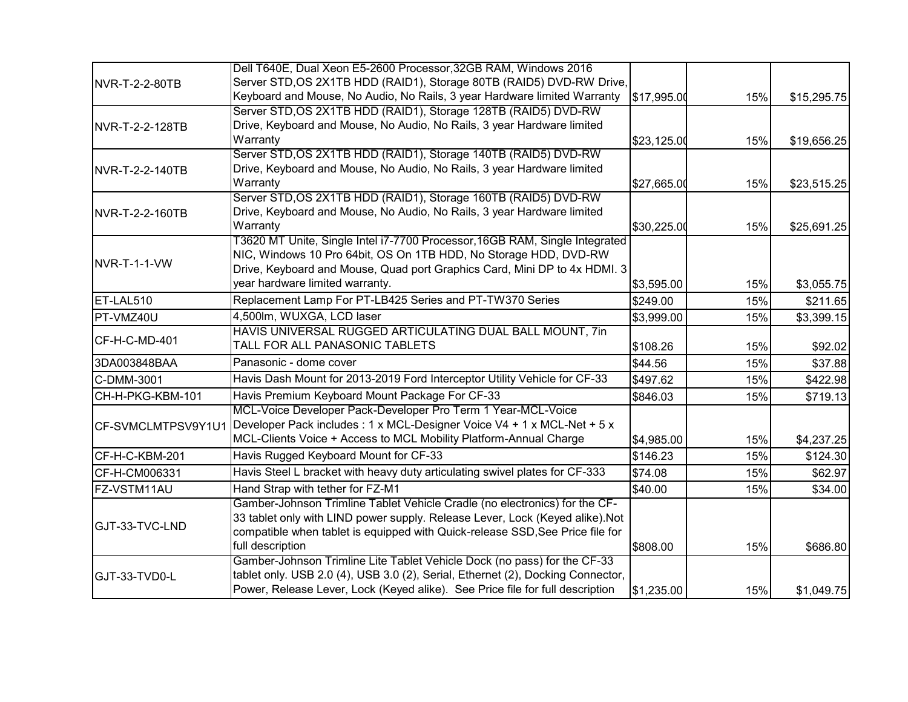|                    | Dell T640E, Dual Xeon E5-2600 Processor, 32GB RAM, Windows 2016                 |             |     |             |
|--------------------|---------------------------------------------------------------------------------|-------------|-----|-------------|
| NVR-T-2-2-80TB     | Server STD, OS 2X1TB HDD (RAID1), Storage 80TB (RAID5) DVD-RW Drive,            |             |     |             |
|                    | Keyboard and Mouse, No Audio, No Rails, 3 year Hardware limited Warranty        | \$17,995.00 | 15% | \$15,295.75 |
|                    | Server STD, OS 2X1TB HDD (RAID1), Storage 128TB (RAID5) DVD-RW                  |             |     |             |
| NVR-T-2-2-128TB    | Drive, Keyboard and Mouse, No Audio, No Rails, 3 year Hardware limited          |             |     |             |
|                    | Warranty                                                                        | \$23,125.00 | 15% | \$19,656.25 |
|                    | Server STD, OS 2X1TB HDD (RAID1), Storage 140TB (RAID5) DVD-RW                  |             |     |             |
| NVR-T-2-2-140TB    | Drive, Keyboard and Mouse, No Audio, No Rails, 3 year Hardware limited          |             |     |             |
|                    | Warranty                                                                        | \$27,665.00 | 15% | \$23,515.25 |
|                    | Server STD, OS 2X1TB HDD (RAID1), Storage 160TB (RAID5) DVD-RW                  |             |     |             |
| NVR-T-2-2-160TB    | Drive, Keyboard and Mouse, No Audio, No Rails, 3 year Hardware limited          |             |     |             |
|                    | Warranty                                                                        | \$30,225.00 | 15% | \$25,691.25 |
|                    | T3620 MT Unite, Single Intel i7-7700 Processor, 16GB RAM, Single Integrated     |             |     |             |
| NVR-T-1-1-VW       | NIC, Windows 10 Pro 64bit, OS On 1TB HDD, No Storage HDD, DVD-RW                |             |     |             |
|                    | Drive, Keyboard and Mouse, Quad port Graphics Card, Mini DP to 4x HDMI. 3       |             |     |             |
|                    | year hardware limited warranty.                                                 | \$3,595.00  | 15% | \$3,055.75  |
| ET-LAL510          | Replacement Lamp For PT-LB425 Series and PT-TW370 Series                        | \$249.00    | 15% | \$211.65    |
| PT-VMZ40U          | 4,500lm, WUXGA, LCD laser                                                       | \$3,999.00  | 15% | \$3,399.15  |
| CF-H-C-MD-401      | HAVIS UNIVERSAL RUGGED ARTICULATING DUAL BALL MOUNT, 7in                        |             |     |             |
|                    | TALL FOR ALL PANASONIC TABLETS                                                  | \$108.26    | 15% | \$92.02     |
| 3DA003848BAA       | Panasonic - dome cover                                                          | \$44.56     | 15% | \$37.88     |
| C-DMM-3001         | Havis Dash Mount for 2013-2019 Ford Interceptor Utility Vehicle for CF-33       | \$497.62    | 15% | \$422.98    |
| CH-H-PKG-KBM-101   | Havis Premium Keyboard Mount Package For CF-33                                  | \$846.03    | 15% | \$719.13    |
|                    | MCL-Voice Developer Pack-Developer Pro Term 1 Year-MCL-Voice                    |             |     |             |
| CF-SVMCLMTPSV9Y1U1 | Developer Pack includes : 1 x MCL-Designer Voice V4 + 1 x MCL-Net + 5 x         |             |     |             |
|                    | MCL-Clients Voice + Access to MCL Mobility Platform-Annual Charge               | \$4,985.00  | 15% | \$4,237.25  |
| CF-H-C-KBM-201     | Havis Rugged Keyboard Mount for CF-33                                           | \$146.23    | 15% | \$124.30    |
| CF-H-CM006331      | Havis Steel L bracket with heavy duty articulating swivel plates for CF-333     | \$74.08     | 15% | \$62.97     |
| FZ-VSTM11AU        | Hand Strap with tether for FZ-M1                                                | \$40.00     | 15% | \$34.00     |
|                    | Gamber-Johnson Trimline Tablet Vehicle Cradle (no electronics) for the CF-      |             |     |             |
|                    | 33 tablet only with LIND power supply. Release Lever, Lock (Keyed alike).Not    |             |     |             |
| GJT-33-TVC-LND     | compatible when tablet is equipped with Quick-release SSD, See Price file for   |             |     |             |
|                    | full description                                                                | \$808.00    | 15% | \$686.80    |
|                    | Gamber-Johnson Trimline Lite Tablet Vehicle Dock (no pass) for the CF-33        |             |     |             |
| GJT-33-TVD0-L      | tablet only. USB 2.0 (4), USB 3.0 (2), Serial, Ethernet (2), Docking Connector, |             |     |             |
|                    | Power, Release Lever, Lock (Keyed alike). See Price file for full description   | \$1,235.00  | 15% | \$1,049.75  |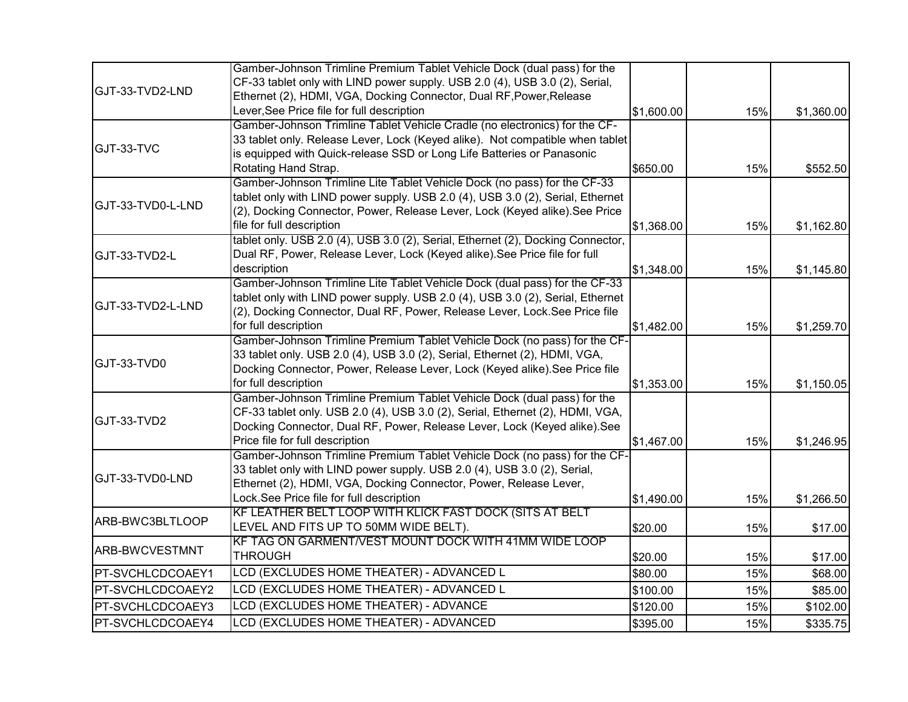|                       | Gamber-Johnson Trimline Premium Tablet Vehicle Dock (dual pass) for the                                                                               |            |     |            |
|-----------------------|-------------------------------------------------------------------------------------------------------------------------------------------------------|------------|-----|------------|
|                       | CF-33 tablet only with LIND power supply. USB 2.0 (4), USB 3.0 (2), Serial,                                                                           |            |     |            |
| GJT-33-TVD2-LND       | Ethernet (2), HDMI, VGA, Docking Connector, Dual RF, Power, Release                                                                                   |            |     |            |
|                       | Lever, See Price file for full description                                                                                                            | \$1,600.00 | 15% | \$1,360.00 |
|                       | Gamber-Johnson Trimline Tablet Vehicle Cradle (no electronics) for the CF-                                                                            |            |     |            |
| GJT-33-TVC            | 33 tablet only. Release Lever, Lock (Keyed alike). Not compatible when tablet                                                                         |            |     |            |
|                       | is equipped with Quick-release SSD or Long Life Batteries or Panasonic                                                                                |            |     |            |
|                       | Rotating Hand Strap.                                                                                                                                  | \$650.00   | 15% | \$552.50   |
|                       | Gamber-Johnson Trimline Lite Tablet Vehicle Dock (no pass) for the CF-33                                                                              |            |     |            |
| GJT-33-TVD0-L-LND     | tablet only with LIND power supply. USB 2.0 (4), USB 3.0 (2), Serial, Ethernet                                                                        |            |     |            |
|                       | (2), Docking Connector, Power, Release Lever, Lock (Keyed alike). See Price                                                                           |            |     |            |
|                       | file for full description                                                                                                                             | \$1,368.00 | 15% | \$1,162.80 |
|                       | tablet only. USB 2.0 (4), USB 3.0 (2), Serial, Ethernet (2), Docking Connector,                                                                       |            |     |            |
| GJT-33-TVD2-L         | Dual RF, Power, Release Lever, Lock (Keyed alike). See Price file for full                                                                            |            |     |            |
|                       | description                                                                                                                                           | \$1,348.00 | 15% | \$1,145.80 |
|                       | Gamber-Johnson Trimline Lite Tablet Vehicle Dock (dual pass) for the CF-33                                                                            |            |     |            |
| GJT-33-TVD2-L-LND     | tablet only with LIND power supply. USB 2.0 (4), USB 3.0 (2), Serial, Ethernet                                                                        |            |     |            |
|                       | (2), Docking Connector, Dual RF, Power, Release Lever, Lock. See Price file                                                                           |            |     |            |
|                       | for full description                                                                                                                                  | \$1,482.00 | 15% | \$1,259.70 |
|                       | Gamber-Johnson Trimline Premium Tablet Vehicle Dock (no pass) for the CF-                                                                             |            |     |            |
| GJT-33-TVD0           | 33 tablet only. USB 2.0 (4), USB 3.0 (2), Serial, Ethernet (2), HDMI, VGA,                                                                            |            |     |            |
|                       | Docking Connector, Power, Release Lever, Lock (Keyed alike). See Price file                                                                           |            |     |            |
|                       | for full description                                                                                                                                  | \$1,353.00 | 15% | \$1,150.05 |
|                       | Gamber-Johnson Trimline Premium Tablet Vehicle Dock (dual pass) for the                                                                               |            |     |            |
| GJT-33-TVD2           | CF-33 tablet only. USB 2.0 (4), USB 3.0 (2), Serial, Ethernet (2), HDMI, VGA,                                                                         |            |     |            |
|                       | Docking Connector, Dual RF, Power, Release Lever, Lock (Keyed alike). See                                                                             |            |     |            |
|                       | Price file for full description                                                                                                                       | \$1,467.00 | 15% | \$1,246.95 |
|                       | Gamber-Johnson Trimline Premium Tablet Vehicle Dock (no pass) for the CF-<br>33 tablet only with LIND power supply. USB 2.0 (4), USB 3.0 (2), Serial, |            |     |            |
| GJT-33-TVD0-LND       | Ethernet (2), HDMI, VGA, Docking Connector, Power, Release Lever,                                                                                     |            |     |            |
|                       | Lock.See Price file for full description                                                                                                              |            |     |            |
|                       | KF LEATHER BELT LOOP WITH KLICK FAST DOCK (SITS AT BELT                                                                                               | \$1,490.00 | 15% | \$1,266.50 |
| ARB-BWC3BLTLOOP       | LEVEL AND FITS UP TO 50MM WIDE BELT).                                                                                                                 | \$20.00    | 15% |            |
|                       | KF TAG ON GARMENT/VEST MOUNT DOCK WITH 41MM WIDE LOOP                                                                                                 |            |     | \$17.00    |
| <b>ARB-BWCVESTMNT</b> | <b>THROUGH</b>                                                                                                                                        | \$20.00    | 15% | \$17.00    |
| PT-SVCHLCDCOAEY1      | LCD (EXCLUDES HOME THEATER) - ADVANCED L                                                                                                              | \$80.00    | 15% | \$68.00    |
|                       | LCD (EXCLUDES HOME THEATER) - ADVANCED L                                                                                                              |            |     |            |
| PT-SVCHLCDCOAEY2      |                                                                                                                                                       | \$100.00   | 15% | \$85.00    |
| PT-SVCHLCDCOAEY3      | LCD (EXCLUDES HOME THEATER) - ADVANCE                                                                                                                 | \$120.00   | 15% | \$102.00   |
| PT-SVCHLCDCOAEY4      | LCD (EXCLUDES HOME THEATER) - ADVANCED                                                                                                                | \$395.00   | 15% | \$335.75   |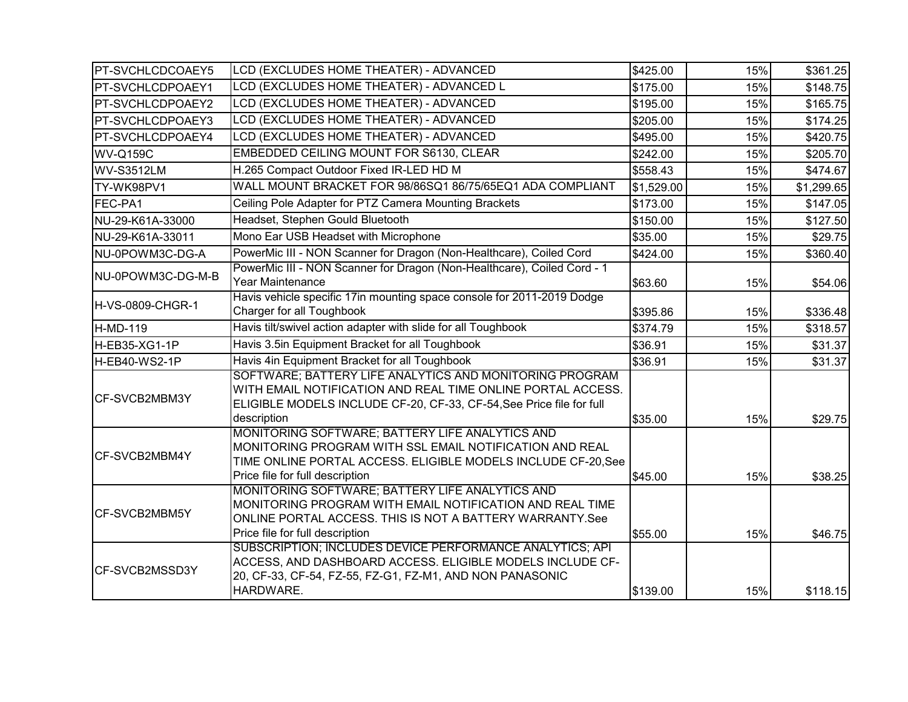| <b>PT-SVCHLCDCOAEY5</b> | LCD (EXCLUDES HOME THEATER) - ADVANCED                                                                                                                                                                         | \$425.00   | 15% | \$361.25   |
|-------------------------|----------------------------------------------------------------------------------------------------------------------------------------------------------------------------------------------------------------|------------|-----|------------|
| <b>PT-SVCHLCDPOAEY1</b> | LCD (EXCLUDES HOME THEATER) - ADVANCED L                                                                                                                                                                       | \$175.00   | 15% | \$148.75   |
| <b>PT-SVCHLCDPOAEY2</b> | LCD (EXCLUDES HOME THEATER) - ADVANCED                                                                                                                                                                         | \$195.00   | 15% | \$165.75   |
| PT-SVCHLCDPOAEY3        | LCD (EXCLUDES HOME THEATER) - ADVANCED                                                                                                                                                                         | \$205.00   | 15% | \$174.25   |
| <b>PT-SVCHLCDPOAEY4</b> | LCD (EXCLUDES HOME THEATER) - ADVANCED                                                                                                                                                                         | \$495.00   | 15% | \$420.75   |
| <b>WV-Q159C</b>         | EMBEDDED CEILING MOUNT FOR S6130, CLEAR                                                                                                                                                                        | \$242.00   | 15% | \$205.70   |
| <b>WV-S3512LM</b>       | H.265 Compact Outdoor Fixed IR-LED HD M                                                                                                                                                                        | \$558.43   | 15% | \$474.67   |
| TY-WK98PV1              | WALL MOUNT BRACKET FOR 98/86SQ1 86/75/65EQ1 ADA COMPLIANT                                                                                                                                                      | \$1,529.00 | 15% | \$1,299.65 |
| FEC-PA1                 | Ceiling Pole Adapter for PTZ Camera Mounting Brackets                                                                                                                                                          | \$173.00   | 15% | \$147.05   |
| NU-29-K61A-33000        | Headset, Stephen Gould Bluetooth                                                                                                                                                                               | \$150.00   | 15% | \$127.50   |
| NU-29-K61A-33011        | Mono Ear USB Headset with Microphone                                                                                                                                                                           | \$35.00    | 15% | \$29.75    |
| NU-0POWM3C-DG-A         | PowerMic III - NON Scanner for Dragon (Non-Healthcare), Coiled Cord                                                                                                                                            | \$424.00   | 15% | \$360.40   |
| NU-0POWM3C-DG-M-B       | PowerMic III - NON Scanner for Dragon (Non-Healthcare), Coiled Cord - 1<br>Year Maintenance                                                                                                                    | \$63.60    | 15% | \$54.06    |
| H-VS-0809-CHGR-1        | Havis vehicle specific 17in mounting space console for 2011-2019 Dodge<br>Charger for all Toughbook                                                                                                            | \$395.86   | 15% | \$336.48   |
| H-MD-119                | Havis tilt/swivel action adapter with slide for all Toughbook                                                                                                                                                  | \$374.79   | 15% | \$318.57   |
| H-EB35-XG1-1P           | Havis 3.5in Equipment Bracket for all Toughbook                                                                                                                                                                | \$36.91    | 15% | \$31.37    |
| H-EB40-WS2-1P           | Havis 4in Equipment Bracket for all Toughbook                                                                                                                                                                  | \$36.91    | 15% | \$31.37    |
| CF-SVCB2MBM3Y           | SOFTWARE; BATTERY LIFE ANALYTICS AND MONITORING PROGRAM<br>WITH EMAIL NOTIFICATION AND REAL TIME ONLINE PORTAL ACCESS.<br>ELIGIBLE MODELS INCLUDE CF-20, CF-33, CF-54, See Price file for full<br>description  | \$35.00    | 15% | \$29.75    |
| CF-SVCB2MBM4Y           | MONITORING SOFTWARE; BATTERY LIFE ANALYTICS AND<br>MONITORING PROGRAM WITH SSL EMAIL NOTIFICATION AND REAL<br>TIME ONLINE PORTAL ACCESS. ELIGIBLE MODELS INCLUDE CF-20, See<br>Price file for full description | \$45.00    | 15% | \$38.25    |
| CF-SVCB2MBM5Y           | MONITORING SOFTWARE; BATTERY LIFE ANALYTICS AND<br>MONITORING PROGRAM WITH EMAIL NOTIFICATION AND REAL TIME<br>ONLINE PORTAL ACCESS. THIS IS NOT A BATTERY WARRANTY.See<br>Price file for full description     | \$55.00    | 15% | \$46.75    |
| CF-SVCB2MSSD3Y          | SUBSCRIPTION; INCLUDES DEVICE PERFORMANCE ANALYTICS; API<br>ACCESS, AND DASHBOARD ACCESS. ELIGIBLE MODELS INCLUDE CF-<br>20, CF-33, CF-54, FZ-55, FZ-G1, FZ-M1, AND NON PANASONIC<br>HARDWARE.                 | \$139.00   | 15% | \$118.15   |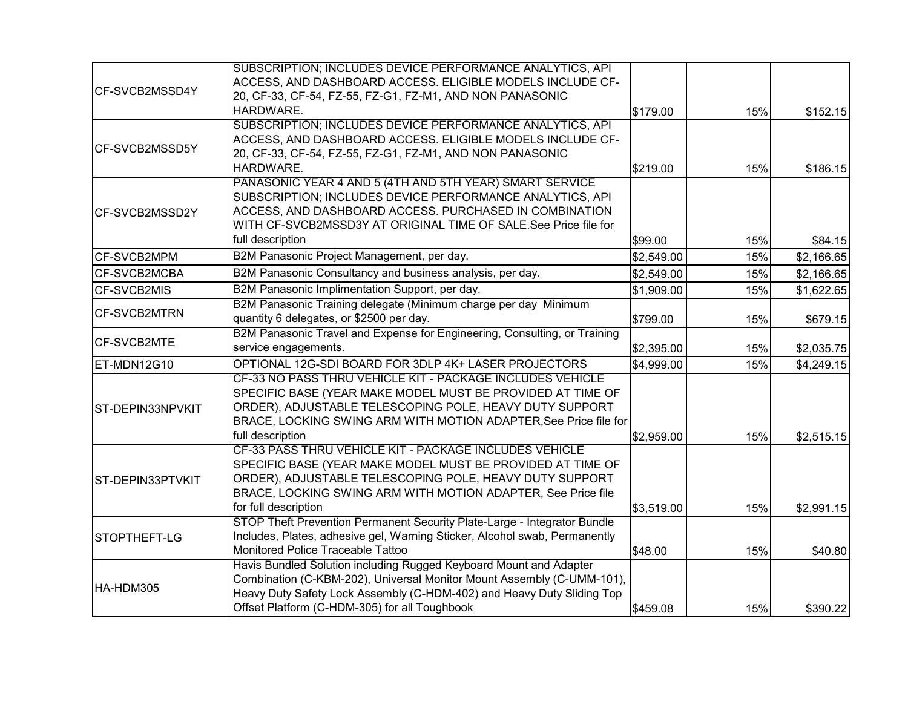|                     | SUBSCRIPTION; INCLUDES DEVICE PERFORMANCE ANALYTICS, API                                                              |            |     |            |
|---------------------|-----------------------------------------------------------------------------------------------------------------------|------------|-----|------------|
| CF-SVCB2MSSD4Y      | ACCESS, AND DASHBOARD ACCESS. ELIGIBLE MODELS INCLUDE CF-<br>20, CF-33, CF-54, FZ-55, FZ-G1, FZ-M1, AND NON PANASONIC |            |     |            |
|                     | HARDWARE.                                                                                                             | \$179.00   | 15% | \$152.15   |
|                     | SUBSCRIPTION; INCLUDES DEVICE PERFORMANCE ANALYTICS, API                                                              |            |     |            |
|                     | ACCESS, AND DASHBOARD ACCESS. ELIGIBLE MODELS INCLUDE CF-                                                             |            |     |            |
| CF-SVCB2MSSD5Y      | 20, CF-33, CF-54, FZ-55, FZ-G1, FZ-M1, AND NON PANASONIC                                                              |            |     |            |
|                     | HARDWARE.                                                                                                             | \$219.00   | 15% | \$186.15   |
|                     | PANASONIC YEAR 4 AND 5 (4TH AND 5TH YEAR) SMART SERVICE                                                               |            |     |            |
|                     | SUBSCRIPTION; INCLUDES DEVICE PERFORMANCE ANALYTICS, API                                                              |            |     |            |
| CF-SVCB2MSSD2Y      | ACCESS, AND DASHBOARD ACCESS. PURCHASED IN COMBINATION                                                                |            |     |            |
|                     | WITH CF-SVCB2MSSD3Y AT ORIGINAL TIME OF SALE.See Price file for                                                       |            |     |            |
|                     | full description                                                                                                      | \$99.00    | 15% | \$84.15    |
| CF-SVCB2MPM         | B2M Panasonic Project Management, per day.                                                                            | \$2,549.00 | 15% | \$2,166.65 |
| CF-SVCB2MCBA        | B2M Panasonic Consultancy and business analysis, per day.                                                             | \$2,549.00 | 15% | \$2,166.65 |
| CF-SVCB2MIS         | B2M Panasonic Implimentation Support, per day.                                                                        | \$1,909.00 | 15% | \$1,622.65 |
| <b>CF-SVCB2MTRN</b> | B2M Panasonic Training delegate (Minimum charge per day Minimum                                                       |            |     |            |
|                     | quantity 6 delegates, or \$2500 per day.                                                                              | \$799.00   | 15% | \$679.15   |
| CF-SVCB2MTE         | B2M Panasonic Travel and Expense for Engineering, Consulting, or Training                                             |            |     |            |
|                     | service engagements.                                                                                                  | \$2,395.00 | 15% | \$2,035.75 |
| ET-MDN12G10         | OPTIONAL 12G-SDI BOARD FOR 3DLP 4K+ LASER PROJECTORS                                                                  | \$4,999.00 | 15% | \$4,249.15 |
|                     | CF-33 NO PASS THRU VEHICLE KIT - PACKAGE INCLUDES VEHICLE                                                             |            |     |            |
|                     | SPECIFIC BASE (YEAR MAKE MODEL MUST BE PROVIDED AT TIME OF                                                            |            |     |            |
| ST-DEPIN33NPVKIT    | ORDER), ADJUSTABLE TELESCOPING POLE, HEAVY DUTY SUPPORT                                                               |            |     |            |
|                     | BRACE, LOCKING SWING ARM WITH MOTION ADAPTER, See Price file for                                                      |            |     |            |
|                     | full description                                                                                                      | \$2,959.00 | 15% | \$2,515.15 |
|                     | CF-33 PASS THRU VEHICLE KIT - PACKAGE INCLUDES VEHICLE                                                                |            |     |            |
|                     | SPECIFIC BASE (YEAR MAKE MODEL MUST BE PROVIDED AT TIME OF<br>ORDER), ADJUSTABLE TELESCOPING POLE, HEAVY DUTY SUPPORT |            |     |            |
| ST-DEPIN33PTVKIT    | BRACE, LOCKING SWING ARM WITH MOTION ADAPTER, See Price file                                                          |            |     |            |
|                     | for full description                                                                                                  | \$3,519.00 | 15% | \$2,991.15 |
|                     | STOP Theft Prevention Permanent Security Plate-Large - Integrator Bundle                                              |            |     |            |
| STOPTHEFT-LG        | Includes, Plates, adhesive gel, Warning Sticker, Alcohol swab, Permanently                                            |            |     |            |
|                     | Monitored Police Traceable Tattoo                                                                                     | \$48.00    | 15% | \$40.80    |
|                     | Havis Bundled Solution including Rugged Keyboard Mount and Adapter                                                    |            |     |            |
| HA-HDM305           | Combination (C-KBM-202), Universal Monitor Mount Assembly (C-UMM-101),                                                |            |     |            |
|                     | Heavy Duty Safety Lock Assembly (C-HDM-402) and Heavy Duty Sliding Top                                                |            |     |            |
|                     | Offset Platform (C-HDM-305) for all Toughbook                                                                         | \$459.08   | 15% | \$390.22   |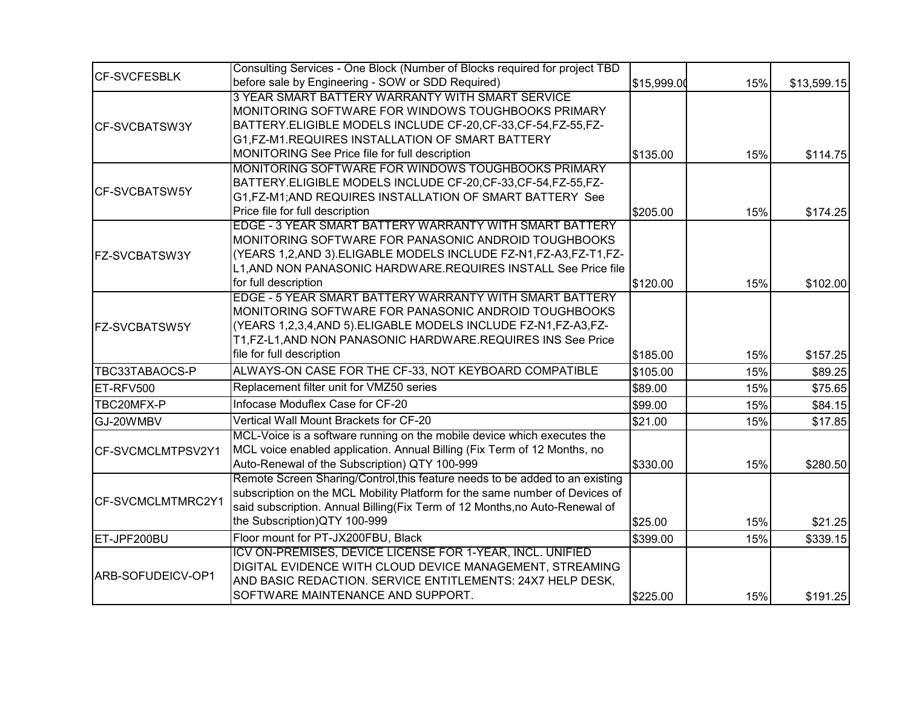|                       | Consulting Services - One Block (Number of Blocks required for project TBD   |             |     |             |
|-----------------------|------------------------------------------------------------------------------|-------------|-----|-------------|
| <b>CF-SVCFESBLK</b>   | before sale by Engineering - SOW or SDD Required)                            | \$15,999.00 | 15% | \$13,599.15 |
|                       | 3 YEAR SMART BATTERY WARRANTY WITH SMART SERVICE                             |             |     |             |
| <b>CF-SVCBATSW3Y</b>  | MONITORING SOFTWARE FOR WINDOWS TOUGHBOOKS PRIMARY                           |             |     |             |
|                       | BATTERY.ELIGIBLE MODELS INCLUDE CF-20, CF-33, CF-54, FZ-55, FZ-              |             |     |             |
|                       | G1, FZ-M1. REQUIRES INSTALLATION OF SMART BATTERY                            |             |     |             |
|                       | MONITORING See Price file for full description                               | \$135.00    | 15% | \$114.75    |
|                       | MONITORING SOFTWARE FOR WINDOWS TOUGHBOOKS PRIMARY                           |             |     |             |
| <b>ICF-SVCBATSW5Y</b> | BATTERY.ELIGIBLE MODELS INCLUDE CF-20, CF-33, CF-54, FZ-55, FZ-              |             |     |             |
|                       | G1,FZ-M1;AND REQUIRES INSTALLATION OF SMART BATTERY See                      |             |     |             |
|                       | Price file for full description                                              | \$205.00    | 15% | \$174.25    |
|                       | EDGE - 3 YEAR SMART BATTERY WARRANTY WITH SMART BATTERY                      |             |     |             |
|                       | MONITORING SOFTWARE FOR PANASONIC ANDROID TOUGHBOOKS                         |             |     |             |
| FZ-SVCBATSW3Y         | (YEARS 1,2,AND 3).ELIGABLE MODELS INCLUDE FZ-N1,FZ-A3,FZ-T1,FZ-              |             |     |             |
|                       | L1, AND NON PANASONIC HARDWARE.REQUIRES INSTALL See Price file               |             |     |             |
|                       | for full description                                                         | \$120.00    | 15% | \$102.00    |
|                       | EDGE - 5 YEAR SMART BATTERY WARRANTY WITH SMART BATTERY                      |             |     |             |
|                       | MONITORING SOFTWARE FOR PANASONIC ANDROID TOUGHBOOKS                         |             |     |             |
| FZ-SVCBATSW5Y         | (YEARS 1,2,3,4,AND 5).ELIGABLE MODELS INCLUDE FZ-N1,FZ-A3,FZ-                |             |     |             |
|                       | T1,FZ-L1,AND NON PANASONIC HARDWARE.REQUIRES INS See Price                   |             |     |             |
|                       | file for full description                                                    | \$185.00    | 15% | \$157.25    |
| TBC33TABAOCS-P        | ALWAYS-ON CASE FOR THE CF-33, NOT KEYBOARD COMPATIBLE                        | \$105.00    | 15% | \$89.25     |
| ET-RFV500             | Replacement filter unit for VMZ50 series                                     | \$89.00     | 15% | \$75.65     |
| TBC20MFX-P            | Infocase Moduflex Case for CF-20                                             | \$99.00     | 15% | \$84.15     |
| GJ-20WMBV             | Vertical Wall Mount Brackets for CF-20                                       | \$21.00     | 15% | \$17.85     |
|                       | MCL-Voice is a software running on the mobile device which executes the      |             |     |             |
| CF-SVCMCLMTPSV2Y1     | MCL voice enabled application. Annual Billing (Fix Term of 12 Months, no     |             |     |             |
|                       | Auto-Renewal of the Subscription) QTY 100-999                                | \$330.00    | 15% | \$280.50    |
|                       | Remote Screen Sharing/Control, this feature needs to be added to an existing |             |     |             |
| CF-SVCMCLMTMRC2Y1     | subscription on the MCL Mobility Platform for the same number of Devices of  |             |     |             |
|                       | said subscription. Annual Billing(Fix Term of 12 Months,no Auto-Renewal of   |             |     |             |
|                       | the Subscription)QTY 100-999                                                 | \$25.00     | 15% | \$21.25     |
| ET-JPF200BU           | Floor mount for PT-JX200FBU, Black                                           | \$399.00    | 15% | \$339.15    |
|                       | ICV ON-PREMISES, DEVICE LICENSE FOR 1-YEAR, INCL. UNIFIED                    |             |     |             |
| ARB-SOFUDEICV-OP1     | DIGITAL EVIDENCE WITH CLOUD DEVICE MANAGEMENT, STREAMING                     |             |     |             |
|                       | AND BASIC REDACTION. SERVICE ENTITLEMENTS: 24X7 HELP DESK,                   |             |     |             |
|                       | SOFTWARE MAINTENANCE AND SUPPORT.                                            | \$225.00    | 15% | \$191.25    |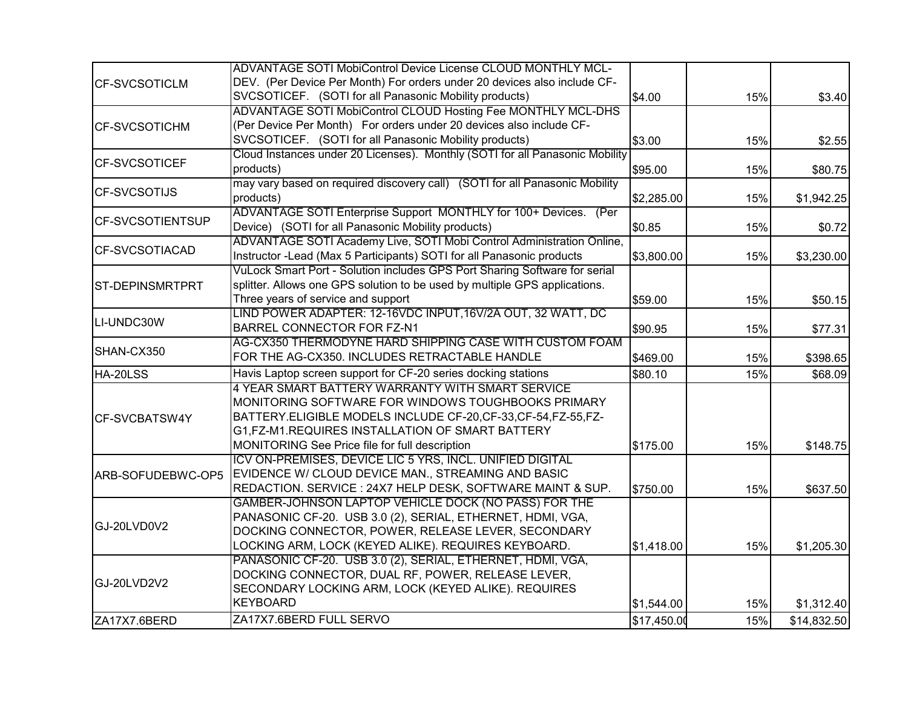|                         | <b>ADVANTAGE SOTI MobiControl Device License CLOUD MONTHLY MCL-</b>          |             |     |             |
|-------------------------|------------------------------------------------------------------------------|-------------|-----|-------------|
| <b>CF-SVCSOTICLM</b>    | DEV. (Per Device Per Month) For orders under 20 devices also include CF-     |             |     |             |
|                         | SVCSOTICEF. (SOTI for all Panasonic Mobility products)                       | \$4.00      | 15% | \$3.40      |
|                         | ADVANTAGE SOTI MobiControl CLOUD Hosting Fee MONTHLY MCL-DHS                 |             |     |             |
| <b>CF-SVCSOTICHM</b>    | (Per Device Per Month) For orders under 20 devices also include CF-          |             |     |             |
|                         | SVCSOTICEF. (SOTI for all Panasonic Mobility products)                       | \$3.00      | 15% | \$2.55      |
|                         | Cloud Instances under 20 Licenses). Monthly (SOTI for all Panasonic Mobility |             |     |             |
| <b>CF-SVCSOTICEF</b>    | products)                                                                    | \$95.00     | 15% | \$80.75     |
| <b>CF-SVCSOTIJS</b>     | may vary based on required discovery call) (SOTI for all Panasonic Mobility  |             |     |             |
|                         | products)                                                                    | \$2,285.00  | 15% | \$1,942.25  |
|                         | ADVANTAGE SOTI Enterprise Support MONTHLY for 100+ Devices. (Per             |             |     |             |
| <b>CF-SVCSOTIENTSUP</b> | Device) (SOTI for all Panasonic Mobility products)                           | \$0.85      | 15% | \$0.72      |
|                         | ADVANTAGE SOTI Academy Live, SOTI Mobi Control Administration Online,        |             |     |             |
| <b>CF-SVCSOTIACAD</b>   | Instructor -Lead (Max 5 Participants) SOTI for all Panasonic products        | \$3,800.00  | 15% | \$3,230.00  |
|                         | VuLock Smart Port - Solution includes GPS Port Sharing Software for serial   |             |     |             |
| <b>ST-DEPINSMRTPRT</b>  | splitter. Allows one GPS solution to be used by multiple GPS applications.   |             |     |             |
|                         | Three years of service and support                                           | \$59.00     | 15% | \$50.15     |
| LI-UNDC30W              | LIND POWER ADAPTER: 12-16VDC INPUT,16V/2A OUT, 32 WATT, DC                   |             |     |             |
|                         | BARREL CONNECTOR FOR FZ-N1                                                   | \$90.95     | 15% | \$77.31     |
|                         | AG-CX350 THERMODYNE HARD SHIPPING CASE WITH CUSTOM FOAM                      |             |     |             |
| SHAN-CX350              | FOR THE AG-CX350. INCLUDES RETRACTABLE HANDLE                                | \$469.00    | 15% | \$398.65    |
| HA-20LSS                | Havis Laptop screen support for CF-20 series docking stations                | \$80.10     | 15% | \$68.09     |
|                         | 4 YEAR SMART BATTERY WARRANTY WITH SMART SERVICE                             |             |     |             |
|                         | MONITORING SOFTWARE FOR WINDOWS TOUGHBOOKS PRIMARY                           |             |     |             |
| CF-SVCBATSW4Y           | BATTERY.ELIGIBLE MODELS INCLUDE CF-20, CF-33, CF-54, FZ-55, FZ-              |             |     |             |
|                         | G1,FZ-M1.REQUIRES INSTALLATION OF SMART BATTERY                              |             |     |             |
|                         | MONITORING See Price file for full description                               | \$175.00    | 15% | \$148.75    |
|                         | ICV ON-PREMISES, DEVICE LIC 5 YRS, INCL. UNIFIED DIGITAL                     |             |     |             |
| ARB-SOFUDEBWC-OP5       | EVIDENCE W/ CLOUD DEVICE MAN., STREAMING AND BASIC                           |             |     |             |
|                         | REDACTION. SERVICE: 24X7 HELP DESK, SOFTWARE MAINT & SUP.                    | \$750.00    | 15% | \$637.50    |
|                         | GAMBER-JOHNSON LAPTOP VEHICLE DOCK (NO PASS) FOR THE                         |             |     |             |
|                         | PANASONIC CF-20. USB 3.0 (2), SERIAL, ETHERNET, HDMI, VGA,                   |             |     |             |
| GJ-20LVD0V2             | DOCKING CONNECTOR, POWER, RELEASE LEVER, SECONDARY                           |             |     |             |
|                         | LOCKING ARM, LOCK (KEYED ALIKE). REQUIRES KEYBOARD.                          | \$1,418.00  | 15% | \$1,205.30  |
|                         | PANASONIC CF-20. USB 3.0 (2), SERIAL, ETHERNET, HDMI, VGA,                   |             |     |             |
|                         | DOCKING CONNECTOR, DUAL RF, POWER, RELEASE LEVER,                            |             |     |             |
| GJ-20LVD2V2             | SECONDARY LOCKING ARM, LOCK (KEYED ALIKE). REQUIRES                          |             |     |             |
|                         | KEYBOARD                                                                     | \$1,544.00  | 15% | \$1,312.40  |
| ZA17X7.6BERD            | ZA17X7.6BERD FULL SERVO                                                      | \$17,450.00 | 15% | \$14,832.50 |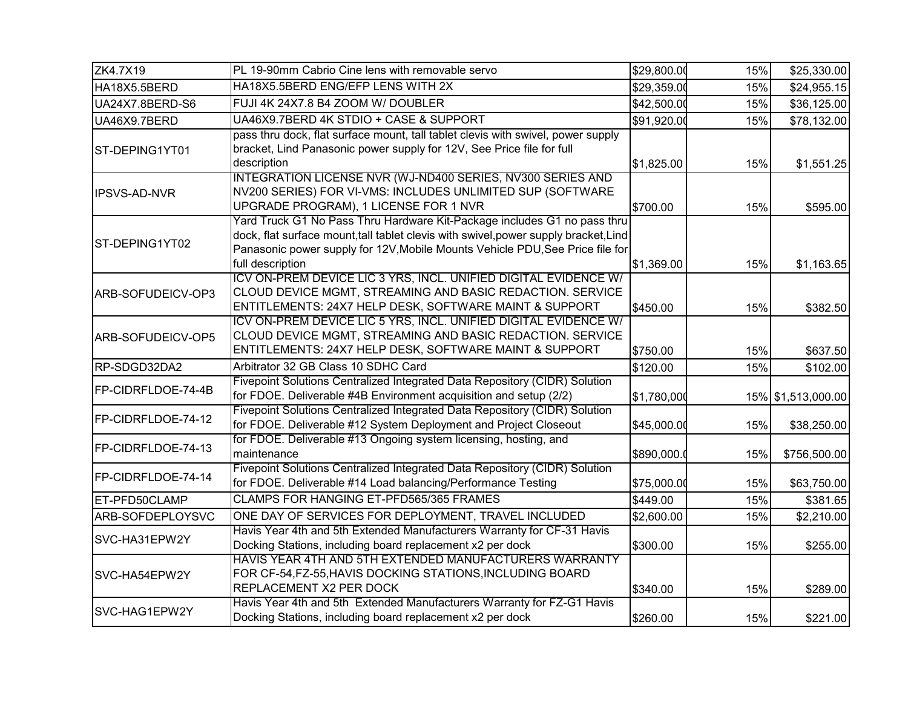| ZK4.7X19            | PL 19-90mm Cabrio Cine lens with removable servo                                                                                                                                                                                                                      | \$29,800.00 | 15% | \$25,330.00        |
|---------------------|-----------------------------------------------------------------------------------------------------------------------------------------------------------------------------------------------------------------------------------------------------------------------|-------------|-----|--------------------|
| HA18X5.5BERD        | HA18X5.5BERD ENG/EFP LENS WITH 2X                                                                                                                                                                                                                                     | \$29,359.00 | 15% | \$24,955.15        |
| UA24X7.8BERD-S6     | FUJI 4K 24X7.8 B4 ZOOM W/ DOUBLER                                                                                                                                                                                                                                     | \$42,500.00 | 15% | \$36,125.00        |
| UA46X9.7BERD        | UA46X9.7BERD 4K STDIO + CASE & SUPPORT                                                                                                                                                                                                                                | \$91,920.00 | 15% | \$78,132.00        |
| ST-DEPING1YT01      | pass thru dock, flat surface mount, tall tablet clevis with swivel, power supply<br>bracket, Lind Panasonic power supply for 12V, See Price file for full<br>description                                                                                              | \$1,825.00  | 15% | \$1,551.25         |
| <b>IPSVS-AD-NVR</b> | INTEGRATION LICENSE NVR (WJ-ND400 SERIES, NV300 SERIES AND<br>NV200 SERIES) FOR VI-VMS: INCLUDES UNLIMITED SUP (SOFTWARE<br>UPGRADE PROGRAM), 1 LICENSE FOR 1 NVR                                                                                                     | \$700.00    | 15% | \$595.00           |
| ST-DEPING1YT02      | Yard Truck G1 No Pass Thru Hardware Kit-Package includes G1 no pass thru<br>dock, flat surface mount, tall tablet clevis with swivel, power supply bracket, Lind<br>Panasonic power supply for 12V, Mobile Mounts Vehicle PDU, See Price file for<br>full description | \$1,369.00  | 15% | \$1,163.65         |
| ARB-SOFUDEICV-OP3   | ICV ON-PREM DEVICE LIC 3 YRS, INCL. UNIFIED DIGITAL EVIDENCE W/<br>CLOUD DEVICE MGMT, STREAMING AND BASIC REDACTION. SERVICE<br>ENTITLEMENTS: 24X7 HELP DESK, SOFTWARE MAINT & SUPPORT                                                                                | \$450.00    | 15% | \$382.50           |
| ARB-SOFUDEICV-OP5   | ICV ON-PREM DEVICE LIC 5 YRS, INCL. UNIFIED DIGITAL EVIDENCE W/<br>CLOUD DEVICE MGMT, STREAMING AND BASIC REDACTION. SERVICE<br>ENTITLEMENTS: 24X7 HELP DESK, SOFTWARE MAINT & SUPPORT                                                                                | \$750.00    | 15% | \$637.50           |
| RP-SDGD32DA2        | Arbitrator 32 GB Class 10 SDHC Card                                                                                                                                                                                                                                   | \$120.00    | 15% | \$102.00           |
| FP-CIDRFLDOE-74-4B  | Fivepoint Solutions Centralized Integrated Data Repository (CIDR) Solution<br>for FDOE. Deliverable #4B Environment acquisition and setup (2/2)                                                                                                                       | \$1,780,000 |     | 15% \$1,513,000.00 |
| FP-CIDRFLDOE-74-12  | Fivepoint Solutions Centralized Integrated Data Repository (CIDR) Solution<br>for FDOE. Deliverable #12 System Deployment and Project Closeout                                                                                                                        | \$45,000.00 | 15% | \$38,250.00        |
| FP-CIDRFLDOE-74-13  | for FDOE. Deliverable #13 Ongoing system licensing, hosting, and<br>maintenance                                                                                                                                                                                       | \$890,000.  | 15% | \$756,500.00       |
| FP-CIDRFLDOE-74-14  | Fivepoint Solutions Centralized Integrated Data Repository (CIDR) Solution<br>for FDOE. Deliverable #14 Load balancing/Performance Testing                                                                                                                            | \$75,000.00 | 15% | \$63,750.00        |
| ET-PFD50CLAMP       | CLAMPS FOR HANGING ET-PFD565/365 FRAMES                                                                                                                                                                                                                               | \$449.00    | 15% | \$381.65           |
| ARB-SOFDEPLOYSVC    | ONE DAY OF SERVICES FOR DEPLOYMENT, TRAVEL INCLUDED                                                                                                                                                                                                                   | \$2,600.00  | 15% | \$2,210.00         |
| SVC-HA31EPW2Y       | Havis Year 4th and 5th Extended Manufacturers Warranty for CF-31 Havis<br>Docking Stations, including board replacement x2 per dock                                                                                                                                   | \$300.00    | 15% | \$255.00           |
| SVC-HA54EPW2Y       | HAVIS YEAR 4TH AND 5TH EXTENDED MANUFACTURERS WARRANTY<br>FOR CF-54, FZ-55, HAVIS DOCKING STATIONS, INCLUDING BOARD<br>REPLACEMENT X2 PER DOCK                                                                                                                        | \$340.00    | 15% | \$289.00           |
| SVC-HAG1EPW2Y       | Havis Year 4th and 5th Extended Manufacturers Warranty for FZ-G1 Havis<br>Docking Stations, including board replacement x2 per dock                                                                                                                                   | \$260.00    | 15% | \$221.00           |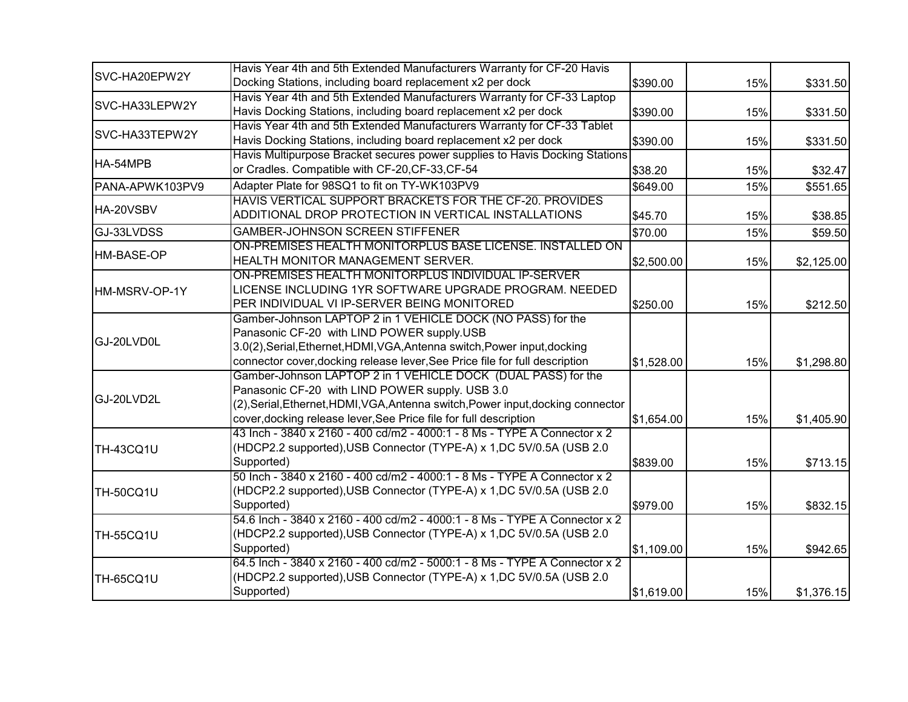|                  | Havis Year 4th and 5th Extended Manufacturers Warranty for CF-20 Havis           |            |     |            |
|------------------|----------------------------------------------------------------------------------|------------|-----|------------|
| SVC-HA20EPW2Y    | Docking Stations, including board replacement x2 per dock                        | \$390.00   | 15% | \$331.50   |
|                  | Havis Year 4th and 5th Extended Manufacturers Warranty for CF-33 Laptop          |            |     |            |
| SVC-HA33LEPW2Y   | Havis Docking Stations, including board replacement x2 per dock                  | \$390.00   | 15% | \$331.50   |
|                  | Havis Year 4th and 5th Extended Manufacturers Warranty for CF-33 Tablet          |            |     |            |
| SVC-HA33TEPW2Y   | Havis Docking Stations, including board replacement x2 per dock                  | \$390.00   | 15% | \$331.50   |
|                  | Havis Multipurpose Bracket secures power supplies to Havis Docking Stations      |            |     |            |
| HA-54MPB         | or Cradles. Compatible with CF-20, CF-33, CF-54                                  | \$38.20    | 15% | \$32.47    |
| PANA-APWK103PV9  | Adapter Plate for 98SQ1 to fit on TY-WK103PV9                                    | \$649.00   | 15% | \$551.65   |
|                  | HAVIS VERTICAL SUPPORT BRACKETS FOR THE CF-20. PROVIDES                          |            |     |            |
| HA-20VSBV        | ADDITIONAL DROP PROTECTION IN VERTICAL INSTALLATIONS                             | \$45.70    | 15% | \$38.85    |
| GJ-33LVDSS       | <b>GAMBER-JOHNSON SCREEN STIFFENER</b>                                           | \$70.00    | 15% | \$59.50    |
|                  | ON-PREMISES HEALTH MONITORPLUS BASE LICENSE. INSTALLED ON                        |            |     |            |
| HM-BASE-OP       | HEALTH MONITOR MANAGEMENT SERVER.                                                | \$2,500.00 | 15% | \$2,125.00 |
|                  | ON-PREMISES HEALTH MONITORPLUS INDIVIDUAL IP-SERVER                              |            |     |            |
| HM-MSRV-OP-1Y    | LICENSE INCLUDING 1YR SOFTWARE UPGRADE PROGRAM. NEEDED                           |            |     |            |
|                  | PER INDIVIDUAL VI IP-SERVER BEING MONITORED                                      | \$250.00   | 15% | \$212.50   |
|                  | Gamber-Johnson LAPTOP 2 in 1 VEHICLE DOCK (NO PASS) for the                      |            |     |            |
|                  | Panasonic CF-20 with LIND POWER supply.USB                                       |            |     |            |
| GJ-20LVD0L       | 3.0(2), Serial, Ethernet, HDMI, VGA, Antenna switch, Power input, docking        |            |     |            |
|                  | connector cover, docking release lever, See Price file for full description      | \$1,528.00 | 15% | \$1,298.80 |
|                  | Gamber-Johnson LAPTOP 2 in 1 VEHICLE DOCK (DUAL PASS) for the                    |            |     |            |
|                  | Panasonic CF-20 with LIND POWER supply. USB 3.0                                  |            |     |            |
| GJ-20LVD2L       | (2), Serial, Ethernet, HDMI, VGA, Antenna switch, Power input, docking connector |            |     |            |
|                  | cover, docking release lever, See Price file for full description                | \$1,654.00 | 15% | \$1,405.90 |
|                  | 43 Inch - 3840 x 2160 - 400 cd/m2 - 4000:1 - 8 Ms - TYPE A Connector x 2         |            |     |            |
| TH-43CQ1U        | (HDCP2.2 supported), USB Connector (TYPE-A) x 1, DC 5V/0.5A (USB 2.0             |            |     |            |
|                  | Supported)                                                                       | \$839.00   | 15% | \$713.15   |
|                  | 50 Inch - 3840 x 2160 - 400 cd/m2 - 4000:1 - 8 Ms - TYPE A Connector x 2         |            |     |            |
| TH-50CQ1U        | (HDCP2.2 supported), USB Connector (TYPE-A) x 1, DC 5V/0.5A (USB 2.0             |            |     |            |
|                  | Supported)                                                                       | \$979.00   | 15% | \$832.15   |
|                  | 54.6 Inch - 3840 x 2160 - 400 cd/m2 - 4000:1 - 8 Ms - TYPE A Connector x 2       |            |     |            |
| <b>TH-55CQ1U</b> | (HDCP2.2 supported), USB Connector (TYPE-A) x 1, DC 5V/0.5A (USB 2.0             |            |     |            |
|                  | Supported)                                                                       | \$1,109.00 | 15% | \$942.65   |
|                  | 64.5 Inch - 3840 x 2160 - 400 cd/m2 - 5000:1 - 8 Ms - TYPE A Connector x 2       |            |     |            |
| <b>TH-65CQ1U</b> | (HDCP2.2 supported), USB Connector (TYPE-A) x 1, DC 5V/0.5A (USB 2.0             |            |     |            |
|                  | Supported)                                                                       | \$1,619.00 | 15% | \$1,376.15 |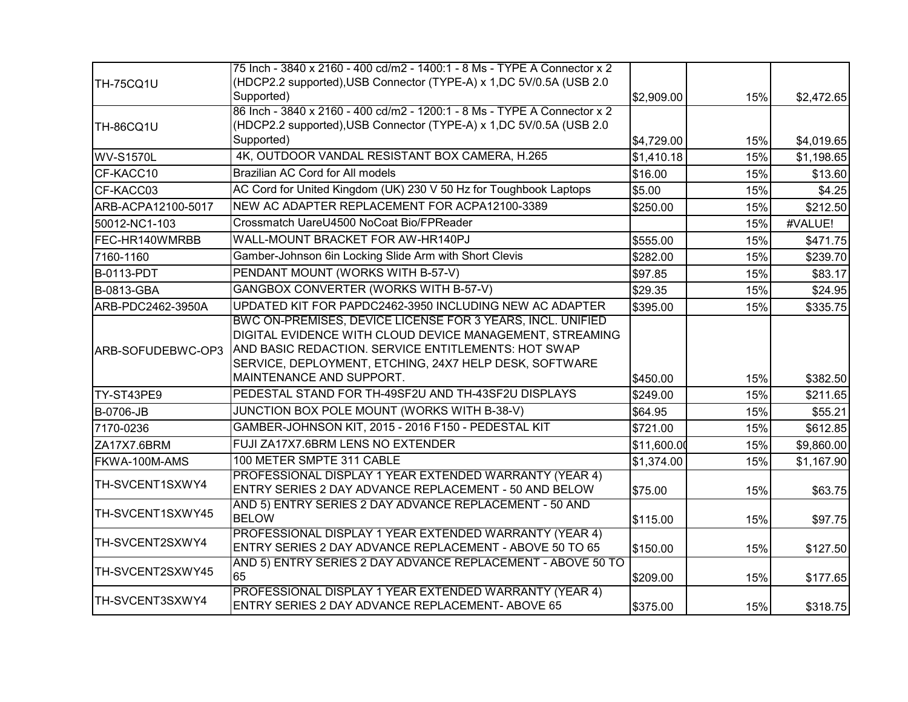|                    | 75 Inch - 3840 x 2160 - 400 cd/m2 - 1400:1 - 8 Ms - TYPE A Connector x 2                                                                                                                                                                |             |     |            |
|--------------------|-----------------------------------------------------------------------------------------------------------------------------------------------------------------------------------------------------------------------------------------|-------------|-----|------------|
| TH-75CQ1U          | (HDCP2.2 supported), USB Connector (TYPE-A) x 1, DC 5V/0.5A (USB 2.0<br>Supported)                                                                                                                                                      | \$2,909.00  | 15% | \$2,472.65 |
| TH-86CQ1U          | 86 Inch - 3840 x 2160 - 400 cd/m2 - 1200:1 - 8 Ms - TYPE A Connector x 2<br>(HDCP2.2 supported), USB Connector (TYPE-A) x 1, DC 5V/0.5A (USB 2.0                                                                                        |             |     |            |
|                    | Supported)                                                                                                                                                                                                                              | \$4,729.00  | 15% | \$4,019.65 |
| <b>WV-S1570L</b>   | 4K, OUTDOOR VANDAL RESISTANT BOX CAMERA, H.265                                                                                                                                                                                          | \$1,410.18  | 15% | \$1,198.65 |
| CF-KACC10          | Brazilian AC Cord for All models                                                                                                                                                                                                        | \$16.00     | 15% | \$13.60    |
| CF-KACC03          | AC Cord for United Kingdom (UK) 230 V 50 Hz for Toughbook Laptops                                                                                                                                                                       | \$5.00      | 15% | \$4.25     |
| ARB-ACPA12100-5017 | NEW AC ADAPTER REPLACEMENT FOR ACPA12100-3389                                                                                                                                                                                           | \$250.00    | 15% | \$212.50   |
| 50012-NC1-103      | Crossmatch UareU4500 NoCoat Bio/FPReader                                                                                                                                                                                                |             | 15% | #VALUE!    |
| FEC-HR140WMRBB     | WALL-MOUNT BRACKET FOR AW-HR140PJ                                                                                                                                                                                                       | \$555.00    | 15% | \$471.75   |
| 7160-1160          | Gamber-Johnson 6in Locking Slide Arm with Short Clevis                                                                                                                                                                                  | \$282.00    | 15% | \$239.70   |
| <b>B-0113-PDT</b>  | PENDANT MOUNT (WORKS WITH B-57-V)                                                                                                                                                                                                       | \$97.85     | 15% | \$83.17    |
| <b>B-0813-GBA</b>  | GANGBOX CONVERTER (WORKS WITH B-57-V)                                                                                                                                                                                                   | \$29.35     | 15% | \$24.95    |
| ARB-PDC2462-3950A  | UPDATED KIT FOR PAPDC2462-3950 INCLUDING NEW AC ADAPTER                                                                                                                                                                                 | \$395.00    | 15% | \$335.75   |
| ARB-SOFUDEBWC-OP3  | BWC ON-PREMISES, DEVICE LICENSE FOR 3 YEARS, INCL. UNIFIED<br>DIGITAL EVIDENCE WITH CLOUD DEVICE MANAGEMENT, STREAMING<br>AND BASIC REDACTION. SERVICE ENTITLEMENTS: HOT SWAP<br>SERVICE, DEPLOYMENT, ETCHING, 24X7 HELP DESK, SOFTWARE |             |     |            |
|                    | MAINTENANCE AND SUPPORT.                                                                                                                                                                                                                | \$450.00    | 15% | \$382.50   |
| TY-ST43PE9         | PEDESTAL STAND FOR TH-49SF2U AND TH-43SF2U DISPLAYS                                                                                                                                                                                     | \$249.00    | 15% | \$211.65   |
| <b>B-0706-JB</b>   | JUNCTION BOX POLE MOUNT (WORKS WITH B-38-V)                                                                                                                                                                                             | \$64.95     | 15% | \$55.21    |
| 7170-0236          | GAMBER-JOHNSON KIT, 2015 - 2016 F150 - PEDESTAL KIT                                                                                                                                                                                     | \$721.00    | 15% | \$612.85   |
| ZA17X7.6BRM        | FUJI ZA17X7.6BRM LENS NO EXTENDER                                                                                                                                                                                                       | \$11,600.00 | 15% | \$9,860.00 |
| FKWA-100M-AMS      | 100 METER SMPTE 311 CABLE                                                                                                                                                                                                               | \$1,374.00  | 15% | \$1,167.90 |
| TH-SVCENT1SXWY4    | PROFESSIONAL DISPLAY 1 YEAR EXTENDED WARRANTY (YEAR 4)<br>ENTRY SERIES 2 DAY ADVANCE REPLACEMENT - 50 AND BELOW                                                                                                                         | \$75.00     | 15% | \$63.75    |
| TH-SVCENT1SXWY45   | AND 5) ENTRY SERIES 2 DAY ADVANCE REPLACEMENT - 50 AND<br><b>BELOW</b>                                                                                                                                                                  | \$115.00    | 15% | \$97.75    |
| TH-SVCENT2SXWY4    | PROFESSIONAL DISPLAY 1 YEAR EXTENDED WARRANTY (YEAR 4)<br>ENTRY SERIES 2 DAY ADVANCE REPLACEMENT - ABOVE 50 TO 65                                                                                                                       | \$150.00    | 15% | \$127.50   |
| TH-SVCENT2SXWY45   | AND 5) ENTRY SERIES 2 DAY ADVANCE REPLACEMENT - ABOVE 50 TO<br>65                                                                                                                                                                       | \$209.00    | 15% | \$177.65   |
| TH-SVCENT3SXWY4    | PROFESSIONAL DISPLAY 1 YEAR EXTENDED WARRANTY (YEAR 4)<br>ENTRY SERIES 2 DAY ADVANCE REPLACEMENT- ABOVE 65                                                                                                                              | \$375.00    | 15% | \$318.75   |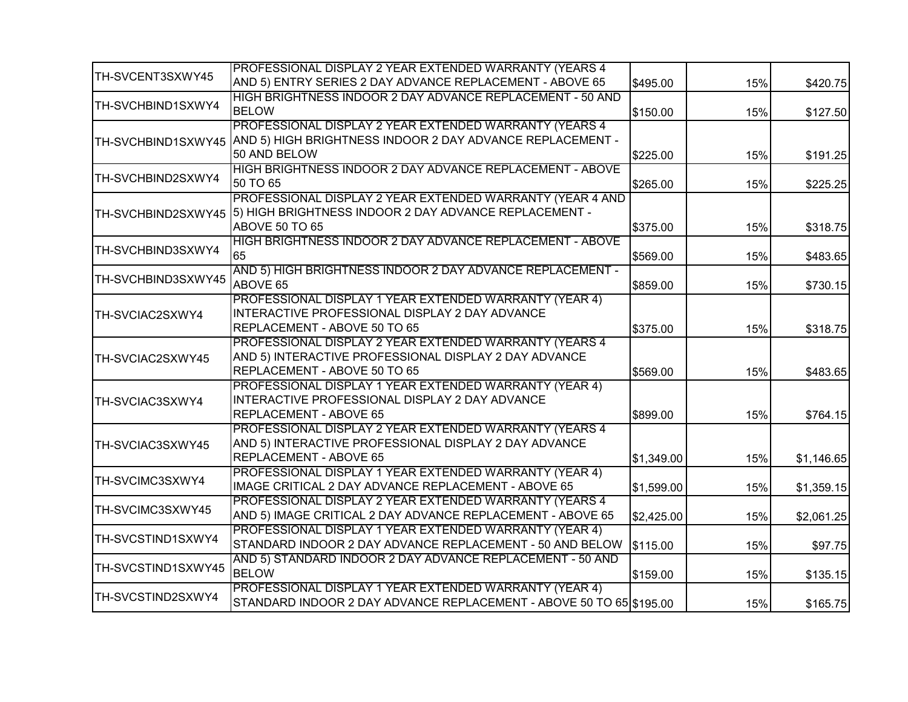|                    | PROFESSIONAL DISPLAY 2 YEAR EXTENDED WARRANTY (YEARS 4              |            |     |            |
|--------------------|---------------------------------------------------------------------|------------|-----|------------|
| TH-SVCENT3SXWY45   | AND 5) ENTRY SERIES 2 DAY ADVANCE REPLACEMENT - ABOVE 65            | \$495.00   | 15% | \$420.75   |
|                    | HIGH BRIGHTNESS INDOOR 2 DAY ADVANCE REPLACEMENT - 50 AND           |            |     |            |
| TH-SVCHBIND1SXWY4  | <b>BELOW</b>                                                        | \$150.00   | 15% | \$127.50   |
|                    | PROFESSIONAL DISPLAY 2 YEAR EXTENDED WARRANTY (YEARS 4              |            |     |            |
| TH-SVCHBIND1SXWY45 | AND 5) HIGH BRIGHTNESS INDOOR 2 DAY ADVANCE REPLACEMENT -           |            |     |            |
|                    | 50 AND BELOW                                                        | \$225.00   | 15% | \$191.25   |
|                    | HIGH BRIGHTNESS INDOOR 2 DAY ADVANCE REPLACEMENT - ABOVE            |            |     |            |
| TH-SVCHBIND2SXWY4  | 50 TO 65                                                            | \$265.00   | 15% | \$225.25   |
|                    | PROFESSIONAL DISPLAY 2 YEAR EXTENDED WARRANTY (YEAR 4 AND           |            |     |            |
| TH-SVCHBIND2SXWY45 | 5) HIGH BRIGHTNESS INDOOR 2 DAY ADVANCE REPLACEMENT -               |            |     |            |
|                    | ABOVE 50 TO 65                                                      | \$375.00   | 15% | \$318.75   |
|                    | HIGH BRIGHTNESS INDOOR 2 DAY ADVANCE REPLACEMENT - ABOVE            |            |     |            |
| TH-SVCHBIND3SXWY4  | 65                                                                  | \$569.00   | 15% | \$483.65   |
|                    | AND 5) HIGH BRIGHTNESS INDOOR 2 DAY ADVANCE REPLACEMENT -           |            |     |            |
| TH-SVCHBIND3SXWY45 | ABOVE 65                                                            | \$859.00   | 15% | \$730.15   |
|                    | PROFESSIONAL DISPLAY 1 YEAR EXTENDED WARRANTY (YEAR 4)              |            |     |            |
| TH-SVCIAC2SXWY4    | INTERACTIVE PROFESSIONAL DISPLAY 2 DAY ADVANCE                      |            |     |            |
|                    | REPLACEMENT - ABOVE 50 TO 65                                        | \$375.00   | 15% | \$318.75   |
|                    | PROFESSIONAL DISPLAY 2 YEAR EXTENDED WARRANTY (YEARS 4              |            |     |            |
| TH-SVCIAC2SXWY45   | AND 5) INTERACTIVE PROFESSIONAL DISPLAY 2 DAY ADVANCE               |            |     |            |
|                    | REPLACEMENT - ABOVE 50 TO 65                                        | \$569.00   | 15% | \$483.65   |
|                    | PROFESSIONAL DISPLAY 1 YEAR EXTENDED WARRANTY (YEAR 4)              |            |     |            |
| TH-SVCIAC3SXWY4    | INTERACTIVE PROFESSIONAL DISPLAY 2 DAY ADVANCE                      |            |     |            |
|                    | REPLACEMENT - ABOVE 65                                              | \$899.00   | 15% | \$764.15   |
|                    | PROFESSIONAL DISPLAY 2 YEAR EXTENDED WARRANTY (YEARS 4              |            |     |            |
| TH-SVCIAC3SXWY45   | AND 5) INTERACTIVE PROFESSIONAL DISPLAY 2 DAY ADVANCE               |            |     |            |
|                    | REPLACEMENT - ABOVE 65                                              | \$1,349.00 | 15% | \$1,146.65 |
|                    | PROFESSIONAL DISPLAY 1 YEAR EXTENDED WARRANTY (YEAR 4)              |            |     |            |
| TH-SVCIMC3SXWY4    | IMAGE CRITICAL 2 DAY ADVANCE REPLACEMENT - ABOVE 65                 | \$1,599.00 | 15% | \$1,359.15 |
|                    | PROFESSIONAL DISPLAY 2 YEAR EXTENDED WARRANTY (YEARS 4              |            |     |            |
| TH-SVCIMC3SXWY45   | AND 5) IMAGE CRITICAL 2 DAY ADVANCE REPLACEMENT - ABOVE 65          | \$2,425.00 | 15% | \$2,061.25 |
|                    | PROFESSIONAL DISPLAY 1 YEAR EXTENDED WARRANTY (YEAR 4)              |            |     |            |
| TH-SVCSTIND1SXWY4  | STANDARD INDOOR 2 DAY ADVANCE REPLACEMENT - 50 AND BELOW            | \$115.00   | 15% | \$97.75    |
|                    | AND 5) STANDARD INDOOR 2 DAY ADVANCE REPLACEMENT - 50 AND           |            |     |            |
| TH-SVCSTIND1SXWY45 | <b>BELOW</b>                                                        | \$159.00   | 15% | \$135.15   |
|                    | PROFESSIONAL DISPLAY 1 YEAR EXTENDED WARRANTY (YEAR 4)              |            |     |            |
| TH-SVCSTIND2SXWY4  | STANDARD INDOOR 2 DAY ADVANCE REPLACEMENT - ABOVE 50 TO 65 \$195.00 |            | 15% | \$165.75   |
|                    |                                                                     |            |     |            |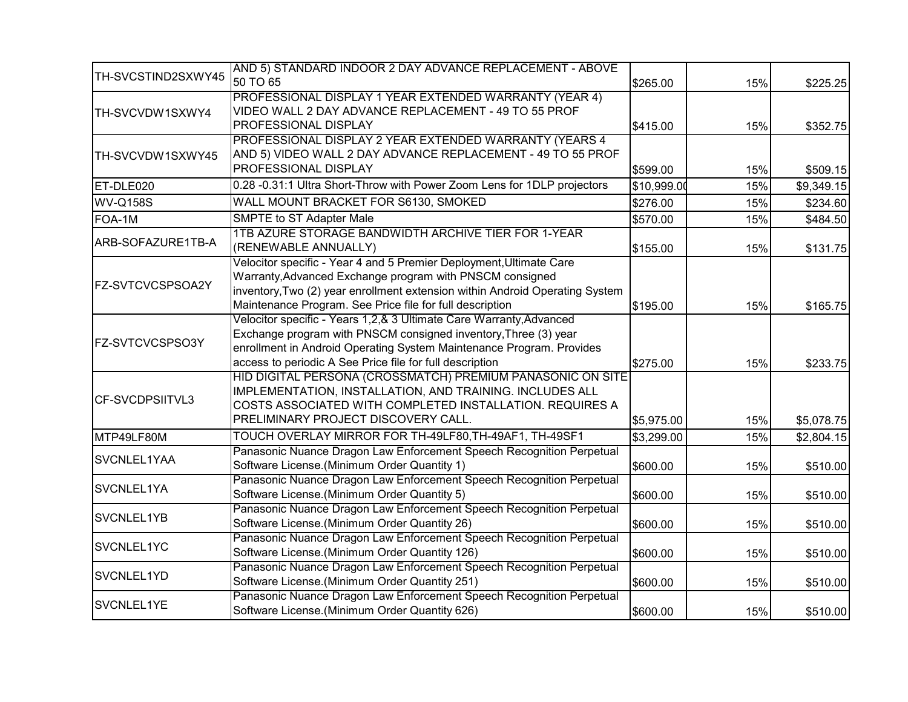|                         | AND 5) STANDARD INDOOR 2 DAY ADVANCE REPLACEMENT - ABOVE                     |             |     |            |
|-------------------------|------------------------------------------------------------------------------|-------------|-----|------------|
| TH-SVCSTIND2SXWY45      | 50 TO 65                                                                     | \$265.00    | 15% | \$225.25   |
|                         | PROFESSIONAL DISPLAY 1 YEAR EXTENDED WARRANTY (YEAR 4)                       |             |     |            |
| TH-SVCVDW1SXWY4         | VIDEO WALL 2 DAY ADVANCE REPLACEMENT - 49 TO 55 PROF                         |             |     |            |
|                         | PROFESSIONAL DISPLAY                                                         | \$415.00    | 15% | \$352.75   |
|                         | PROFESSIONAL DISPLAY 2 YEAR EXTENDED WARRANTY (YEARS 4                       |             |     |            |
| TH-SVCVDW1SXWY45        | AND 5) VIDEO WALL 2 DAY ADVANCE REPLACEMENT - 49 TO 55 PROF                  |             |     |            |
|                         | PROFESSIONAL DISPLAY                                                         | \$599.00    | 15% | \$509.15   |
| ET-DLE020               | 0.28 -0.31:1 Ultra Short-Throw with Power Zoom Lens for 1DLP projectors      | \$10,999.00 | 15% | \$9,349.15 |
| <b>WV-Q158S</b>         | WALL MOUNT BRACKET FOR S6130, SMOKED                                         | \$276.00    | 15% | \$234.60   |
| FOA-1M                  | SMPTE to ST Adapter Male                                                     | \$570.00    | 15% | \$484.50   |
|                         | 1TB AZURE STORAGE BANDWIDTH ARCHIVE TIER FOR 1-YEAR                          |             |     |            |
| ARB-SOFAZURE1TB-A       | (RENEWABLE ANNUALLY)                                                         | \$155.00    | 15% | \$131.75   |
|                         | Velocitor specific - Year 4 and 5 Premier Deployment, Ultimate Care          |             |     |            |
|                         | Warranty, Advanced Exchange program with PNSCM consigned                     |             |     |            |
| <b>FZ-SVTCVCSPSOA2Y</b> | inventory, Two (2) year enrollment extension within Android Operating System |             |     |            |
|                         | Maintenance Program. See Price file for full description                     | \$195.00    | 15% | \$165.75   |
|                         | Velocitor specific - Years 1,2,& 3 Ultimate Care Warranty, Advanced          |             |     |            |
|                         | Exchange program with PNSCM consigned inventory, Three (3) year              |             |     |            |
| FZ-SVTCVCSPSO3Y         | enrollment in Android Operating System Maintenance Program. Provides         |             |     |            |
|                         | access to periodic A See Price file for full description                     | \$275.00    | 15% | \$233.75   |
|                         | HID DIGITAL PERSONA (CROSSMATCH) PREMIUM PANASONIC ON SITE                   |             |     |            |
|                         | IMPLEMENTATION, INSTALLATION, AND TRAINING. INCLUDES ALL                     |             |     |            |
| <b>CF-SVCDPSIITVL3</b>  | COSTS ASSOCIATED WITH COMPLETED INSTALLATION. REQUIRES A                     |             |     |            |
|                         | PRELIMINARY PROJECT DISCOVERY CALL.                                          | \$5,975.00  | 15% | \$5,078.75 |
| MTP49LF80M              | TOUCH OVERLAY MIRROR FOR TH-49LF80, TH-49AF1, TH-49SF1                       | \$3,299.00  | 15% | \$2,804.15 |
|                         | Panasonic Nuance Dragon Law Enforcement Speech Recognition Perpetual         |             |     |            |
| SVCNLEL1YAA             | Software License.(Minimum Order Quantity 1)                                  | \$600.00    | 15% | \$510.00   |
|                         | Panasonic Nuance Dragon Law Enforcement Speech Recognition Perpetual         |             |     |            |
| SVCNLEL1YA              | Software License.(Minimum Order Quantity 5)                                  | \$600.00    | 15% | \$510.00   |
| SVCNLEL1YB              | Panasonic Nuance Dragon Law Enforcement Speech Recognition Perpetual         |             |     |            |
|                         | Software License.(Minimum Order Quantity 26)                                 | \$600.00    | 15% | \$510.00   |
| SVCNLEL1YC              | Panasonic Nuance Dragon Law Enforcement Speech Recognition Perpetual         |             |     |            |
|                         | Software License.(Minimum Order Quantity 126)                                | \$600.00    | 15% | \$510.00   |
| SVCNLEL1YD              | Panasonic Nuance Dragon Law Enforcement Speech Recognition Perpetual         |             |     |            |
|                         | Software License.(Minimum Order Quantity 251)                                | \$600.00    | 15% | \$510.00   |
| SVCNLEL1YE              | Panasonic Nuance Dragon Law Enforcement Speech Recognition Perpetual         |             |     |            |
|                         | Software License.(Minimum Order Quantity 626)                                | \$600.00    | 15% | \$510.00   |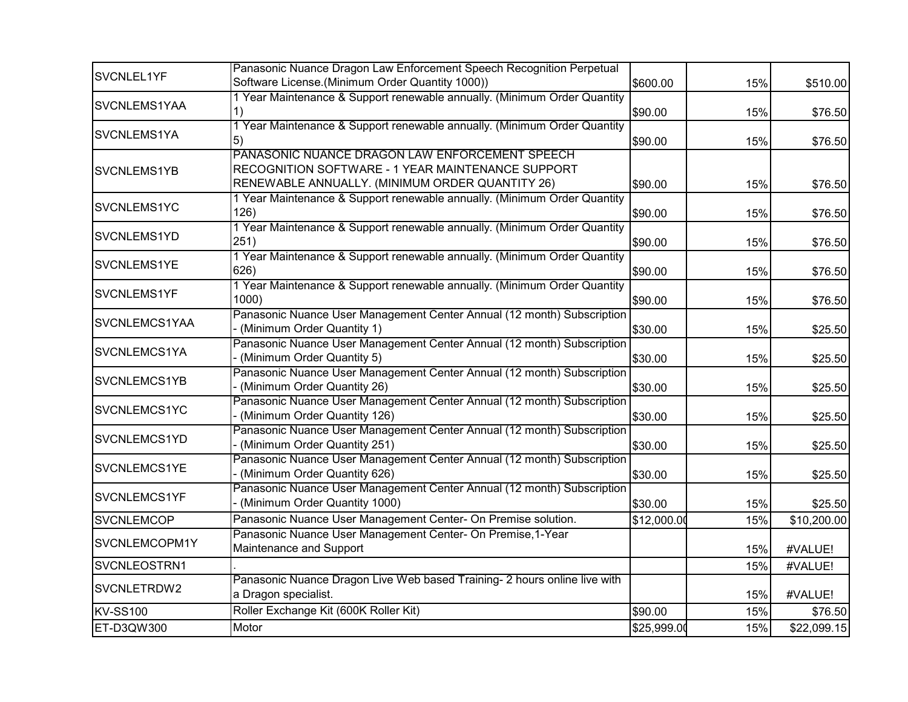| SVCNLEL1YF          | Panasonic Nuance Dragon Law Enforcement Speech Recognition Perpetual                                                                                   |             |     |             |
|---------------------|--------------------------------------------------------------------------------------------------------------------------------------------------------|-------------|-----|-------------|
|                     | Software License.(Minimum Order Quantity 1000))                                                                                                        | \$600.00    | 15% | \$510.00    |
| SVCNLEMS1YAA        | 1 Year Maintenance & Support renewable annually. (Minimum Order Quantity<br>1)                                                                         | \$90.00     | 15% | \$76.50     |
| SVCNLEMS1YA         | 1 Year Maintenance & Support renewable annually. (Minimum Order Quantity<br>$\left(5\right)$                                                           | \$90.00     | 15% | \$76.50     |
| SVCNLEMS1YB         | PANASONIC NUANCE DRAGON LAW ENFORCEMENT SPEECH<br>RECOGNITION SOFTWARE - 1 YEAR MAINTENANCE SUPPORT<br>RENEWABLE ANNUALLY. (MINIMUM ORDER QUANTITY 26) | \$90.00     | 15% | \$76.50     |
| SVCNLEMS1YC         | 1 Year Maintenance & Support renewable annually. (Minimum Order Quantity<br>126)                                                                       | \$90.00     | 15% | \$76.50     |
| SVCNLEMS1YD         | 1 Year Maintenance & Support renewable annually. (Minimum Order Quantity<br>251)                                                                       | \$90.00     | 15% | \$76.50     |
| SVCNLEMS1YE         | 1 Year Maintenance & Support renewable annually. (Minimum Order Quantity<br>626)                                                                       | \$90.00     | 15% | \$76.50     |
| SVCNLEMS1YF         | 1 Year Maintenance & Support renewable annually. (Minimum Order Quantity<br>1000                                                                       | \$90.00     | 15% | \$76.50     |
| SVCNLEMCS1YAA       | Panasonic Nuance User Management Center Annual (12 month) Subscription<br>(Minimum Order Quantity 1)                                                   | \$30.00     | 15% | \$25.50     |
| SVCNLEMCS1YA        | Panasonic Nuance User Management Center Annual (12 month) Subscription<br>- (Minimum Order Quantity 5)                                                 | \$30.00     | 15% | \$25.50     |
| SVCNLEMCS1YB        | Panasonic Nuance User Management Center Annual (12 month) Subscription<br>(Minimum Order Quantity 26)                                                  | \$30.00     | 15% | \$25.50     |
| SVCNLEMCS1YC        | Panasonic Nuance User Management Center Annual (12 month) Subscription<br>(Minimum Order Quantity 126)                                                 | \$30.00     | 15% | \$25.50     |
| SVCNLEMCS1YD        | Panasonic Nuance User Management Center Annual (12 month) Subscription<br>(Minimum Order Quantity 251)                                                 | \$30.00     | 15% | \$25.50     |
| SVCNLEMCS1YE        | Panasonic Nuance User Management Center Annual (12 month) Subscription<br>(Minimum Order Quantity 626)                                                 | \$30.00     | 15% | \$25.50     |
| <b>SVCNLEMCS1YF</b> | Panasonic Nuance User Management Center Annual (12 month) Subscription<br>(Minimum Order Quantity 1000)                                                | \$30.00     | 15% | \$25.50     |
| <b>SVCNLEMCOP</b>   | Panasonic Nuance User Management Center- On Premise solution.                                                                                          | \$12,000.00 | 15% | \$10,200.00 |
| SVCNLEMCOPM1Y       | Panasonic Nuance User Management Center- On Premise, 1-Year<br>Maintenance and Support                                                                 |             | 15% | #VALUE!     |
| SVCNLEOSTRN1        |                                                                                                                                                        |             | 15% | #VALUE!     |
| SVCNLETRDW2         | Panasonic Nuance Dragon Live Web based Training- 2 hours online live with<br>a Dragon specialist.                                                      |             | 15% | #VALUE!     |
| <b>KV-SS100</b>     | Roller Exchange Kit (600K Roller Kit)                                                                                                                  | \$90.00     | 15% | \$76.50     |
| ET-D3QW300          | Motor                                                                                                                                                  | \$25,999.00 | 15% | \$22,099.15 |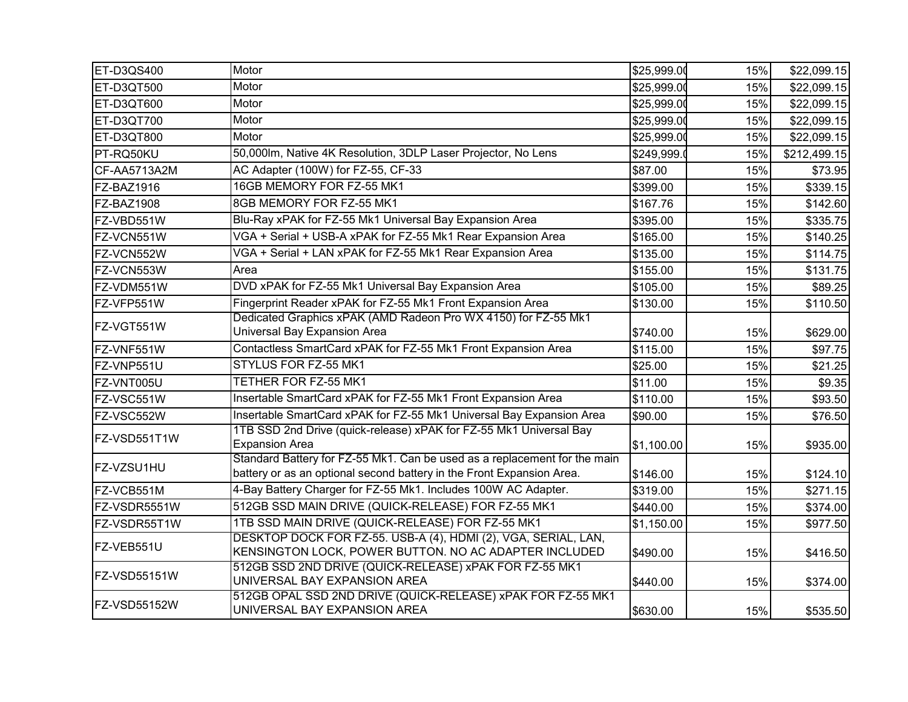| ET-D3QS400   | Motor                                                                                                                                              | \$25,999.00 | 15% | \$22,099.15  |
|--------------|----------------------------------------------------------------------------------------------------------------------------------------------------|-------------|-----|--------------|
| ET-D3QT500   | Motor                                                                                                                                              | \$25,999.00 | 15% | \$22,099.15  |
| ET-D3QT600   | Motor                                                                                                                                              | \$25,999.00 | 15% | \$22,099.15  |
| ET-D3QT700   | Motor                                                                                                                                              | \$25,999.00 | 15% | \$22,099.15  |
| ET-D3QT800   | Motor                                                                                                                                              | \$25,999.00 | 15% | \$22,099.15  |
| PT-RQ50KU    | 50,000lm, Native 4K Resolution, 3DLP Laser Projector, No Lens                                                                                      | \$249,999.  | 15% | \$212,499.15 |
| CF-AA5713A2M | AC Adapter (100W) for FZ-55, CF-33                                                                                                                 | \$87.00     | 15% | \$73.95      |
| FZ-BAZ1916   | 16GB MEMORY FOR FZ-55 MK1                                                                                                                          | \$399.00    | 15% | \$339.15     |
| FZ-BAZ1908   | 8GB MEMORY FOR FZ-55 MK1                                                                                                                           | \$167.76    | 15% | \$142.60     |
| FZ-VBD551W   | Blu-Ray xPAK for FZ-55 Mk1 Universal Bay Expansion Area                                                                                            | \$395.00    | 15% | \$335.75     |
| FZ-VCN551W   | VGA + Serial + USB-A xPAK for FZ-55 Mk1 Rear Expansion Area                                                                                        | \$165.00    | 15% | \$140.25     |
| FZ-VCN552W   | VGA + Serial + LAN xPAK for FZ-55 Mk1 Rear Expansion Area                                                                                          | \$135.00    | 15% | \$114.75     |
| FZ-VCN553W   | Area                                                                                                                                               | \$155.00    | 15% | \$131.75     |
| FZ-VDM551W   | DVD xPAK for FZ-55 Mk1 Universal Bay Expansion Area                                                                                                | \$105.00    | 15% | \$89.25      |
| FZ-VFP551W   | Fingerprint Reader xPAK for FZ-55 Mk1 Front Expansion Area                                                                                         | \$130.00    | 15% | \$110.50     |
| FZ-VGT551W   | Dedicated Graphics xPAK (AMD Radeon Pro WX 4150) for FZ-55 Mk1<br>Universal Bay Expansion Area                                                     | \$740.00    | 15% | \$629.00     |
| FZ-VNF551W   | Contactless SmartCard xPAK for FZ-55 Mk1 Front Expansion Area                                                                                      | \$115.00    | 15% | \$97.75      |
| FZ-VNP551U   | STYLUS FOR FZ-55 MK1                                                                                                                               | \$25.00     | 15% | \$21.25      |
| FZ-VNT005U   | TETHER FOR FZ-55 MK1                                                                                                                               | \$11.00     | 15% | \$9.35       |
| FZ-VSC551W   | Insertable SmartCard xPAK for FZ-55 Mk1 Front Expansion Area                                                                                       | \$110.00    | 15% | \$93.50      |
| FZ-VSC552W   | Insertable SmartCard xPAK for FZ-55 Mk1 Universal Bay Expansion Area                                                                               | \$90.00     | 15% | \$76.50      |
| FZ-VSD551T1W | 1TB SSD 2nd Drive (quick-release) xPAK for FZ-55 Mk1 Universal Bay<br><b>Expansion Area</b>                                                        | \$1,100.00  | 15% | \$935.00     |
| FZ-VZSU1HU   | Standard Battery for FZ-55 Mk1. Can be used as a replacement for the main<br>battery or as an optional second battery in the Front Expansion Area. | \$146.00    | 15% | \$124.10     |
| FZ-VCB551M   | 4-Bay Battery Charger for FZ-55 Mk1. Includes 100W AC Adapter.                                                                                     | \$319.00    | 15% | \$271.15     |
| FZ-VSDR5551W | 512GB SSD MAIN DRIVE (QUICK-RELEASE) FOR FZ-55 MK1                                                                                                 | \$440.00    | 15% | \$374.00     |
| FZ-VSDR55T1W | 1TB SSD MAIN DRIVE (QUICK-RELEASE) FOR FZ-55 MK1                                                                                                   | \$1,150.00  | 15% | \$977.50     |
| FZ-VEB551U   | DESKTOP DOCK FOR FZ-55. USB-A (4), HDMI (2), VGA, SERIAL, LAN,<br>KENSINGTON LOCK, POWER BUTTON. NO AC ADAPTER INCLUDED                            | \$490.00    | 15% | \$416.50     |
| FZ-VSD55151W | 512GB SSD 2ND DRIVE (QUICK-RELEASE) xPAK FOR FZ-55 MK1<br>UNIVERSAL BAY EXPANSION AREA                                                             | \$440.00    | 15% | \$374.00     |
| FZ-VSD55152W | 512GB OPAL SSD 2ND DRIVE (QUICK-RELEASE) xPAK FOR FZ-55 MK1<br>UNIVERSAL BAY EXPANSION AREA                                                        | \$630.00    | 15% | \$535.50     |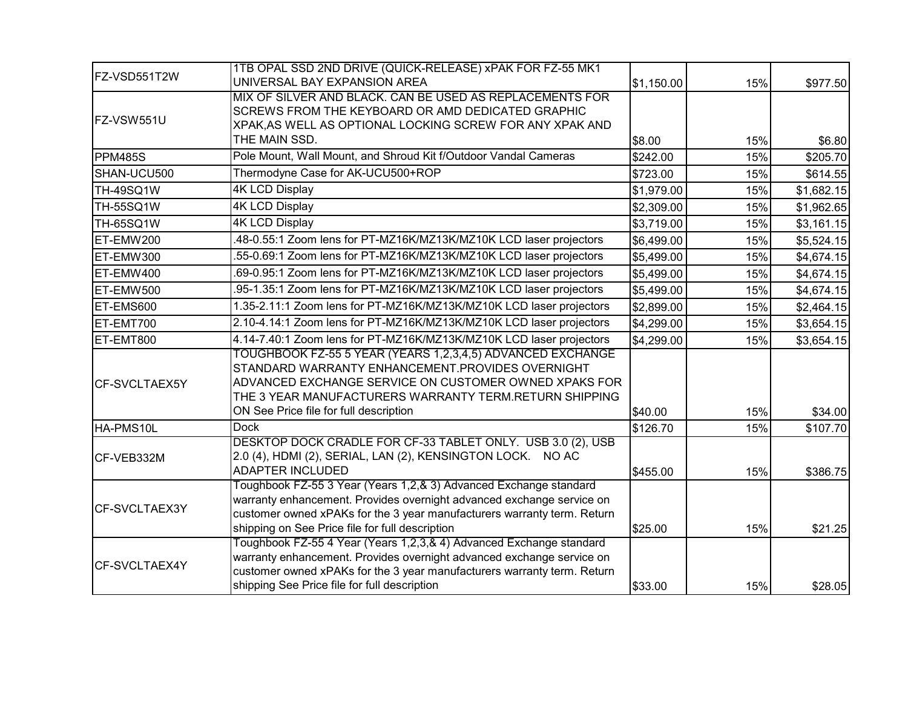|               | 1TB OPAL SSD 2ND DRIVE (QUICK-RELEASE) xPAK FOR FZ-55 MK1                                                                 |            |     |            |
|---------------|---------------------------------------------------------------------------------------------------------------------------|------------|-----|------------|
| FZ-VSD551T2W  | UNIVERSAL BAY EXPANSION AREA                                                                                              | \$1,150.00 | 15% | \$977.50   |
|               | MIX OF SILVER AND BLACK. CAN BE USED AS REPLACEMENTS FOR                                                                  |            |     |            |
| FZ-VSW551U    | SCREWS FROM THE KEYBOARD OR AMD DEDICATED GRAPHIC                                                                         |            |     |            |
|               | XPAK, AS WELL AS OPTIONAL LOCKING SCREW FOR ANY XPAK AND<br>THE MAIN SSD.                                                 |            |     |            |
|               |                                                                                                                           | \$8.00     | 15% | \$6.80     |
| PPM485S       | Pole Mount, Wall Mount, and Shroud Kit f/Outdoor Vandal Cameras                                                           | \$242.00   | 15% | \$205.70   |
| SHAN-UCU500   | Thermodyne Case for AK-UCU500+ROP                                                                                         | \$723.00   | 15% | \$614.55   |
| TH-49SQ1W     | <b>4K LCD Display</b>                                                                                                     | \$1,979.00 | 15% | \$1,682.15 |
| TH-55SQ1W     | <b>4K LCD Display</b>                                                                                                     | \$2,309.00 | 15% | \$1,962.65 |
| TH-65SQ1W     | <b>4K LCD Display</b>                                                                                                     | \$3,719.00 | 15% | \$3,161.15 |
| ET-EMW200     | .48-0.55:1 Zoom lens for PT-MZ16K/MZ13K/MZ10K LCD laser projectors                                                        | \$6,499.00 | 15% | \$5,524.15 |
| ET-EMW300     | .55-0.69:1 Zoom lens for PT-MZ16K/MZ13K/MZ10K LCD laser projectors                                                        | \$5,499.00 | 15% | \$4,674.15 |
| ET-EMW400     | .69-0.95:1 Zoom lens for PT-MZ16K/MZ13K/MZ10K LCD laser projectors                                                        | \$5,499.00 | 15% | \$4,674.15 |
| ET-EMW500     | .95-1.35:1 Zoom lens for PT-MZ16K/MZ13K/MZ10K LCD laser projectors                                                        | \$5,499.00 | 15% | \$4,674.15 |
| ET-EMS600     | 1.35-2.11:1 Zoom lens for PT-MZ16K/MZ13K/MZ10K LCD laser projectors                                                       | \$2,899.00 | 15% | \$2,464.15 |
| ET-EMT700     | 2.10-4.14:1 Zoom lens for PT-MZ16K/MZ13K/MZ10K LCD laser projectors                                                       | \$4,299.00 | 15% | \$3,654.15 |
| ET-EMT800     | 4.14-7.40:1 Zoom lens for PT-MZ16K/MZ13K/MZ10K LCD laser projectors                                                       | \$4,299.00 | 15% | \$3,654.15 |
|               | TOUGHBOOK FZ-55 5 YEAR (YEARS 1,2,3,4,5) ADVANCED EXCHANGE                                                                |            |     |            |
|               | STANDARD WARRANTY ENHANCEMENT.PROVIDES OVERNIGHT                                                                          |            |     |            |
| CF-SVCLTAEX5Y | ADVANCED EXCHANGE SERVICE ON CUSTOMER OWNED XPAKS FOR                                                                     |            |     |            |
|               | THE 3 YEAR MANUFACTURERS WARRANTY TERM.RETURN SHIPPING                                                                    |            |     |            |
|               | ON See Price file for full description                                                                                    | \$40.00    | 15% | \$34.00    |
| HA-PMS10L     | <b>Dock</b>                                                                                                               | \$126.70   | 15% | \$107.70   |
|               | DESKTOP DOCK CRADLE FOR CF-33 TABLET ONLY. USB 3.0 (2), USB<br>2.0 (4), HDMI (2), SERIAL, LAN (2), KENSINGTON LOCK. NO AC |            |     |            |
| CF-VEB332M    | <b>ADAPTER INCLUDED</b>                                                                                                   | \$455.00   | 15% | \$386.75   |
|               | Toughbook FZ-55 3 Year (Years 1,2,& 3) Advanced Exchange standard                                                         |            |     |            |
|               | warranty enhancement. Provides overnight advanced exchange service on                                                     |            |     |            |
| CF-SVCLTAEX3Y | customer owned xPAKs for the 3 year manufacturers warranty term. Return                                                   |            |     |            |
|               | shipping on See Price file for full description                                                                           | \$25.00    | 15% | \$21.25    |
|               | Toughbook FZ-55 4 Year (Years 1,2,3,& 4) Advanced Exchange standard                                                       |            |     |            |
|               | warranty enhancement. Provides overnight advanced exchange service on                                                     |            |     |            |
| CF-SVCLTAEX4Y | customer owned xPAKs for the 3 year manufacturers warranty term. Return                                                   |            |     |            |
|               | shipping See Price file for full description                                                                              | \$33.00    | 15% | \$28.05    |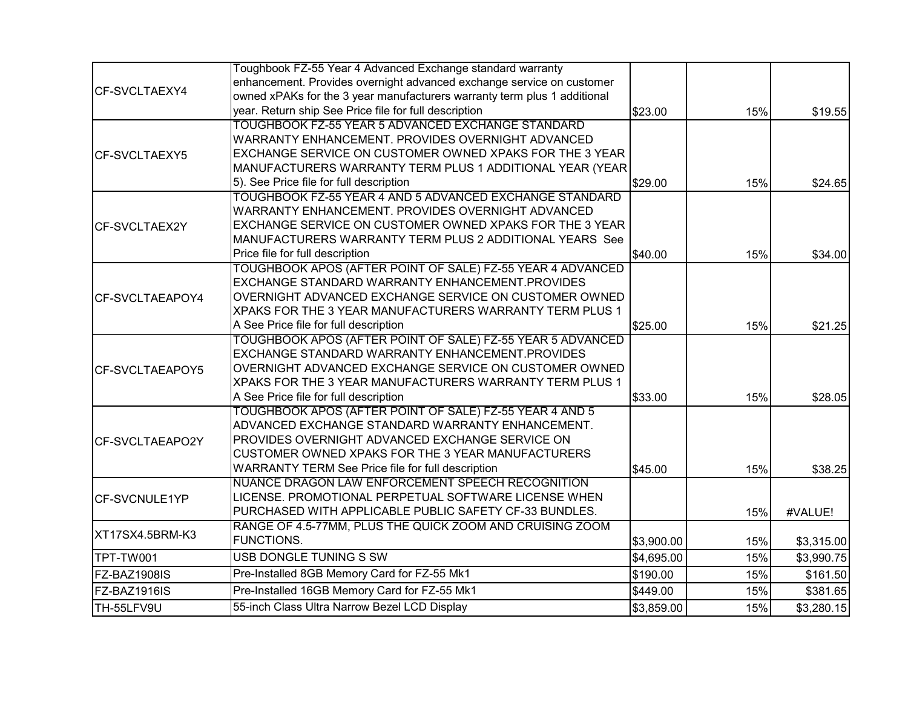|                         | Toughbook FZ-55 Year 4 Advanced Exchange standard warranty               |            |     |            |
|-------------------------|--------------------------------------------------------------------------|------------|-----|------------|
| CF-SVCLTAEXY4           | enhancement. Provides overnight advanced exchange service on customer    |            |     |            |
|                         | owned xPAKs for the 3 year manufacturers warranty term plus 1 additional |            |     |            |
|                         | year. Return ship See Price file for full description                    | \$23.00    | 15% | \$19.55    |
|                         | TOUGHBOOK FZ-55 YEAR 5 ADVANCED EXCHANGE STANDARD                        |            |     |            |
|                         | WARRANTY ENHANCEMENT. PROVIDES OVERNIGHT ADVANCED                        |            |     |            |
| CF-SVCLTAEXY5           | EXCHANGE SERVICE ON CUSTOMER OWNED XPAKS FOR THE 3 YEAR                  |            |     |            |
|                         | MANUFACTURERS WARRANTY TERM PLUS 1 ADDITIONAL YEAR (YEAR                 |            |     |            |
|                         | 5). See Price file for full description                                  | \$29.00    | 15% | \$24.65    |
|                         | TOUGHBOOK FZ-55 YEAR 4 AND 5 ADVANCED EXCHANGE STANDARD                  |            |     |            |
|                         | WARRANTY ENHANCEMENT. PROVIDES OVERNIGHT ADVANCED                        |            |     |            |
| <b>ICF-SVCLTAEX2Y</b>   | EXCHANGE SERVICE ON CUSTOMER OWNED XPAKS FOR THE 3 YEAR                  |            |     |            |
|                         | MANUFACTURERS WARRANTY TERM PLUS 2 ADDITIONAL YEARS See                  |            |     |            |
|                         | Price file for full description                                          | \$40.00    | 15% | \$34.00    |
|                         | TOUGHBOOK APOS (AFTER POINT OF SALE) FZ-55 YEAR 4 ADVANCED               |            |     |            |
|                         | EXCHANGE STANDARD WARRANTY ENHANCEMENT.PROVIDES                          |            |     |            |
| <b>ICF-SVCLTAEAPOY4</b> | OVERNIGHT ADVANCED EXCHANGE SERVICE ON CUSTOMER OWNED                    |            |     |            |
|                         | XPAKS FOR THE 3 YEAR MANUFACTURERS WARRANTY TERM PLUS 1                  |            |     |            |
|                         | A See Price file for full description                                    | \$25.00    | 15% | \$21.25    |
|                         | TOUGHBOOK APOS (AFTER POINT OF SALE) FZ-55 YEAR 5 ADVANCED               |            |     |            |
|                         | EXCHANGE STANDARD WARRANTY ENHANCEMENT.PROVIDES                          |            |     |            |
| <b>ICF-SVCLTAEAPOY5</b> | OVERNIGHT ADVANCED EXCHANGE SERVICE ON CUSTOMER OWNED                    |            |     |            |
|                         | XPAKS FOR THE 3 YEAR MANUFACTURERS WARRANTY TERM PLUS 1                  |            |     |            |
|                         | A See Price file for full description                                    | \$33.00    | 15% | \$28.05    |
|                         | TOUGHBOOK APOS (AFTER POINT OF SALE) FZ-55 YEAR 4 AND 5                  |            |     |            |
|                         | ADVANCED EXCHANGE STANDARD WARRANTY ENHANCEMENT.                         |            |     |            |
| CF-SVCLTAEAPO2Y         | PROVIDES OVERNIGHT ADVANCED EXCHANGE SERVICE ON                          |            |     |            |
|                         | CUSTOMER OWNED XPAKS FOR THE 3 YEAR MANUFACTURERS                        |            |     |            |
|                         | WARRANTY TERM See Price file for full description                        | \$45.00    | 15% | \$38.25    |
|                         | NUANCE DRAGON LAW ENFORCEMENT SPEECH RECOGNITION                         |            |     |            |
| CF-SVCNULE1YP           | LICENSE. PROMOTIONAL PERPETUAL SOFTWARE LICENSE WHEN                     |            |     |            |
|                         | PURCHASED WITH APPLICABLE PUBLIC SAFETY CF-33 BUNDLES.                   |            | 15% | #VALUE!    |
|                         | RANGE OF 4.5-77MM, PLUS THE QUICK ZOOM AND CRUISING ZOOM                 |            |     |            |
| XT17SX4.5BRM-K3         | FUNCTIONS.                                                               | \$3,900.00 | 15% | \$3,315.00 |
| TPT-TW001               | USB DONGLE TUNING S SW                                                   | \$4,695.00 | 15% | \$3,990.75 |
| FZ-BAZ1908IS            | Pre-Installed 8GB Memory Card for FZ-55 Mk1                              | \$190.00   | 15% | \$161.50   |
| FZ-BAZ1916IS            | Pre-Installed 16GB Memory Card for FZ-55 Mk1                             | \$449.00   | 15% | \$381.65   |
| TH-55LFV9U              | 55-inch Class Ultra Narrow Bezel LCD Display                             | \$3,859.00 | 15% | \$3,280.15 |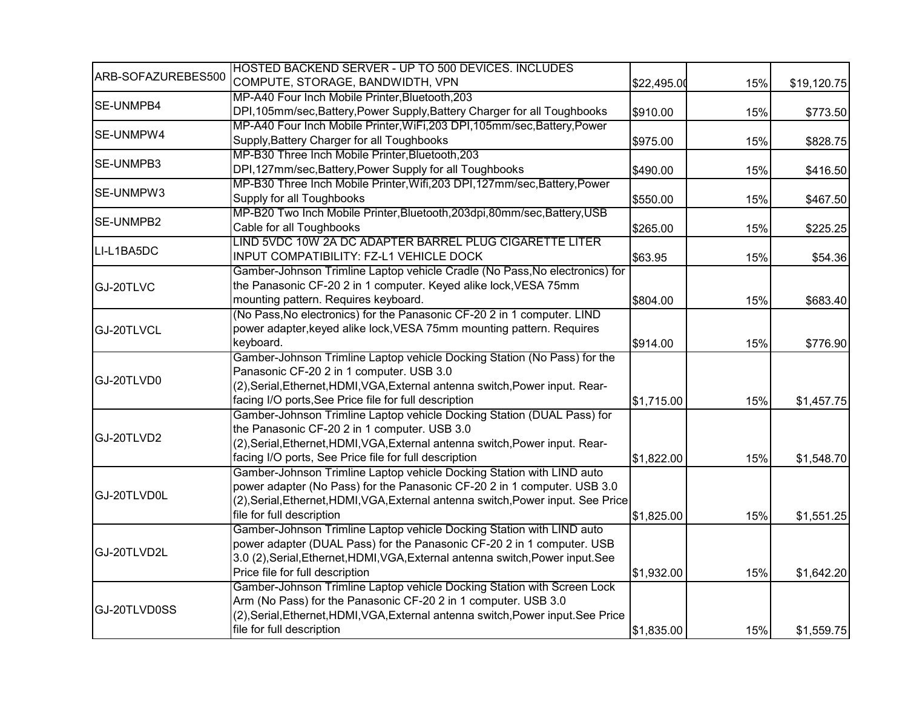|                    | HOSTED BACKEND SERVER - UP TO 500 DEVICES. INCLUDES                               |             |     |             |
|--------------------|-----------------------------------------------------------------------------------|-------------|-----|-------------|
| ARB-SOFAZUREBES500 | COMPUTE, STORAGE, BANDWIDTH, VPN                                                  | \$22,495.00 | 15% | \$19,120.75 |
|                    | MP-A40 Four Inch Mobile Printer, Bluetooth, 203                                   |             |     |             |
| <b>SE-UNMPB4</b>   | DPI, 105mm/sec, Battery, Power Supply, Battery Charger for all Toughbooks         | \$910.00    | 15% | \$773.50    |
|                    | MP-A40 Four Inch Mobile Printer, WiFi, 203 DPI, 105mm/sec, Battery, Power         |             |     |             |
| SE-UNMPW4          | Supply, Battery Charger for all Toughbooks                                        | \$975.00    | 15% | \$828.75    |
|                    | MP-B30 Three Inch Mobile Printer, Bluetooth, 203                                  |             |     |             |
| SE-UNMPB3          | DPI,127mm/sec, Battery, Power Supply for all Toughbooks                           | \$490.00    | 15% | \$416.50    |
|                    | MP-B30 Three Inch Mobile Printer, Wifi, 203 DPI, 127mm/sec, Battery, Power        |             |     |             |
| SE-UNMPW3          | Supply for all Toughbooks                                                         | \$550.00    | 15% | \$467.50    |
|                    | MP-B20 Two Inch Mobile Printer, Bluetooth, 203dpi, 80mm/sec, Battery, USB         |             |     |             |
| SE-UNMPB2          | Cable for all Toughbooks                                                          | \$265.00    | 15% | \$225.25    |
|                    | LIND 5VDC 10W 2A DC ADAPTER BARREL PLUG CIGARETTE LITER                           |             |     |             |
| LI-L1BA5DC         | INPUT COMPATIBILITY: FZ-L1 VEHICLE DOCK                                           | \$63.95     | 15% | \$54.36     |
|                    | Gamber-Johnson Trimline Laptop vehicle Cradle (No Pass, No electronics) for       |             |     |             |
| GJ-20TLVC          | the Panasonic CF-20 2 in 1 computer. Keyed alike lock, VESA 75mm                  |             |     |             |
|                    | mounting pattern. Requires keyboard.                                              | \$804.00    | 15% | \$683.40    |
|                    | (No Pass, No electronics) for the Panasonic CF-20 2 in 1 computer. LIND           |             |     |             |
| GJ-20TLVCL         | power adapter, keyed alike lock, VESA 75mm mounting pattern. Requires             |             |     |             |
|                    | keyboard.                                                                         | \$914.00    | 15% | \$776.90    |
|                    | Gamber-Johnson Trimline Laptop vehicle Docking Station (No Pass) for the          |             |     |             |
|                    | Panasonic CF-20 2 in 1 computer. USB 3.0                                          |             |     |             |
| GJ-20TLVD0         | (2),Serial,Ethernet,HDMI,VGA,External antenna switch,Power input. Rear-           |             |     |             |
|                    | facing I/O ports, See Price file for full description                             | \$1,715.00  | 15% | \$1,457.75  |
|                    | Gamber-Johnson Trimline Laptop vehicle Docking Station (DUAL Pass) for            |             |     |             |
|                    | the Panasonic CF-20 2 in 1 computer. USB 3.0                                      |             |     |             |
| GJ-20TLVD2         | (2), Serial, Ethernet, HDMI, VGA, External antenna switch, Power input. Rear-     |             |     |             |
|                    | facing I/O ports, See Price file for full description                             | \$1,822.00  | 15% | \$1,548.70  |
|                    | Gamber-Johnson Trimline Laptop vehicle Docking Station with LIND auto             |             |     |             |
|                    | power adapter (No Pass) for the Panasonic CF-20 2 in 1 computer. USB 3.0          |             |     |             |
| GJ-20TLVD0L        | (2), Serial, Ethernet, HDMI, VGA, External antenna switch, Power input. See Price |             |     |             |
|                    | file for full description                                                         | \$1,825.00  | 15% | \$1,551.25  |
|                    | Gamber-Johnson Trimline Laptop vehicle Docking Station with LIND auto             |             |     |             |
|                    | power adapter (DUAL Pass) for the Panasonic CF-20 2 in 1 computer. USB            |             |     |             |
| GJ-20TLVD2L        | 3.0 (2), Serial, Ethernet, HDMI, VGA, External antenna switch, Power input. See   |             |     |             |
|                    | Price file for full description                                                   | \$1,932.00  | 15% | \$1,642.20  |
|                    | Gamber-Johnson Trimline Laptop vehicle Docking Station with Screen Lock           |             |     |             |
|                    | Arm (No Pass) for the Panasonic CF-20 2 in 1 computer. USB 3.0                    |             |     |             |
| GJ-20TLVD0SS       | (2), Serial, Ethernet, HDMI, VGA, External antenna switch, Power input. See Price |             |     |             |
|                    | file for full description                                                         | \$1,835.00  | 15% | \$1,559.75  |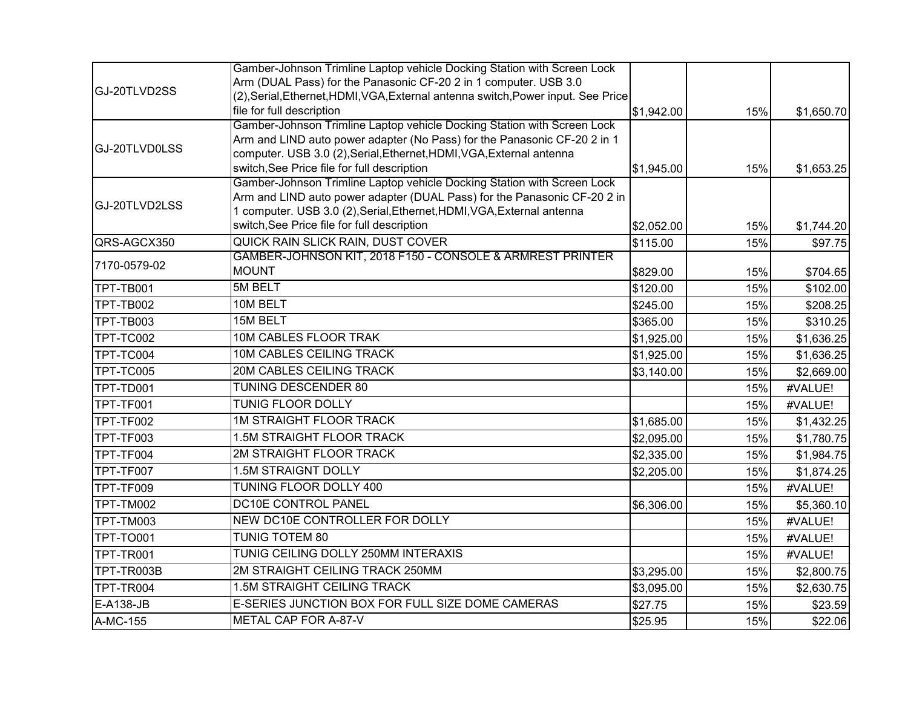|                  | Gamber-Johnson Trimline Laptop vehicle Docking Station with Screen Lock           |            |     |            |
|------------------|-----------------------------------------------------------------------------------|------------|-----|------------|
|                  | Arm (DUAL Pass) for the Panasonic CF-20 2 in 1 computer. USB 3.0                  |            |     |            |
| GJ-20TLVD2SS     | (2), Serial, Ethernet, HDMI, VGA, External antenna switch, Power input. See Price |            |     |            |
|                  | file for full description                                                         | \$1,942.00 | 15% | \$1,650.70 |
|                  | Gamber-Johnson Trimline Laptop vehicle Docking Station with Screen Lock           |            |     |            |
| GJ-20TLVD0LSS    | Arm and LIND auto power adapter (No Pass) for the Panasonic CF-20 2 in 1          |            |     |            |
|                  | computer. USB 3.0 (2), Serial, Ethernet, HDMI, VGA, External antenna              |            |     |            |
|                  | switch, See Price file for full description                                       | \$1,945.00 | 15% | \$1,653.25 |
|                  | Gamber-Johnson Trimline Laptop vehicle Docking Station with Screen Lock           |            |     |            |
| GJ-20TLVD2LSS    | Arm and LIND auto power adapter (DUAL Pass) for the Panasonic CF-20 2 in          |            |     |            |
|                  | 1 computer. USB 3.0 (2), Serial, Ethernet, HDMI, VGA, External antenna            |            |     |            |
|                  | switch, See Price file for full description                                       | \$2,052.00 | 15% | \$1,744.20 |
| QRS-AGCX350      | QUICK RAIN SLICK RAIN, DUST COVER                                                 | \$115.00   | 15% | \$97.75    |
| 7170-0579-02     | GAMBER-JOHNSON KIT, 2018 F150 - CONSOLE & ARMREST PRINTER                         |            |     |            |
|                  | <b>MOUNT</b>                                                                      | \$829.00   | 15% | \$704.65   |
| TPT-TB001        | 5M BELT                                                                           | \$120.00   | 15% | \$102.00   |
| <b>TPT-TB002</b> | 10M BELT                                                                          | \$245.00   | 15% | \$208.25   |
| TPT-TB003        | 15M BELT                                                                          | \$365.00   | 15% | \$310.25   |
| TPT-TC002        | 10M CABLES FLOOR TRAK                                                             | \$1,925.00 | 15% | \$1,636.25 |
| TPT-TC004        | 10M CABLES CEILING TRACK                                                          | \$1,925.00 | 15% | \$1,636.25 |
| TPT-TC005        | 20M CABLES CEILING TRACK                                                          | \$3,140.00 | 15% | \$2,669.00 |
| TPT-TD001        | TUNING DESCENDER 80                                                               |            | 15% | #VALUE!    |
| TPT-TF001        | TUNIG FLOOR DOLLY                                                                 |            | 15% | #VALUE!    |
| TPT-TF002        | <b>1M STRAIGHT FLOOR TRACK</b>                                                    | \$1,685.00 | 15% | \$1,432.25 |
| TPT-TF003        | 1.5M STRAIGHT FLOOR TRACK                                                         | \$2,095.00 | 15% | \$1,780.75 |
| TPT-TF004        | 2M STRAIGHT FLOOR TRACK                                                           | \$2,335.00 | 15% | \$1,984.75 |
| TPT-TF007        | 1.5M STRAIGNT DOLLY                                                               | \$2,205.00 | 15% | \$1,874.25 |
| TPT-TF009        | TUNING FLOOR DOLLY 400                                                            |            | 15% | #VALUE!    |
| TPT-TM002        | DC10E CONTROL PANEL                                                               | \$6,306.00 | 15% | \$5,360.10 |
| TPT-TM003        | NEW DC10E CONTROLLER FOR DOLLY                                                    |            | 15% | #VALUE!    |
| <b>TPT-TO001</b> | <b>TUNIG TOTEM 80</b>                                                             |            | 15% | #VALUE!    |
| TPT-TR001        | TUNIG CEILING DOLLY 250MM INTERAXIS                                               |            | 15% | #VALUE!    |
| TPT-TR003B       | 2M STRAIGHT CEILING TRACK 250MM                                                   | \$3,295.00 | 15% | \$2,800.75 |
| TPT-TR004        | 1.5M STRAIGHT CEILING TRACK                                                       | \$3,095.00 | 15% | \$2,630.75 |
| E-A138-JB        | E-SERIES JUNCTION BOX FOR FULL SIZE DOME CAMERAS                                  | \$27.75    | 15% | \$23.59    |
| A-MC-155         | METAL CAP FOR A-87-V                                                              | \$25.95    | 15% | \$22.06    |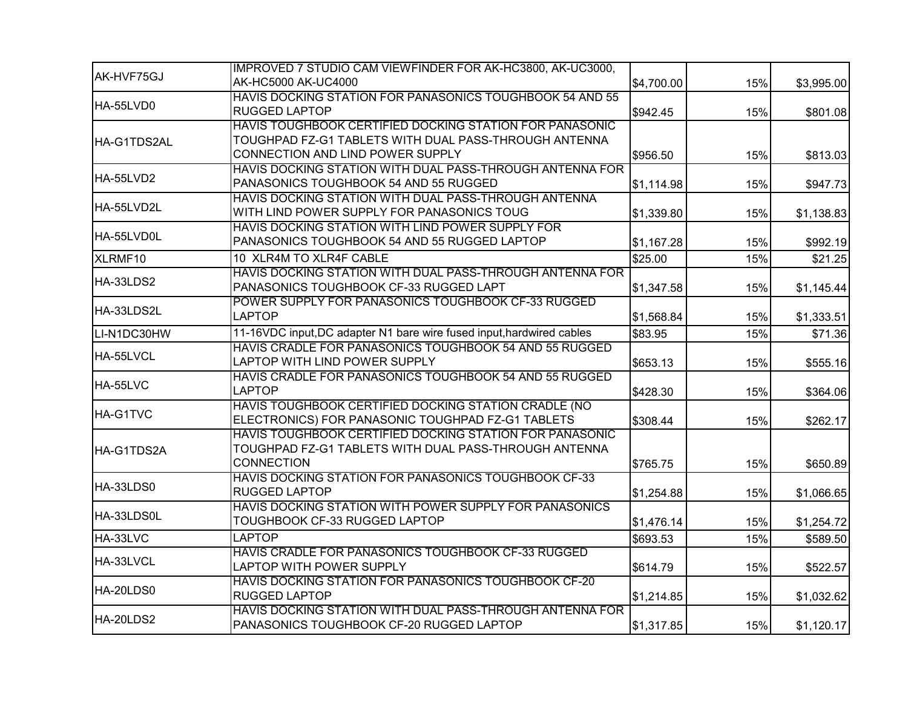|             | IMPROVED 7 STUDIO CAM VIEWFINDER FOR AK-HC3800, AK-UC3000,                                                                                           |            |     |            |
|-------------|------------------------------------------------------------------------------------------------------------------------------------------------------|------------|-----|------------|
| AK-HVF75GJ  | AK-HC5000 AK-UC4000                                                                                                                                  | \$4,700.00 | 15% | \$3,995.00 |
| HA-55LVD0   | HAVIS DOCKING STATION FOR PANASONICS TOUGHBOOK 54 AND 55<br>RUGGED LAPTOP                                                                            | \$942.45   | 15% | \$801.08   |
| HA-G1TDS2AL | HAVIS TOUGHBOOK CERTIFIED DOCKING STATION FOR PANASONIC<br>TOUGHPAD FZ-G1 TABLETS WITH DUAL PASS-THROUGH ANTENNA<br>CONNECTION AND LIND POWER SUPPLY | \$956.50   | 15% | \$813.03   |
| HA-55LVD2   | HAVIS DOCKING STATION WITH DUAL PASS-THROUGH ANTENNA FOR<br>PANASONICS TOUGHBOOK 54 AND 55 RUGGED                                                    | \$1,114.98 | 15% | \$947.73   |
| HA-55LVD2L  | HAVIS DOCKING STATION WITH DUAL PASS-THROUGH ANTENNA<br>WITH LIND POWER SUPPLY FOR PANASONICS TOUG                                                   | \$1,339.80 | 15% | \$1,138.83 |
| HA-55LVD0L  | HAVIS DOCKING STATION WITH LIND POWER SUPPLY FOR<br>PANASONICS TOUGHBOOK 54 AND 55 RUGGED LAPTOP                                                     | \$1,167.28 | 15% | \$992.19   |
| XLRMF10     | 10 XLR4M TO XLR4F CABLE                                                                                                                              | \$25.00    | 15% | \$21.25    |
| HA-33LDS2   | HAVIS DOCKING STATION WITH DUAL PASS-THROUGH ANTENNA FOR<br>PANASONICS TOUGHBOOK CF-33 RUGGED LAPT                                                   | \$1,347.58 | 15% | \$1,145.44 |
| HA-33LDS2L  | POWER SUPPLY FOR PANASONICS TOUGHBOOK CF-33 RUGGED<br><b>LAPTOP</b>                                                                                  | \$1,568.84 | 15% | \$1,333.51 |
| LI-N1DC30HW | 11-16VDC input, DC adapter N1 bare wire fused input, hardwired cables                                                                                | \$83.95    | 15% | \$71.36    |
| HA-55LVCL   | HAVIS CRADLE FOR PANASONICS TOUGHBOOK 54 AND 55 RUGGED<br>LAPTOP WITH LIND POWER SUPPLY                                                              | \$653.13   | 15% | \$555.16   |
| HA-55LVC    | HAVIS CRADLE FOR PANASONICS TOUGHBOOK 54 AND 55 RUGGED<br><b>LAPTOP</b>                                                                              | \$428.30   | 15% | \$364.06   |
| HA-G1TVC    | HAVIS TOUGHBOOK CERTIFIED DOCKING STATION CRADLE (NO<br>ELECTRONICS) FOR PANASONIC TOUGHPAD FZ-G1 TABLETS                                            | \$308.44   | 15% | \$262.17   |
| HA-G1TDS2A  | HAVIS TOUGHBOOK CERTIFIED DOCKING STATION FOR PANASONIC<br>TOUGHPAD FZ-G1 TABLETS WITH DUAL PASS-THROUGH ANTENNA<br><b>CONNECTION</b>                | \$765.75   | 15% | \$650.89   |
| HA-33LDS0   | HAVIS DOCKING STATION FOR PANASONICS TOUGHBOOK CF-33<br><b>RUGGED LAPTOP</b>                                                                         | \$1,254.88 | 15% | \$1,066.65 |
| HA-33LDS0L  | HAVIS DOCKING STATION WITH POWER SUPPLY FOR PANASONICS<br>TOUGHBOOK CF-33 RUGGED LAPTOP                                                              | \$1,476.14 | 15% | \$1,254.72 |
| HA-33LVC    | <b>LAPTOP</b>                                                                                                                                        | \$693.53   | 15% | \$589.50   |
| HA-33LVCL   | HAVIS CRADLE FOR PANASONICS TOUGHBOOK CF-33 RUGGED<br>LAPTOP WITH POWER SUPPLY                                                                       | \$614.79   | 15% | \$522.57   |
| HA-20LDS0   | HAVIS DOCKING STATION FOR PANASONICS TOUGHBOOK CF-20<br><b>RUGGED LAPTOP</b>                                                                         | \$1,214.85 | 15% | \$1,032.62 |
| HA-20LDS2   | HAVIS DOCKING STATION WITH DUAL PASS-THROUGH ANTENNA FOR<br>PANASONICS TOUGHBOOK CF-20 RUGGED LAPTOP                                                 | \$1,317.85 | 15% | \$1,120.17 |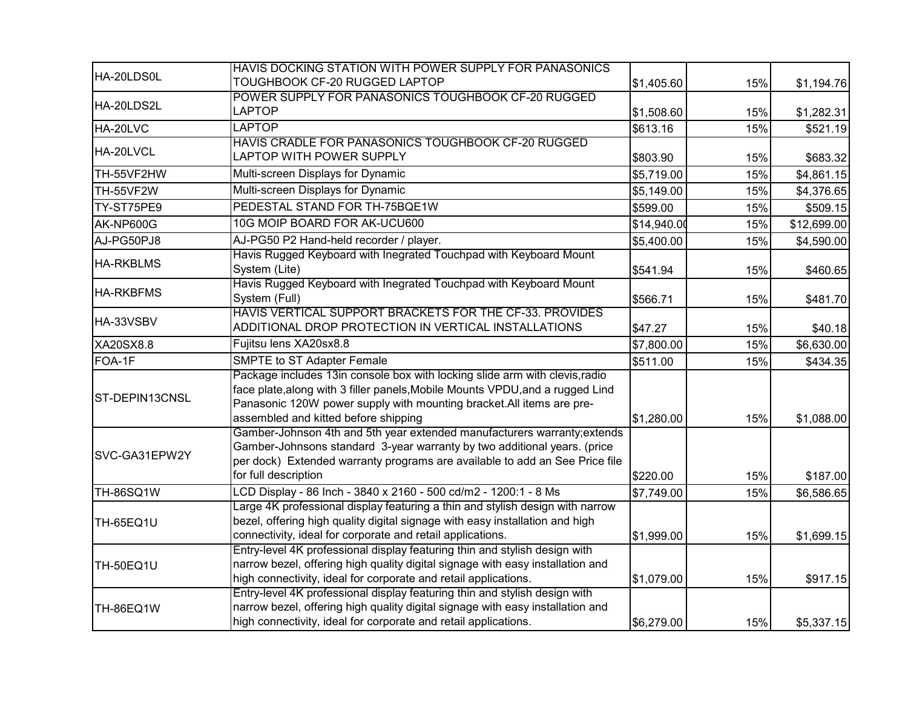| HA-20LDS0L       | HAVIS DOCKING STATION WITH POWER SUPPLY FOR PANASONICS<br>TOUGHBOOK CF-20 RUGGED LAPTOP                                                                                                                                                                                       | \$1,405.60  | 15% |             |
|------------------|-------------------------------------------------------------------------------------------------------------------------------------------------------------------------------------------------------------------------------------------------------------------------------|-------------|-----|-------------|
|                  | POWER SUPPLY FOR PANASONICS TOUGHBOOK CF-20 RUGGED                                                                                                                                                                                                                            |             |     | \$1,194.76  |
| HA-20LDS2L       | <b>LAPTOP</b>                                                                                                                                                                                                                                                                 | \$1,508.60  | 15% | \$1,282.31  |
| HA-20LVC         | LAPTOP                                                                                                                                                                                                                                                                        | \$613.16    | 15% | \$521.19    |
| HA-20LVCL        | HAVIS CRADLE FOR PANASONICS TOUGHBOOK CF-20 RUGGED<br>LAPTOP WITH POWER SUPPLY                                                                                                                                                                                                | \$803.90    | 15% | \$683.32    |
| TH-55VF2HW       | Multi-screen Displays for Dynamic                                                                                                                                                                                                                                             | \$5,719.00  | 15% | \$4,861.15  |
| <b>TH-55VF2W</b> | Multi-screen Displays for Dynamic                                                                                                                                                                                                                                             | \$5,149.00  | 15% | \$4,376.65  |
| TY-ST75PE9       | PEDESTAL STAND FOR TH-75BQE1W                                                                                                                                                                                                                                                 | \$599.00    | 15% | \$509.15    |
| AK-NP600G        | 10G MOIP BOARD FOR AK-UCU600                                                                                                                                                                                                                                                  | \$14,940.00 | 15% | \$12,699.00 |
| AJ-PG50PJ8       | AJ-PG50 P2 Hand-held recorder / player.                                                                                                                                                                                                                                       | \$5,400.00  | 15% | \$4,590.00  |
| <b>HA-RKBLMS</b> | Havis Rugged Keyboard with Inegrated Touchpad with Keyboard Mount<br>System (Lite)                                                                                                                                                                                            | \$541.94    | 15% | \$460.65    |
| <b>HA-RKBFMS</b> | Havis Rugged Keyboard with Inegrated Touchpad with Keyboard Mount<br>System (Full)                                                                                                                                                                                            | \$566.71    | 15% | \$481.70    |
| HA-33VSBV        | HAVIS VERTICAL SUPPORT BRACKETS FOR THE CF-33. PROVIDES<br>ADDITIONAL DROP PROTECTION IN VERTICAL INSTALLATIONS                                                                                                                                                               | \$47.27     | 15% | \$40.18     |
| XA20SX8.8        | Fujitsu lens XA20sx8.8                                                                                                                                                                                                                                                        | \$7,800.00  | 15% | \$6,630.00  |
| FOA-1F           | <b>SMPTE to ST Adapter Female</b>                                                                                                                                                                                                                                             | \$511.00    | 15% | \$434.35    |
| ST-DEPIN13CNSL   | Package includes 13in console box with locking slide arm with clevis, radio<br>face plate, along with 3 filler panels, Mobile Mounts VPDU, and a rugged Lind<br>Panasonic 120W power supply with mounting bracket. All items are pre-<br>assembled and kitted before shipping | \$1,280.00  | 15% | \$1,088.00  |
| SVC-GA31EPW2Y    | Gamber-Johnson 4th and 5th year extended manufacturers warranty; extends<br>Gamber-Johnsons standard 3-year warranty by two additional years. (price<br>per dock) Extended warranty programs are available to add an See Price file<br>for full description                   | \$220.00    | 15% | \$187.00    |
| <b>TH-86SQ1W</b> | LCD Display - 86 Inch - 3840 x 2160 - 500 cd/m2 - 1200:1 - 8 Ms                                                                                                                                                                                                               | \$7,749.00  | 15% | \$6,586.65  |
| <b>TH-65EQ1U</b> | Large 4K professional display featuring a thin and stylish design with narrow<br>bezel, offering high quality digital signage with easy installation and high<br>connectivity, ideal for corporate and retail applications.                                                   | \$1,999.00  | 15% | \$1,699.15  |
| <b>TH-50EQ1U</b> | Entry-level 4K professional display featuring thin and stylish design with<br>narrow bezel, offering high quality digital signage with easy installation and<br>high connectivity, ideal for corporate and retail applications.                                               | \$1,079.00  | 15% | \$917.15    |
| TH-86EQ1W        | Entry-level 4K professional display featuring thin and stylish design with<br>narrow bezel, offering high quality digital signage with easy installation and<br>high connectivity, ideal for corporate and retail applications.                                               | \$6,279.00  | 15% | \$5,337.15  |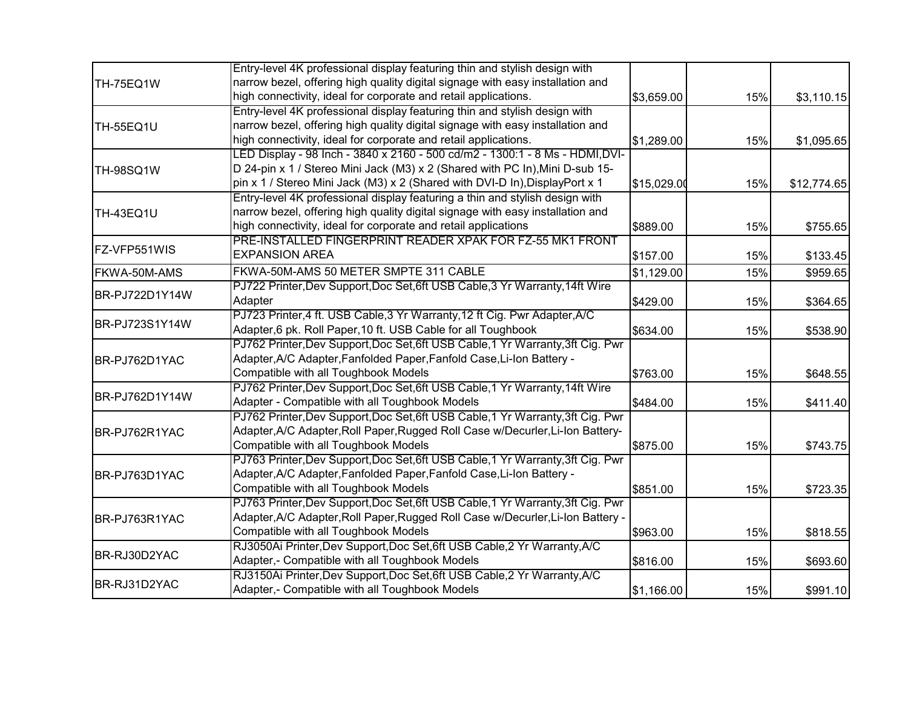|                  | Entry-level 4K professional display featuring thin and stylish design with      |             |     |             |
|------------------|---------------------------------------------------------------------------------|-------------|-----|-------------|
| TH-75EQ1W        | narrow bezel, offering high quality digital signage with easy installation and  |             |     |             |
|                  | high connectivity, ideal for corporate and retail applications.                 | \$3,659.00  | 15% | \$3,110.15  |
|                  | Entry-level 4K professional display featuring thin and stylish design with      |             |     |             |
| <b>TH-55EQ1U</b> | narrow bezel, offering high quality digital signage with easy installation and  |             |     |             |
|                  | high connectivity, ideal for corporate and retail applications.                 | \$1,289.00  | 15% | \$1,095.65  |
|                  | LED Display - 98 Inch - 3840 x 2160 - 500 cd/m2 - 1300:1 - 8 Ms - HDMI, DVI-    |             |     |             |
| <b>TH-98SQ1W</b> | D 24-pin x 1 / Stereo Mini Jack (M3) x 2 (Shared with PC In), Mini D-sub 15-    |             |     |             |
|                  | pin x 1 / Stereo Mini Jack (M3) x 2 (Shared with DVI-D In), DisplayPort x 1     | \$15,029.00 | 15% | \$12,774.65 |
|                  | Entry-level 4K professional display featuring a thin and stylish design with    |             |     |             |
| TH-43EQ1U        | narrow bezel, offering high quality digital signage with easy installation and  |             |     |             |
|                  | high connectivity, ideal for corporate and retail applications                  | \$889.00    | 15% | \$755.65    |
|                  | PRE-INSTALLED FINGERPRINT READER XPAK FOR FZ-55 MK1 FRONT                       |             |     |             |
| FZ-VFP551WIS     | <b>EXPANSION AREA</b>                                                           | \$157.00    | 15% | \$133.45    |
| FKWA-50M-AMS     | FKWA-50M-AMS 50 METER SMPTE 311 CABLE                                           | \$1,129.00  | 15% | \$959.65    |
|                  | PJ722 Printer, Dev Support, Doc Set, 6ft USB Cable, 3 Yr Warranty, 14ft Wire    |             |     |             |
| BR-PJ722D1Y14W   | Adapter                                                                         | \$429.00    | 15% | \$364.65    |
|                  | PJ723 Printer, 4 ft. USB Cable, 3 Yr Warranty, 12 ft Cig. Pwr Adapter, A/C      |             |     |             |
| BR-PJ723S1Y14W   | Adapter, 6 pk. Roll Paper, 10 ft. USB Cable for all Toughbook                   | \$634.00    | 15% | \$538.90    |
|                  | PJ762 Printer, Dev Support, Doc Set, 6ft USB Cable, 1 Yr Warranty, 3ft Cig. Pwr |             |     |             |
| BR-PJ762D1YAC    | Adapter, A/C Adapter, Fanfolded Paper, Fanfold Case, Li-Ion Battery -           |             |     |             |
|                  | Compatible with all Toughbook Models                                            | \$763.00    | 15% | \$648.55    |
|                  | PJ762 Printer, Dev Support, Doc Set, 6ft USB Cable, 1 Yr Warranty, 14ft Wire    |             |     |             |
| BR-PJ762D1Y14W   | Adapter - Compatible with all Toughbook Models                                  | \$484.00    | 15% | \$411.40    |
|                  | PJ762 Printer, Dev Support, Doc Set, 6ft USB Cable, 1 Yr Warranty, 3ft Cig. Pwr |             |     |             |
| BR-PJ762R1YAC    | Adapter, A/C Adapter, Roll Paper, Rugged Roll Case w/Decurler, Li-Ion Battery-  |             |     |             |
|                  | Compatible with all Toughbook Models                                            | \$875.00    | 15% | \$743.75    |
|                  | PJ763 Printer, Dev Support, Doc Set, 6ft USB Cable, 1 Yr Warranty, 3ft Cig. Pwr |             |     |             |
| BR-PJ763D1YAC    | Adapter, A/C Adapter, Fanfolded Paper, Fanfold Case, Li-Ion Battery -           |             |     |             |
|                  | Compatible with all Toughbook Models                                            | \$851.00    | 15% | \$723.35    |
|                  | PJ763 Printer, Dev Support, Doc Set, 6ft USB Cable, 1 Yr Warranty, 3ft Cig. Pwr |             |     |             |
| BR-PJ763R1YAC    | Adapter, A/C Adapter, Roll Paper, Rugged Roll Case w/Decurler, Li-Ion Battery - |             |     |             |
|                  | Compatible with all Toughbook Models                                            | \$963.00    | 15% | \$818.55    |
|                  | RJ3050Ai Printer, Dev Support, Doc Set, 6ft USB Cable, 2 Yr Warranty, A/C       |             |     |             |
| BR-RJ30D2YAC     | Adapter,- Compatible with all Toughbook Models                                  | \$816.00    | 15% | \$693.60    |
|                  | RJ3150Ai Printer, Dev Support, Doc Set, 6ft USB Cable, 2 Yr Warranty, A/C       |             |     |             |
| BR-RJ31D2YAC     | Adapter,- Compatible with all Toughbook Models                                  | \$1,166.00  | 15% | \$991.10    |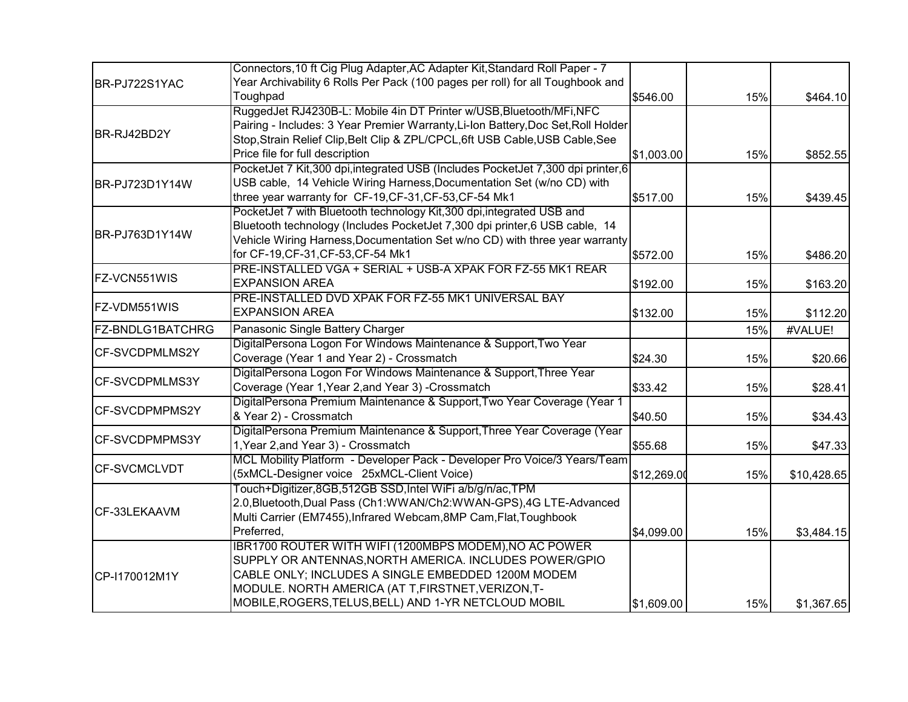|                         | Connectors, 10 ft Cig Plug Adapter, AC Adapter Kit, Standard Roll Paper - 7        |             |     |             |
|-------------------------|------------------------------------------------------------------------------------|-------------|-----|-------------|
| BR-PJ722S1YAC           | Year Archivability 6 Rolls Per Pack (100 pages per roll) for all Toughbook and     |             |     |             |
|                         | Toughpad                                                                           | \$546.00    | 15% | \$464.10    |
|                         | RuggedJet RJ4230B-L: Mobile 4in DT Printer w/USB, Bluetooth/MFi, NFC               |             |     |             |
|                         | Pairing - Includes: 3 Year Premier Warranty, Li-Ion Battery, Doc Set, Roll Holder  |             |     |             |
| BR-RJ42BD2Y             | Stop, Strain Relief Clip, Belt Clip & ZPL/CPCL, 6ft USB Cable, USB Cable, See      |             |     |             |
|                         | Price file for full description                                                    | \$1,003.00  | 15% | \$852.55    |
|                         | PocketJet 7 Kit, 300 dpi, integrated USB (Includes PocketJet 7, 300 dpi printer, 6 |             |     |             |
| BR-PJ723D1Y14W          | USB cable, 14 Vehicle Wiring Harness, Documentation Set (w/no CD) with             |             |     |             |
|                         | three year warranty for CF-19, CF-31, CF-53, CF-54 Mk1                             | \$517.00    | 15% | \$439.45    |
|                         | PocketJet 7 with Bluetooth technology Kit, 300 dpi, integrated USB and             |             |     |             |
|                         | Bluetooth technology (Includes PocketJet 7,300 dpi printer,6 USB cable, 14         |             |     |             |
| IBR-PJ763D1Y14W         | Vehicle Wiring Harness, Documentation Set w/no CD) with three year warranty        |             |     |             |
|                         | for CF-19, CF-31, CF-53, CF-54 Mk1                                                 | \$572.00    | 15% | \$486.20    |
|                         | PRE-INSTALLED VGA + SERIAL + USB-A XPAK FOR FZ-55 MK1 REAR                         |             |     |             |
| FZ-VCN551WIS            | <b>EXPANSION AREA</b>                                                              | \$192.00    | 15% | \$163.20    |
|                         | PRE-INSTALLED DVD XPAK FOR FZ-55 MK1 UNIVERSAL BAY                                 |             |     |             |
| FZ-VDM551WIS            | <b>EXPANSION AREA</b>                                                              | \$132.00    | 15% | \$112.20    |
| <b>FZ-BNDLG1BATCHRG</b> | Panasonic Single Battery Charger                                                   |             | 15% | #VALUE!     |
|                         | DigitalPersona Logon For Windows Maintenance & Support, Two Year                   |             |     |             |
| <b>CF-SVCDPMLMS2Y</b>   | Coverage (Year 1 and Year 2) - Crossmatch                                          | \$24.30     | 15% | \$20.66     |
|                         | DigitalPersona Logon For Windows Maintenance & Support, Three Year                 |             |     |             |
| <b>CF-SVCDPMLMS3Y</b>   | Coverage (Year 1, Year 2, and Year 3) - Crossmatch                                 | \$33.42     | 15% | \$28.41     |
|                         | DigitalPersona Premium Maintenance & Support, Two Year Coverage (Year 1            |             |     |             |
| <b>CF-SVCDPMPMS2Y</b>   | & Year 2) - Crossmatch                                                             | \$40.50     | 15% | \$34.43     |
|                         | DigitalPersona Premium Maintenance & Support, Three Year Coverage (Year            |             |     |             |
| <b>CF-SVCDPMPMS3Y</b>   | 1, Year 2, and Year 3) - Crossmatch                                                | \$55.68     | 15% | \$47.33     |
|                         | MCL Mobility Platform - Developer Pack - Developer Pro Voice/3 Years/Team          |             |     |             |
| <b>CF-SVCMCLVDT</b>     | (5xMCL-Designer voice 25xMCL-Client Voice)                                         | \$12,269.00 | 15% | \$10,428.65 |
|                         | Touch+Digitizer,8GB,512GB SSD,Intel WiFi a/b/g/n/ac,TPM                            |             |     |             |
|                         | 2.0, Bluetooth, Dual Pass (Ch1: WWAN/Ch2: WWAN-GPS), 4G LTE-Advanced               |             |     |             |
| CF-33LEKAAVM            | Multi Carrier (EM7455), Infrared Webcam, 8MP Cam, Flat, Toughbook                  |             |     |             |
|                         | Preferred,                                                                         | \$4,099.00  | 15% | \$3,484.15  |
|                         | IBR1700 ROUTER WITH WIFI (1200MBPS MODEM), NO AC POWER                             |             |     |             |
|                         | SUPPLY OR ANTENNAS, NORTH AMERICA. INCLUDES POWER/GPIO                             |             |     |             |
| CP-I170012M1Y           | CABLE ONLY; INCLUDES A SINGLE EMBEDDED 1200M MODEM                                 |             |     |             |
|                         | MODULE. NORTH AMERICA (AT T, FIRSTNET, VERIZON, T-                                 |             |     |             |
|                         | MOBILE,ROGERS,TELUS,BELL) AND 1-YR NETCLOUD MOBIL                                  | \$1,609.00  | 15% | \$1,367.65  |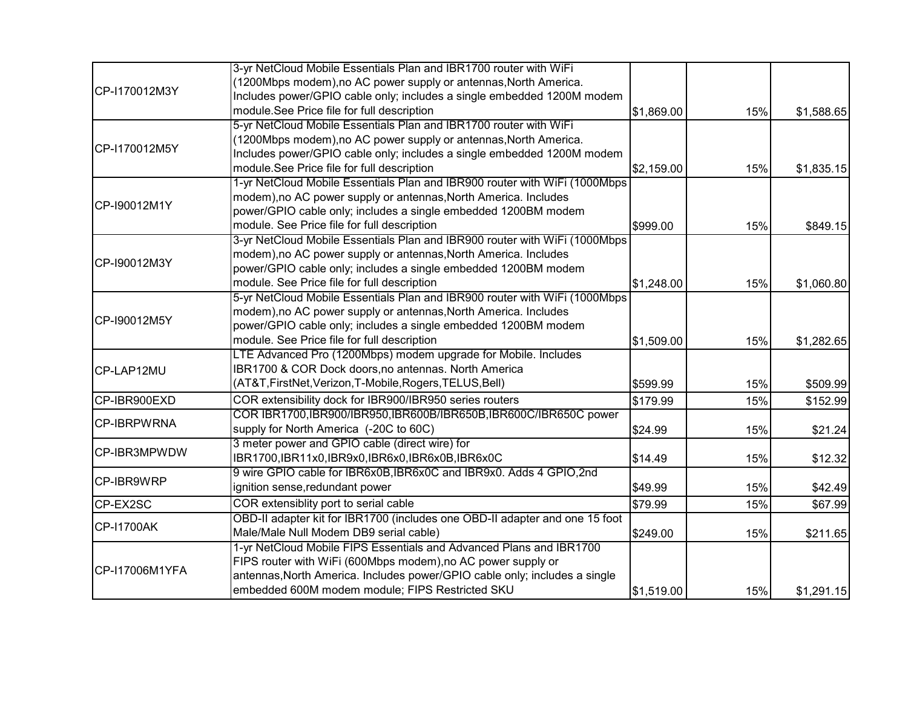|                    | 3-yr NetCloud Mobile Essentials Plan and IBR1700 router with WiFi           |            |     |            |
|--------------------|-----------------------------------------------------------------------------|------------|-----|------------|
|                    | (1200Mbps modem),no AC power supply or antennas,North America.              |            |     |            |
| CP-I170012M3Y      | Includes power/GPIO cable only; includes a single embedded 1200M modem      |            |     |            |
|                    | module.See Price file for full description                                  | \$1,869.00 | 15% | \$1,588.65 |
|                    | 5-yr NetCloud Mobile Essentials Plan and IBR1700 router with WiFi           |            |     |            |
|                    | (1200Mbps modem),no AC power supply or antennas,North America.              |            |     |            |
| CP-I170012M5Y      | Includes power/GPIO cable only; includes a single embedded 1200M modem      |            |     |            |
|                    | module.See Price file for full description                                  | \$2,159.00 | 15% | \$1,835.15 |
|                    | 1-yr NetCloud Mobile Essentials Plan and IBR900 router with WiFi (1000Mbps  |            |     |            |
|                    | modem), no AC power supply or antennas, North America. Includes             |            |     |            |
| CP-I90012M1Y       | power/GPIO cable only; includes a single embedded 1200BM modem              |            |     |            |
|                    | module. See Price file for full description                                 | \$999.00   | 15% | \$849.15   |
|                    | 3-yr NetCloud Mobile Essentials Plan and IBR900 router with WiFi (1000Mbps  |            |     |            |
|                    | modem), no AC power supply or antennas, North America. Includes             |            |     |            |
| CP-I90012M3Y       | power/GPIO cable only; includes a single embedded 1200BM modem              |            |     |            |
|                    | module. See Price file for full description                                 | \$1,248.00 | 15% | \$1,060.80 |
|                    | 5-yr NetCloud Mobile Essentials Plan and IBR900 router with WiFi (1000Mbps  |            |     |            |
|                    | modem), no AC power supply or antennas, North America. Includes             |            |     |            |
| CP-I90012M5Y       | power/GPIO cable only; includes a single embedded 1200BM modem              |            |     |            |
|                    | module. See Price file for full description                                 | \$1,509.00 | 15% | \$1,282.65 |
|                    | LTE Advanced Pro (1200Mbps) modem upgrade for Mobile. Includes              |            |     |            |
| CP-LAP12MU         | IBR1700 & COR Dock doors, no antennas. North America                        |            |     |            |
|                    | (AT&T,FirstNet,Verizon,T-Mobile,Rogers,TELUS,Bell)                          | \$599.99   | 15% | \$509.99   |
| CP-IBR900EXD       | COR extensibility dock for IBR900/IBR950 series routers                     | \$179.99   | 15% | \$152.99   |
|                    | COR IBR1700,IBR900/IBR950,IBR600B/IBR650B,IBR600C/IBR650C power             |            |     |            |
| <b>CP-IBRPWRNA</b> | supply for North America (-20C to 60C)                                      | \$24.99    | 15% | \$21.24    |
|                    | 3 meter power and GPIO cable (direct wire) for                              |            |     |            |
| CP-IBR3MPWDW       | IBR1700,IBR11x0,IBR9x0,IBR6x0,IBR6x0B,IBR6x0C                               | \$14.49    | 15% | \$12.32    |
|                    | 9 wire GPIO cable for IBR6x0B, IBR6x0C and IBR9x0. Adds 4 GPIO, 2nd         |            |     |            |
| CP-IBR9WRP         | ignition sense, redundant power                                             | \$49.99    | 15% | \$42.49    |
| CP-EX2SC           | COR extensiblity port to serial cable                                       | \$79.99    | 15% | \$67.99    |
|                    | OBD-II adapter kit for IBR1700 (includes one OBD-II adapter and one 15 foot |            |     |            |
| <b>CP-I1700AK</b>  | Male/Male Null Modem DB9 serial cable)                                      | \$249.00   | 15% | \$211.65   |
|                    | 1-yr NetCloud Mobile FIPS Essentials and Advanced Plans and IBR1700         |            |     |            |
|                    | FIPS router with WiFi (600Mbps modem), no AC power supply or                |            |     |            |
| CP-I17006M1YFA     | antennas, North America. Includes power/GPIO cable only; includes a single  |            |     |            |
|                    | embedded 600M modem module; FIPS Restricted SKU                             | \$1,519.00 | 15% | \$1,291.15 |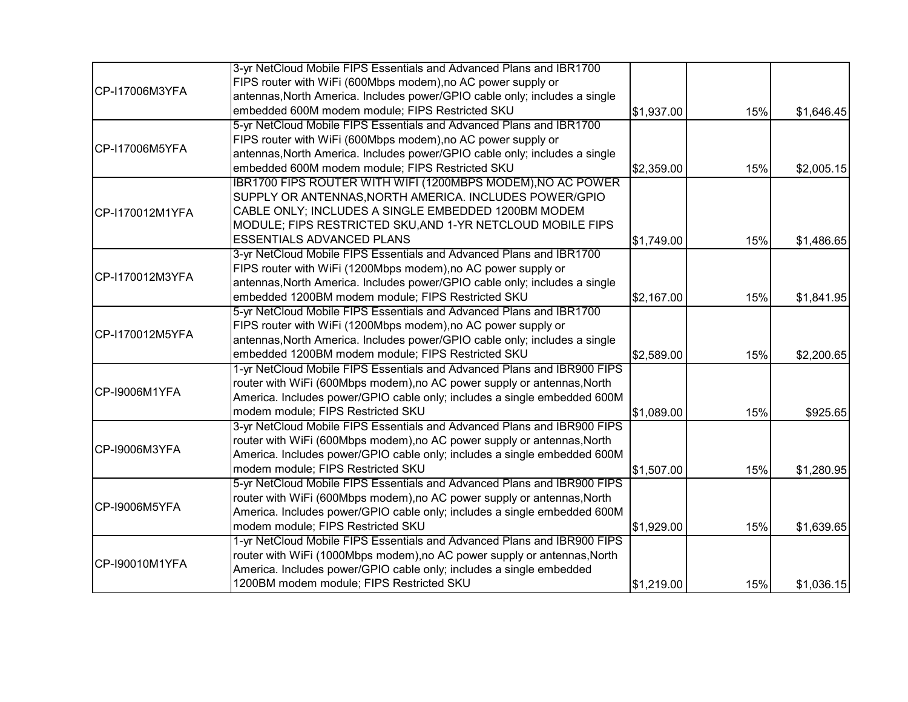|                 | 3-yr NetCloud Mobile FIPS Essentials and Advanced Plans and IBR1700        |            |     |            |
|-----------------|----------------------------------------------------------------------------|------------|-----|------------|
|                 | FIPS router with WiFi (600Mbps modem), no AC power supply or               |            |     |            |
| CP-I17006M3YFA  | antennas, North America. Includes power/GPIO cable only; includes a single |            |     |            |
|                 | embedded 600M modem module; FIPS Restricted SKU                            | \$1,937.00 | 15% | \$1,646.45 |
|                 | 5-yr NetCloud Mobile FIPS Essentials and Advanced Plans and IBR1700        |            |     |            |
| CP-I17006M5YFA  | FIPS router with WiFi (600Mbps modem), no AC power supply or               |            |     |            |
|                 | antennas, North America. Includes power/GPIO cable only; includes a single |            |     |            |
|                 | embedded 600M modem module; FIPS Restricted SKU                            | \$2,359.00 | 15% | \$2,005.15 |
|                 | IBR1700 FIPS ROUTER WITH WIFI (1200MBPS MODEM), NO AC POWER                |            |     |            |
|                 | SUPPLY OR ANTENNAS, NORTH AMERICA. INCLUDES POWER/GPIO                     |            |     |            |
| CP-I170012M1YFA | CABLE ONLY; INCLUDES A SINGLE EMBEDDED 1200BM MODEM                        |            |     |            |
|                 | MODULE; FIPS RESTRICTED SKU, AND 1-YR NETCLOUD MOBILE FIPS                 |            |     |            |
|                 | <b>ESSENTIALS ADVANCED PLANS</b>                                           | \$1,749.00 | 15% | \$1,486.65 |
|                 | 3-yr NetCloud Mobile FIPS Essentials and Advanced Plans and IBR1700        |            |     |            |
|                 | FIPS router with WiFi (1200Mbps modem), no AC power supply or              |            |     |            |
| CP-I170012M3YFA | antennas, North America. Includes power/GPIO cable only; includes a single |            |     |            |
|                 | embedded 1200BM modem module; FIPS Restricted SKU                          | \$2,167.00 | 15% | \$1,841.95 |
|                 | 5-yr NetCloud Mobile FIPS Essentials and Advanced Plans and IBR1700        |            |     |            |
| CP-I170012M5YFA | FIPS router with WiFi (1200Mbps modem), no AC power supply or              |            |     |            |
|                 | antennas, North America. Includes power/GPIO cable only; includes a single |            |     |            |
|                 | embedded 1200BM modem module; FIPS Restricted SKU                          | \$2,589.00 | 15% | \$2,200.65 |
|                 | 1-yr NetCloud Mobile FIPS Essentials and Advanced Plans and IBR900 FIPS    |            |     |            |
| CP-I9006M1YFA   | router with WiFi (600Mbps modem), no AC power supply or antennas, North    |            |     |            |
|                 | America. Includes power/GPIO cable only; includes a single embedded 600M   |            |     |            |
|                 | modem module; FIPS Restricted SKU                                          | \$1,089.00 | 15% | \$925.65   |
|                 | 3-yr NetCloud Mobile FIPS Essentials and Advanced Plans and IBR900 FIPS    |            |     |            |
| CP-I9006M3YFA   | router with WiFi (600Mbps modem), no AC power supply or antennas, North    |            |     |            |
|                 | America. Includes power/GPIO cable only; includes a single embedded 600M   |            |     |            |
|                 | modem module; FIPS Restricted SKU                                          | \$1,507.00 | 15% | \$1,280.95 |
|                 | 5-yr NetCloud Mobile FIPS Essentials and Advanced Plans and IBR900 FIPS    |            |     |            |
| CP-I9006M5YFA   | router with WiFi (600Mbps modem), no AC power supply or antennas, North    |            |     |            |
|                 | America. Includes power/GPIO cable only; includes a single embedded 600M   |            |     |            |
|                 | modem module; FIPS Restricted SKU                                          | \$1,929.00 | 15% | \$1,639.65 |
|                 | 1-yr NetCloud Mobile FIPS Essentials and Advanced Plans and IBR900 FIPS    |            |     |            |
| CP-I90010M1YFA  | router with WiFi (1000Mbps modem), no AC power supply or antennas, North   |            |     |            |
|                 | America. Includes power/GPIO cable only; includes a single embedded        |            |     |            |
|                 | 1200BM modem module; FIPS Restricted SKU                                   | \$1,219.00 | 15% | \$1,036.15 |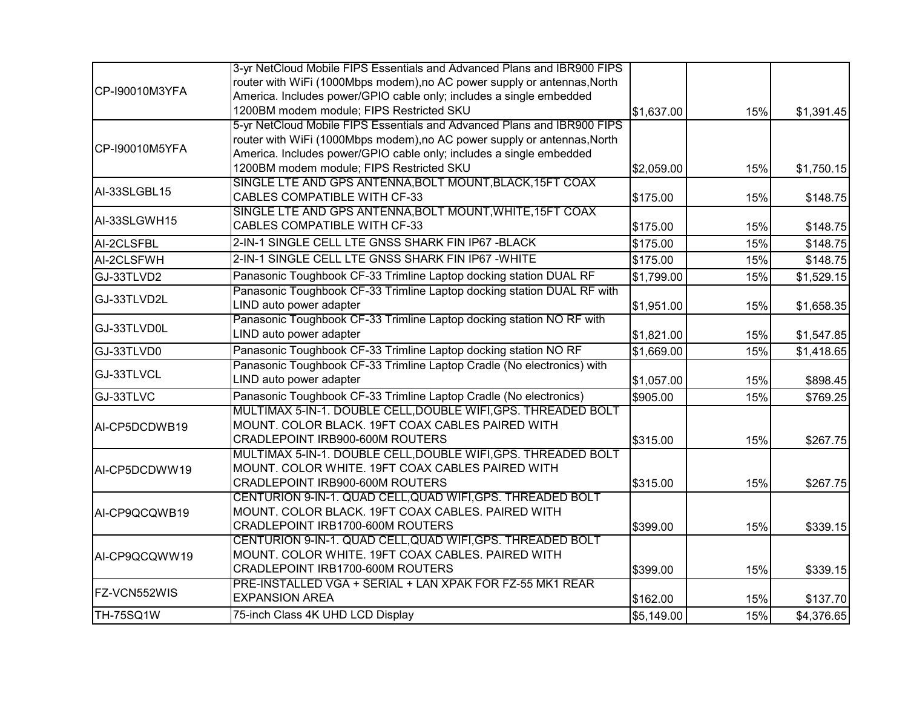|                | 3-yr NetCloud Mobile FIPS Essentials and Advanced Plans and IBR900 FIPS  |            |     |            |
|----------------|--------------------------------------------------------------------------|------------|-----|------------|
|                | router with WiFi (1000Mbps modem), no AC power supply or antennas, North |            |     |            |
| CP-I90010M3YFA | America. Includes power/GPIO cable only; includes a single embedded      |            |     |            |
|                | 1200BM modem module; FIPS Restricted SKU                                 | \$1,637.00 | 15% | \$1,391.45 |
|                | 5-yr NetCloud Mobile FIPS Essentials and Advanced Plans and IBR900 FIPS  |            |     |            |
| CP-I90010M5YFA | router with WiFi (1000Mbps modem), no AC power supply or antennas, North |            |     |            |
|                | America. Includes power/GPIO cable only; includes a single embedded      |            |     |            |
|                | 1200BM modem module; FIPS Restricted SKU                                 | \$2,059.00 | 15% | \$1,750.15 |
|                | SINGLE LTE AND GPS ANTENNA, BOLT MOUNT, BLACK, 15FT COAX                 |            |     |            |
| AI-33SLGBL15   | <b>CABLES COMPATIBLE WITH CF-33</b>                                      | \$175.00   | 15% | \$148.75   |
| AI-33SLGWH15   | SINGLE LTE AND GPS ANTENNA, BOLT MOUNT, WHITE, 15FT COAX                 |            |     |            |
|                | <b>CABLES COMPATIBLE WITH CF-33</b>                                      | \$175.00   | 15% | \$148.75   |
| AI-2CLSFBL     | 2-IN-1 SINGLE CELL LTE GNSS SHARK FIN IP67-BLACK                         | \$175.00   | 15% | \$148.75   |
| AI-2CLSFWH     | 2-IN-1 SINGLE CELL LTE GNSS SHARK FIN IP67 - WHITE                       | \$175.00   | 15% | \$148.75   |
| GJ-33TLVD2     | Panasonic Toughbook CF-33 Trimline Laptop docking station DUAL RF        | \$1,799.00 | 15% | \$1,529.15 |
|                | Panasonic Toughbook CF-33 Trimline Laptop docking station DUAL RF with   |            |     |            |
| GJ-33TLVD2L    | LIND auto power adapter                                                  | \$1,951.00 | 15% | \$1,658.35 |
| GJ-33TLVD0L    | Panasonic Toughbook CF-33 Trimline Laptop docking station NO RF with     |            |     |            |
|                | LIND auto power adapter                                                  | \$1,821.00 | 15% | \$1,547.85 |
| GJ-33TLVD0     | Panasonic Toughbook CF-33 Trimline Laptop docking station NO RF          | \$1,669.00 | 15% | \$1,418.65 |
| GJ-33TLVCL     | Panasonic Toughbook CF-33 Trimline Laptop Cradle (No electronics) with   |            |     |            |
|                | LIND auto power adapter                                                  | \$1,057.00 | 15% | \$898.45   |
| GJ-33TLVC      | Panasonic Toughbook CF-33 Trimline Laptop Cradle (No electronics)        | \$905.00   | 15% | \$769.25   |
|                | MULTIMAX 5-IN-1. DOUBLE CELL, DOUBLE WIFI, GPS. THREADED BOLT            |            |     |            |
| AI-CP5DCDWB19  | MOUNT. COLOR BLACK. 19FT COAX CABLES PAIRED WITH                         |            |     |            |
|                | CRADLEPOINT IRB900-600M ROUTERS                                          | \$315.00   | 15% | \$267.75   |
|                | MULTIMAX 5-IN-1. DOUBLE CELL, DOUBLE WIFI, GPS. THREADED BOLT            |            |     |            |
| AI-CP5DCDWW19  | MOUNT. COLOR WHITE. 19FT COAX CABLES PAIRED WITH                         |            |     |            |
|                | CRADLEPOINT IRB900-600M ROUTERS                                          | \$315.00   | 15% | \$267.75   |
|                | CENTURION 9-IN-1. QUAD CELL, QUAD WIFI, GPS. THREADED BOLT               |            |     |            |
| AI-CP9QCQWB19  | MOUNT. COLOR BLACK. 19FT COAX CABLES. PAIRED WITH                        |            |     |            |
|                | CRADLEPOINT IRB1700-600M ROUTERS                                         | \$399.00   | 15% | \$339.15   |
|                | CENTURION 9-IN-1. QUAD CELL, QUAD WIFI, GPS. THREADED BOLT               |            |     |            |
| AI-CP9QCQWW19  | MOUNT. COLOR WHITE. 19FT COAX CABLES. PAIRED WITH                        |            |     |            |
|                | CRADLEPOINT IRB1700-600M ROUTERS                                         | \$399.00   | 15% | \$339.15   |
| FZ-VCN552WIS   | PRE-INSTALLED VGA + SERIAL + LAN XPAK FOR FZ-55 MK1 REAR                 |            |     |            |
|                | <b>EXPANSION AREA</b>                                                    | \$162.00   | 15% | \$137.70   |
| TH-75SQ1W      | 75-inch Class 4K UHD LCD Display                                         | \$5,149.00 | 15% | \$4,376.65 |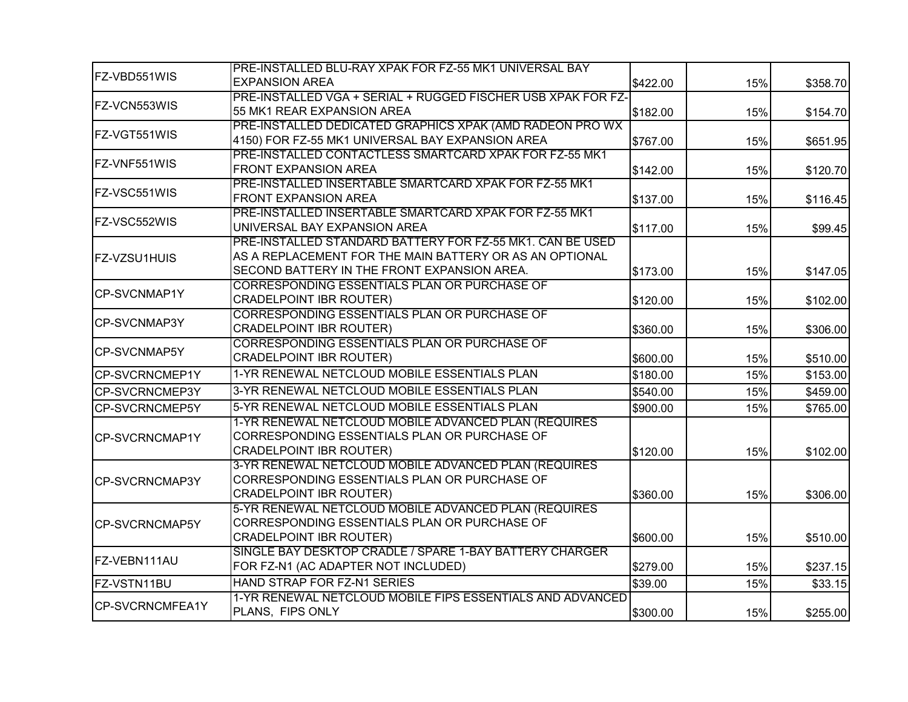|                        | PRE-INSTALLED BLU-RAY XPAK FOR FZ-55 MK1 UNIVERSAL BAY                                                                                                              |          |     |          |
|------------------------|---------------------------------------------------------------------------------------------------------------------------------------------------------------------|----------|-----|----------|
| FZ-VBD551WIS           | <b>EXPANSION AREA</b>                                                                                                                                               | \$422.00 | 15% | \$358.70 |
| FZ-VCN553WIS           | PRE-INSTALLED VGA + SERIAL + RUGGED FISCHER USB XPAK FOR FZ-<br>55 MK1 REAR EXPANSION AREA                                                                          | \$182.00 | 15% | \$154.70 |
| FZ-VGT551WIS           | PRE-INSTALLED DEDICATED GRAPHICS XPAK (AMD RADEON PRO WX<br>4150) FOR FZ-55 MK1 UNIVERSAL BAY EXPANSION AREA                                                        | \$767.00 | 15% | \$651.95 |
| FZ-VNF551WIS           | PRE-INSTALLED CONTACTLESS SMARTCARD XPAK FOR FZ-55 MK1<br><b>FRONT EXPANSION AREA</b>                                                                               | \$142.00 | 15% | \$120.70 |
| FZ-VSC551WIS           | PRE-INSTALLED INSERTABLE SMARTCARD XPAK FOR FZ-55 MK1<br><b>FRONT EXPANSION AREA</b>                                                                                | \$137.00 | 15% | \$116.45 |
| FZ-VSC552WIS           | PRE-INSTALLED INSERTABLE SMARTCARD XPAK FOR FZ-55 MK1<br>UNIVERSAL BAY EXPANSION AREA                                                                               | \$117.00 | 15% | \$99.45  |
| <b>FZ-VZSU1HUIS</b>    | PRE-INSTALLED STANDARD BATTERY FOR FZ-55 MK1. CAN BE USED<br>AS A REPLACEMENT FOR THE MAIN BATTERY OR AS AN OPTIONAL<br>SECOND BATTERY IN THE FRONT EXPANSION AREA. | \$173.00 | 15% | \$147.05 |
| <b>CP-SVCNMAP1Y</b>    | CORRESPONDING ESSENTIALS PLAN OR PURCHASE OF<br><b>CRADELPOINT IBR ROUTER)</b>                                                                                      | \$120.00 | 15% | \$102.00 |
| CP-SVCNMAP3Y           | CORRESPONDING ESSENTIALS PLAN OR PURCHASE OF<br><b>CRADELPOINT IBR ROUTER)</b>                                                                                      | \$360.00 | 15% | \$306.00 |
| <b>CP-SVCNMAP5Y</b>    | CORRESPONDING ESSENTIALS PLAN OR PURCHASE OF<br><b>CRADELPOINT IBR ROUTER)</b>                                                                                      | \$600.00 | 15% | \$510.00 |
| <b>CP-SVCRNCMEP1Y</b>  | 1-YR RENEWAL NETCLOUD MOBILE ESSENTIALS PLAN                                                                                                                        | \$180.00 | 15% | \$153.00 |
| <b>CP-SVCRNCMEP3Y</b>  | 3-YR RENEWAL NETCLOUD MOBILE ESSENTIALS PLAN                                                                                                                        | \$540.00 | 15% | \$459.00 |
| <b>CP-SVCRNCMEP5Y</b>  | 5-YR RENEWAL NETCLOUD MOBILE ESSENTIALS PLAN                                                                                                                        | \$900.00 | 15% | \$765.00 |
| CP-SVCRNCMAP1Y         | 1-YR RENEWAL NETCLOUD MOBILE ADVANCED PLAN (REQUIRES<br>CORRESPONDING ESSENTIALS PLAN OR PURCHASE OF<br><b>CRADELPOINT IBR ROUTER)</b>                              | \$120.00 | 15% | \$102.00 |
| CP-SVCRNCMAP3Y         | 3-YR RENEWAL NETCLOUD MOBILE ADVANCED PLAN (REQUIRES<br>CORRESPONDING ESSENTIALS PLAN OR PURCHASE OF<br><b>CRADELPOINT IBR ROUTER)</b>                              | \$360.00 | 15% | \$306.00 |
| <b>CP-SVCRNCMAP5Y</b>  | 5-YR RENEWAL NETCLOUD MOBILE ADVANCED PLAN (REQUIRES<br>CORRESPONDING ESSENTIALS PLAN OR PURCHASE OF<br><b>CRADELPOINT IBR ROUTER)</b>                              | \$600.00 | 15% | \$510.00 |
| IFZ-VEBN111AU          | SINGLE BAY DESKTOP CRADLE / SPARE 1-BAY BATTERY CHARGER<br>FOR FZ-N1 (AC ADAPTER NOT INCLUDED)                                                                      | \$279.00 | 15% | \$237.15 |
| FZ-VSTN11BU            | HAND STRAP FOR FZ-N1 SERIES                                                                                                                                         | \$39.00  | 15% | \$33.15  |
| <b>CP-SVCRNCMFEA1Y</b> | 1-YR RENEWAL NETCLOUD MOBILE FIPS ESSENTIALS AND ADVANCED<br>PLANS, FIPS ONLY                                                                                       | \$300.00 | 15% | \$255.00 |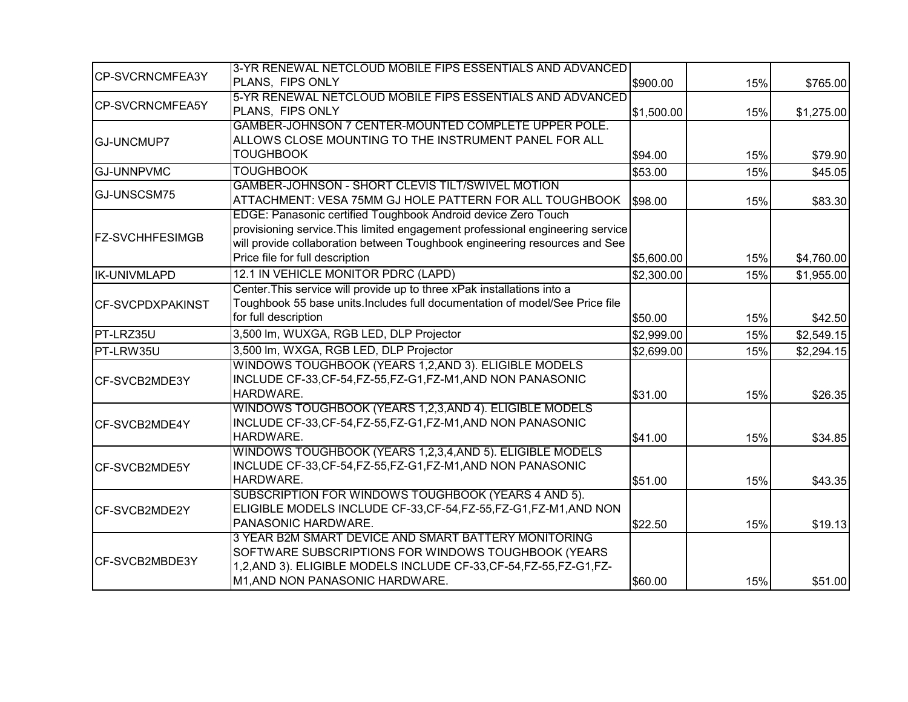| <b>CP-SVCRNCMFEA3Y</b>  | 3-YR RENEWAL NETCLOUD MOBILE FIPS ESSENTIALS AND ADVANCED                      |            |     |            |
|-------------------------|--------------------------------------------------------------------------------|------------|-----|------------|
|                         | PLANS, FIPS ONLY                                                               | \$900.00   | 15% | \$765.00   |
| <b>CP-SVCRNCMFEA5Y</b>  | 5-YR RENEWAL NETCLOUD MOBILE FIPS ESSENTIALS AND ADVANCED<br>PLANS, FIPS ONLY  | \$1,500.00 | 15% | \$1,275.00 |
|                         | GAMBER-JOHNSON 7 CENTER-MOUNTED COMPLETE UPPER POLE.                           |            |     |            |
| <b>GJ-UNCMUP7</b>       | ALLOWS CLOSE MOUNTING TO THE INSTRUMENT PANEL FOR ALL                          |            |     |            |
|                         | <b>TOUGHBOOK</b>                                                               | \$94.00    | 15% | \$79.90    |
| <b>GJ-UNNPVMC</b>       | <b>TOUGHBOOK</b>                                                               | \$53.00    | 15% | \$45.05    |
|                         | GAMBER-JOHNSON - SHORT CLEVIS TILT/SWIVEL MOTION                               |            |     |            |
| GJ-UNSCSM75             | ATTACHMENT: VESA 75MM GJ HOLE PATTERN FOR ALL TOUGHBOOK                        | \$98.00    | 15% | \$83.30    |
|                         | EDGE: Panasonic certified Toughbook Android device Zero Touch                  |            |     |            |
| <b>FZ-SVCHHFESIMGB</b>  | provisioning service. This limited engagement professional engineering service |            |     |            |
|                         | will provide collaboration between Toughbook engineering resources and See     |            |     |            |
|                         | Price file for full description                                                | \$5,600.00 | 15% | \$4,760.00 |
| <b>IK-UNIVMLAPD</b>     | 12.1 IN VEHICLE MONITOR PDRC (LAPD)                                            | \$2,300.00 | 15% | \$1,955.00 |
|                         | Center. This service will provide up to three xPak installations into a        |            |     |            |
| <b>CF-SVCPDXPAKINST</b> | Toughbook 55 base units.Includes full documentation of model/See Price file    |            |     |            |
|                         | for full description                                                           | \$50.00    | 15% | \$42.50    |
| PT-LRZ35U               | 3,500 lm, WUXGA, RGB LED, DLP Projector                                        | \$2,999.00 | 15% | \$2,549.15 |
| PT-LRW35U               | 3,500 lm, WXGA, RGB LED, DLP Projector                                         | \$2,699.00 | 15% | \$2,294.15 |
|                         | WINDOWS TOUGHBOOK (YEARS 1,2, AND 3). ELIGIBLE MODELS                          |            |     |            |
| CF-SVCB2MDE3Y           | INCLUDE CF-33, CF-54, FZ-55, FZ-G1, FZ-M1, AND NON PANASONIC                   |            |     |            |
|                         | HARDWARE.                                                                      | \$31.00    | 15% | \$26.35    |
|                         | WINDOWS TOUGHBOOK (YEARS 1,2,3,AND 4). ELIGIBLE MODELS                         |            |     |            |
| CF-SVCB2MDE4Y           | INCLUDE CF-33, CF-54, FZ-55, FZ-G1, FZ-M1, AND NON PANASONIC                   |            |     |            |
|                         | HARDWARE.                                                                      | \$41.00    | 15% | \$34.85    |
|                         | WINDOWS TOUGHBOOK (YEARS 1,2,3,4,AND 5). ELIGIBLE MODELS                       |            |     |            |
| CF-SVCB2MDE5Y           | INCLUDE CF-33, CF-54, FZ-55, FZ-G1, FZ-M1, AND NON PANASONIC                   |            |     |            |
|                         | HARDWARE.                                                                      | \$51.00    | 15% | \$43.35    |
|                         | SUBSCRIPTION FOR WINDOWS TOUGHBOOK (YEARS 4 AND 5).                            |            |     |            |
| CF-SVCB2MDE2Y           | ELIGIBLE MODELS INCLUDE CF-33, CF-54, FZ-55, FZ-G1, FZ-M1, AND NON             |            |     |            |
|                         | PANASONIC HARDWARE.                                                            | \$22.50    | 15% | \$19.13    |
|                         | 3 YEAR B2M SMART DEVICE AND SMART BATTERY MONITORING                           |            |     |            |
|                         | SOFTWARE SUBSCRIPTIONS FOR WINDOWS TOUGHBOOK (YEARS                            |            |     |            |
| CF-SVCB2MBDE3Y          | 1,2,AND 3). ELIGIBLE MODELS INCLUDE CF-33, CF-54, FZ-55, FZ-G1, FZ-            |            |     |            |
|                         | M1, AND NON PANASONIC HARDWARE.                                                | \$60.00    | 15% | \$51.00    |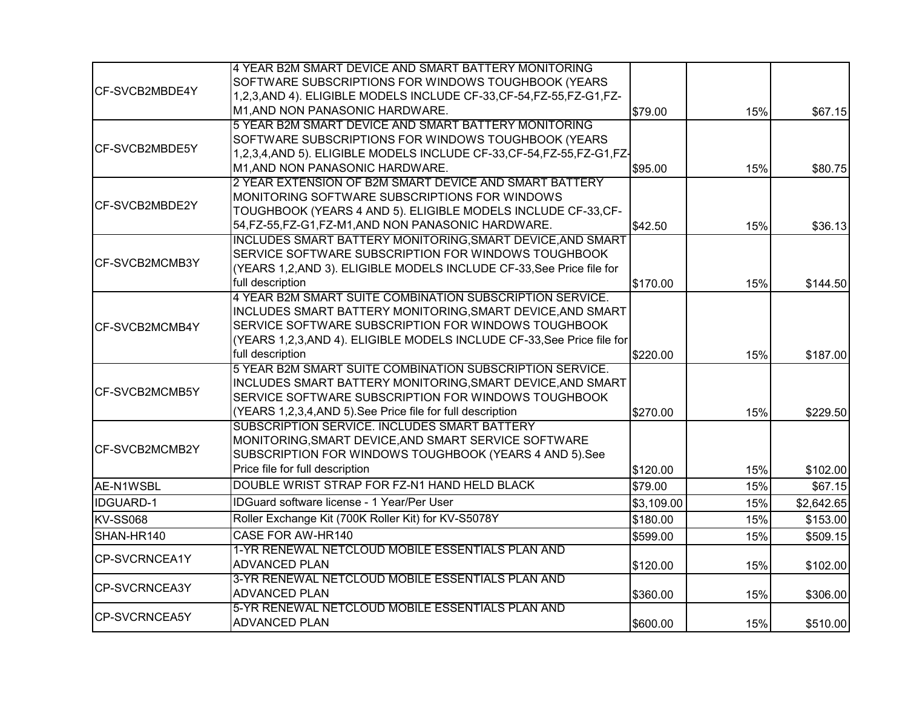|                        | 4 YEAR B2M SMART DEVICE AND SMART BATTERY MONITORING                                                       |            |     |            |
|------------------------|------------------------------------------------------------------------------------------------------------|------------|-----|------------|
| CF-SVCB2MBDE4Y         | SOFTWARE SUBSCRIPTIONS FOR WINDOWS TOUGHBOOK (YEARS                                                        |            |     |            |
|                        | 1,2,3,AND 4). ELIGIBLE MODELS INCLUDE CF-33,CF-54,FZ-55,FZ-G1,FZ-                                          |            |     |            |
|                        | M1, AND NON PANASONIC HARDWARE.                                                                            | \$79.00    | 15% | \$67.15    |
|                        | 5 YEAR B2M SMART DEVICE AND SMART BATTERY MONITORING                                                       |            |     |            |
| <b>CF-SVCB2MBDE5Y</b>  | SOFTWARE SUBSCRIPTIONS FOR WINDOWS TOUGHBOOK (YEARS                                                        |            |     |            |
|                        | 1,2,3,4,AND 5). ELIGIBLE MODELS INCLUDE CF-33, CF-54, FZ-55, FZ-G1, FZ-<br>M1, AND NON PANASONIC HARDWARE. |            |     |            |
|                        | 2 YEAR EXTENSION OF B2M SMART DEVICE AND SMART BATTERY                                                     | \$95.00    | 15% | \$80.75    |
|                        | MONITORING SOFTWARE SUBSCRIPTIONS FOR WINDOWS                                                              |            |     |            |
| CF-SVCB2MBDE2Y         | TOUGHBOOK (YEARS 4 AND 5). ELIGIBLE MODELS INCLUDE CF-33, CF-                                              |            |     |            |
|                        | 54, FZ-55, FZ-G1, FZ-M1, AND NON PANASONIC HARDWARE.                                                       | \$42.50    | 15% | \$36.13    |
|                        | INCLUDES SMART BATTERY MONITORING, SMART DEVICE, AND SMART                                                 |            |     |            |
|                        | SERVICE SOFTWARE SUBSCRIPTION FOR WINDOWS TOUGHBOOK                                                        |            |     |            |
| <b>ICF-SVCB2MCMB3Y</b> | (YEARS 1,2, AND 3). ELIGIBLE MODELS INCLUDE CF-33, See Price file for                                      |            |     |            |
|                        | full description                                                                                           | \$170.00   | 15% | \$144.50   |
|                        | 4 YEAR B2M SMART SUITE COMBINATION SUBSCRIPTION SERVICE.                                                   |            |     |            |
|                        | INCLUDES SMART BATTERY MONITORING, SMART DEVICE, AND SMART                                                 |            |     |            |
| CF-SVCB2MCMB4Y         | SERVICE SOFTWARE SUBSCRIPTION FOR WINDOWS TOUGHBOOK                                                        |            |     |            |
|                        | (YEARS 1,2,3,AND 4). ELIGIBLE MODELS INCLUDE CF-33, See Price file for                                     |            |     |            |
|                        | full description                                                                                           | \$220.00   | 15% | \$187.00   |
|                        | 5 YEAR B2M SMART SUITE COMBINATION SUBSCRIPTION SERVICE.                                                   |            |     |            |
| CF-SVCB2MCMB5Y         | INCLUDES SMART BATTERY MONITORING, SMART DEVICE, AND SMART                                                 |            |     |            |
|                        | SERVICE SOFTWARE SUBSCRIPTION FOR WINDOWS TOUGHBOOK                                                        |            |     |            |
|                        | (YEARS 1,2,3,4,AND 5). See Price file for full description                                                 | \$270.00   | 15% | \$229.50   |
|                        | SUBSCRIPTION SERVICE. INCLUDES SMART BATTERY                                                               |            |     |            |
| CF-SVCB2MCMB2Y         | MONITORING, SMART DEVICE, AND SMART SERVICE SOFTWARE                                                       |            |     |            |
|                        | SUBSCRIPTION FOR WINDOWS TOUGHBOOK (YEARS 4 AND 5).See                                                     |            |     |            |
|                        | Price file for full description                                                                            | \$120.00   | 15% | \$102.00   |
| AE-N1WSBL              | DOUBLE WRIST STRAP FOR FZ-N1 HAND HELD BLACK                                                               | \$79.00    | 15% | \$67.15    |
| IDGUARD-1              | IDGuard software license - 1 Year/Per User                                                                 | \$3,109.00 | 15% | \$2,642.65 |
| <b>KV-SS068</b>        | Roller Exchange Kit (700K Roller Kit) for KV-S5078Y                                                        | \$180.00   | 15% | \$153.00   |
| SHAN-HR140             | CASE FOR AW-HR140                                                                                          | \$599.00   | 15% | \$509.15   |
| CP-SVCRNCEA1Y          | 1-YR RENEWAL NETCLOUD MOBILE ESSENTIALS PLAN AND                                                           |            |     |            |
|                        | <b>ADVANCED PLAN</b>                                                                                       | \$120.00   | 15% | \$102.00   |
| CP-SVCRNCEA3Y          | 3-YR RENEWAL NETCLOUD MOBILE ESSENTIALS PLAN AND                                                           |            |     |            |
|                        | <b>ADVANCED PLAN</b>                                                                                       | \$360.00   | 15% | \$306.00   |
| CP-SVCRNCEA5Y          | 5-YR RENEWAL NETCLOUD MOBILE ESSENTIALS PLAN AND                                                           |            |     |            |
|                        | <b>ADVANCED PLAN</b>                                                                                       | \$600.00   | 15% | \$510.00   |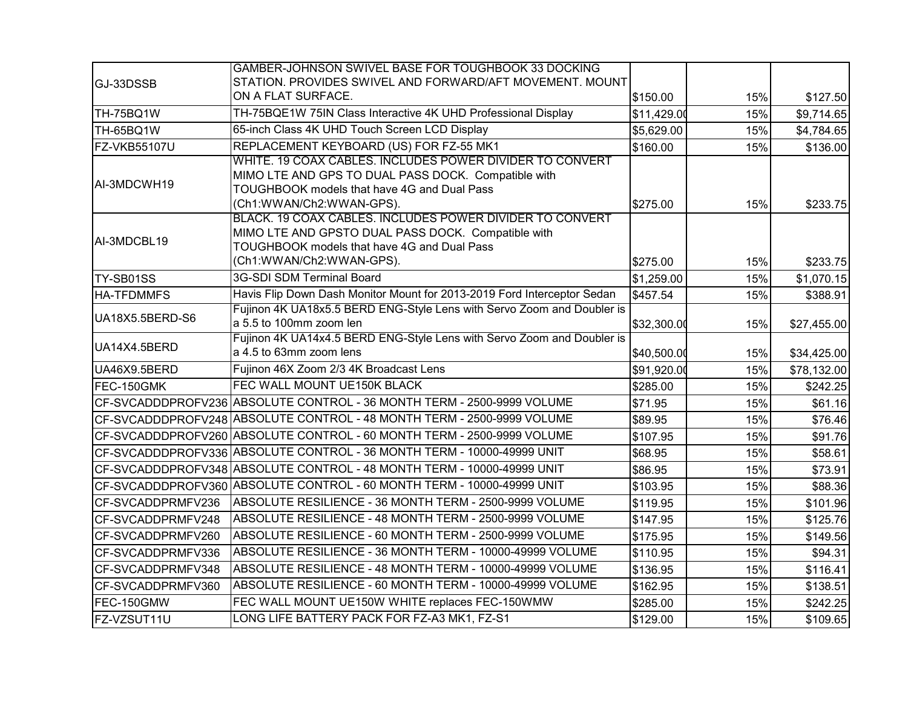|                     | GAMBER-JOHNSON SWIVEL BASE FOR TOUGHBOOK 33 DOCKING                                                                                                                                        |             |     |             |
|---------------------|--------------------------------------------------------------------------------------------------------------------------------------------------------------------------------------------|-------------|-----|-------------|
| GJ-33DSSB           | STATION. PROVIDES SWIVEL AND FORWARD/AFT MOVEMENT. MOUNT                                                                                                                                   |             |     |             |
|                     | ON A FLAT SURFACE.                                                                                                                                                                         | \$150.00    | 15% | \$127.50    |
| TH-75BQ1W           | TH-75BQE1W 75IN Class Interactive 4K UHD Professional Display                                                                                                                              | \$11,429.00 | 15% | \$9,714.65  |
| TH-65BQ1W           | 65-inch Class 4K UHD Touch Screen LCD Display                                                                                                                                              | \$5,629.00  | 15% | \$4,784.65  |
| <b>FZ-VKB55107U</b> | REPLACEMENT KEYBOARD (US) FOR FZ-55 MK1                                                                                                                                                    | \$160.00    | 15% | \$136.00    |
| AI-3MDCWH19         | WHITE. 19 COAX CABLES. INCLUDES POWER DIVIDER TO CONVERT<br>MIMO LTE AND GPS TO DUAL PASS DOCK. Compatible with<br>TOUGHBOOK models that have 4G and Dual Pass<br>(Ch1:WWAN/Ch2:WWAN-GPS). | \$275.00    | 15% | \$233.75    |
| AI-3MDCBL19         | BLACK. 19 COAX CABLES. INCLUDES POWER DIVIDER TO CONVERT<br>MIMO LTE AND GPSTO DUAL PASS DOCK. Compatible with<br>TOUGHBOOK models that have 4G and Dual Pass<br>(Ch1:WWAN/Ch2:WWAN-GPS).  | \$275.00    | 15% | \$233.75    |
| TY-SB01SS           | 3G-SDI SDM Terminal Board                                                                                                                                                                  | \$1,259.00  | 15% | \$1,070.15  |
| <b>HA-TFDMMFS</b>   | Havis Flip Down Dash Monitor Mount for 2013-2019 Ford Interceptor Sedan                                                                                                                    | \$457.54    | 15% | \$388.91    |
| UA18X5.5BERD-S6     | Fujinon 4K UA18x5.5 BERD ENG-Style Lens with Servo Zoom and Doubler is<br>a 5.5 to 100mm zoom len                                                                                          | \$32,300.00 | 15% | \$27,455.00 |
| UA14X4.5BERD        | Fujinon 4K UA14x4.5 BERD ENG-Style Lens with Servo Zoom and Doubler is<br>a 4.5 to 63mm zoom lens                                                                                          | \$40,500.00 | 15% | \$34,425.00 |
| UA46X9.5BERD        | Fujinon 46X Zoom 2/3 4K Broadcast Lens                                                                                                                                                     | \$91,920.00 | 15% | \$78,132.00 |
| FEC-150GMK          | FEC WALL MOUNT UE150K BLACK                                                                                                                                                                | \$285.00    | 15% | \$242.25    |
|                     | CF-SVCADDDPROFV236 ABSOLUTE CONTROL - 36 MONTH TERM - 2500-9999 VOLUME                                                                                                                     | \$71.95     | 15% | \$61.16     |
|                     | CF-SVCADDDPROFV248 ABSOLUTE CONTROL - 48 MONTH TERM - 2500-9999 VOLUME                                                                                                                     | \$89.95     | 15% | \$76.46     |
|                     | CF-SVCADDDPROFV260 ABSOLUTE CONTROL - 60 MONTH TERM - 2500-9999 VOLUME                                                                                                                     | \$107.95    | 15% | \$91.76     |
|                     | CF-SVCADDDPROFV336 ABSOLUTE CONTROL - 36 MONTH TERM - 10000-49999 UNIT                                                                                                                     | \$68.95     | 15% | \$58.61     |
|                     | CF-SVCADDDPROFV348 ABSOLUTE CONTROL - 48 MONTH TERM - 10000-49999 UNIT                                                                                                                     | \$86.95     | 15% | \$73.91     |
|                     | CF-SVCADDDPROFV360 ABSOLUTE CONTROL - 60 MONTH TERM - 10000-49999 UNIT                                                                                                                     | \$103.95    | 15% | \$88.36     |
| CF-SVCADDPRMFV236   | ABSOLUTE RESILIENCE - 36 MONTH TERM - 2500-9999 VOLUME                                                                                                                                     | \$119.95    | 15% | \$101.96    |
| CF-SVCADDPRMFV248   | ABSOLUTE RESILIENCE - 48 MONTH TERM - 2500-9999 VOLUME                                                                                                                                     | \$147.95    | 15% | \$125.76    |
| CF-SVCADDPRMFV260   | ABSOLUTE RESILIENCE - 60 MONTH TERM - 2500-9999 VOLUME                                                                                                                                     | \$175.95    | 15% | \$149.56    |
| CF-SVCADDPRMFV336   | ABSOLUTE RESILIENCE - 36 MONTH TERM - 10000-49999 VOLUME                                                                                                                                   | \$110.95    | 15% | \$94.31     |
| CF-SVCADDPRMFV348   | ABSOLUTE RESILIENCE - 48 MONTH TERM - 10000-49999 VOLUME                                                                                                                                   | \$136.95    | 15% | \$116.41    |
| CF-SVCADDPRMFV360   | ABSOLUTE RESILIENCE - 60 MONTH TERM - 10000-49999 VOLUME                                                                                                                                   | \$162.95    | 15% | \$138.51    |
| FEC-150GMW          | FEC WALL MOUNT UE150W WHITE replaces FEC-150WMW                                                                                                                                            | \$285.00    | 15% | \$242.25    |
| FZ-VZSUT11U         | LONG LIFE BATTERY PACK FOR FZ-A3 MK1, FZ-S1                                                                                                                                                | \$129.00    | 15% | \$109.65    |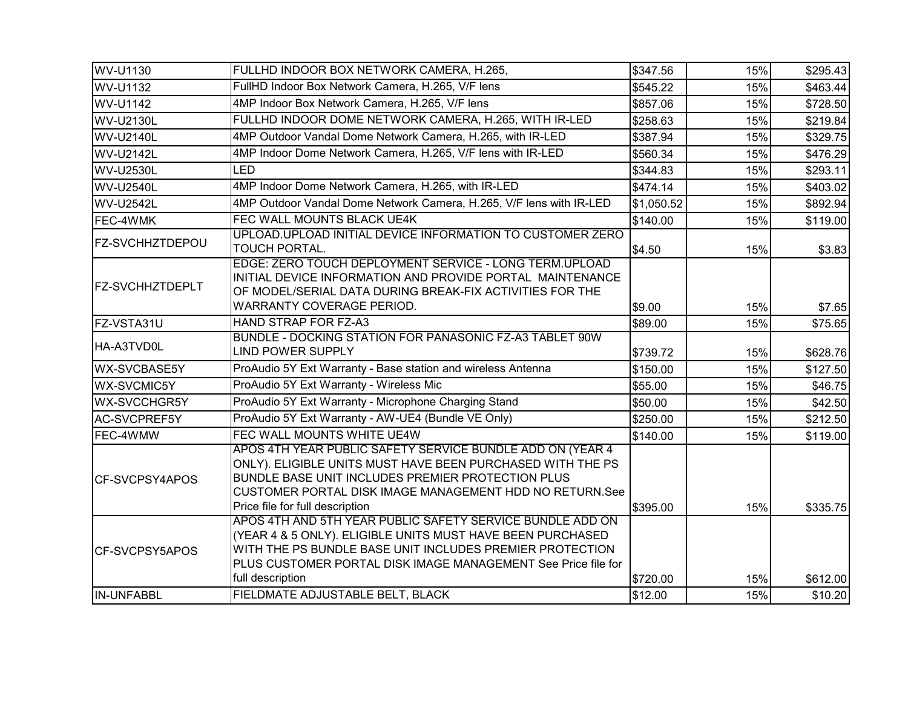| WV-U1130               | FULLHD INDOOR BOX NETWORK CAMERA, H.265,                                                                                                                                                                                                                                   | \$347.56   | 15% | \$295.43 |
|------------------------|----------------------------------------------------------------------------------------------------------------------------------------------------------------------------------------------------------------------------------------------------------------------------|------------|-----|----------|
| WV-U1132               | FullHD Indoor Box Network Camera, H.265, V/F lens                                                                                                                                                                                                                          | \$545.22   | 15% | \$463.44 |
| WV-U1142               | 4MP Indoor Box Network Camera, H.265, V/F lens                                                                                                                                                                                                                             | \$857.06   | 15% | \$728.50 |
| <b>WV-U2130L</b>       | FULLHD INDOOR DOME NETWORK CAMERA, H.265, WITH IR-LED                                                                                                                                                                                                                      | \$258.63   | 15% | \$219.84 |
| <b>WV-U2140L</b>       | 4MP Outdoor Vandal Dome Network Camera, H.265, with IR-LED                                                                                                                                                                                                                 | \$387.94   | 15% | \$329.75 |
| <b>WV-U2142L</b>       | 4MP Indoor Dome Network Camera, H.265, V/F lens with IR-LED                                                                                                                                                                                                                | \$560.34   | 15% | \$476.29 |
| <b>WV-U2530L</b>       | LED                                                                                                                                                                                                                                                                        | \$344.83   | 15% | \$293.11 |
| <b>WV-U2540L</b>       | 4MP Indoor Dome Network Camera, H.265, with IR-LED                                                                                                                                                                                                                         | \$474.14   | 15% | \$403.02 |
| WV-U2542L              | 4MP Outdoor Vandal Dome Network Camera, H.265, V/F lens with IR-LED                                                                                                                                                                                                        | \$1,050.52 | 15% | \$892.94 |
| FEC-4WMK               | FEC WALL MOUNTS BLACK UE4K                                                                                                                                                                                                                                                 | \$140.00   | 15% | \$119.00 |
| <b>FZ-SVCHHZTDEPOU</b> | UPLOAD.UPLOAD INITIAL DEVICE INFORMATION TO CUSTOMER ZERO<br>TOUCH PORTAL.                                                                                                                                                                                                 | \$4.50     | 15% | \$3.83   |
| <b>FZ-SVCHHZTDEPLT</b> | EDGE: ZERO TOUCH DEPLOYMENT SERVICE - LONG TERM.UPLOAD<br>INITIAL DEVICE INFORMATION AND PROVIDE PORTAL MAINTENANCE<br>OF MODEL/SERIAL DATA DURING BREAK-FIX ACTIVITIES FOR THE<br>WARRANTY COVERAGE PERIOD.                                                               | \$9.00     | 15% | \$7.65   |
| FZ-VSTA31U             | HAND STRAP FOR FZ-A3                                                                                                                                                                                                                                                       | \$89.00    | 15% | \$75.65  |
| HA-A3TVD0L             | BUNDLE - DOCKING STATION FOR PANASONIC FZ-A3 TABLET 90W<br><b>LIND POWER SUPPLY</b>                                                                                                                                                                                        | \$739.72   | 15% | \$628.76 |
| <b>WX-SVCBASE5Y</b>    | ProAudio 5Y Ext Warranty - Base station and wireless Antenna                                                                                                                                                                                                               | \$150.00   | 15% | \$127.50 |
| <b>WX-SVCMIC5Y</b>     | ProAudio 5Y Ext Warranty - Wireless Mic                                                                                                                                                                                                                                    | \$55.00    | 15% | \$46.75  |
| <b>WX-SVCCHGR5Y</b>    | ProAudio 5Y Ext Warranty - Microphone Charging Stand                                                                                                                                                                                                                       | \$50.00    | 15% | \$42.50  |
| AC-SVCPREF5Y           | ProAudio 5Y Ext Warranty - AW-UE4 (Bundle VE Only)                                                                                                                                                                                                                         | \$250.00   | 15% | \$212.50 |
| FEC-4WMW               | FEC WALL MOUNTS WHITE UE4W                                                                                                                                                                                                                                                 | \$140.00   | 15% | \$119.00 |
| <b>ICF-SVCPSY4APOS</b> | APOS 4TH YEAR PUBLIC SAFETY SERVICE BUNDLE ADD ON (YEAR 4<br>ONLY). ELIGIBLE UNITS MUST HAVE BEEN PURCHASED WITH THE PS<br>BUNDLE BASE UNIT INCLUDES PREMIER PROTECTION PLUS<br>CUSTOMER PORTAL DISK IMAGE MANAGEMENT HDD NO RETURN.See<br>Price file for full description | \$395.00   | 15% | \$335.75 |
| CF-SVCPSY5APOS         | APOS 4TH AND 5TH YEAR PUBLIC SAFETY SERVICE BUNDLE ADD ON<br>(YEAR 4 & 5 ONLY). ELIGIBLE UNITS MUST HAVE BEEN PURCHASED<br>WITH THE PS BUNDLE BASE UNIT INCLUDES PREMIER PROTECTION<br>PLUS CUSTOMER PORTAL DISK IMAGE MANAGEMENT See Price file for<br>full description   | \$720.00   | 15% | \$612.00 |
| <b>IN-UNFABBL</b>      | FIELDMATE ADJUSTABLE BELT, BLACK                                                                                                                                                                                                                                           | \$12.00    | 15% | \$10.20  |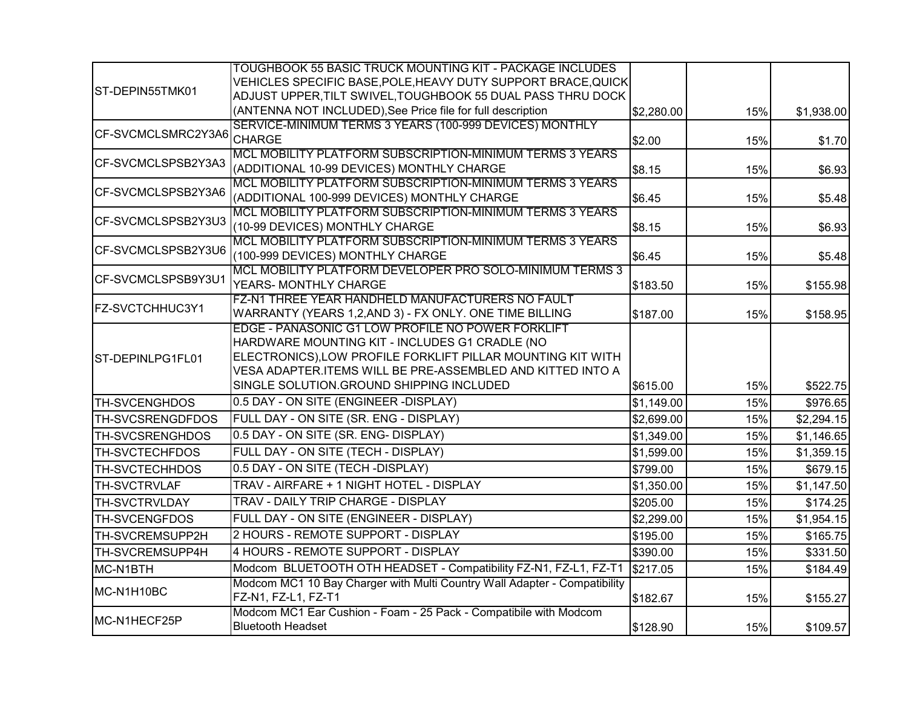|                         | TOUGHBOOK 55 BASIC TRUCK MOUNTING KIT - PACKAGE INCLUDES                          |            |     |            |
|-------------------------|-----------------------------------------------------------------------------------|------------|-----|------------|
|                         | VEHICLES SPECIFIC BASE,POLE,HEAVY DUTY SUPPORT BRACE,QUICK                        |            |     |            |
| ST-DEPIN55TMK01         | ADJUST UPPER, TILT SWIVEL, TOUGHBOOK 55 DUAL PASS THRU DOCK                       |            |     |            |
|                         | (ANTENNA NOT INCLUDED), See Price file for full description                       | \$2,280.00 | 15% | \$1,938.00 |
| CF-SVCMCLSMRC2Y3A6      | SERVICE-MINIMUM TERMS 3 YEARS (100-999 DEVICES) MONTHLY                           |            |     |            |
|                         | <b>CHARGE</b>                                                                     | \$2.00     | 15% | \$1.70     |
| CF-SVCMCLSPSB2Y3A3      | MCL MOBILITY PLATFORM SUBSCRIPTION-MINIMUM TERMS 3 YEARS                          |            |     |            |
|                         | (ADDITIONAL 10-99 DEVICES) MONTHLY CHARGE                                         | \$8.15     | 15% | \$6.93     |
| CF-SVCMCLSPSB2Y3A6      | MCL MOBILITY PLATFORM SUBSCRIPTION-MINIMUM TERMS 3 YEARS                          |            |     |            |
|                         | (ADDITIONAL 100-999 DEVICES) MONTHLY CHARGE                                       | \$6.45     | 15% | \$5.48     |
| CF-SVCMCLSPSB2Y3U3      | MCL MOBILITY PLATFORM SUBSCRIPTION-MINIMUM TERMS 3 YEARS                          |            |     |            |
|                         | (10-99 DEVICES) MONTHLY CHARGE                                                    | \$8.15     | 15% | \$6.93     |
| CF-SVCMCLSPSB2Y3U6      | MCL MOBILITY PLATFORM SUBSCRIPTION-MINIMUM TERMS 3 YEARS                          |            |     |            |
|                         | (100-999 DEVICES) MONTHLY CHARGE                                                  | \$6.45     | 15% | \$5.48     |
| CF-SVCMCLSPSB9Y3U1      | MCL MOBILITY PLATFORM DEVELOPER PRO SOLO-MINIMUM TERMS 3<br>YEARS- MONTHLY CHARGE |            |     |            |
|                         | FZ-N1 THREE YEAR HANDHELD MANUFACTURERS NO FAULT                                  | \$183.50   | 15% | \$155.98   |
| FZ-SVCTCHHUC3Y1         | WARRANTY (YEARS 1,2,AND 3) - FX ONLY. ONE TIME BILLING                            | \$187.00   | 15% | \$158.95   |
|                         | EDGE - PANASONIC G1 LOW PROFILE NO POWER FORKLIFT                                 |            |     |            |
|                         | HARDWARE MOUNTING KIT - INCLUDES G1 CRADLE (NO                                    |            |     |            |
| ST-DEPINLPG1FL01        | ELECTRONICS), LOW PROFILE FORKLIFT PILLAR MOUNTING KIT WITH                       |            |     |            |
|                         | VESA ADAPTER.ITEMS WILL BE PRE-ASSEMBLED AND KITTED INTO A                        |            |     |            |
|                         | SINGLE SOLUTION.GROUND SHIPPING INCLUDED                                          | \$615.00   | 15% | \$522.75   |
| <b>TH-SVCENGHDOS</b>    | 0.5 DAY - ON SITE (ENGINEER -DISPLAY)                                             | \$1,149.00 | 15% | \$976.65   |
| <b>TH-SVCSRENGDFDOS</b> | FULL DAY - ON SITE (SR. ENG - DISPLAY)                                            | \$2,699.00 | 15% | \$2,294.15 |
| <b>TH-SVCSRENGHDOS</b>  | 0.5 DAY - ON SITE (SR. ENG- DISPLAY)                                              | \$1,349.00 | 15% | \$1,146.65 |
| <b>TH-SVCTECHFDOS</b>   | FULL DAY - ON SITE (TECH - DISPLAY)                                               | \$1,599.00 | 15% | \$1,359.15 |
| <b>TH-SVCTECHHDOS</b>   | 0.5 DAY - ON SITE (TECH -DISPLAY)                                                 | \$799.00   | 15% | \$679.15   |
| <b>TH-SVCTRVLAF</b>     | TRAV - AIRFARE + 1 NIGHT HOTEL - DISPLAY                                          | \$1,350.00 | 15% | \$1,147.50 |
| <b>TH-SVCTRVLDAY</b>    | TRAV - DAILY TRIP CHARGE - DISPLAY                                                | \$205.00   | 15% | \$174.25   |
| TH-SVCENGFDOS           | FULL DAY - ON SITE (ENGINEER - DISPLAY)                                           | \$2,299.00 | 15% | \$1,954.15 |
| TH-SVCREMSUPP2H         | 2 HOURS - REMOTE SUPPORT - DISPLAY                                                | \$195.00   | 15% | \$165.75   |
| TH-SVCREMSUPP4H         | 4 HOURS - REMOTE SUPPORT - DISPLAY                                                | \$390.00   | 15% | \$331.50   |
| MC-N1BTH                | Modcom BLUETOOTH OTH HEADSET - Compatibility FZ-N1, FZ-L1, FZ-T1                  | \$217.05   | 15% | \$184.49   |
| MC-N1H10BC              | Modcom MC1 10 Bay Charger with Multi Country Wall Adapter - Compatibility         |            |     |            |
|                         | FZ-N1, FZ-L1, FZ-T1                                                               | \$182.67   | 15% | \$155.27   |
| MC-N1HECF25P            | Modcom MC1 Ear Cushion - Foam - 25 Pack - Compatibile with Modcom                 |            |     |            |
|                         | <b>Bluetooth Headset</b>                                                          | \$128.90   | 15% | \$109.57   |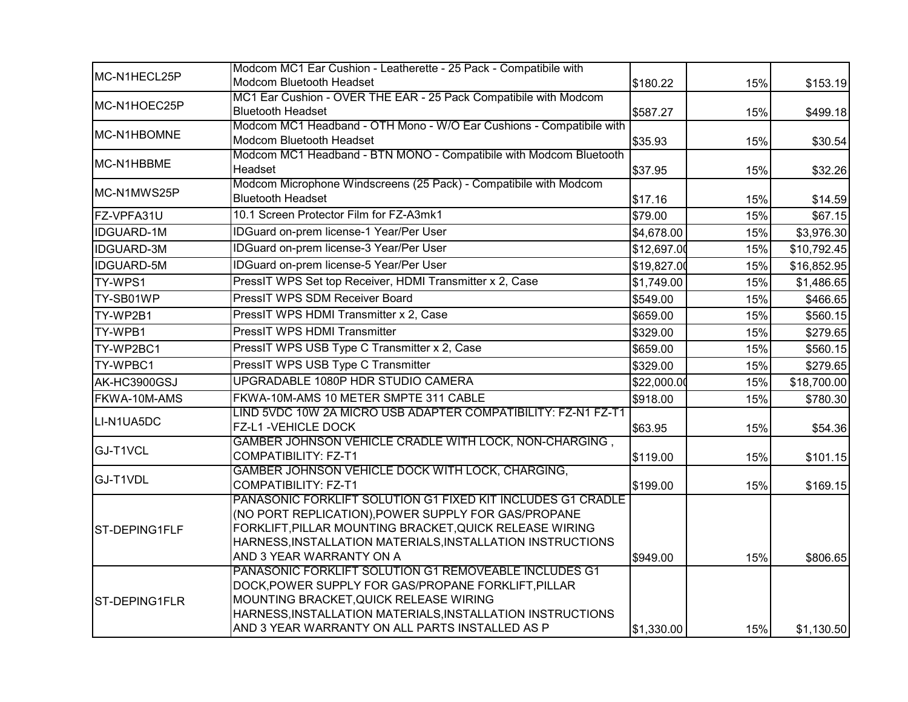| MC-N1HECL25P      | Modcom MC1 Ear Cushion - Leatherette - 25 Pack - Compatibile with                                                                                                                                                                                                       |                 |     |             |
|-------------------|-------------------------------------------------------------------------------------------------------------------------------------------------------------------------------------------------------------------------------------------------------------------------|-----------------|-----|-------------|
|                   | Modcom Bluetooth Headset                                                                                                                                                                                                                                                | \$180.22        | 15% | \$153.19    |
| MC-N1HOEC25P      | MC1 Ear Cushion - OVER THE EAR - 25 Pack Compatibile with Modcom                                                                                                                                                                                                        |                 |     |             |
|                   | <b>Bluetooth Headset</b>                                                                                                                                                                                                                                                | \$587.27        | 15% | \$499.18    |
| MC-N1HBOMNE       | Modcom MC1 Headband - OTH Mono - W/O Ear Cushions - Compatibile with<br>Modcom Bluetooth Headset                                                                                                                                                                        |                 |     |             |
|                   | Modcom MC1 Headband - BTN MONO - Compatibile with Modcom Bluetooth                                                                                                                                                                                                      | \$35.93         | 15% | \$30.54     |
| MC-N1HBBME        | Headset                                                                                                                                                                                                                                                                 | \$37.95         | 15% | \$32.26     |
| MC-N1MWS25P       | Modcom Microphone Windscreens (25 Pack) - Compatibile with Modcom<br><b>Bluetooth Headset</b>                                                                                                                                                                           | \$17.16         | 15% | \$14.59     |
| FZ-VPFA31U        | 10.1 Screen Protector Film for FZ-A3mk1                                                                                                                                                                                                                                 | $\sqrt{$79.00}$ | 15% | \$67.15     |
| <b>IDGUARD-1M</b> | IDGuard on-prem license-1 Year/Per User                                                                                                                                                                                                                                 | \$4,678.00      | 15% | \$3,976.30  |
| <b>IDGUARD-3M</b> | IDGuard on-prem license-3 Year/Per User                                                                                                                                                                                                                                 | \$12,697.00     | 15% | \$10,792.45 |
| <b>IDGUARD-5M</b> | IDGuard on-prem license-5 Year/Per User                                                                                                                                                                                                                                 | \$19,827.00     | 15% | \$16,852.95 |
| TY-WPS1           | PressIT WPS Set top Receiver, HDMI Transmitter x 2, Case                                                                                                                                                                                                                | \$1,749.00      | 15% | \$1,486.65  |
| TY-SB01WP         | PressIT WPS SDM Receiver Board                                                                                                                                                                                                                                          | \$549.00        | 15% | \$466.65    |
| TY-WP2B1          | PressIT WPS HDMI Transmitter x 2, Case                                                                                                                                                                                                                                  | \$659.00        | 15% | \$560.15    |
| TY-WPB1           | PressIT WPS HDMI Transmitter                                                                                                                                                                                                                                            | \$329.00        | 15% | \$279.65    |
| TY-WP2BC1         | PressIT WPS USB Type C Transmitter x 2, Case                                                                                                                                                                                                                            | \$659.00        | 15% | \$560.15    |
| TY-WPBC1          | PressIT WPS USB Type C Transmitter                                                                                                                                                                                                                                      | \$329.00        | 15% | \$279.65    |
| AK-HC3900GSJ      | UPGRADABLE 1080P HDR STUDIO CAMERA                                                                                                                                                                                                                                      | \$22,000.00     | 15% | \$18,700.00 |
| FKWA-10M-AMS      | FKWA-10M-AMS 10 METER SMPTE 311 CABLE                                                                                                                                                                                                                                   | \$918.00        | 15% | \$780.30    |
| LI-N1UA5DC        | LIND 5VDC 10W 2A MICRO USB ADAPTER COMPATIBILITY: FZ-N1 FZ-T1<br>FZ-L1 - VEHICLE DOCK                                                                                                                                                                                   | \$63.95         | 15% | \$54.36     |
| GJ-T1VCL          | GAMBER JOHNSON VEHICLE CRADLE WITH LOCK, NON-CHARGING,<br><b>COMPATIBILITY: FZ-T1</b>                                                                                                                                                                                   | \$119.00        | 15% | \$101.15    |
| GJ-T1VDL          | GAMBER JOHNSON VEHICLE DOCK WITH LOCK, CHARGING,<br><b>COMPATIBILITY: FZ-T1</b>                                                                                                                                                                                         | \$199.00        | 15% | \$169.15    |
| ST-DEPING1FLF     | PANASONIC FORKLIFT SOLUTION G1 FIXED KIT INCLUDES G1 CRADLE<br>(NO PORT REPLICATION), POWER SUPPLY FOR GAS/PROPANE<br>FORKLIFT, PILLAR MOUNTING BRACKET, QUICK RELEASE WIRING<br>HARNESS, INSTALLATION MATERIALS, INSTALLATION INSTRUCTIONS<br>AND 3 YEAR WARRANTY ON A | \$949.00        | 15% | \$806.65    |
| ST-DEPING1FLR     | PANASONIC FORKLIFT SOLUTION G1 REMOVEABLE INCLUDES G1<br>DOCK, POWER SUPPLY FOR GAS/PROPANE FORKLIFT, PILLAR<br>MOUNTING BRACKET, QUICK RELEASE WIRING<br>HARNESS, INSTALLATION MATERIALS, INSTALLATION INSTRUCTIONS<br>AND 3 YEAR WARRANTY ON ALL PARTS INSTALLED AS P | \$1,330.00      | 15% | \$1,130.50  |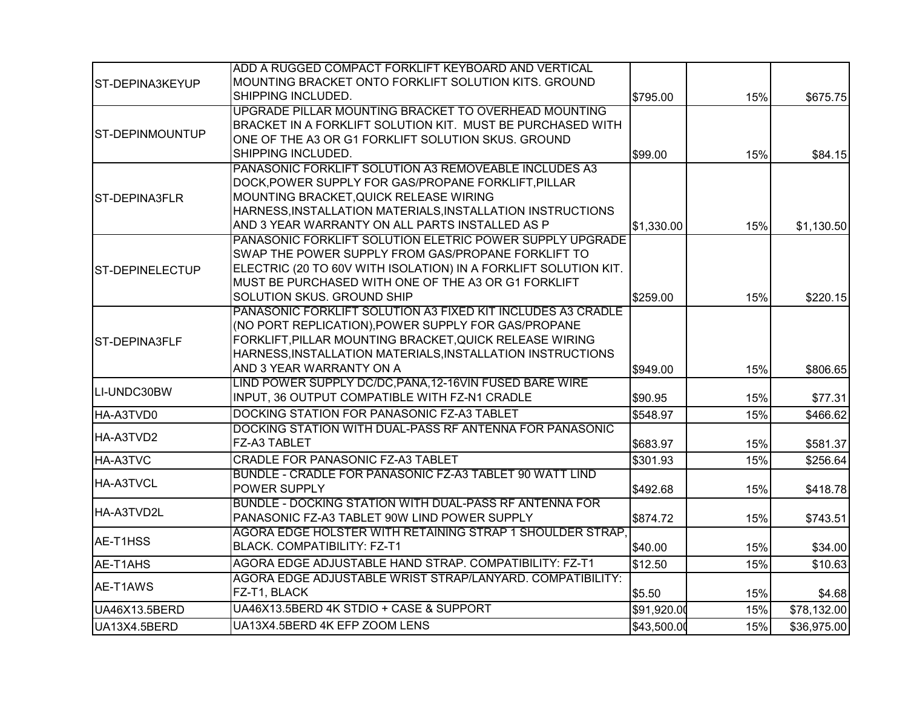|                        | ADD A RUGGED COMPACT FORKLIFT KEYBOARD AND VERTICAL             |             |     |             |
|------------------------|-----------------------------------------------------------------|-------------|-----|-------------|
| <b>ST-DEPINA3KEYUP</b> | MOUNTING BRACKET ONTO FORKLIFT SOLUTION KITS. GROUND            |             |     |             |
|                        | SHIPPING INCLUDED.                                              | \$795.00    | 15% | \$675.75    |
|                        | UPGRADE PILLAR MOUNTING BRACKET TO OVERHEAD MOUNTING            |             |     |             |
|                        | BRACKET IN A FORKLIFT SOLUTION KIT. MUST BE PURCHASED WITH      |             |     |             |
| <b>ST-DEPINMOUNTUP</b> | ONE OF THE A3 OR G1 FORKLIFT SOLUTION SKUS. GROUND              |             |     |             |
|                        | SHIPPING INCLUDED.                                              | \$99.00     | 15% | \$84.15     |
|                        | PANASONIC FORKLIFT SOLUTION A3 REMOVEABLE INCLUDES A3           |             |     |             |
|                        | DOCK, POWER SUPPLY FOR GAS/PROPANE FORKLIFT, PILLAR             |             |     |             |
| <b>ST-DEPINA3FLR</b>   | MOUNTING BRACKET, QUICK RELEASE WIRING                          |             |     |             |
|                        | HARNESS, INSTALLATION MATERIALS, INSTALLATION INSTRUCTIONS      |             |     |             |
|                        | AND 3 YEAR WARRANTY ON ALL PARTS INSTALLED AS P                 | \$1,330.00  | 15% | \$1,130.50  |
|                        | PANASONIC FORKLIFT SOLUTION ELETRIC POWER SUPPLY UPGRADE        |             |     |             |
|                        | SWAP THE POWER SUPPLY FROM GAS/PROPANE FORKLIFT TO              |             |     |             |
| <b>ST-DEPINELECTUP</b> | ELECTRIC (20 TO 60V WITH ISOLATION) IN A FORKLIFT SOLUTION KIT. |             |     |             |
|                        | MUST BE PURCHASED WITH ONE OF THE A3 OR G1 FORKLIFT             |             |     |             |
|                        | SOLUTION SKUS. GROUND SHIP                                      | \$259.00    | 15% | \$220.15    |
|                        | PANASONIC FORKLIFT SOLUTION A3 FIXED KIT INCLUDES A3 CRADLE     |             |     |             |
|                        | (NO PORT REPLICATION), POWER SUPPLY FOR GAS/PROPANE             |             |     |             |
| <b>ST-DEPINA3FLF</b>   | FORKLIFT, PILLAR MOUNTING BRACKET, QUICK RELEASE WIRING         |             |     |             |
|                        | HARNESS, INSTALLATION MATERIALS, INSTALLATION INSTRUCTIONS      |             |     |             |
|                        | AND 3 YEAR WARRANTY ON A                                        | \$949.00    | 15% | \$806.65    |
|                        | LIND POWER SUPPLY DC/DC, PANA, 12-16VIN FUSED BARE WIRE         |             |     |             |
| LI-UNDC30BW            | INPUT, 36 OUTPUT COMPATIBLE WITH FZ-N1 CRADLE                   | \$90.95     | 15% | \$77.31     |
| HA-A3TVD0              | DOCKING STATION FOR PANASONIC FZ-A3 TABLET                      | \$548.97    | 15% | \$466.62    |
|                        | DOCKING STATION WITH DUAL-PASS RF ANTENNA FOR PANASONIC         |             |     |             |
| HA-A3TVD2              | FZ-A3 TABLET                                                    | \$683.97    | 15% | \$581.37    |
| HA-A3TVC               | CRADLE FOR PANASONIC FZ-A3 TABLET                               | \$301.93    | 15% | \$256.64    |
|                        | BUNDLE - CRADLE FOR PANASONIC FZ-A3 TABLET 90 WATT LIND         |             |     |             |
| <b>HA-A3TVCL</b>       | POWER SUPPLY                                                    | \$492.68    | 15% | \$418.78    |
|                        | BUNDLE - DOCKING STATION WITH DUAL-PASS RF ANTENNA FOR          |             |     |             |
| HA-A3TVD2L             | PANASONIC FZ-A3 TABLET 90W LIND POWER SUPPLY                    | \$874.72    | 15% | \$743.51    |
|                        | AGORA EDGE HOLSTER WITH RETAINING STRAP 1 SHOULDER STRAP.       |             |     |             |
| AE-T1HSS               | BLACK. COMPATIBILITY: FZ-T1                                     | \$40.00     | 15% | \$34.00     |
| AE-T1AHS               | AGORA EDGE ADJUSTABLE HAND STRAP. COMPATIBILITY: FZ-T1          | \$12.50     | 15% | \$10.63     |
|                        | AGORA EDGE ADJUSTABLE WRIST STRAP/LANYARD. COMPATIBILITY:       |             |     |             |
| AE-T1AWS               | FZ-T1, BLACK                                                    | \$5.50      | 15% | \$4.68      |
| UA46X13.5BERD          | UA46X13.5BERD 4K STDIO + CASE & SUPPORT                         | \$91,920.00 | 15% | \$78,132.00 |
| UA13X4.5BERD           | UA13X4.5BERD 4K EFP ZOOM LENS                                   | \$43,500.00 | 15% | \$36,975.00 |
|                        |                                                                 |             |     |             |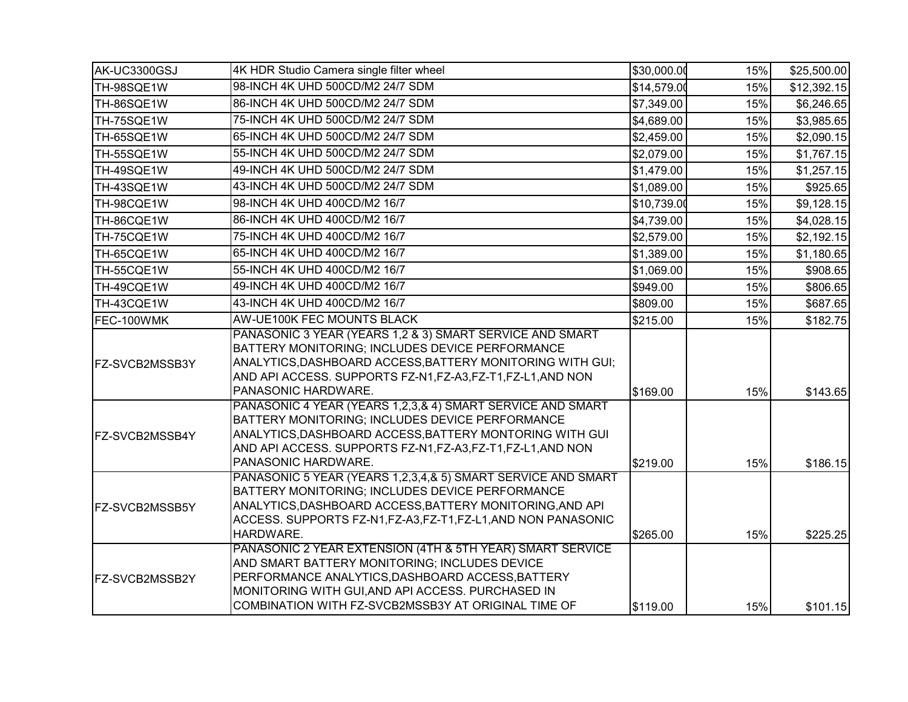| AK-UC3300GSJ   | 4K HDR Studio Camera single filter wheel                                                                                                                                                                                                                                   | \$30,000.00 | 15% | \$25,500.00 |
|----------------|----------------------------------------------------------------------------------------------------------------------------------------------------------------------------------------------------------------------------------------------------------------------------|-------------|-----|-------------|
| TH-98SQE1W     | 98-INCH 4K UHD 500CD/M2 24/7 SDM                                                                                                                                                                                                                                           | \$14,579.00 | 15% | \$12,392.15 |
| TH-86SQE1W     | 86-INCH 4K UHD 500CD/M2 24/7 SDM                                                                                                                                                                                                                                           | \$7,349.00  | 15% | \$6,246.65  |
| TH-75SQE1W     | 75-INCH 4K UHD 500CD/M2 24/7 SDM                                                                                                                                                                                                                                           | \$4,689.00  | 15% | \$3,985.65  |
| TH-65SQE1W     | 65-INCH 4K UHD 500CD/M2 24/7 SDM                                                                                                                                                                                                                                           | \$2,459.00  | 15% | \$2,090.15  |
| TH-55SQE1W     | 55-INCH 4K UHD 500CD/M2 24/7 SDM                                                                                                                                                                                                                                           | \$2,079.00  | 15% | \$1,767.15  |
| TH-49SQE1W     | 49-INCH 4K UHD 500CD/M2 24/7 SDM                                                                                                                                                                                                                                           | \$1,479.00  | 15% | \$1,257.15  |
| TH-43SQE1W     | 43-INCH 4K UHD 500CD/M2 24/7 SDM                                                                                                                                                                                                                                           | \$1,089.00  | 15% | \$925.65    |
| TH-98CQE1W     | 98-INCH 4K UHD 400CD/M2 16/7                                                                                                                                                                                                                                               | \$10,739.00 | 15% | \$9,128.15  |
| TH-86CQE1W     | 86-INCH 4K UHD 400CD/M2 16/7                                                                                                                                                                                                                                               | \$4,739.00  | 15% | \$4,028.15  |
| TH-75CQE1W     | 75-INCH 4K UHD 400CD/M2 16/7                                                                                                                                                                                                                                               | \$2,579.00  | 15% | \$2,192.15  |
| TH-65CQE1W     | 65-INCH 4K UHD 400CD/M2 16/7                                                                                                                                                                                                                                               | \$1,389.00  | 15% | \$1,180.65  |
| TH-55CQE1W     | 55-INCH 4K UHD 400CD/M2 16/7                                                                                                                                                                                                                                               | \$1,069.00  | 15% | \$908.65    |
| TH-49CQE1W     | 49-INCH 4K UHD 400CD/M2 16/7                                                                                                                                                                                                                                               | \$949.00    | 15% | \$806.65    |
| TH-43CQE1W     | 43-INCH 4K UHD 400CD/M2 16/7                                                                                                                                                                                                                                               | \$809.00    | 15% | \$687.65    |
| FEC-100WMK     | AW-UE100K FEC MOUNTS BLACK                                                                                                                                                                                                                                                 | \$215.00    | 15% | \$182.75    |
| FZ-SVCB2MSSB3Y | PANASONIC 3 YEAR (YEARS 1,2 & 3) SMART SERVICE AND SMART<br>BATTERY MONITORING; INCLUDES DEVICE PERFORMANCE<br>ANALYTICS, DASHBOARD ACCESS, BATTERY MONITORING WITH GUI;<br>AND API ACCESS. SUPPORTS FZ-N1, FZ-A3, FZ-T1, FZ-L1, AND NON<br>PANASONIC HARDWARE.            | \$169.00    | 15% | \$143.65    |
| FZ-SVCB2MSSB4Y | PANASONIC 4 YEAR (YEARS 1,2,3,& 4) SMART SERVICE AND SMART<br>BATTERY MONITORING; INCLUDES DEVICE PERFORMANCE<br>ANALYTICS, DASHBOARD ACCESS, BATTERY MONTORING WITH GUI<br>AND API ACCESS. SUPPORTS FZ-N1, FZ-A3, FZ-T1, FZ-L1, AND NON<br>PANASONIC HARDWARE.            | \$219.00    | 15% | \$186.15    |
| FZ-SVCB2MSSB5Y | PANASONIC 5 YEAR (YEARS 1,2,3,4,& 5) SMART SERVICE AND SMART<br>BATTERY MONITORING; INCLUDES DEVICE PERFORMANCE<br>ANALYTICS, DASHBOARD ACCESS, BATTERY MONITORING, AND API<br>ACCESS. SUPPORTS FZ-N1, FZ-A3, FZ-T1, FZ-L1, AND NON PANASONIC<br>HARDWARE.                 | \$265.00    | 15% | \$225.25    |
| FZ-SVCB2MSSB2Y | PANASONIC 2 YEAR EXTENSION (4TH & 5TH YEAR) SMART SERVICE<br>AND SMART BATTERY MONITORING; INCLUDES DEVICE<br>PERFORMANCE ANALYTICS, DASHBOARD ACCESS, BATTERY<br>MONITORING WITH GUI, AND API ACCESS. PURCHASED IN<br>COMBINATION WITH FZ-SVCB2MSSB3Y AT ORIGINAL TIME OF | \$119.00    | 15% | \$101.15    |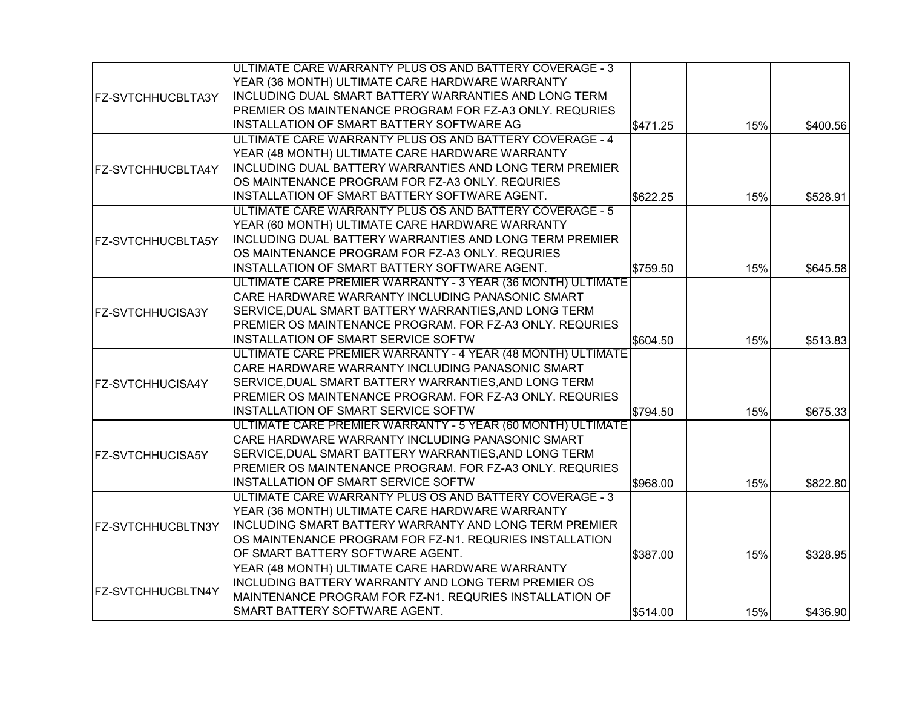|                          | ULTIMATE CARE WARRANTY PLUS OS AND BATTERY COVERAGE - 3     |          |     |          |
|--------------------------|-------------------------------------------------------------|----------|-----|----------|
|                          | YEAR (36 MONTH) ULTIMATE CARE HARDWARE WARRANTY             |          |     |          |
| <b>FZ-SVTCHHUCBLTA3Y</b> | INCLUDING DUAL SMART BATTERY WARRANTIES AND LONG TERM       |          |     |          |
|                          | PREMIER OS MAINTENANCE PROGRAM FOR FZ-A3 ONLY. REQURIES     |          |     |          |
|                          | INSTALLATION OF SMART BATTERY SOFTWARE AG                   | \$471.25 | 15% | \$400.56 |
|                          | ULTIMATE CARE WARRANTY PLUS OS AND BATTERY COVERAGE - 4     |          |     |          |
|                          | YEAR (48 MONTH) ULTIMATE CARE HARDWARE WARRANTY             |          |     |          |
| <b>FZ-SVTCHHUCBLTA4Y</b> | INCLUDING DUAL BATTERY WARRANTIES AND LONG TERM PREMIER     |          |     |          |
|                          | OS MAINTENANCE PROGRAM FOR FZ-A3 ONLY. REQURIES             |          |     |          |
|                          | INSTALLATION OF SMART BATTERY SOFTWARE AGENT.               | \$622.25 | 15% | \$528.91 |
|                          | ULTIMATE CARE WARRANTY PLUS OS AND BATTERY COVERAGE - 5     |          |     |          |
|                          | YEAR (60 MONTH) ULTIMATE CARE HARDWARE WARRANTY             |          |     |          |
| <b>FZ-SVTCHHUCBLTA5Y</b> | INCLUDING DUAL BATTERY WARRANTIES AND LONG TERM PREMIER     |          |     |          |
|                          | OS MAINTENANCE PROGRAM FOR FZ-A3 ONLY. REQURIES             |          |     |          |
|                          | INSTALLATION OF SMART BATTERY SOFTWARE AGENT.               | \$759.50 | 15% | \$645.58 |
|                          | ULTIMATE CARE PREMIER WARRANTY - 3 YEAR (36 MONTH) ULTIMATE |          |     |          |
|                          | CARE HARDWARE WARRANTY INCLUDING PANASONIC SMART            |          |     |          |
| <b>FZ-SVTCHHUCISA3Y</b>  | SERVICE, DUAL SMART BATTERY WARRANTIES, AND LONG TERM       |          |     |          |
|                          | PREMIER OS MAINTENANCE PROGRAM. FOR FZ-A3 ONLY. REQURIES    |          |     |          |
|                          | INSTALLATION OF SMART SERVICE SOFTW                         | \$604.50 | 15% | \$513.83 |
|                          | ULTIMATE CARE PREMIER WARRANTY - 4 YEAR (48 MONTH) ULTIMATE |          |     |          |
|                          | CARE HARDWARE WARRANTY INCLUDING PANASONIC SMART            |          |     |          |
| <b>FZ-SVTCHHUCISA4Y</b>  | SERVICE, DUAL SMART BATTERY WARRANTIES, AND LONG TERM       |          |     |          |
|                          | PREMIER OS MAINTENANCE PROGRAM. FOR FZ-A3 ONLY. REQURIES    |          |     |          |
|                          | INSTALLATION OF SMART SERVICE SOFTW                         | \$794.50 | 15% | \$675.33 |
|                          | ULTIMATE CARE PREMIER WARRANTY - 5 YEAR (60 MONTH) ULTIMATE |          |     |          |
|                          | CARE HARDWARE WARRANTY INCLUDING PANASONIC SMART            |          |     |          |
| <b>FZ-SVTCHHUCISA5Y</b>  | SERVICE, DUAL SMART BATTERY WARRANTIES, AND LONG TERM       |          |     |          |
|                          | PREMIER OS MAINTENANCE PROGRAM. FOR FZ-A3 ONLY. REQURIES    |          |     |          |
|                          | INSTALLATION OF SMART SERVICE SOFTW                         | \$968.00 | 15% | \$822.80 |
|                          | ULTIMATE CARE WARRANTY PLUS OS AND BATTERY COVERAGE - 3     |          |     |          |
|                          | YEAR (36 MONTH) ULTIMATE CARE HARDWARE WARRANTY             |          |     |          |
| <b>FZ-SVTCHHUCBLTN3Y</b> | INCLUDING SMART BATTERY WARRANTY AND LONG TERM PREMIER      |          |     |          |
|                          | OS MAINTENANCE PROGRAM FOR FZ-N1. REQURIES INSTALLATION     |          |     |          |
|                          | OF SMART BATTERY SOFTWARE AGENT.                            | \$387.00 | 15% | \$328.95 |
|                          | YEAR (48 MONTH) ULTIMATE CARE HARDWARE WARRANTY             |          |     |          |
|                          | INCLUDING BATTERY WARRANTY AND LONG TERM PREMIER OS         |          |     |          |
| <b>FZ-SVTCHHUCBLTN4Y</b> | MAINTENANCE PROGRAM FOR FZ-N1. REQURIES INSTALLATION OF     |          |     |          |
|                          | SMART BATTERY SOFTWARE AGENT.                               | \$514.00 | 15% | \$436.90 |
|                          |                                                             |          |     |          |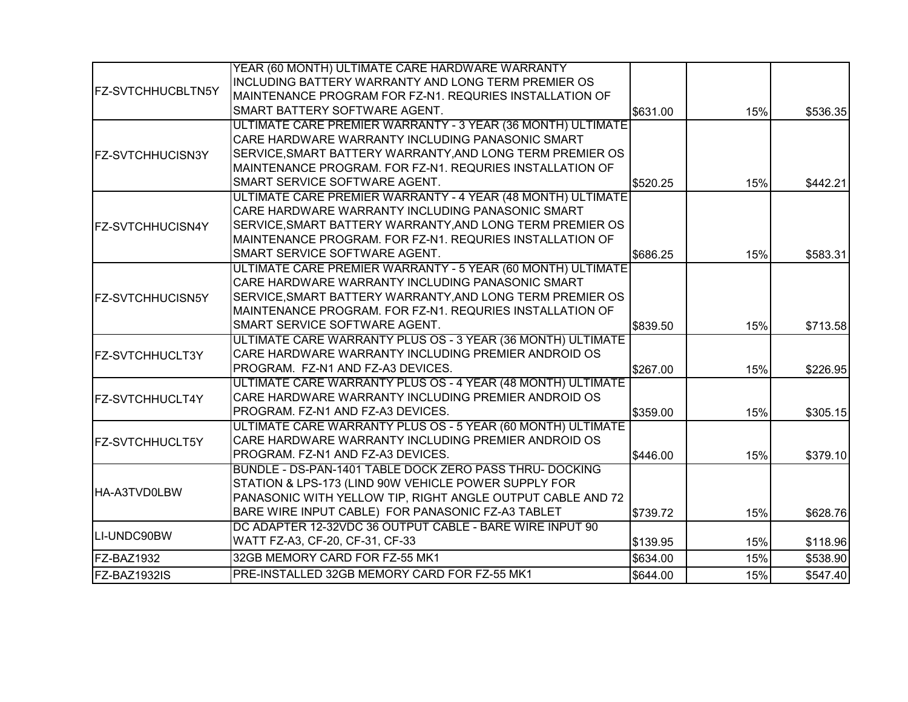|                          | YEAR (60 MONTH) ULTIMATE CARE HARDWARE WARRANTY             |          |     |          |
|--------------------------|-------------------------------------------------------------|----------|-----|----------|
| <b>FZ-SVTCHHUCBLTN5Y</b> | INCLUDING BATTERY WARRANTY AND LONG TERM PREMIER OS         |          |     |          |
|                          | MAINTENANCE PROGRAM FOR FZ-N1. REQURIES INSTALLATION OF     |          |     |          |
|                          | SMART BATTERY SOFTWARE AGENT.                               | \$631.00 | 15% | \$536.35 |
|                          | ULTIMATE CARE PREMIER WARRANTY - 3 YEAR (36 MONTH) ULTIMATE |          |     |          |
|                          | CARE HARDWARE WARRANTY INCLUDING PANASONIC SMART            |          |     |          |
| <b>FZ-SVTCHHUCISN3Y</b>  | SERVICE, SMART BATTERY WARRANTY, AND LONG TERM PREMIER OS   |          |     |          |
|                          | MAINTENANCE PROGRAM. FOR FZ-N1. REQURIES INSTALLATION OF    |          |     |          |
|                          | SMART SERVICE SOFTWARE AGENT.                               | \$520.25 | 15% | \$442.21 |
|                          | ULTIMATE CARE PREMIER WARRANTY - 4 YEAR (48 MONTH) ULTIMATE |          |     |          |
|                          | CARE HARDWARE WARRANTY INCLUDING PANASONIC SMART            |          |     |          |
| <b>FZ-SVTCHHUCISN4Y</b>  | SERVICE, SMART BATTERY WARRANTY, AND LONG TERM PREMIER OS   |          |     |          |
|                          | MAINTENANCE PROGRAM. FOR FZ-N1. REQURIES INSTALLATION OF    |          |     |          |
|                          | SMART SERVICE SOFTWARE AGENT.                               | \$686.25 | 15% | \$583.31 |
|                          | ULTIMATE CARE PREMIER WARRANTY - 5 YEAR (60 MONTH) ULTIMATE |          |     |          |
| <b>FZ-SVTCHHUCISN5Y</b>  | CARE HARDWARE WARRANTY INCLUDING PANASONIC SMART            |          |     |          |
|                          | SERVICE, SMART BATTERY WARRANTY, AND LONG TERM PREMIER OS   |          |     |          |
|                          | MAINTENANCE PROGRAM. FOR FZ-N1. REQURIES INSTALLATION OF    |          |     |          |
|                          | SMART SERVICE SOFTWARE AGENT.                               | \$839.50 | 15% | \$713.58 |
|                          | ULTIMATE CARE WARRANTY PLUS OS - 3 YEAR (36 MONTH) ULTIMATE |          |     |          |
| <b>FZ-SVTCHHUCLT3Y</b>   | CARE HARDWARE WARRANTY INCLUDING PREMIER ANDROID OS         |          |     |          |
|                          | PROGRAM. FZ-N1 AND FZ-A3 DEVICES.                           | \$267.00 | 15% | \$226.95 |
|                          | ULTIMATE CARE WARRANTY PLUS OS - 4 YEAR (48 MONTH) ULTIMATE |          |     |          |
| <b>FZ-SVTCHHUCLT4Y</b>   | CARE HARDWARE WARRANTY INCLUDING PREMIER ANDROID OS         |          |     |          |
|                          | PROGRAM. FZ-N1 AND FZ-A3 DEVICES.                           | \$359.00 | 15% | \$305.15 |
|                          | ULTIMATE CARE WARRANTY PLUS OS - 5 YEAR (60 MONTH) ULTIMATE |          |     |          |
| <b>FZ-SVTCHHUCLT5Y</b>   | CARE HARDWARE WARRANTY INCLUDING PREMIER ANDROID OS         |          |     |          |
|                          | PROGRAM. FZ-N1 AND FZ-A3 DEVICES.                           | \$446.00 | 15% | \$379.10 |
|                          | BUNDLE - DS-PAN-1401 TABLE DOCK ZERO PASS THRU- DOCKING     |          |     |          |
|                          | STATION & LPS-173 (LIND 90W VEHICLE POWER SUPPLY FOR        |          |     |          |
| <b>HA-A3TVD0LBW</b>      | PANASONIC WITH YELLOW TIP, RIGHT ANGLE OUTPUT CABLE AND 72  |          |     |          |
|                          | BARE WIRE INPUT CABLE) FOR PANASONIC FZ-A3 TABLET           | \$739.72 | 15% | \$628.76 |
|                          | DC ADAPTER 12-32VDC 36 OUTPUT CABLE - BARE WIRE INPUT 90    |          |     |          |
| LI-UNDC90BW              | WATT FZ-A3, CF-20, CF-31, CF-33                             | \$139.95 | 15% | \$118.96 |
| FZ-BAZ1932               | 32GB MEMORY CARD FOR FZ-55 MK1                              | \$634.00 | 15% | \$538.90 |
| FZ-BAZ1932IS             | PRE-INSTALLED 32GB MEMORY CARD FOR FZ-55 MK1                | \$644.00 | 15% | \$547.40 |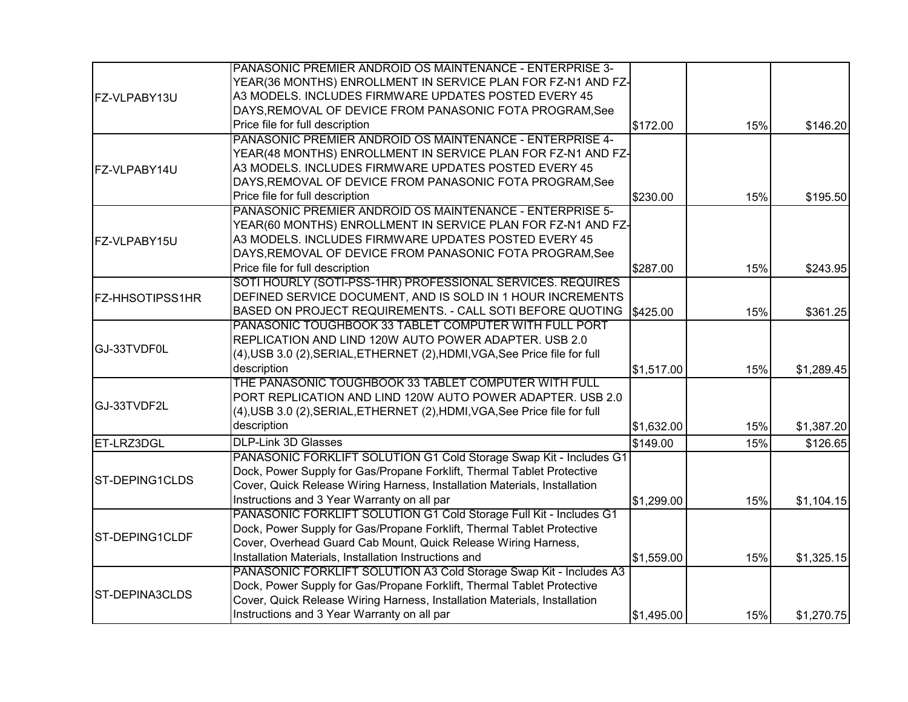|                        | PANASONIC PREMIER ANDROID OS MAINTENANCE - ENTERPRISE 3-                   |            |     |            |
|------------------------|----------------------------------------------------------------------------|------------|-----|------------|
|                        | YEAR(36 MONTHS) ENROLLMENT IN SERVICE PLAN FOR FZ-N1 AND FZ-               |            |     |            |
| FZ-VLPABY13U           | A3 MODELS. INCLUDES FIRMWARE UPDATES POSTED EVERY 45                       |            |     |            |
|                        | DAYS, REMOVAL OF DEVICE FROM PANASONIC FOTA PROGRAM, See                   |            |     |            |
|                        | Price file for full description                                            | \$172.00   | 15% | \$146.20   |
|                        | PANASONIC PREMIER ANDROID OS MAINTENANCE - ENTERPRISE 4-                   |            |     |            |
|                        | YEAR(48 MONTHS) ENROLLMENT IN SERVICE PLAN FOR FZ-N1 AND FZ-               |            |     |            |
| FZ-VLPABY14U           | A3 MODELS. INCLUDES FIRMWARE UPDATES POSTED EVERY 45                       |            |     |            |
|                        | DAYS, REMOVAL OF DEVICE FROM PANASONIC FOTA PROGRAM, See                   |            |     |            |
|                        | Price file for full description                                            | \$230.00   | 15% | \$195.50   |
|                        | PANASONIC PREMIER ANDROID OS MAINTENANCE - ENTERPRISE 5-                   |            |     |            |
|                        | YEAR(60 MONTHS) ENROLLMENT IN SERVICE PLAN FOR FZ-N1 AND FZ-               |            |     |            |
| FZ-VLPABY15U           | A3 MODELS. INCLUDES FIRMWARE UPDATES POSTED EVERY 45                       |            |     |            |
|                        | DAYS, REMOVAL OF DEVICE FROM PANASONIC FOTA PROGRAM, See                   |            |     |            |
|                        | Price file for full description                                            | \$287.00   | 15% | \$243.95   |
|                        | SOTI HOURLY (SOTI-PSS-1HR) PROFESSIONAL SERVICES. REQUIRES                 |            |     |            |
| <b>FZ-HHSOTIPSS1HR</b> | DEFINED SERVICE DOCUMENT, AND IS SOLD IN 1 HOUR INCREMENTS                 |            |     |            |
|                        | BASED ON PROJECT REQUIREMENTS. - CALL SOTI BEFORE QUOTING                  | \$425.00   | 15% | \$361.25   |
|                        | PANASONIC TOUGHBOOK 33 TABLET COMPUTER WITH FULL PORT                      |            |     |            |
|                        | REPLICATION AND LIND 120W AUTO POWER ADAPTER. USB 2.0                      |            |     |            |
| GJ-33TVDF0L            | (4), USB 3.0 (2), SERIAL, ETHERNET (2), HDMI, VGA, See Price file for full |            |     |            |
|                        | description                                                                | \$1,517.00 | 15% | \$1,289.45 |
|                        | THE PANASONIC TOUGHBOOK 33 TABLET COMPUTER WITH FULL                       |            |     |            |
|                        | PORT REPLICATION AND LIND 120W AUTO POWER ADAPTER. USB 2.0                 |            |     |            |
| GJ-33TVDF2L            | (4), USB 3.0 (2), SERIAL, ETHERNET (2), HDMI, VGA, See Price file for full |            |     |            |
|                        | description                                                                | \$1,632.00 | 15% | \$1,387.20 |
| ET-LRZ3DGL             | <b>DLP-Link 3D Glasses</b>                                                 | \$149.00   | 15% | \$126.65   |
|                        | PANASONIC FORKLIFT SOLUTION G1 Cold Storage Swap Kit - Includes G1         |            |     |            |
|                        | Dock, Power Supply for Gas/Propane Forklift, Thermal Tablet Protective     |            |     |            |
| <b>ST-DEPING1CLDS</b>  | Cover, Quick Release Wiring Harness, Installation Materials, Installation  |            |     |            |
|                        | Instructions and 3 Year Warranty on all par                                | \$1,299.00 | 15% | \$1,104.15 |
|                        | PANASONIC FORKLIFT SOLUTION G1 Cold Storage Full Kit - Includes G1         |            |     |            |
|                        | Dock, Power Supply for Gas/Propane Forklift, Thermal Tablet Protective     |            |     |            |
| ST-DEPING1CLDF         | Cover, Overhead Guard Cab Mount, Quick Release Wiring Harness,             |            |     |            |
|                        | Installation Materials, Installation Instructions and                      | \$1,559.00 | 15% | \$1,325.15 |
|                        | PANASONIC FORKLIFT SOLUTION A3 Cold Storage Swap Kit - Includes A3         |            |     |            |
|                        | Dock, Power Supply for Gas/Propane Forklift, Thermal Tablet Protective     |            |     |            |
| <b>ST-DEPINA3CLDS</b>  | Cover, Quick Release Wiring Harness, Installation Materials, Installation  |            |     |            |
|                        | Instructions and 3 Year Warranty on all par                                | \$1,495.00 | 15% | \$1,270.75 |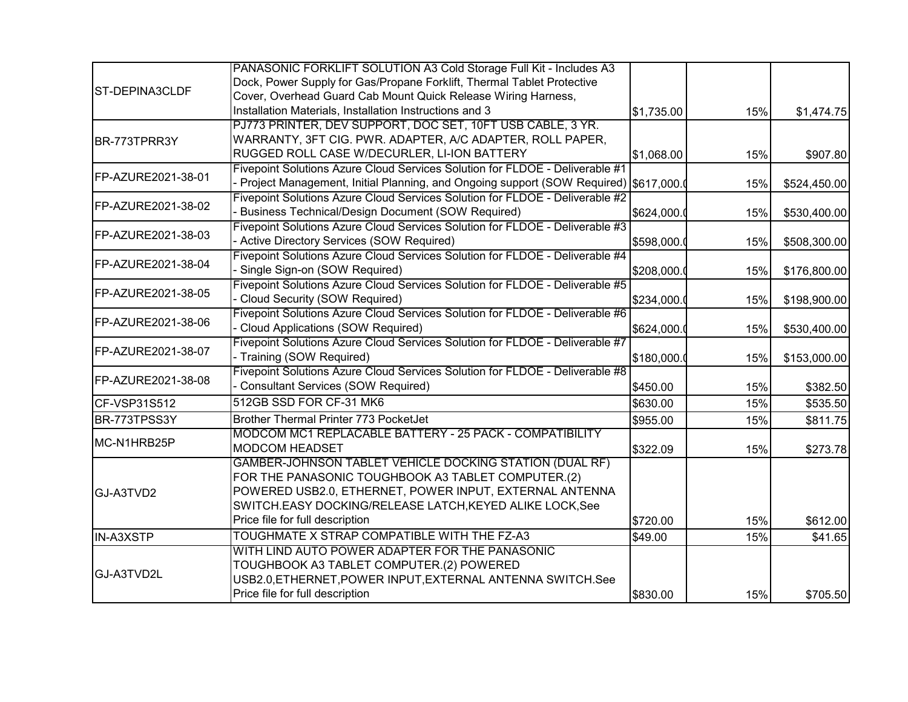|                       | PANASONIC FORKLIFT SOLUTION A3 Cold Storage Full Kit - Includes A3                    |             |     |              |
|-----------------------|---------------------------------------------------------------------------------------|-------------|-----|--------------|
| <b>ST-DEPINA3CLDF</b> | Dock, Power Supply for Gas/Propane Forklift, Thermal Tablet Protective                |             |     |              |
|                       | Cover, Overhead Guard Cab Mount Quick Release Wiring Harness,                         |             |     |              |
|                       | Installation Materials, Installation Instructions and 3                               | \$1,735.00  | 15% | \$1,474.75   |
|                       | PJ773 PRINTER, DEV SUPPORT, DOC SET, 10FT USB CABLE, 3 YR.                            |             |     |              |
| BR-773TPRR3Y          | WARRANTY, 3FT CIG. PWR. ADAPTER, A/C ADAPTER, ROLL PAPER,                             |             |     |              |
|                       | RUGGED ROLL CASE W/DECURLER, LI-ION BATTERY                                           | \$1,068.00  | 15% | \$907.80     |
|                       | Fivepoint Solutions Azure Cloud Services Solution for FLDOE - Deliverable #1          |             |     |              |
| FP-AZURE2021-38-01    | - Project Management, Initial Planning, and Ongoing support (SOW Required) S617,000.( |             | 15% | \$524,450.00 |
| FP-AZURE2021-38-02    | Fivepoint Solutions Azure Cloud Services Solution for FLDOE - Deliverable #2          |             |     |              |
|                       | - Business Technical/Design Document (SOW Required)                                   | \$624,000.0 | 15% | \$530,400.00 |
| FP-AZURE2021-38-03    | Fivepoint Solutions Azure Cloud Services Solution for FLDOE - Deliverable #3          |             |     |              |
|                       | - Active Directory Services (SOW Required)                                            | \$598,000.  | 15% | \$508,300.00 |
| FP-AZURE2021-38-04    | Fivepoint Solutions Azure Cloud Services Solution for FLDOE - Deliverable #4          |             |     |              |
|                       | - Single Sign-on (SOW Required)                                                       | \$208,000.0 | 15% | \$176,800.00 |
| FP-AZURE2021-38-05    | Fivepoint Solutions Azure Cloud Services Solution for FLDOE - Deliverable #5          |             |     |              |
|                       | Cloud Security (SOW Required)                                                         | \$234,000.0 | 15% | \$198,900.00 |
| FP-AZURE2021-38-06    | Fivepoint Solutions Azure Cloud Services Solution for FLDOE - Deliverable #6          |             |     |              |
|                       | Cloud Applications (SOW Required)                                                     | \$624,000.0 | 15% | \$530,400.00 |
| FP-AZURE2021-38-07    | Fivepoint Solutions Azure Cloud Services Solution for FLDOE - Deliverable #7          |             |     |              |
|                       | - Training (SOW Required)                                                             | \$180,000.0 | 15% | \$153,000.00 |
| FP-AZURE2021-38-08    | Fivepoint Solutions Azure Cloud Services Solution for FLDOE - Deliverable #8          |             |     |              |
|                       | - Consultant Services (SOW Required)                                                  | \$450.00    | 15% | \$382.50     |
| CF-VSP31S512          | 512GB SSD FOR CF-31 MK6                                                               | \$630.00    | 15% | \$535.50     |
| BR-773TPSS3Y          | Brother Thermal Printer 773 PocketJet                                                 | \$955.00    | 15% | \$811.75     |
|                       | MODCOM MC1 REPLACABLE BATTERY - 25 PACK - COMPATIBILITY                               |             |     |              |
| MC-N1HRB25P           | <b>MODCOM HEADSET</b>                                                                 | \$322.09    | 15% | \$273.78     |
|                       | GAMBER-JOHNSON TABLET VEHICLE DOCKING STATION (DUAL RF)                               |             |     |              |
|                       | FOR THE PANASONIC TOUGHBOOK A3 TABLET COMPUTER.(2)                                    |             |     |              |
| GJ-A3TVD2             | POWERED USB2.0, ETHERNET, POWER INPUT, EXTERNAL ANTENNA                               |             |     |              |
|                       | SWITCH.EASY DOCKING/RELEASE LATCH, KEYED ALIKE LOCK, See                              |             |     |              |
|                       | Price file for full description                                                       | \$720.00    | 15% | \$612.00     |
| IN-A3XSTP             | TOUGHMATE X STRAP COMPATIBLE WITH THE FZ-A3                                           | \$49.00     | 15% | \$41.65      |
|                       | WITH LIND AUTO POWER ADAPTER FOR THE PANASONIC                                        |             |     |              |
|                       | TOUGHBOOK A3 TABLET COMPUTER.(2) POWERED                                              |             |     |              |
| GJ-A3TVD2L            | USB2.0, ETHERNET, POWER INPUT, EXTERNAL ANTENNA SWITCH. See                           |             |     |              |
|                       | Price file for full description                                                       | \$830.00    | 15% | \$705.50     |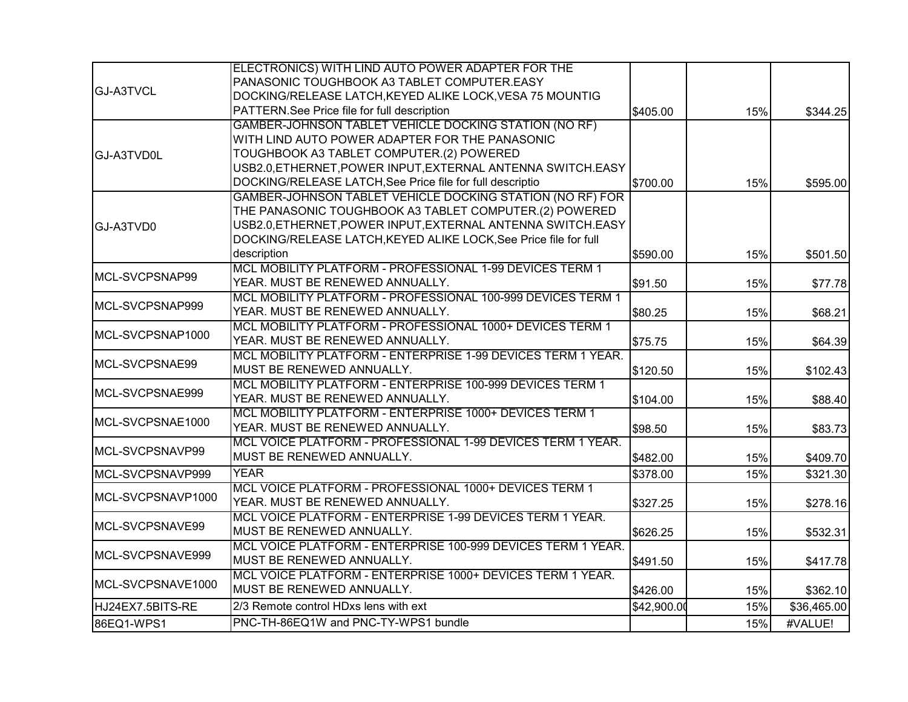|                   | ELECTRONICS) WITH LIND AUTO POWER ADAPTER FOR THE                |             |     |             |
|-------------------|------------------------------------------------------------------|-------------|-----|-------------|
| <b>GJ-A3TVCL</b>  | PANASONIC TOUGHBOOK A3 TABLET COMPUTER.EASY                      |             |     |             |
|                   | DOCKING/RELEASE LATCH, KEYED ALIKE LOCK, VESA 75 MOUNTIG         |             |     |             |
|                   | PATTERN.See Price file for full description                      | \$405.00    | 15% | \$344.25    |
|                   | GAMBER-JOHNSON TABLET VEHICLE DOCKING STATION (NO RF)            |             |     |             |
|                   | WITH LIND AUTO POWER ADAPTER FOR THE PANASONIC                   |             |     |             |
| GJ-A3TVD0L        | TOUGHBOOK A3 TABLET COMPUTER.(2) POWERED                         |             |     |             |
|                   | USB2.0, ETHERNET, POWER INPUT, EXTERNAL ANTENNA SWITCH. EASY     |             |     |             |
|                   | DOCKING/RELEASE LATCH, See Price file for full descriptio        | \$700.00    | 15% | \$595.00    |
|                   | GAMBER-JOHNSON TABLET VEHICLE DOCKING STATION (NO RF) FOR        |             |     |             |
|                   | THE PANASONIC TOUGHBOOK A3 TABLET COMPUTER.(2) POWERED           |             |     |             |
| GJ-A3TVD0         | USB2.0, ETHERNET, POWER INPUT, EXTERNAL ANTENNA SWITCH. EASY     |             |     |             |
|                   | DOCKING/RELEASE LATCH, KEYED ALIKE LOCK, See Price file for full |             |     |             |
|                   | description                                                      | \$590.00    | 15% | \$501.50    |
|                   | MCL MOBILITY PLATFORM - PROFESSIONAL 1-99 DEVICES TERM 1         |             |     |             |
| MCL-SVCPSNAP99    | YEAR. MUST BE RENEWED ANNUALLY.                                  | \$91.50     | 15% | \$77.78     |
|                   | MCL MOBILITY PLATFORM - PROFESSIONAL 100-999 DEVICES TERM 1      |             |     |             |
| MCL-SVCPSNAP999   | YEAR. MUST BE RENEWED ANNUALLY.                                  | \$80.25     | 15% | \$68.21     |
|                   | MCL MOBILITY PLATFORM - PROFESSIONAL 1000+ DEVICES TERM 1        |             |     |             |
| MCL-SVCPSNAP1000  | YEAR. MUST BE RENEWED ANNUALLY.                                  | \$75.75     | 15% | \$64.39     |
|                   | MCL MOBILITY PLATFORM - ENTERPRISE 1-99 DEVICES TERM 1 YEAR.     |             |     |             |
| MCL-SVCPSNAE99    | MUST BE RENEWED ANNUALLY.                                        | \$120.50    | 15% | \$102.43    |
| MCL-SVCPSNAE999   | MCL MOBILITY PLATFORM - ENTERPRISE 100-999 DEVICES TERM 1        |             |     |             |
|                   | YEAR. MUST BE RENEWED ANNUALLY.                                  | \$104.00    | 15% | \$88.40     |
| MCL-SVCPSNAE1000  | MCL MOBILITY PLATFORM - ENTERPRISE 1000+ DEVICES TERM 1          |             |     |             |
|                   | YEAR. MUST BE RENEWED ANNUALLY.                                  | \$98.50     | 15% | \$83.73     |
| MCL-SVCPSNAVP99   | MCL VOICE PLATFORM - PROFESSIONAL 1-99 DEVICES TERM 1 YEAR.      |             |     |             |
|                   | MUST BE RENEWED ANNUALLY.                                        | \$482.00    | 15% | \$409.70    |
| MCL-SVCPSNAVP999  | <b>YEAR</b>                                                      | \$378.00    | 15% | \$321.30    |
|                   | MCL VOICE PLATFORM - PROFESSIONAL 1000+ DEVICES TERM 1           |             |     |             |
| MCL-SVCPSNAVP1000 | YEAR. MUST BE RENEWED ANNUALLY.                                  | \$327.25    | 15% | \$278.16    |
|                   | MCL VOICE PLATFORM - ENTERPRISE 1-99 DEVICES TERM 1 YEAR.        |             |     |             |
| MCL-SVCPSNAVE99   | MUST BE RENEWED ANNUALLY.                                        | \$626.25    | 15% | \$532.31    |
|                   | MCL VOICE PLATFORM - ENTERPRISE 100-999 DEVICES TERM 1 YEAR.     |             |     |             |
| MCL-SVCPSNAVE999  | MUST BE RENEWED ANNUALLY.                                        | \$491.50    | 15% | \$417.78    |
| MCL-SVCPSNAVE1000 | MCL VOICE PLATFORM - ENTERPRISE 1000+ DEVICES TERM 1 YEAR.       |             |     |             |
|                   | MUST BE RENEWED ANNUALLY.                                        | \$426.00    | 15% | \$362.10    |
| HJ24EX7.5BITS-RE  | 2/3 Remote control HDxs lens with ext                            | \$42,900.00 | 15% | \$36,465.00 |
| 86EQ1-WPS1        | PNC-TH-86EQ1W and PNC-TY-WPS1 bundle                             |             | 15% | #VALUE!     |
|                   |                                                                  |             |     |             |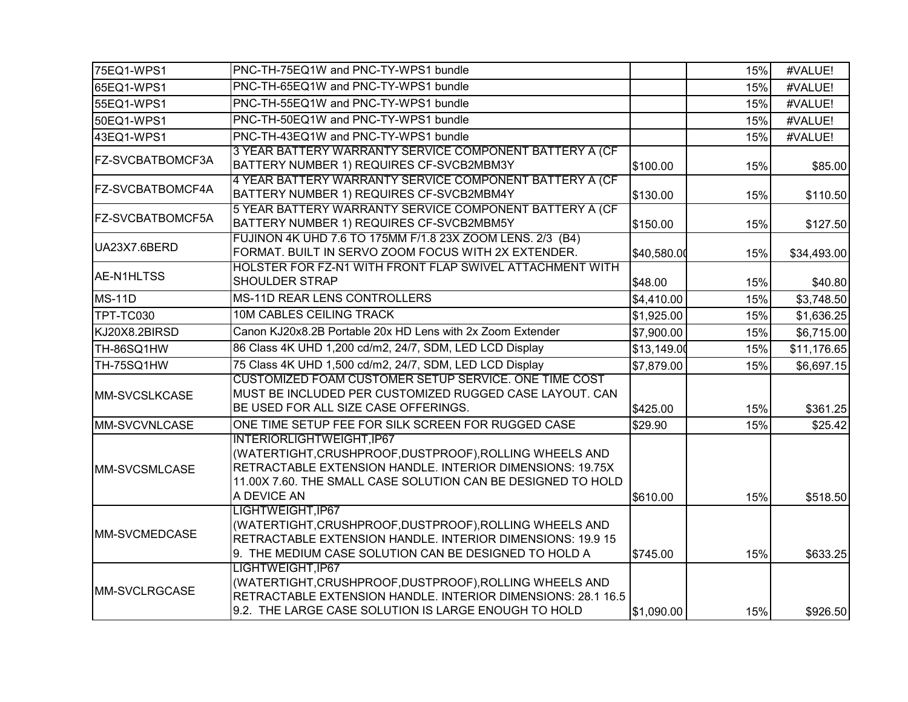| 75EQ1-WPS1              | PNC-TH-75EQ1W and PNC-TY-WPS1 bundle                                                                                                                                                                                             |             | 15% | #VALUE!     |
|-------------------------|----------------------------------------------------------------------------------------------------------------------------------------------------------------------------------------------------------------------------------|-------------|-----|-------------|
| 65EQ1-WPS1              | PNC-TH-65EQ1W and PNC-TY-WPS1 bundle                                                                                                                                                                                             |             | 15% | #VALUE!     |
| 55EQ1-WPS1              | PNC-TH-55EQ1W and PNC-TY-WPS1 bundle                                                                                                                                                                                             |             | 15% | #VALUE!     |
| 50EQ1-WPS1              | PNC-TH-50EQ1W and PNC-TY-WPS1 bundle                                                                                                                                                                                             |             | 15% | #VALUE!     |
| 43EQ1-WPS1              | PNC-TH-43EQ1W and PNC-TY-WPS1 bundle                                                                                                                                                                                             |             | 15% | #VALUE!     |
| FZ-SVCBATBOMCF3A        | 3 YEAR BATTERY WARRANTY SERVICE COMPONENT BATTERY A (CF<br>BATTERY NUMBER 1) REQUIRES CF-SVCB2MBM3Y                                                                                                                              | \$100.00    | 15% | \$85.00     |
| <b>FZ-SVCBATBOMCF4A</b> | 4 YEAR BATTERY WARRANTY SERVICE COMPONENT BATTERY A (CF<br>BATTERY NUMBER 1) REQUIRES CF-SVCB2MBM4Y                                                                                                                              | \$130.00    | 15% | \$110.50    |
| FZ-SVCBATBOMCF5A        | 5 YEAR BATTERY WARRANTY SERVICE COMPONENT BATTERY A (CF<br>BATTERY NUMBER 1) REQUIRES CF-SVCB2MBM5Y                                                                                                                              | \$150.00    | 15% | \$127.50    |
| UA23X7.6BERD            | FUJINON 4K UHD 7.6 TO 175MM F/1.8 23X ZOOM LENS. 2/3 (B4)<br>FORMAT. BUILT IN SERVO ZOOM FOCUS WITH 2X EXTENDER.                                                                                                                 | \$40,580.00 | 15% | \$34,493.00 |
| AE-N1HLTSS              | HOLSTER FOR FZ-N1 WITH FRONT FLAP SWIVEL ATTACHMENT WITH<br>SHOULDER STRAP                                                                                                                                                       | \$48.00     | 15% | \$40.80     |
| <b>MS-11D</b>           | MS-11D REAR LENS CONTROLLERS                                                                                                                                                                                                     | \$4,410.00  | 15% | \$3,748.50  |
| TPT-TC030               | 10M CABLES CEILING TRACK                                                                                                                                                                                                         | \$1,925.00  | 15% | \$1,636.25  |
| KJ20X8.2BIRSD           | Canon KJ20x8.2B Portable 20x HD Lens with 2x Zoom Extender                                                                                                                                                                       | \$7,900.00  | 15% | \$6,715.00  |
| TH-86SQ1HW              | 86 Class 4K UHD 1,200 cd/m2, 24/7, SDM, LED LCD Display                                                                                                                                                                          | \$13,149.00 | 15% | \$11,176.65 |
| TH-75SQ1HW              | 75 Class 4K UHD 1,500 cd/m2, 24/7, SDM, LED LCD Display                                                                                                                                                                          | \$7,879.00  | 15% | \$6,697.15  |
| MM-SVCSLKCASE           | CUSTOMIZED FOAM CUSTOMER SETUP SERVICE. ONE TIME COST<br>MUST BE INCLUDED PER CUSTOMIZED RUGGED CASE LAYOUT. CAN<br>BE USED FOR ALL SIZE CASE OFFERINGS.                                                                         | \$425.00    | 15% | \$361.25    |
| <b>MM-SVCVNLCASE</b>    | ONE TIME SETUP FEE FOR SILK SCREEN FOR RUGGED CASE                                                                                                                                                                               | \$29.90     | 15% | \$25.42     |
| MM-SVCSMLCASE           | INTERIORLIGHTWEIGHT, IP67<br>(WATERTIGHT, CRUSHPROOF, DUSTPROOF), ROLLING WHEELS AND<br>RETRACTABLE EXTENSION HANDLE. INTERIOR DIMENSIONS: 19.75X<br>11.00X 7.60. THE SMALL CASE SOLUTION CAN BE DESIGNED TO HOLD<br>A DEVICE AN | \$610.00    | 15% | \$518.50    |
| MM-SVCMEDCASE           | LIGHTWEIGHT, IP67<br>(WATERTIGHT, CRUSHPROOF, DUSTPROOF), ROLLING WHEELS AND<br>RETRACTABLE EXTENSION HANDLE. INTERIOR DIMENSIONS: 19.9 15<br>9. THE MEDIUM CASE SOLUTION CAN BE DESIGNED TO HOLD A                              | \$745.00    | 15% | \$633.25    |
| MM-SVCLRGCASE           | LIGHTWEIGHT, IP67<br>(WATERTIGHT, CRUSHPROOF, DUSTPROOF), ROLLING WHEELS AND<br>RETRACTABLE EXTENSION HANDLE. INTERIOR DIMENSIONS: 28.1 16.5<br>9.2. THE LARGE CASE SOLUTION IS LARGE ENOUGH TO HOLD                             | \$1,090.00  | 15% | \$926.50    |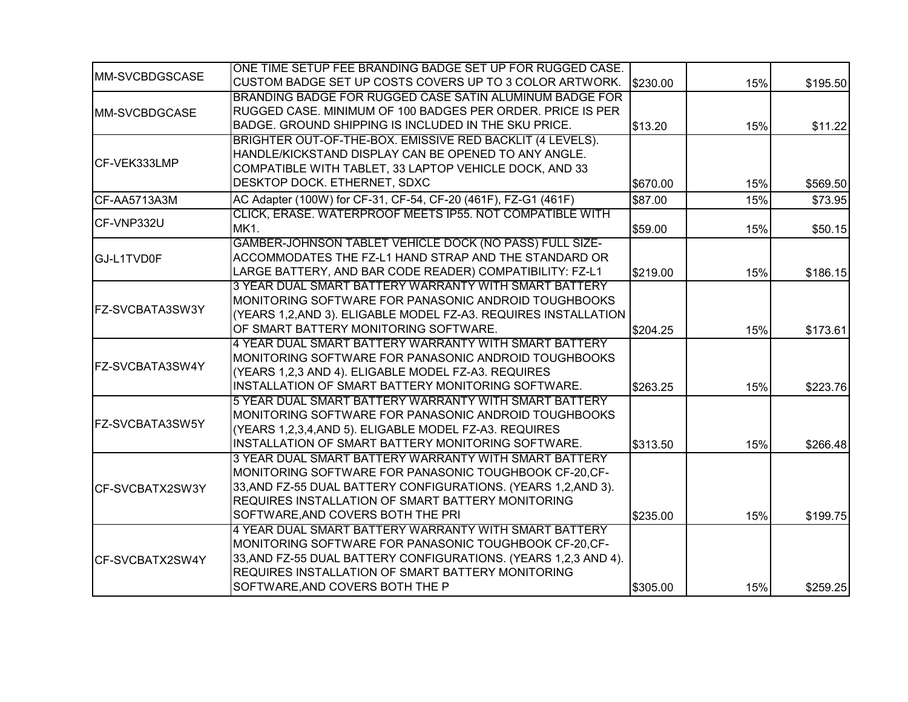| <b>MM-SVCBDGSCASE</b> | ONE TIME SETUP FEE BRANDING BADGE SET UP FOR RUGGED CASE.       |          |     |          |
|-----------------------|-----------------------------------------------------------------|----------|-----|----------|
|                       | CUSTOM BADGE SET UP COSTS COVERS UP TO 3 COLOR ARTWORK.         | \$230.00 | 15% | \$195.50 |
| MM-SVCBDGCASE         | BRANDING BADGE FOR RUGGED CASE SATIN ALUMINUM BADGE FOR         |          |     |          |
|                       | RUGGED CASE. MINIMUM OF 100 BADGES PER ORDER. PRICE IS PER      |          |     |          |
|                       | BADGE. GROUND SHIPPING IS INCLUDED IN THE SKU PRICE.            | \$13.20  | 15% | \$11.22  |
|                       | BRIGHTER OUT-OF-THE-BOX. EMISSIVE RED BACKLIT (4 LEVELS).       |          |     |          |
| CF-VEK333LMP          | HANDLE/KICKSTAND DISPLAY CAN BE OPENED TO ANY ANGLE.            |          |     |          |
|                       | COMPATIBLE WITH TABLET, 33 LAPTOP VEHICLE DOCK, AND 33          |          |     |          |
|                       | DESKTOP DOCK. ETHERNET, SDXC                                    | \$670.00 | 15% | \$569.50 |
| CF-AA5713A3M          | AC Adapter (100W) for CF-31, CF-54, CF-20 (461F), FZ-G1 (461F)  | \$87.00  | 15% | \$73.95  |
| CF-VNP332U            | CLICK, ERASE. WATERPROOF MEETS IP55. NOT COMPATIBLE WITH        |          |     |          |
|                       | <b>MK1.</b>                                                     | \$59.00  | 15% | \$50.15  |
|                       | GAMBER-JOHNSON TABLET VEHICLE DOCK (NO PASS) FULL SIZE-         |          |     |          |
| GJ-L1TVD0F            | ACCOMMODATES THE FZ-L1 HAND STRAP AND THE STANDARD OR           |          |     |          |
|                       | LARGE BATTERY, AND BAR CODE READER) COMPATIBILITY: FZ-L1        | \$219.00 | 15% | \$186.15 |
|                       | 3 YEAR DUAL SMART BATTERY WARRANTY WITH SMART BATTERY           |          |     |          |
|                       | MONITORING SOFTWARE FOR PANASONIC ANDROID TOUGHBOOKS            |          |     |          |
| FZ-SVCBATA3SW3Y       | (YEARS 1,2, AND 3). ELIGABLE MODEL FZ-A3. REQUIRES INSTALLATION |          |     |          |
|                       | OF SMART BATTERY MONITORING SOFTWARE.                           | \$204.25 | 15% | \$173.61 |
|                       | 4 YEAR DUAL SMART BATTERY WARRANTY WITH SMART BATTERY           |          |     |          |
| FZ-SVCBATA3SW4Y       | MONITORING SOFTWARE FOR PANASONIC ANDROID TOUGHBOOKS            |          |     |          |
|                       | (YEARS 1,2,3 AND 4). ELIGABLE MODEL FZ-A3. REQUIRES             |          |     |          |
|                       | INSTALLATION OF SMART BATTERY MONITORING SOFTWARE.              | \$263.25 | 15% | \$223.76 |
|                       | 5 YEAR DUAL SMART BATTERY WARRANTY WITH SMART BATTERY           |          |     |          |
|                       | MONITORING SOFTWARE FOR PANASONIC ANDROID TOUGHBOOKS            |          |     |          |
| FZ-SVCBATA3SW5Y       | (YEARS 1,2,3,4,AND 5). ELIGABLE MODEL FZ-A3. REQUIRES           |          |     |          |
|                       | INSTALLATION OF SMART BATTERY MONITORING SOFTWARE.              | \$313.50 | 15% | \$266.48 |
|                       | 3 YEAR DUAL SMART BATTERY WARRANTY WITH SMART BATTERY           |          |     |          |
|                       | MONITORING SOFTWARE FOR PANASONIC TOUGHBOOK CF-20, CF-          |          |     |          |
| ICF-SVCBATX2SW3Y      | 33, AND FZ-55 DUAL BATTERY CONFIGURATIONS. (YEARS 1,2, AND 3).  |          |     |          |
|                       | REQUIRES INSTALLATION OF SMART BATTERY MONITORING               |          |     |          |
|                       | SOFTWARE, AND COVERS BOTH THE PRI                               | \$235.00 | 15% | \$199.75 |
|                       | 4 YEAR DUAL SMART BATTERY WARRANTY WITH SMART BATTERY           |          |     |          |
|                       | MONITORING SOFTWARE FOR PANASONIC TOUGHBOOK CF-20, CF-          |          |     |          |
| CF-SVCBATX2SW4Y       | 33, AND FZ-55 DUAL BATTERY CONFIGURATIONS. (YEARS 1,2,3 AND 4). |          |     |          |
|                       | <b>REQUIRES INSTALLATION OF SMART BATTERY MONITORING</b>        |          |     |          |
|                       | SOFTWARE, AND COVERS BOTH THE P                                 | \$305.00 | 15% | \$259.25 |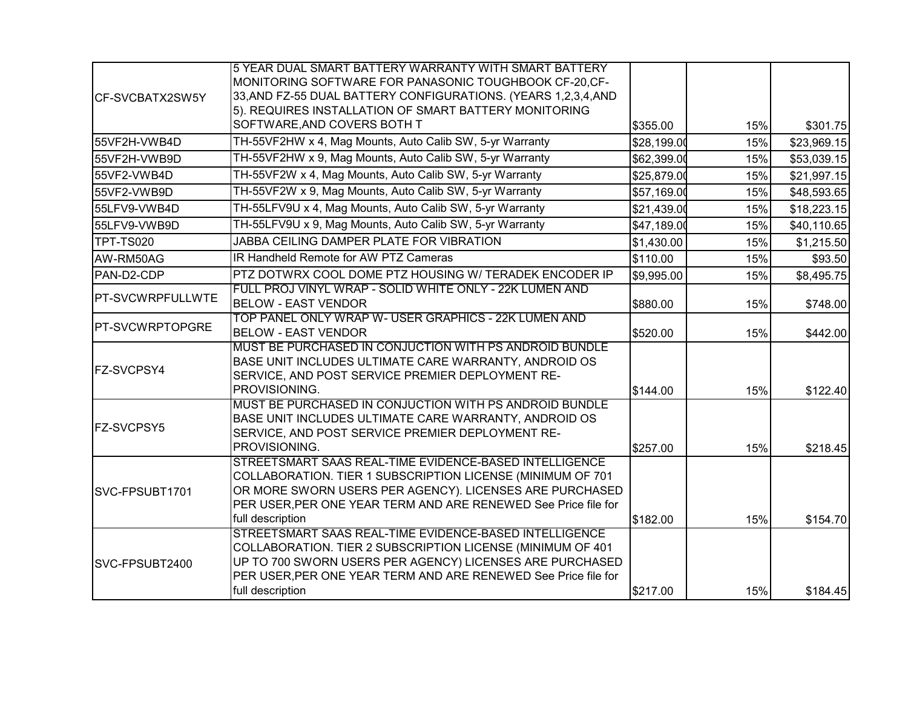|                        | 5 YEAR DUAL SMART BATTERY WARRANTY WITH SMART BATTERY             |             |     |             |
|------------------------|-------------------------------------------------------------------|-------------|-----|-------------|
| CF-SVCBATX2SW5Y        | MONITORING SOFTWARE FOR PANASONIC TOUGHBOOK CF-20, CF-            |             |     |             |
|                        | 33, AND FZ-55 DUAL BATTERY CONFIGURATIONS. (YEARS 1,2,3,4, AND    |             |     |             |
|                        | 5). REQUIRES INSTALLATION OF SMART BATTERY MONITORING             |             |     |             |
|                        | SOFTWARE, AND COVERS BOTH T                                       | \$355.00    | 15% | \$301.75    |
| 55VF2H-VWB4D           | TH-55VF2HW x 4, Mag Mounts, Auto Calib SW, 5-yr Warranty          | \$28,199.00 | 15% | \$23,969.15 |
| 55VF2H-VWB9D           | TH-55VF2HW x 9, Mag Mounts, Auto Calib SW, 5-yr Warranty          | \$62,399.00 | 15% | \$53,039.15 |
| 55VF2-VWB4D            | TH-55VF2W x 4, Mag Mounts, Auto Calib SW, 5-yr Warranty           | \$25,879.00 | 15% | \$21,997.15 |
| 55VF2-VWB9D            | TH-55VF2W x 9, Mag Mounts, Auto Calib SW, 5-yr Warranty           | \$57,169.00 | 15% | \$48,593.65 |
| 55LFV9-VWB4D           | TH-55LFV9U x 4, Mag Mounts, Auto Calib SW, 5-yr Warranty          | \$21,439.00 | 15% | \$18,223.15 |
| 55LFV9-VWB9D           | TH-55LFV9U x 9, Mag Mounts, Auto Calib SW, 5-yr Warranty          | \$47,189.00 | 15% | \$40,110.65 |
| TPT-TS020              | JABBA CEILING DAMPER PLATE FOR VIBRATION                          | \$1,430.00  | 15% | \$1,215.50  |
| AW-RM50AG              | IR Handheld Remote for AW PTZ Cameras                             | \$110.00    | 15% | \$93.50     |
| PAN-D2-CDP             | PTZ DOTWRX COOL DOME PTZ HOUSING W/ TERADEK ENCODER IP            | \$9,995.00  | 15% | \$8,495.75  |
|                        | FULL PROJ VINYL WRAP - SOLID WHITE ONLY - 22K LUMEN AND           |             |     |             |
| PT-SVCWRPFULLWTE       | <b>BELOW - EAST VENDOR</b>                                        | \$880.00    | 15% | \$748.00    |
| <b>PT-SVCWRPTOPGRE</b> | TOP PANEL ONLY WRAP W- USER GRAPHICS - 22K LUMEN AND              |             |     |             |
|                        | <b>BELOW - EAST VENDOR</b>                                        | \$520.00    | 15% | \$442.00    |
|                        | MUST BE PURCHASED IN CONJUCTION WITH PS ANDROID BUNDLE            |             |     |             |
| FZ-SVCPSY4             | BASE UNIT INCLUDES ULTIMATE CARE WARRANTY, ANDROID OS             |             |     |             |
|                        | SERVICE, AND POST SERVICE PREMIER DEPLOYMENT RE-<br>PROVISIONING. |             |     |             |
|                        | MUST BE PURCHASED IN CONJUCTION WITH PS ANDROID BUNDLE            | \$144.00    | 15% | \$122.40    |
|                        | BASE UNIT INCLUDES ULTIMATE CARE WARRANTY, ANDROID OS             |             |     |             |
| <b>FZ-SVCPSY5</b>      | SERVICE, AND POST SERVICE PREMIER DEPLOYMENT RE-                  |             |     |             |
|                        | PROVISIONING.                                                     | \$257.00    | 15% | \$218.45    |
|                        | STREETSMART SAAS REAL-TIME EVIDENCE-BASED INTELLIGENCE            |             |     |             |
|                        | COLLABORATION. TIER 1 SUBSCRIPTION LICENSE (MINIMUM OF 701        |             |     |             |
| SVC-FPSUBT1701         | OR MORE SWORN USERS PER AGENCY). LICENSES ARE PURCHASED           |             |     |             |
|                        | PER USER, PER ONE YEAR TERM AND ARE RENEWED See Price file for    |             |     |             |
|                        | full description                                                  | \$182.00    | 15% | \$154.70    |
|                        | STREETSMART SAAS REAL-TIME EVIDENCE-BASED INTELLIGENCE            |             |     |             |
|                        | COLLABORATION. TIER 2 SUBSCRIPTION LICENSE (MINIMUM OF 401        |             |     |             |
| SVC-FPSUBT2400         | UP TO 700 SWORN USERS PER AGENCY) LICENSES ARE PURCHASED          |             |     |             |
|                        | PER USER, PER ONE YEAR TERM AND ARE RENEWED See Price file for    |             |     |             |
|                        | full description                                                  | \$217.00    | 15% | \$184.45    |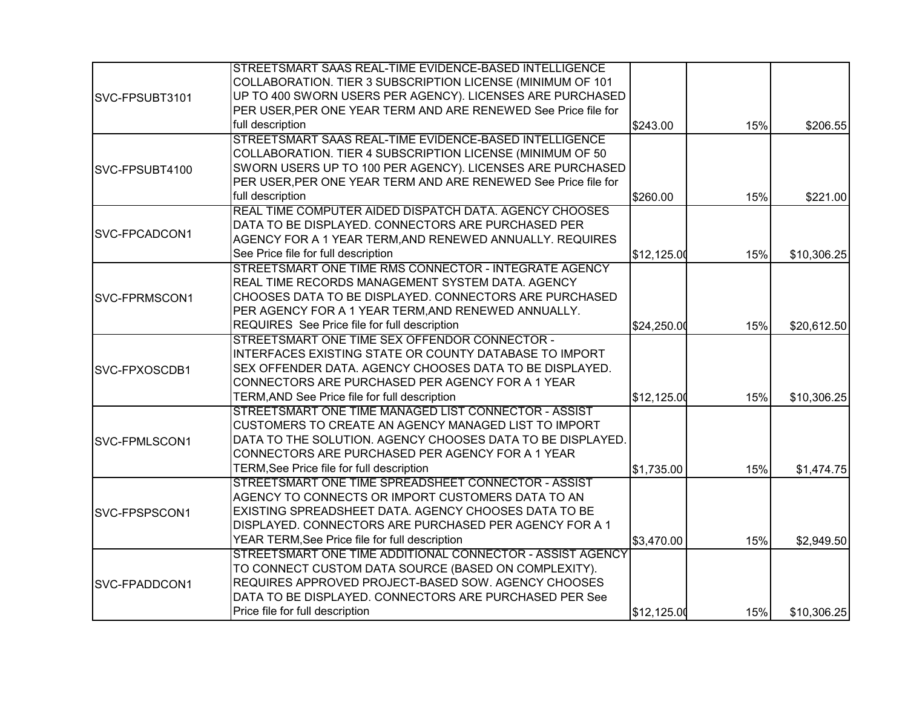|                       | STREETSMART SAAS REAL-TIME EVIDENCE-BASED INTELLIGENCE         |             |     |             |
|-----------------------|----------------------------------------------------------------|-------------|-----|-------------|
|                       | COLLABORATION. TIER 3 SUBSCRIPTION LICENSE (MINIMUM OF 101     |             |     |             |
| SVC-FPSUBT3101        | UP TO 400 SWORN USERS PER AGENCY). LICENSES ARE PURCHASED      |             |     |             |
|                       | PER USER, PER ONE YEAR TERM AND ARE RENEWED See Price file for |             |     |             |
|                       | full description                                               | \$243.00    | 15% | \$206.55    |
|                       | STREETSMART SAAS REAL-TIME EVIDENCE-BASED INTELLIGENCE         |             |     |             |
|                       | COLLABORATION. TIER 4 SUBSCRIPTION LICENSE (MINIMUM OF 50      |             |     |             |
| SVC-FPSUBT4100        | SWORN USERS UP TO 100 PER AGENCY). LICENSES ARE PURCHASED      |             |     |             |
|                       | PER USER, PER ONE YEAR TERM AND ARE RENEWED See Price file for |             |     |             |
|                       | full description                                               | \$260.00    | 15% | \$221.00    |
|                       | REAL TIME COMPUTER AIDED DISPATCH DATA. AGENCY CHOOSES         |             |     |             |
| <b>SVC-FPCADCON1</b>  | DATA TO BE DISPLAYED. CONNECTORS ARE PURCHASED PER             |             |     |             |
|                       | AGENCY FOR A 1 YEAR TERM, AND RENEWED ANNUALLY. REQUIRES       |             |     |             |
|                       | See Price file for full description                            | \$12,125.00 | 15% | \$10,306.25 |
|                       | STREETSMART ONE TIME RMS CONNECTOR - INTEGRATE AGENCY          |             |     |             |
|                       | REAL TIME RECORDS MANAGEMENT SYSTEM DATA. AGENCY               |             |     |             |
| SVC-FPRMSCON1         | CHOOSES DATA TO BE DISPLAYED. CONNECTORS ARE PURCHASED         |             |     |             |
|                       | PER AGENCY FOR A 1 YEAR TERM, AND RENEWED ANNUALLY.            |             |     |             |
|                       | REQUIRES See Price file for full description                   | \$24,250.00 | 15% | \$20,612.50 |
|                       | STREETSMART ONE TIME SEX OFFENDOR CONNECTOR -                  |             |     |             |
|                       | INTERFACES EXISTING STATE OR COUNTY DATABASE TO IMPORT         |             |     |             |
| SVC-FPXOSCDB1         | SEX OFFENDER DATA. AGENCY CHOOSES DATA TO BE DISPLAYED.        |             |     |             |
|                       | CONNECTORS ARE PURCHASED PER AGENCY FOR A 1 YEAR               |             |     |             |
|                       | TERM, AND See Price file for full description                  | \$12,125.00 | 15% | \$10,306.25 |
|                       | STREETSMART ONE TIME MANAGED LIST CONNECTOR - ASSIST           |             |     |             |
|                       | CUSTOMERS TO CREATE AN AGENCY MANAGED LIST TO IMPORT           |             |     |             |
| SVC-FPMLSCON1         | DATA TO THE SOLUTION. AGENCY CHOOSES DATA TO BE DISPLAYED.     |             |     |             |
|                       | CONNECTORS ARE PURCHASED PER AGENCY FOR A 1 YEAR               |             |     |             |
|                       | TERM, See Price file for full description                      | \$1,735.00  | 15% | \$1,474.75  |
|                       | STREETSMART ONE TIME SPREADSHEET CONNECTOR - ASSIST            |             |     |             |
|                       | AGENCY TO CONNECTS OR IMPORT CUSTOMERS DATA TO AN              |             |     |             |
| SVC-FPSPSCON1         | EXISTING SPREADSHEET DATA. AGENCY CHOOSES DATA TO BE           |             |     |             |
|                       | DISPLAYED. CONNECTORS ARE PURCHASED PER AGENCY FOR A 1         |             |     |             |
|                       | YEAR TERM, See Price file for full description                 | \$3,470.00  | 15% | \$2,949.50  |
|                       | STREETSMART ONE TIME ADDITIONAL CONNECTOR - ASSIST AGENCY      |             |     |             |
|                       | TO CONNECT CUSTOM DATA SOURCE (BASED ON COMPLEXITY).           |             |     |             |
| <b>ISVC-FPADDCON1</b> | REQUIRES APPROVED PROJECT-BASED SOW. AGENCY CHOOSES            |             |     |             |
|                       | DATA TO BE DISPLAYED. CONNECTORS ARE PURCHASED PER See         |             |     |             |
|                       | Price file for full description                                | \$12,125.00 | 15% | \$10,306.25 |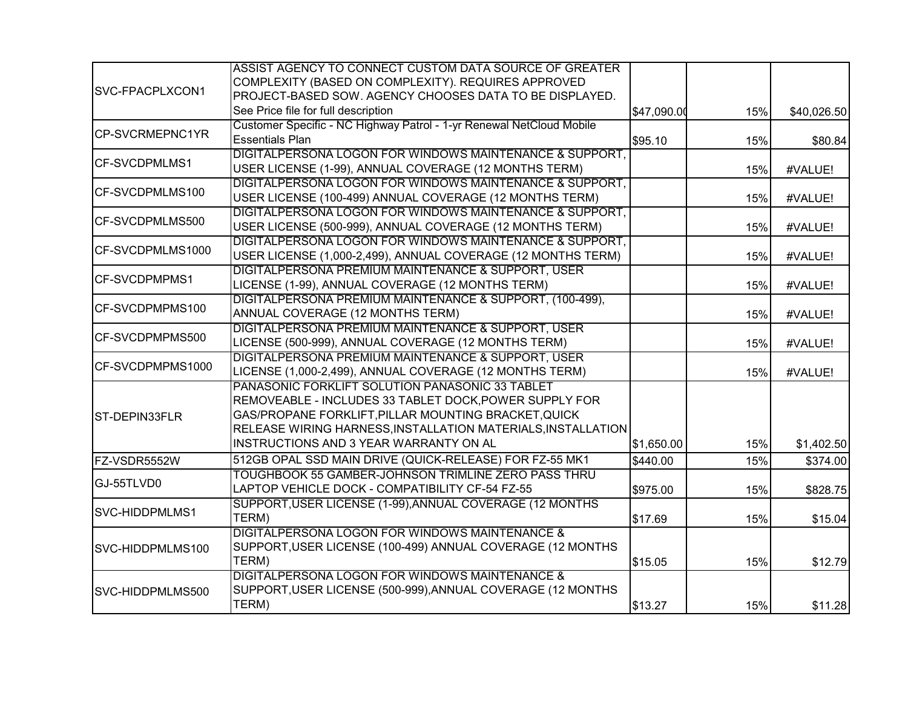|                  | ASSIST AGENCY TO CONNECT CUSTOM DATA SOURCE OF GREATER               |             |     |             |
|------------------|----------------------------------------------------------------------|-------------|-----|-------------|
| SVC-FPACPLXCON1  | COMPLEXITY (BASED ON COMPLEXITY). REQUIRES APPROVED                  |             |     |             |
|                  | PROJECT-BASED SOW. AGENCY CHOOSES DATA TO BE DISPLAYED.              |             |     |             |
|                  | See Price file for full description                                  | \$47,090.00 | 15% | \$40,026.50 |
|                  | Customer Specific - NC Highway Patrol - 1-yr Renewal NetCloud Mobile |             |     |             |
| CP-SVCRMEPNC1YR  | <b>Essentials Plan</b>                                               | \$95.10     | 15% | \$80.84     |
| CF-SVCDPMLMS1    | DIGITALPERSONA LOGON FOR WINDOWS MAINTENANCE & SUPPORT,              |             |     |             |
|                  | USER LICENSE (1-99), ANNUAL COVERAGE (12 MONTHS TERM)                |             | 15% | #VALUE!     |
| CF-SVCDPMLMS100  | DIGITALPERSONA LOGON FOR WINDOWS MAINTENANCE & SUPPORT,              |             |     |             |
|                  | USER LICENSE (100-499) ANNUAL COVERAGE (12 MONTHS TERM)              |             | 15% | #VALUE!     |
| CF-SVCDPMLMS500  | DIGITALPERSONA LOGON FOR WINDOWS MAINTENANCE & SUPPORT,              |             |     |             |
|                  | USER LICENSE (500-999), ANNUAL COVERAGE (12 MONTHS TERM)             |             | 15% | #VALUE!     |
| CF-SVCDPMLMS1000 | DIGITALPERSONA LOGON FOR WINDOWS MAINTENANCE & SUPPORT,              |             |     |             |
|                  | USER LICENSE (1,000-2,499), ANNUAL COVERAGE (12 MONTHS TERM)         |             | 15% | #VALUE!     |
| CF-SVCDPMPMS1    | DIGITALPERSONA PREMIUM MAINTENANCE & SUPPORT, USER                   |             |     |             |
|                  | LICENSE (1-99), ANNUAL COVERAGE (12 MONTHS TERM)                     |             | 15% | #VALUE!     |
| CF-SVCDPMPMS100  | DIGITALPERSONA PREMIUM MAINTENANCE & SUPPORT, (100-499),             |             |     |             |
|                  | ANNUAL COVERAGE (12 MONTHS TERM)                                     |             | 15% | #VALUE!     |
| CF-SVCDPMPMS500  | DIGITALPERSONA PREMIUM MAINTENANCE & SUPPORT, USER                   |             |     |             |
|                  | LICENSE (500-999), ANNUAL COVERAGE (12 MONTHS TERM)                  |             | 15% | #VALUE!     |
| CF-SVCDPMPMS1000 | DIGITALPERSONA PREMIUM MAINTENANCE & SUPPORT, USER                   |             |     |             |
|                  | LICENSE (1,000-2,499), ANNUAL COVERAGE (12 MONTHS TERM)              |             | 15% | #VALUE!     |
|                  | PANASONIC FORKLIFT SOLUTION PANASONIC 33 TABLET                      |             |     |             |
|                  | REMOVEABLE - INCLUDES 33 TABLET DOCK, POWER SUPPLY FOR               |             |     |             |
| ST-DEPIN33FLR    | GAS/PROPANE FORKLIFT, PILLAR MOUNTING BRACKET, QUICK                 |             |     |             |
|                  | RELEASE WIRING HARNESS, INSTALLATION MATERIALS, INSTALLATION         |             |     |             |
|                  | INSTRUCTIONS AND 3 YEAR WARRANTY ON AL                               | \$1,650.00  | 15% | \$1,402.50  |
| FZ-VSDR5552W     | 512GB OPAL SSD MAIN DRIVE (QUICK-RELEASE) FOR FZ-55 MK1              | \$440.00    | 15% | \$374.00    |
| GJ-55TLVD0       | TOUGHBOOK 55 GAMBER-JOHNSON TRIMLINE ZERO PASS THRU                  |             |     |             |
|                  | LAPTOP VEHICLE DOCK - COMPATIBILITY CF-54 FZ-55                      | \$975.00    | 15% | \$828.75    |
| SVC-HIDDPMLMS1   | SUPPORT, USER LICENSE (1-99), ANNUAL COVERAGE (12 MONTHS             |             |     |             |
|                  | TERM)                                                                | \$17.69     | 15% | \$15.04     |
|                  | DIGITALPERSONA LOGON FOR WINDOWS MAINTENANCE &                       |             |     |             |
| SVC-HIDDPMLMS100 | SUPPORT, USER LICENSE (100-499) ANNUAL COVERAGE (12 MONTHS           |             |     |             |
|                  | TERM)                                                                | \$15.05     | 15% | \$12.79     |
|                  | DIGITALPERSONA LOGON FOR WINDOWS MAINTENANCE &                       |             |     |             |
| SVC-HIDDPMLMS500 | SUPPORT, USER LICENSE (500-999), ANNUAL COVERAGE (12 MONTHS          |             |     |             |
|                  | TERM)                                                                | \$13.27     | 15% | \$11.28     |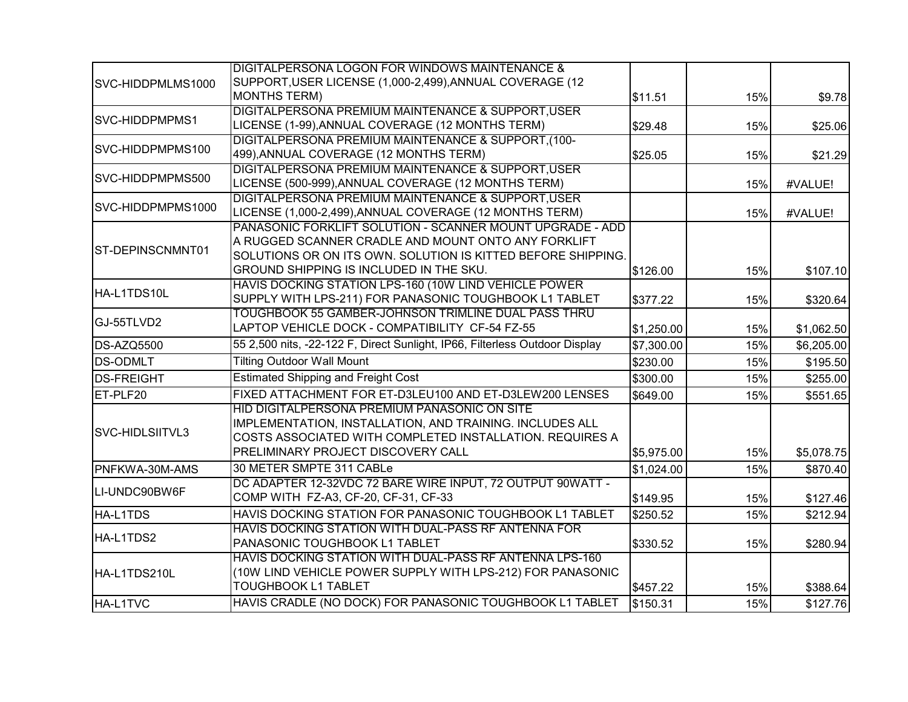|                   | DIGITALPERSONA LOGON FOR WINDOWS MAINTENANCE &                              |            |     |            |
|-------------------|-----------------------------------------------------------------------------|------------|-----|------------|
| SVC-HIDDPMLMS1000 | SUPPORT, USER LICENSE (1,000-2,499), ANNUAL COVERAGE (12                    |            |     |            |
|                   | <b>MONTHS TERM)</b>                                                         | \$11.51    | 15% | \$9.78     |
|                   | DIGITALPERSONA PREMIUM MAINTENANCE & SUPPORT, USER                          |            |     |            |
| SVC-HIDDPMPMS1    | LICENSE (1-99), ANNUAL COVERAGE (12 MONTHS TERM)                            | \$29.48    | 15% | \$25.06    |
|                   | DIGITALPERSONA PREMIUM MAINTENANCE & SUPPORT.(100-                          |            |     |            |
| SVC-HIDDPMPMS100  | 499), ANNUAL COVERAGE (12 MONTHS TERM)                                      | \$25.05    | 15% | \$21.29    |
|                   | DIGITALPERSONA PREMIUM MAINTENANCE & SUPPORT, USER                          |            |     |            |
| SVC-HIDDPMPMS500  | LICENSE (500-999), ANNUAL COVERAGE (12 MONTHS TERM)                         |            | 15% | #VALUE!    |
| SVC-HIDDPMPMS1000 | DIGITALPERSONA PREMIUM MAINTENANCE & SUPPORT, USER                          |            |     |            |
|                   | LICENSE (1,000-2,499), ANNUAL COVERAGE (12 MONTHS TERM)                     |            | 15% | #VALUE!    |
|                   | PANASONIC FORKLIFT SOLUTION - SCANNER MOUNT UPGRADE - ADD                   |            |     |            |
| ST-DEPINSCNMNT01  | A RUGGED SCANNER CRADLE AND MOUNT ONTO ANY FORKLIFT                         |            |     |            |
|                   | SOLUTIONS OR ON ITS OWN. SOLUTION IS KITTED BEFORE SHIPPING.                |            |     |            |
|                   | GROUND SHIPPING IS INCLUDED IN THE SKU.                                     | \$126.00   | 15% | \$107.10   |
| HA-L1TDS10L       | HAVIS DOCKING STATION LPS-160 (10W LIND VEHICLE POWER                       |            |     |            |
|                   | SUPPLY WITH LPS-211) FOR PANASONIC TOUGHBOOK L1 TABLET                      | \$377.22   | 15% | \$320.64   |
| GJ-55TLVD2        | TOUGHBOOK 55 GAMBER-JOHNSON TRIMLINE DUAL PASS THRU                         |            |     |            |
|                   | LAPTOP VEHICLE DOCK - COMPATIBILITY CF-54 FZ-55                             | \$1,250.00 | 15% | \$1,062.50 |
| DS-AZQ5500        | 55 2,500 nits, -22-122 F, Direct Sunlight, IP66, Filterless Outdoor Display | \$7,300.00 | 15% | \$6,205.00 |
| <b>DS-ODMLT</b>   | <b>Tilting Outdoor Wall Mount</b>                                           | \$230.00   | 15% | \$195.50   |
| <b>DS-FREIGHT</b> | <b>Estimated Shipping and Freight Cost</b>                                  | \$300.00   | 15% | \$255.00   |
| ET-PLF20          | FIXED ATTACHMENT FOR ET-D3LEU100 AND ET-D3LEW200 LENSES                     | \$649.00   | 15% | \$551.65   |
|                   | HID DIGITALPERSONA PREMIUM PANASONIC ON SITE                                |            |     |            |
|                   | IMPLEMENTATION, INSTALLATION, AND TRAINING. INCLUDES ALL                    |            |     |            |
| SVC-HIDLSIITVL3   | COSTS ASSOCIATED WITH COMPLETED INSTALLATION. REQUIRES A                    |            |     |            |
|                   | PRELIMINARY PROJECT DISCOVERY CALL                                          | \$5,975.00 | 15% | \$5,078.75 |
| PNFKWA-30M-AMS    | 30 METER SMPTE 311 CABLe                                                    | \$1,024.00 | 15% | \$870.40   |
|                   | DC ADAPTER 12-32VDC 72 BARE WIRE INPUT, 72 OUTPUT 90WATT -                  |            |     |            |
| LI-UNDC90BW6F     | COMP WITH FZ-A3, CF-20, CF-31, CF-33                                        | \$149.95   | 15% | \$127.46   |
| HA-L1TDS          | HAVIS DOCKING STATION FOR PANASONIC TOUGHBOOK L1 TABLET                     | \$250.52   | 15% | \$212.94   |
|                   | HAVIS DOCKING STATION WITH DUAL-PASS RF ANTENNA FOR                         |            |     |            |
| HA-L1TDS2         | PANASONIC TOUGHBOOK L1 TABLET                                               | \$330.52   | 15% | \$280.94   |
|                   | HAVIS DOCKING STATION WITH DUAL-PASS RF ANTENNA LPS-160                     |            |     |            |
| HA-L1TDS210L      | (10W LIND VEHICLE POWER SUPPLY WITH LPS-212) FOR PANASONIC                  |            |     |            |
|                   | <b>TOUGHBOOK L1 TABLET</b>                                                  | \$457.22   | 15% | \$388.64   |
| HA-L1TVC          | HAVIS CRADLE (NO DOCK) FOR PANASONIC TOUGHBOOK L1 TABLET                    | \$150.31   | 15% | \$127.76   |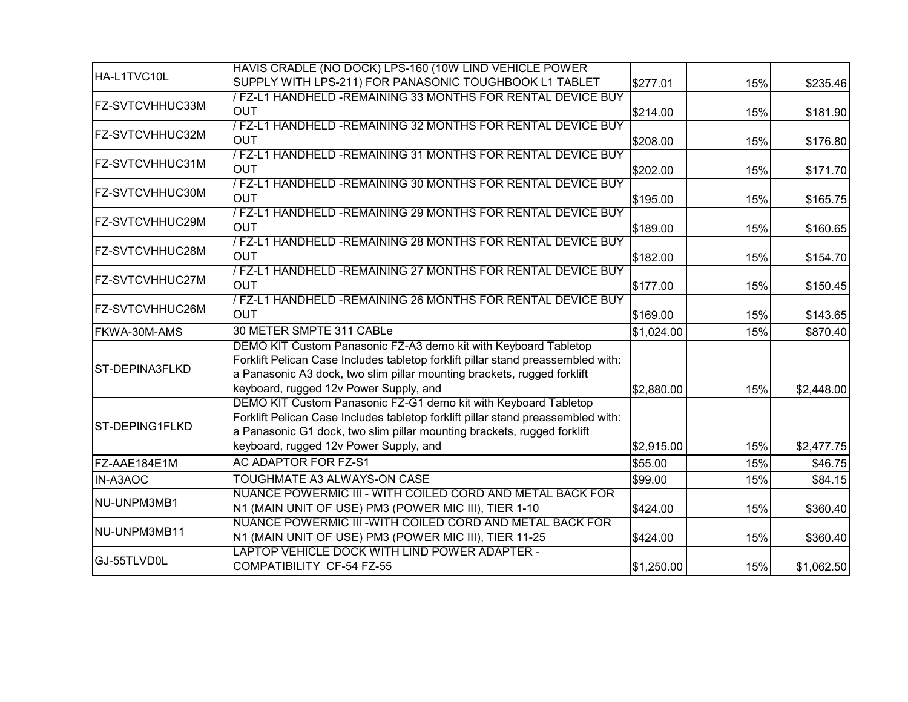|                        | HAVIS CRADLE (NO DOCK) LPS-160 (10W LIND VEHICLE POWER                                                                                                                                                                                                                   |            |     |            |
|------------------------|--------------------------------------------------------------------------------------------------------------------------------------------------------------------------------------------------------------------------------------------------------------------------|------------|-----|------------|
| HA-L1TVC10L            | SUPPLY WITH LPS-211) FOR PANASONIC TOUGHBOOK L1 TABLET                                                                                                                                                                                                                   | \$277.01   | 15% | \$235.46   |
| <b>FZ-SVTCVHHUC33M</b> | / FZ-L1 HANDHELD -REMAINING 33 MONTHS FOR RENTAL DEVICE BUY<br><b>OUT</b>                                                                                                                                                                                                | \$214.00   | 15% | \$181.90   |
| FZ-SVTCVHHUC32M        | / FZ-L1 HANDHELD -REMAINING 32 MONTHS FOR RENTAL DEVICE BUY<br><b>OUT</b>                                                                                                                                                                                                | \$208.00   | 15% | \$176.80   |
| FZ-SVTCVHHUC31M        | / FZ-L1 HANDHELD -REMAINING 31 MONTHS FOR RENTAL DEVICE BUY<br><b>OUT</b>                                                                                                                                                                                                | \$202.00   | 15% | \$171.70   |
| FZ-SVTCVHHUC30M        | / FZ-L1 HANDHELD -REMAINING 30 MONTHS FOR RENTAL DEVICE BUY<br><b>OUT</b>                                                                                                                                                                                                | \$195.00   | 15% | \$165.75   |
| <b>FZ-SVTCVHHUC29M</b> | / FZ-L1 HANDHELD -REMAINING 29 MONTHS FOR RENTAL DEVICE BUY<br><b>OUT</b>                                                                                                                                                                                                | \$189.00   | 15% | \$160.65   |
| FZ-SVTCVHHUC28M        | / FZ-L1 HANDHELD -REMAINING 28 MONTHS FOR RENTAL DEVICE BUY<br><b>OUT</b>                                                                                                                                                                                                | \$182.00   | 15% | \$154.70   |
| <b>FZ-SVTCVHHUC27M</b> | / FZ-L1 HANDHELD -REMAINING 27 MONTHS FOR RENTAL DEVICE BUY<br><b>OUT</b>                                                                                                                                                                                                | \$177.00   | 15% | \$150.45   |
| <b>FZ-SVTCVHHUC26M</b> | / FZ-L1 HANDHELD - REMAINING 26 MONTHS FOR RENTAL DEVICE BUY<br><b>OUT</b>                                                                                                                                                                                               | \$169.00   | 15% | \$143.65   |
| FKWA-30M-AMS           | 30 METER SMPTE 311 CABLe                                                                                                                                                                                                                                                 | \$1,024.00 | 15% | \$870.40   |
| ST-DEPINA3FLKD         | DEMO KIT Custom Panasonic FZ-A3 demo kit with Keyboard Tabletop<br>Forklift Pelican Case Includes tabletop forklift pillar stand preassembled with:<br>a Panasonic A3 dock, two slim pillar mounting brackets, rugged forklift<br>keyboard, rugged 12v Power Supply, and | \$2,880.00 | 15% | \$2,448.00 |
| <b>ST-DEPING1FLKD</b>  | DEMO KIT Custom Panasonic FZ-G1 demo kit with Keyboard Tabletop<br>Forklift Pelican Case Includes tabletop forklift pillar stand preassembled with:<br>a Panasonic G1 dock, two slim pillar mounting brackets, rugged forklift<br>keyboard, rugged 12v Power Supply, and | \$2,915.00 | 15% | \$2,477.75 |
| FZ-AAE184E1M           | <b>AC ADAPTOR FOR FZ-S1</b>                                                                                                                                                                                                                                              | \$55.00    | 15% | \$46.75    |
| <b>IN-A3AOC</b>        | TOUGHMATE A3 ALWAYS-ON CASE                                                                                                                                                                                                                                              | \$99.00    | 15% | \$84.15    |
| INU-UNPM3MB1           | NUANCE POWERMIC III - WITH COILED CORD AND METAL BACK FOR<br>N1 (MAIN UNIT OF USE) PM3 (POWER MIC III), TIER 1-10                                                                                                                                                        | \$424.00   | 15% | \$360.40   |
| NU-UNPM3MB11           | NUANCE POWERMIC III - WITH COILED CORD AND METAL BACK FOR<br>N1 (MAIN UNIT OF USE) PM3 (POWER MIC III), TIER 11-25                                                                                                                                                       | \$424.00   | 15% | \$360.40   |
| GJ-55TLVD0L            | LAPTOP VEHICLE DOCK WITH LIND POWER ADAPTER -<br>COMPATIBILITY CF-54 FZ-55                                                                                                                                                                                               | \$1,250.00 | 15% | \$1,062.50 |